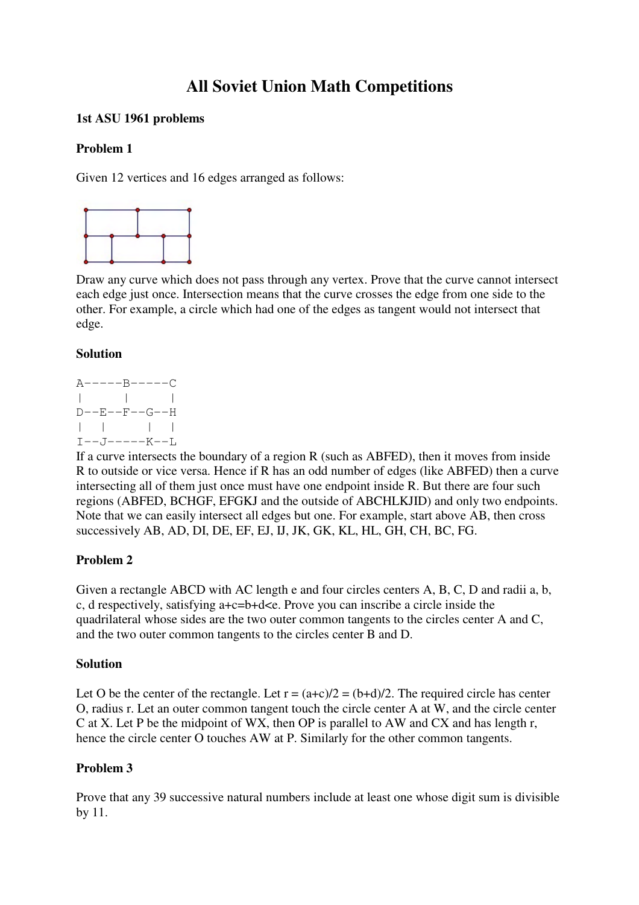# **All Soviet Union Math Competitions**

# **1st ASU 1961 problems**

# **Problem 1**

Given 12 vertices and 16 edges arranged as follows:



Draw any curve which does not pass through any vertex. Prove that the curve cannot intersect each edge just once. Intersection means that the curve crosses the edge from one side to the other. For example, a circle which had one of the edges as tangent would not intersect that edge.

# **Solution**

 $A---B---C$ | | |  $D--E--F--G--H$ | | | |  $I--J---K--L$ 

If a curve intersects the boundary of a region R (such as ABFED), then it moves from inside R to outside or vice versa. Hence if R has an odd number of edges (like ABFED) then a curve intersecting all of them just once must have one endpoint inside R. But there are four such regions (ABFED, BCHGF, EFGKJ and the outside of ABCHLKJID) and only two endpoints. Note that we can easily intersect all edges but one. For example, start above AB, then cross successively AB, AD, DI, DE, EF, EJ, IJ, JK, GK, KL, HL, GH, CH, BC, FG.

# **Problem 2**

Given a rectangle ABCD with AC length e and four circles centers A, B, C, D and radii a, b, c, d respectively, satisfying a+c=b+d<e. Prove you can inscribe a circle inside the quadrilateral whose sides are the two outer common tangents to the circles center A and C, and the two outer common tangents to the circles center B and D.

# **Solution**

Let O be the center of the rectangle. Let  $r = (a+c)/2 = (b+d)/2$ . The required circle has center O, radius r. Let an outer common tangent touch the circle center A at W, and the circle center C at X. Let P be the midpoint of WX, then OP is parallel to AW and CX and has length r, hence the circle center O touches AW at P. Similarly for the other common tangents.

# **Problem 3**

Prove that any 39 successive natural numbers include at least one whose digit sum is divisible by 11.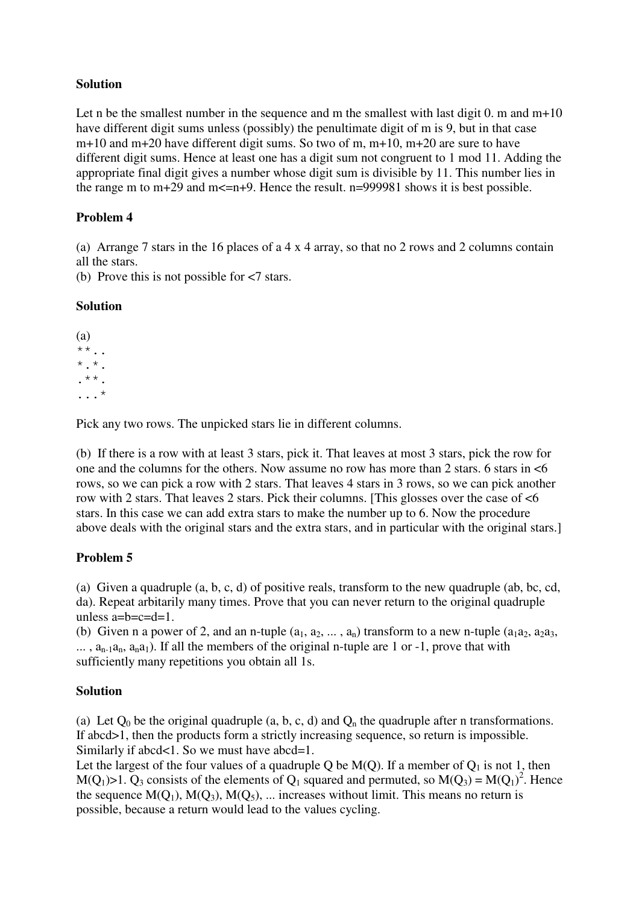# **Solution**

Let n be the smallest number in the sequence and m the smallest with last digit 0. m and  $m+10$ have different digit sums unless (possibly) the penultimate digit of m is 9, but in that case m+10 and m+20 have different digit sums. So two of m, m+10, m+20 are sure to have different digit sums. Hence at least one has a digit sum not congruent to 1 mod 11. Adding the appropriate final digit gives a number whose digit sum is divisible by 11. This number lies in the range m to  $m+29$  and  $m\leq n+9$ . Hence the result.  $n=999981$  shows it is best possible.

# **Problem 4**

(a) Arrange 7 stars in the 16 places of a 4 x 4 array, so that no 2 rows and 2 columns contain all the stars.

(b) Prove this is not possible for <7 stars.

### **Solution**

(a) \*\*.. \*.\*. .\*\*. ...\*

Pick any two rows. The unpicked stars lie in different columns.

(b) If there is a row with at least 3 stars, pick it. That leaves at most 3 stars, pick the row for one and the columns for the others. Now assume no row has more than 2 stars. 6 stars in <6 rows, so we can pick a row with 2 stars. That leaves 4 stars in 3 rows, so we can pick another row with 2 stars. That leaves 2 stars. Pick their columns. [This glosses over the case of <6 stars. In this case we can add extra stars to make the number up to 6. Now the procedure above deals with the original stars and the extra stars, and in particular with the original stars.]

# **Problem 5**

(a) Given a quadruple  $(a, b, c, d)$  of positive reals, transform to the new quadruple (ab, bc, cd, da). Repeat arbitarily many times. Prove that you can never return to the original quadruple unless  $a=b=c=d=1$ .

(b) Given n a power of 2, and an n-tuple  $(a_1, a_2, ..., a_n)$  transform to a new n-tuple  $(a_1a_2, a_2a_3, a_3b_4)$  $\ldots$ ,  $a_{n-1}a_n$ ,  $a_na_1$ ). If all the members of the original n-tuple are 1 or -1, prove that with sufficiently many repetitions you obtain all 1s.

# **Solution**

(a) Let  $Q_0$  be the original quadruple (a, b, c, d) and  $Q_n$  the quadruple after n transformations. If abcd>1, then the products form a strictly increasing sequence, so return is impossible. Similarly if abcd<1. So we must have abcd=1.

Let the largest of the four values of a quadruple Q be  $M(Q)$ . If a member of  $Q_1$  is not 1, then M(Q<sub>1</sub>)>1. Q<sub>3</sub> consists of the elements of Q<sub>1</sub> squared and permuted, so M(Q<sub>3</sub>) = M(Q<sub>1</sub>)<sup>2</sup>. Hence the sequence  $M(Q_1)$ ,  $M(Q_3)$ ,  $M(Q_5)$ , ... increases without limit. This means no return is possible, because a return would lead to the values cycling.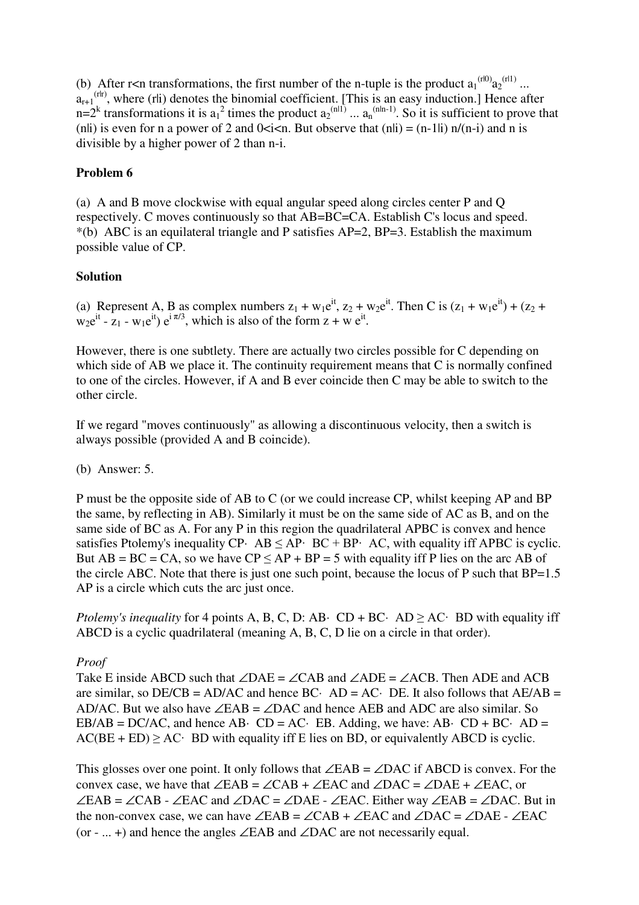(b) After r<n transformations, the first number of the n-tuple is the product  $a_1^{(r|0)} a_2^{(r|1)} ...$  $a_{r+1}$ <sup>(rh)</sup>, where (rli) denotes the binomial coefficient. [This is an easy induction.] Hence after  $n=2^k$  transformations it is  $a_1^2$  times the product  $a_2^{(n|1)} \dots a_n^{(n|n-1)}$ . So it is sufficient to prove that (n|i) is even for n a power of 2 and  $0 \le i \le n$ . But observe that (n|i) = (n-1|i) n/(n-i) and n is divisible by a higher power of 2 than n-i.

# **Problem 6**

(a) A and B move clockwise with equal angular speed along circles center P and Q respectively. C moves continuously so that AB=BC=CA. Establish C's locus and speed. \*(b) ABC is an equilateral triangle and P satisfies AP=2, BP=3. Establish the maximum possible value of CP.

# **Solution**

(a) Represent A, B as complex numbers  $z_1 + w_1 e^{it}$ ,  $z_2 + w_2 e^{it}$ . Then C is  $(z_1 + w_1 e^{it}) + (z_2 + z_2)$  $w_2 e^{it} - z_1 - w_1 e^{it}$ )  $e^{i \pi/3}$ , which is also of the form  $z + w e^{it}$ .

However, there is one subtlety. There are actually two circles possible for C depending on which side of AB we place it. The continuity requirement means that C is normally confined to one of the circles. However, if A and B ever coincide then C may be able to switch to the other circle.

If we regard "moves continuously" as allowing a discontinuous velocity, then a switch is always possible (provided A and B coincide).

(b) Answer: 5.

P must be the opposite side of AB to C (or we could increase CP, whilst keeping AP and BP the same, by reflecting in AB). Similarly it must be on the same side of AC as B, and on the same side of BC as A. For any P in this region the quadrilateral APBC is convex and hence satisfies Ptolemy's inequality CP·  $AB \le AP$ ·  $BC + BP$ · AC, with equality iff APBC is cyclic. But  $AB = BC = CA$ , so we have  $CP \le AP + BP = 5$  with equality iff P lies on the arc AB of the circle ABC. Note that there is just one such point, because the locus of P such that BP=1.5 AP is a circle which cuts the arc just once.

*Ptolemy's inequality* for 4 points A, B, C, D: AB· CD + BC· AD  $\geq$  AC· BD with equality iff ABCD is a cyclic quadrilateral (meaning A, B, C, D lie on a circle in that order).

*Proof*

Take E inside ABCD such that  $\angle$ DAE =  $\angle$ CAB and  $\angle$ ADE =  $\angle$ ACB. Then ADE and ACB are similar, so  $DE/CB = AD/AC$  and hence  $BC \cdot AD = AC \cdot DE$ . It also follows that  $AE/AB =$ AD/AC. But we also have ∠EAB = ∠DAC and hence AEB and ADC are also similar. So EB/AB = DC/AC, and hence AB· CD = AC· EB. Adding, we have: AB· CD + BC· AD =  $AC(BE + ED) \ge AC$  BD with equality iff E lies on BD, or equivalently ABCD is cyclic.

This glosses over one point. It only follows that ∠EAB = ∠DAC if ABCD is convex. For the convex case, we have that  $\angle$ EAB = ∠CAB + ∠EAC and ∠DAC = ∠DAE + ∠EAC, or ∠EAB = ∠CAB - ∠EAC and ∠DAC = ∠DAE - ∠EAC. Either way ∠EAB = ∠DAC. But in the non-convex case, we can have ∠EAB = ∠CAB + ∠EAC and ∠DAC = ∠DAE - ∠EAC (or - ... +) and hence the angles ∠EAB and ∠DAC are not necessarily equal.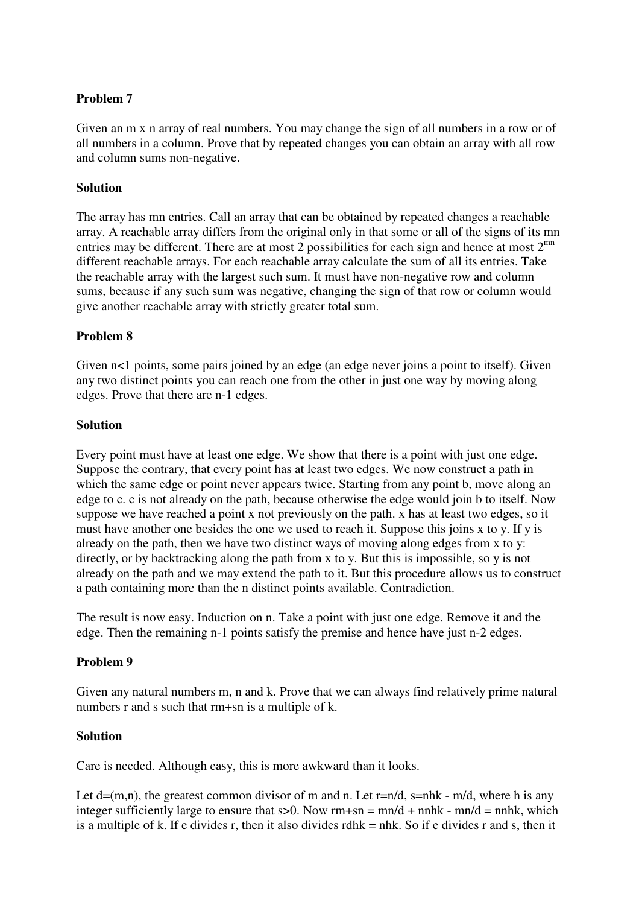### **Problem 7**

Given an m x n array of real numbers. You may change the sign of all numbers in a row or of all numbers in a column. Prove that by repeated changes you can obtain an array with all row and column sums non-negative.

### **Solution**

The array has mn entries. Call an array that can be obtained by repeated changes a reachable array. A reachable array differs from the original only in that some or all of the signs of its mn entries may be different. There are at most 2 possibilities for each sign and hence at most  $2^{mn}$ different reachable arrays. For each reachable array calculate the sum of all its entries. Take the reachable array with the largest such sum. It must have non-negative row and column sums, because if any such sum was negative, changing the sign of that row or column would give another reachable array with strictly greater total sum.

### **Problem 8**

Given  $n$ <1 points, some pairs joined by an edge (an edge never joins a point to itself). Given any two distinct points you can reach one from the other in just one way by moving along edges. Prove that there are n-1 edges.

#### **Solution**

Every point must have at least one edge. We show that there is a point with just one edge. Suppose the contrary, that every point has at least two edges. We now construct a path in which the same edge or point never appears twice. Starting from any point b, move along an edge to c. c is not already on the path, because otherwise the edge would join b to itself. Now suppose we have reached a point x not previously on the path. x has at least two edges, so it must have another one besides the one we used to reach it. Suppose this joins x to y. If y is already on the path, then we have two distinct ways of moving along edges from x to y: directly, or by backtracking along the path from x to y. But this is impossible, so y is not already on the path and we may extend the path to it. But this procedure allows us to construct a path containing more than the n distinct points available. Contradiction.

The result is now easy. Induction on n. Take a point with just one edge. Remove it and the edge. Then the remaining n-1 points satisfy the premise and hence have just n-2 edges.

#### **Problem 9**

Given any natural numbers m, n and k. Prove that we can always find relatively prime natural numbers r and s such that rm+sn is a multiple of k.

#### **Solution**

Care is needed. Although easy, this is more awkward than it looks.

Let  $d=(m,n)$ , the greatest common divisor of m and n. Let  $r=n/d$ ,  $s=n/k - m/d$ , where h is any integer sufficiently large to ensure that  $s>0$ . Now rm+sn = mn/d + nnhk - mn/d = nnhk, which is a multiple of k. If e divides r, then it also divides rdhk = nhk. So if e divides r and s, then it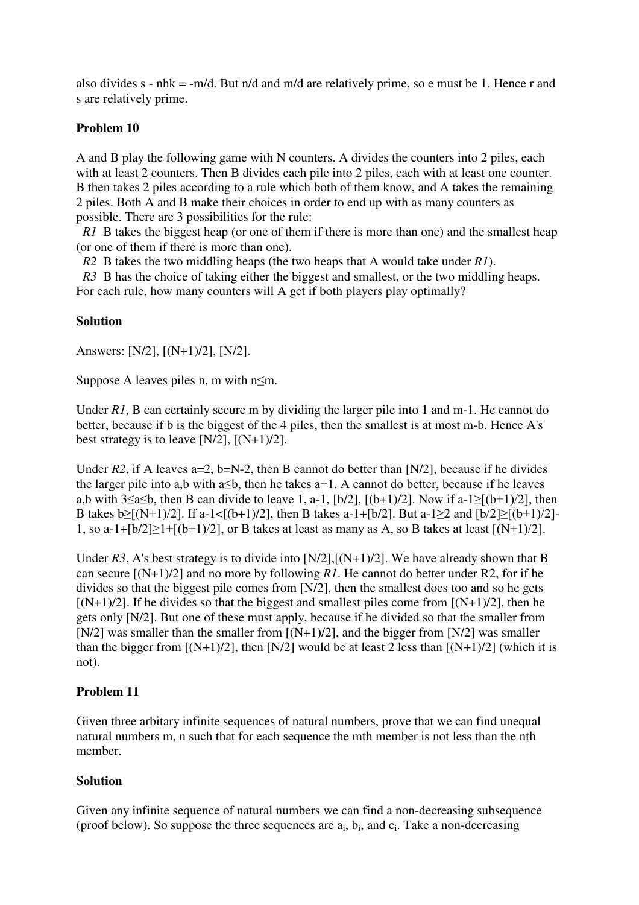also divides s - nhk = -m/d. But n/d and m/d are relatively prime, so e must be 1. Hence r and s are relatively prime.

# **Problem 10**

A and B play the following game with N counters. A divides the counters into 2 piles, each with at least 2 counters. Then B divides each pile into 2 piles, each with at least one counter. B then takes 2 piles according to a rule which both of them know, and A takes the remaining 2 piles. Both A and B make their choices in order to end up with as many counters as possible. There are 3 possibilities for the rule:

*R1* B takes the biggest heap (or one of them if there is more than one) and the smallest heap (or one of them if there is more than one).

*R2* B takes the two middling heaps (the two heaps that A would take under *R1*).

*R3* B has the choice of taking either the biggest and smallest, or the two middling heaps.

For each rule, how many counters will A get if both players play optimally?

# **Solution**

Answers: [N/2], [(N+1)/2], [N/2].

Suppose A leaves piles n, m with  $n \leq m$ .

Under *R1*, B can certainly secure m by dividing the larger pile into 1 and m-1. He cannot do better, because if b is the biggest of the 4 piles, then the smallest is at most m-b. Hence A's best strategy is to leave  $[N/2]$ ,  $[(N+1)/2]$ .

Under  $R2$ , if A leaves a=2, b=N-2, then B cannot do better than [N/2], because if he divides the larger pile into a,b with a $\leq b$ , then he takes a+1. A cannot do better, because if he leaves a,b with  $3\le a \le b$ , then B can divide to leave 1, a-1, [b/2], [(b+1)/2]. Now if a-1 $\ge [(b+1)/2]$ , then B takes  $b > [(N+1)/2]$ . If a-1< $[(b+1)/2]$ , then B takes a-1+[b/2]. But a-1>2 and  $[b/2] > [(b+1)/2]$ -1, so a-1+ $[b/2] \ge 1+[b+1)/2]$ , or B takes at least as many as A, so B takes at least  $[(N+1)/2]$ .

Under  $R3$ , A's best strategy is to divide into  $[N/2]$ ,  $[(N+1)/2]$ . We have already shown that B can secure [(N+1)/2] and no more by following *R1*. He cannot do better under R2, for if he divides so that the biggest pile comes from [N/2], then the smallest does too and so he gets  $[(N+1)/2]$ . If he divides so that the biggest and smallest piles come from  $[(N+1)/2]$ , then he gets only [N/2]. But one of these must apply, because if he divided so that the smaller from  $[N/2]$  was smaller than the smaller from  $[(N+1)/2]$ , and the bigger from  $[N/2]$  was smaller than the bigger from  $[(N+1)/2]$ , then  $[N/2]$  would be at least 2 less than  $[(N+1)/2]$  (which it is not).

# **Problem 11**

Given three arbitary infinite sequences of natural numbers, prove that we can find unequal natural numbers m, n such that for each sequence the mth member is not less than the nth member.

# **Solution**

Given any infinite sequence of natural numbers we can find a non-decreasing subsequence (proof below). So suppose the three sequences are  $a_i$ ,  $b_i$ , and  $c_i$ . Take a non-decreasing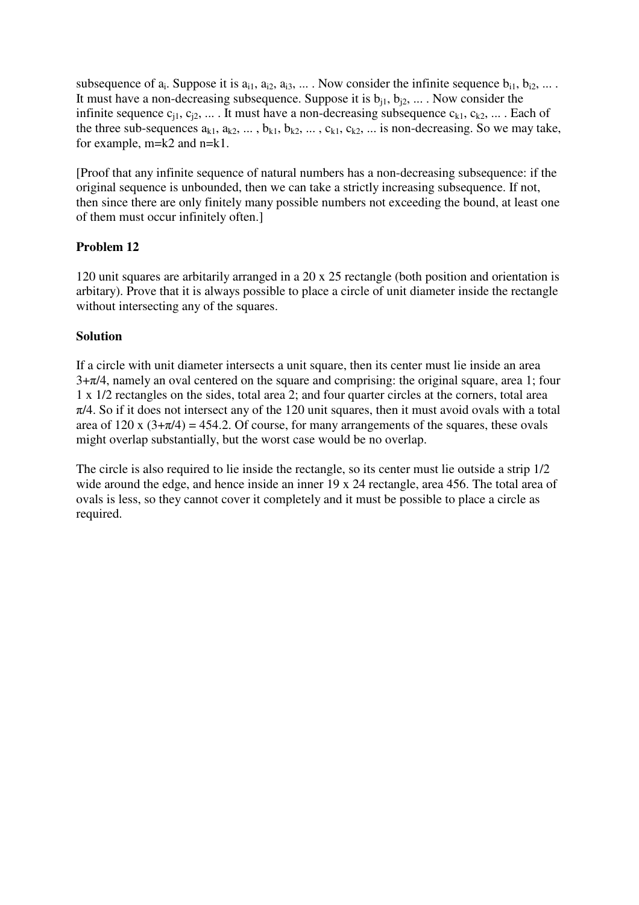subsequence of  $a_i$ . Suppose it is  $a_{i1}$ ,  $a_{i2}$ ,  $a_{i3}$ , ... . Now consider the infinite sequence  $b_{i1}$ ,  $b_{i2}$ , ... . It must have a non-decreasing subsequence. Suppose it is  $b_{i1}$ ,  $b_{i2}$ , ... . Now consider the infinite sequence  $c_{i1}, c_{i2}, ...$  It must have a non-decreasing subsequence  $c_{k1}, c_{k2}, ...$  . Each of the three sub-sequences  $a_{k1}$ ,  $a_{k2}$ , ...,  $b_{k1}$ ,  $b_{k2}$ , ...,  $c_{k1}$ ,  $c_{k2}$ , ... is non-decreasing. So we may take, for example, m=k2 and n=k1.

[Proof that any infinite sequence of natural numbers has a non-decreasing subsequence: if the original sequence is unbounded, then we can take a strictly increasing subsequence. If not, then since there are only finitely many possible numbers not exceeding the bound, at least one of them must occur infinitely often.]

# **Problem 12**

120 unit squares are arbitarily arranged in a 20 x 25 rectangle (both position and orientation is arbitary). Prove that it is always possible to place a circle of unit diameter inside the rectangle without intersecting any of the squares.

# **Solution**

If a circle with unit diameter intersects a unit square, then its center must lie inside an area  $3+\pi/4$ , namely an oval centered on the square and comprising: the original square, area 1; four 1 x 1/2 rectangles on the sides, total area 2; and four quarter circles at the corners, total area  $\pi/4$ . So if it does not intersect any of the 120 unit squares, then it must avoid ovals with a total area of 120 x  $(3+\pi/4) = 454.2$ . Of course, for many arrangements of the squares, these ovals might overlap substantially, but the worst case would be no overlap.

The circle is also required to lie inside the rectangle, so its center must lie outside a strip 1/2 wide around the edge, and hence inside an inner 19 x 24 rectangle, area 456. The total area of ovals is less, so they cannot cover it completely and it must be possible to place a circle as required.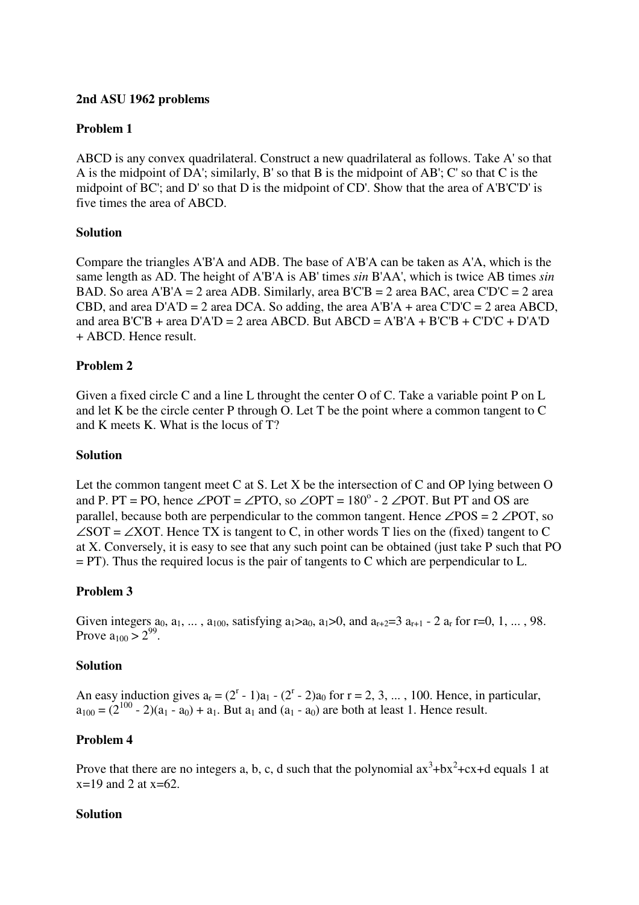### **2nd ASU 1962 problems**

# **Problem 1**

ABCD is any convex quadrilateral. Construct a new quadrilateral as follows. Take A' so that A is the midpoint of DA'; similarly, B' so that B is the midpoint of AB'; C' so that C is the midpoint of BC'; and D' so that D is the midpoint of CD'. Show that the area of A'B'C'D' is five times the area of ABCD.

### **Solution**

Compare the triangles A'B'A and ADB. The base of A'B'A can be taken as A'A, which is the same length as AD. The height of A'B'A is AB' times *sin* B'AA', which is twice AB times *sin* BAD. So area A'B'A = 2 area ADB. Similarly, area B'C'B = 2 area BAC, area C'D'C = 2 area CBD, and area  $D'AD = 2$  area DCA. So adding, the area  $A'B'A + \text{area } C'D'C = 2$  area ABCD, and area B'C'B + area  $D'AD = 2$  area ABCD. But ABCD = A'B'A + B'C'B + C'D'C + D'A'D + ABCD. Hence result.

### **Problem 2**

Given a fixed circle C and a line L throught the center O of C. Take a variable point P on L and let K be the circle center P through O. Let T be the point where a common tangent to C and K meets K. What is the locus of T?

#### **Solution**

Let the common tangent meet C at S. Let X be the intersection of C and OP lying between O and P. PT = PO, hence  $\angle$ POT =  $\angle$ PTO, so  $\angle$ OPT = 180<sup>o</sup> - 2  $\angle$ POT. But PT and OS are parallel, because both are perpendicular to the common tangent. Hence  $\angle POS = 2 \angle POT$ , so  $\angle$ SOT =  $\angle$ XOT. Hence TX is tangent to C, in other words T lies on the (fixed) tangent to C at X. Conversely, it is easy to see that any such point can be obtained (just take P such that PO = PT). Thus the required locus is the pair of tangents to C which are perpendicular to L.

#### **Problem 3**

Given integers  $a_0, a_1, ..., a_{100}$ , satisfying  $a_1>a_0, a_1>0$ , and  $a_{r+2}=3 a_{r+1} - 2 a_r$  for r=0, 1, ..., 98. Prove  $a_{100} > 2^{99}$ .

#### **Solution**

An easy induction gives  $a_r = (2^r - 1)a_1 - (2^r - 2)a_0$  for  $r = 2, 3, \dots$ , 100. Hence, in particular,  $a_{100} = (2^{100} - 2)(a_1 - a_0) + a_1$ . But  $a_1$  and  $(a_1 - a_0)$  are both at least 1. Hence result.

#### **Problem 4**

Prove that there are no integers a, b, c, d such that the polynomial  $ax^3+bx^2+cx+d$  equals 1 at  $x=19$  and 2 at  $x=62$ .

#### **Solution**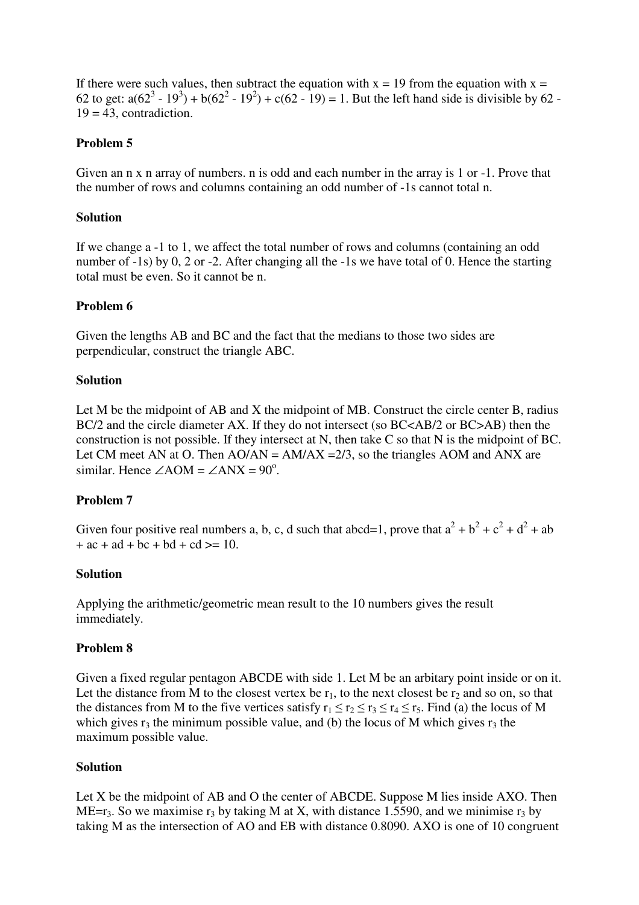If there were such values, then subtract the equation with  $x = 19$  from the equation with  $x =$ 62 to get:  $a(62^3 - 19^3) + b(62^2 - 19^2) + c(62 - 19) = 1$ . But the left hand side is divisible by 62 - $19 = 43$ , contradiction.

# **Problem 5**

Given an n x n array of numbers. n is odd and each number in the array is 1 or -1. Prove that the number of rows and columns containing an odd number of -1s cannot total n.

#### **Solution**

If we change a -1 to 1, we affect the total number of rows and columns (containing an odd number of -1s) by 0, 2 or -2. After changing all the -1s we have total of 0. Hence the starting total must be even. So it cannot be n.

### **Problem 6**

Given the lengths AB and BC and the fact that the medians to those two sides are perpendicular, construct the triangle ABC.

### **Solution**

Let M be the midpoint of AB and X the midpoint of MB. Construct the circle center B, radius BC/2 and the circle diameter AX. If they do not intersect (so BC<AB/2 or BC>AB) then the construction is not possible. If they intersect at N, then take C so that N is the midpoint of BC. Let CM meet AN at O. Then  $AO/AN = AM/AX = 2/3$ , so the triangles AOM and ANX are similar. Hence  $\angle AOM = \angle ANX = 90^\circ$ .

# **Problem 7**

Given four positive real numbers a, b, c, d such that abcd=1, prove that  $a^2 + b^2 + c^2 + d^2 + ab$  $+ ac + ad + bc + bd + cd \geq 10$ .

#### **Solution**

Applying the arithmetic/geometric mean result to the 10 numbers gives the result immediately.

#### **Problem 8**

Given a fixed regular pentagon ABCDE with side 1. Let M be an arbitary point inside or on it. Let the distance from M to the closest vertex be  $r_1$ , to the next closest be  $r_2$  and so on, so that the distances from M to the five vertices satisfy  $r_1 \le r_2 \le r_3 \le r_4 \le r_5$ . Find (a) the locus of M which gives  $r_3$  the minimum possible value, and (b) the locus of M which gives  $r_3$  the maximum possible value.

#### **Solution**

Let X be the midpoint of AB and O the center of ABCDE. Suppose M lies inside AXO. Then ME=r<sub>3</sub>. So we maximise r<sub>3</sub> by taking M at X, with distance 1.5590, and we minimise r<sub>3</sub> by taking M as the intersection of AO and EB with distance 0.8090. AXO is one of 10 congruent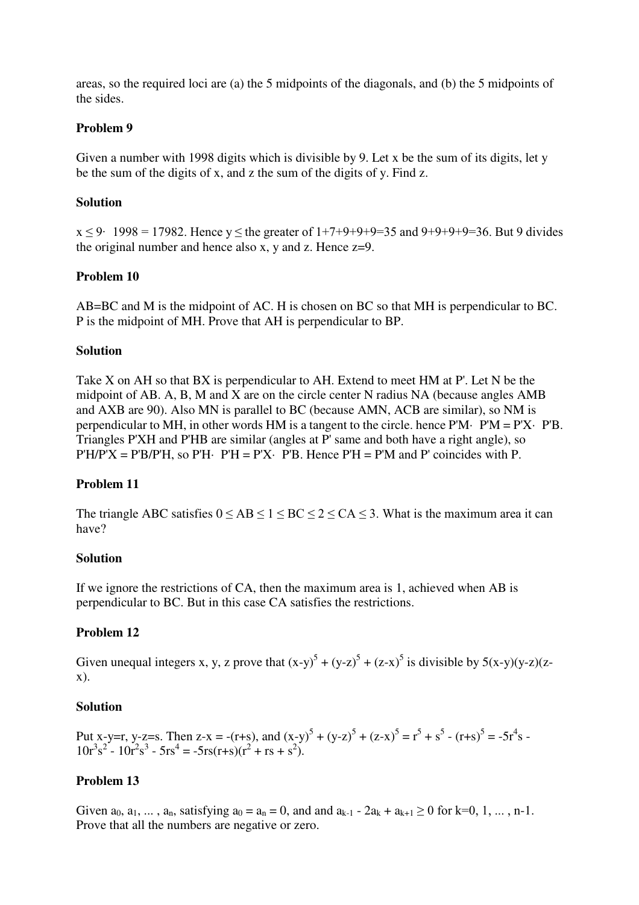areas, so the required loci are (a) the 5 midpoints of the diagonals, and (b) the 5 midpoints of the sides.

### **Problem 9**

Given a number with 1998 digits which is divisible by 9. Let x be the sum of its digits, let y be the sum of the digits of x, and z the sum of the digits of y. Find z.

#### **Solution**

 $x < 9$  1998 = 17982. Hence y < the greater of  $1+7+9+9+9=35$  and  $9+9+9+9=36$ . But 9 divides the original number and hence also x, y and z. Hence  $z=9$ .

### **Problem 10**

AB=BC and M is the midpoint of AC. H is chosen on BC so that MH is perpendicular to BC. P is the midpoint of MH. Prove that AH is perpendicular to BP.

#### **Solution**

Take X on AH so that BX is perpendicular to AH. Extend to meet HM at P'. Let N be the midpoint of AB. A, B, M and X are on the circle center N radius NA (because angles AMB and AXB are 90). Also MN is parallel to BC (because AMN, ACB are similar), so NM is perpendicular to MH, in other words HM is a tangent to the circle, hence  $P'M \cdot P'M = P'X \cdot P'B$ . Triangles P'XH and P'HB are similar (angles at P' same and both have a right angle), so  $P'H/P'X = P'B/P'H$ , so  $P'H$ .  $P'H = P'X$ .  $P'B$ . Hence  $P'H = P'M$  and  $P'$  coincides with P.

# **Problem 11**

The triangle ABC satisfies  $0 \le AB \le 1 \le BC \le 2 \le CA \le 3$ . What is the maximum area it can have?

#### **Solution**

If we ignore the restrictions of CA, then the maximum area is 1, achieved when AB is perpendicular to BC. But in this case CA satisfies the restrictions.

# **Problem 12**

Given unequal integers x, y, z prove that  $(x-y)^5 + (y-z)^5 + (z-x)^5$  is divisible by  $5(x-y)(y-z)(z-z)$ x).

#### **Solution**

Put x-y=r, y-z=s. Then z-x = -(r+s), and  $(x-y)^5 + (y-z)^5 + (z-x)^5 = r^5 + s^5 - (r+s)^5 = -5r^4s$  $10r^3s^2 - 10r^2s^3 - 5rs^4 = -5rs(r+s)(r^2 + rs + s^2)$ .

# **Problem 13**

Given  $a_0, a_1, \ldots, a_n$ , satisfying  $a_0 = a_n = 0$ , and and  $a_{k-1} - 2a_k + a_{k+1} \ge 0$  for  $k=0, 1, \ldots, n-1$ . Prove that all the numbers are negative or zero.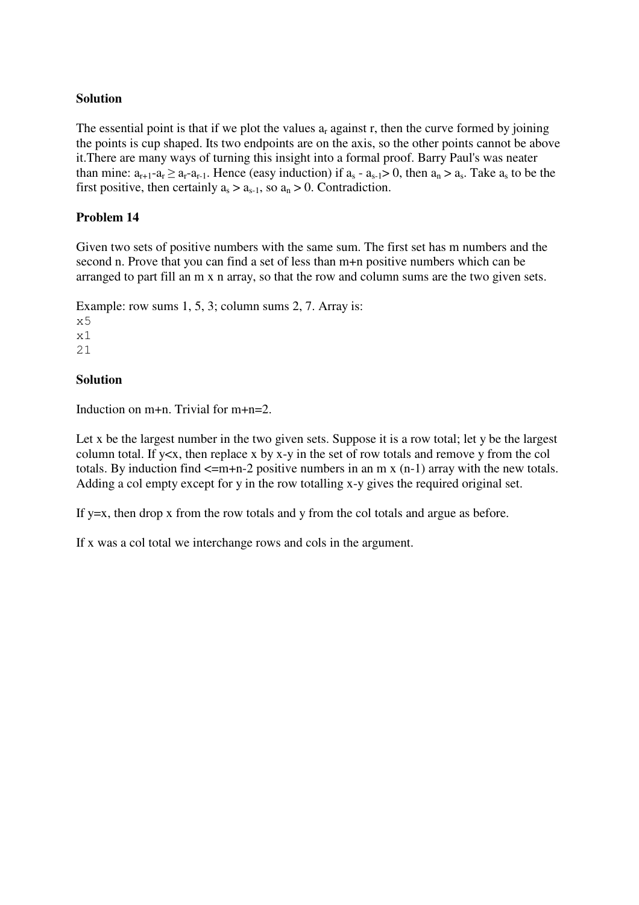# **Solution**

The essential point is that if we plot the values  $a_r$  against r, then the curve formed by joining the points is cup shaped. Its two endpoints are on the axis, so the other points cannot be above it.There are many ways of turning this insight into a formal proof. Barry Paul's was neater than mine:  $a_{r+1}-a_r \ge a_r-a_{r-1}$ . Hence (easy induction) if  $a_s - a_{s-1} > 0$ , then  $a_n > a_s$ . Take  $a_s$  to be the first positive, then certainly  $a_s > a_{s-1}$ , so  $a_n > 0$ . Contradiction.

# **Problem 14**

Given two sets of positive numbers with the same sum. The first set has m numbers and the second n. Prove that you can find a set of less than m+n positive numbers which can be arranged to part fill an m x n array, so that the row and column sums are the two given sets.

Example: row sums 1, 5, 3; column sums 2, 7. Array is:  $x<sub>5</sub>$ x1 21

### **Solution**

Induction on m+n. Trivial for m+n=2.

Let x be the largest number in the two given sets. Suppose it is a row total; let y be the largest column total. If y<x, then replace x by x-y in the set of row totals and remove y from the col totals. By induction find  $\leq m+n-2$  positive numbers in an m x (n-1) array with the new totals. Adding a col empty except for y in the row totalling x-y gives the required original set.

If  $y=x$ , then drop x from the row totals and y from the col totals and argue as before.

If x was a col total we interchange rows and cols in the argument.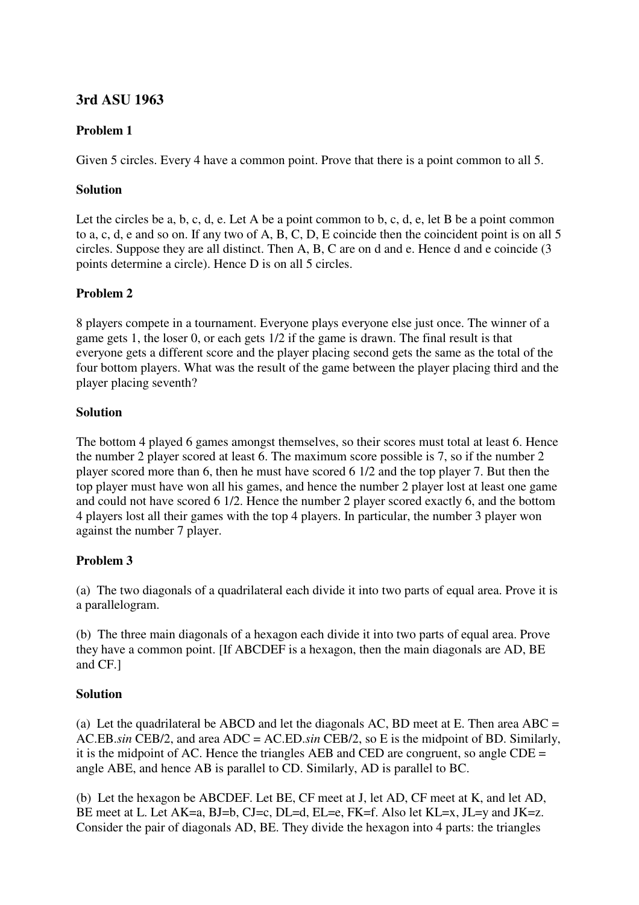# **3rd ASU 1963**

# **Problem 1**

Given 5 circles. Every 4 have a common point. Prove that there is a point common to all 5.

# **Solution**

Let the circles be a, b, c, d, e. Let A be a point common to b, c, d, e, let B be a point common to a, c, d, e and so on. If any two of A, B, C, D, E coincide then the coincident point is on all 5 circles. Suppose they are all distinct. Then A, B, C are on d and e. Hence d and e coincide (3 points determine a circle). Hence D is on all 5 circles.

# **Problem 2**

8 players compete in a tournament. Everyone plays everyone else just once. The winner of a game gets 1, the loser 0, or each gets 1/2 if the game is drawn. The final result is that everyone gets a different score and the player placing second gets the same as the total of the four bottom players. What was the result of the game between the player placing third and the player placing seventh?

# **Solution**

The bottom 4 played 6 games amongst themselves, so their scores must total at least 6. Hence the number 2 player scored at least 6. The maximum score possible is 7, so if the number 2 player scored more than 6, then he must have scored 6 1/2 and the top player 7. But then the top player must have won all his games, and hence the number 2 player lost at least one game and could not have scored 6 1/2. Hence the number 2 player scored exactly 6, and the bottom 4 players lost all their games with the top 4 players. In particular, the number 3 player won against the number 7 player.

# **Problem 3**

(a) The two diagonals of a quadrilateral each divide it into two parts of equal area. Prove it is a parallelogram.

(b) The three main diagonals of a hexagon each divide it into two parts of equal area. Prove they have a common point. [If ABCDEF is a hexagon, then the main diagonals are AD, BE and CF.]

# **Solution**

(a) Let the quadrilateral be ABCD and let the diagonals AC, BD meet at E. Then area ABC  $=$ AC.EB.*sin* CEB/2, and area ADC = AC.ED.*sin* CEB/2, so E is the midpoint of BD. Similarly, it is the midpoint of AC. Hence the triangles AEB and CED are congruent, so angle CDE = angle ABE, and hence AB is parallel to CD. Similarly, AD is parallel to BC.

(b) Let the hexagon be ABCDEF. Let BE, CF meet at J, let AD, CF meet at K, and let AD, BE meet at L. Let AK=a, BJ=b, CJ=c, DL=d, EL=e, FK=f. Also let KL=x, JL=y and JK=z. Consider the pair of diagonals AD, BE. They divide the hexagon into 4 parts: the triangles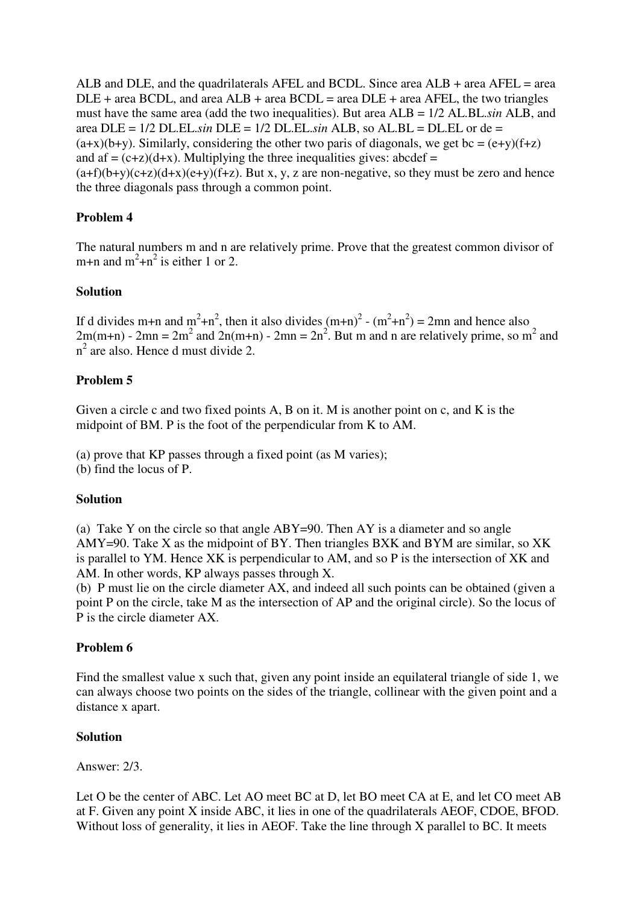ALB and DLE, and the quadrilaterals AFEL and BCDL. Since area ALB + area AFEL = area  $DLE + area BCDL$ , and area  $ALB + area BCDL = area DLE + area AFEL$ , the two triangles must have the same area (add the two inequalities). But area ALB = 1/2 AL.BL.*sin* ALB, and area DLE = 1/2 DL.EL.*sin* DLE = 1/2 DL.EL.*sin* ALB, so AL.BL = DL.EL or de =  $(a+x)(b+y)$ . Similarly, considering the other two paris of diagonals, we get bc =  $(e+y)(f+z)$ and af  $= (c+z)(d+x)$ . Multiplying the three inequalities gives: abcdef  $=$  $(a+f)(b+y)(c+z)(d+x)(e+y)(f+z)$ . But x, y, z are non-negative, so they must be zero and hence the three diagonals pass through a common point.

# **Problem 4**

The natural numbers m and n are relatively prime. Prove that the greatest common divisor of m+n and  $m^2+n^2$  is either 1 or 2.

### **Solution**

If d divides m+n and m<sup>2</sup>+n<sup>2</sup>, then it also divides  $(m+n)^2 - (m^2+n^2) = 2mn$  and hence also  $2m(m+n)$  -  $2mn = 2m^2$  and  $2n(m+n)$  -  $2mn = 2n^2$ . But m and n are relatively prime, so m<sup>2</sup> and  $n^2$  are also. Hence d must divide 2.

# **Problem 5**

Given a circle c and two fixed points A, B on it. M is another point on c, and K is the midpoint of BM. P is the foot of the perpendicular from K to AM.

(a) prove that KP passes through a fixed point (as M varies);

(b) find the locus of P.

#### **Solution**

(a) Take Y on the circle so that angle ABY=90. Then AY is a diameter and so angle AMY=90. Take X as the midpoint of BY. Then triangles BXK and BYM are similar, so XK is parallel to YM. Hence XK is perpendicular to AM, and so P is the intersection of XK and AM. In other words, KP always passes through X.

(b) P must lie on the circle diameter AX, and indeed all such points can be obtained (given a point P on the circle, take M as the intersection of AP and the original circle). So the locus of P is the circle diameter AX.

# **Problem 6**

Find the smallest value x such that, given any point inside an equilateral triangle of side 1, we can always choose two points on the sides of the triangle, collinear with the given point and a distance x apart.

#### **Solution**

Answer: 2/3.

Let O be the center of ABC. Let AO meet BC at D, let BO meet CA at E, and let CO meet AB at F. Given any point X inside ABC, it lies in one of the quadrilaterals AEOF, CDOE, BFOD. Without loss of generality, it lies in AEOF. Take the line through X parallel to BC. It meets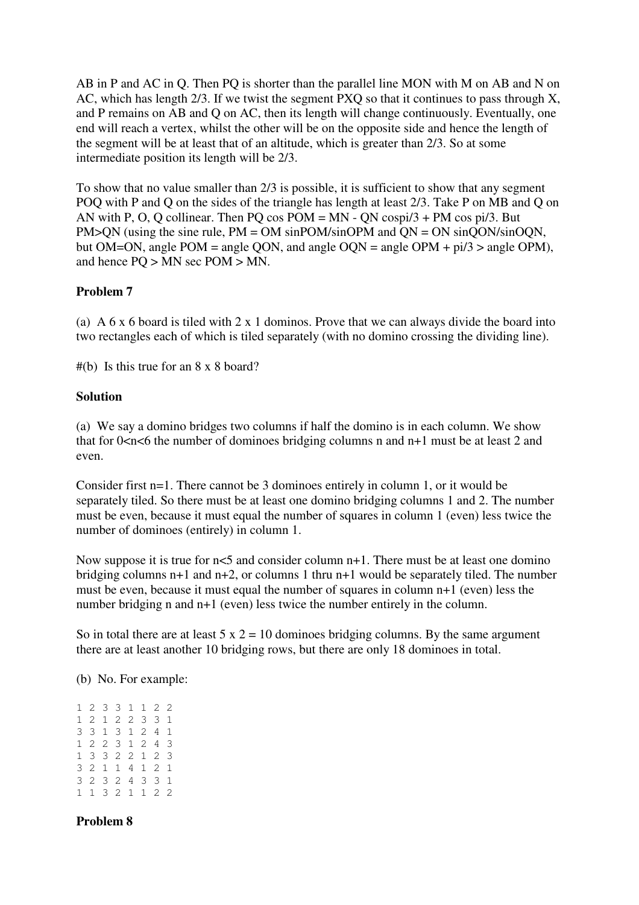AB in P and AC in Q. Then PQ is shorter than the parallel line MON with M on AB and N on AC, which has length 2/3. If we twist the segment PXQ so that it continues to pass through X, and P remains on AB and Q on AC, then its length will change continuously. Eventually, one end will reach a vertex, whilst the other will be on the opposite side and hence the length of the segment will be at least that of an altitude, which is greater than 2/3. So at some intermediate position its length will be 2/3.

To show that no value smaller than 2/3 is possible, it is sufficient to show that any segment POQ with P and Q on the sides of the triangle has length at least 2/3. Take P on MB and Q on AN with P, O, Q collinear. Then PQ cos  $POM = MN - QN \cos \frac{p}{3} + PM \cos \frac{p}{3}$ . But PM>ON (using the sine rule,  $PM = OM \sin POM/sinOPM$  and  $ON = ON \sin OON/sinOON$ , but OM=ON, angle POM = angle QON, and angle OQN = angle OPM +  $pi/3$  > angle OPM), and hence PQ > MN sec POM > MN.

# **Problem 7**

(a) A 6 x 6 board is tiled with 2 x 1 dominos. Prove that we can always divide the board into two rectangles each of which is tiled separately (with no domino crossing the dividing line).

#(b) Is this true for an 8 x 8 board?

### **Solution**

(a) We say a domino bridges two columns if half the domino is in each column. We show that for  $0 \lt n \lt 6$  the number of dominoes bridging columns n and  $n+1$  must be at least 2 and even.

Consider first n=1. There cannot be 3 dominoes entirely in column 1, or it would be separately tiled. So there must be at least one domino bridging columns 1 and 2. The number must be even, because it must equal the number of squares in column 1 (even) less twice the number of dominoes (entirely) in column 1.

Now suppose it is true for  $n<5$  and consider column  $n+1$ . There must be at least one domino bridging columns n+1 and n+2, or columns 1 thru n+1 would be separately tiled. The number must be even, because it must equal the number of squares in column n+1 (even) less the number bridging n and n+1 (even) less twice the number entirely in the column.

So in total there are at least  $5 \times 2 = 10$  dominoes bridging columns. By the same argument there are at least another 10 bridging rows, but there are only 18 dominoes in total.

(b) No. For example:

1 2 3 3 1 1 2 2 1 2 1 2 2 3 3 1 3 3 1 3 1 2 4 1 1 2 2 3 1 2 4 3 1 3 3 2 2 1 2 3 3 2 1 1 4 1 2 1 3 2 3 2 4 3 3 1 1 1 3 2 1 1 2 2

# **Problem 8**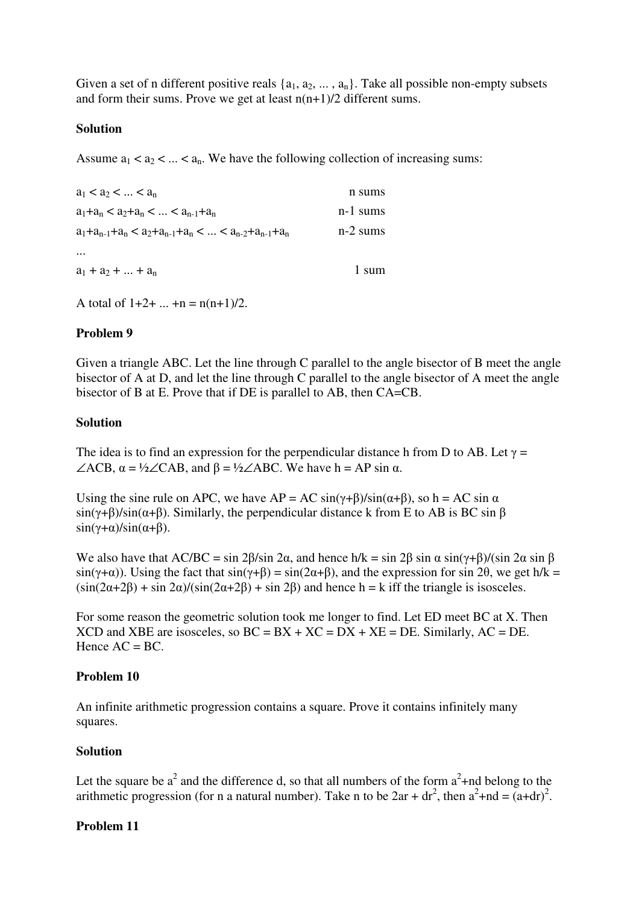Given a set of n different positive reals  $\{a_1, a_2, \ldots, a_n\}$ . Take all possible non-empty subsets and form their sums. Prove we get at least  $n(n+1)/2$  different sums.

#### **Solution**

Assume  $a_1 < a_2 < ... < a_n$ . We have the following collection of increasing sums:

| $a_1 < a_2 <  < a_n$                                         | n sums     |
|--------------------------------------------------------------|------------|
| $a_1+a_n < a_2+a_n <  < a_{n-1}+a_n$                         | $n-1$ sums |
| $a_1+a_{n-1}+a_n < a_2+a_{n-1}+a_n <  < a_{n-2}+a_{n-1}+a_n$ | $n-2$ sums |
| $\cdots$                                                     |            |
| $a_1 + a_2 +  + a_n$                                         | 1 sum      |

A total of  $1+2+...+n = n(n+1)/2$ .

### **Problem 9**

Given a triangle ABC. Let the line through C parallel to the angle bisector of B meet the angle bisector of A at D, and let the line through C parallel to the angle bisector of A meet the angle bisector of B at E. Prove that if DE is parallel to AB, then CA=CB.

### **Solution**

The idea is to find an expression for the perpendicular distance h from D to AB. Let  $\gamma$  =  $\angle ACB$ ,  $\alpha = \frac{1}{2} \angle CAB$ , and  $\beta = \frac{1}{2} \angle ABC$ . We have h = AP sin  $\alpha$ .

Using the sine rule on APC, we have  $AP = AC \sin(\gamma + \beta)/\sin(\alpha + \beta)$ , so h = AC sin  $\alpha$ .  $\sin(\gamma+\beta)/\sin(\alpha+\beta)$ . Similarly, the perpendicular distance k from E to AB is BC sin  $\beta$  $\sin(\gamma+\alpha)/\sin(\alpha+\beta)$ .

We also have that AC/BC = sin 2 $\beta$ /sin 2 $\alpha$ , and hence h/k = sin 2 $\beta$  sin  $\alpha$  sin( $\gamma + \beta$ )/(sin 2 $\alpha$  sin  $\beta$  $sin(\gamma + \alpha)$ ). Using the fact that  $sin(\gamma + \beta) = sin(2\alpha + \beta)$ , and the expression for sin 2 $\theta$ , we get h/k =  $(\sin(2\alpha+2\beta) + \sin 2\alpha)/(\sin(2\alpha+2\beta) + \sin 2\beta)$  and hence h = k iff the triangle is isosceles.

For some reason the geometric solution took me longer to find. Let ED meet BC at X. Then XCD and XBE are isosceles, so  $BC = BX + XC = DX + XE = DE$ . Similarly,  $AC = DE$ . Hence  $AC = BC$ .

#### **Problem 10**

An infinite arithmetic progression contains a square. Prove it contains infinitely many squares.

#### **Solution**

Let the square be  $a^2$  and the difference d, so that all numbers of the form  $a^2$ +nd belong to the arithmetic progression (for n a natural number). Take n to be  $2ar + dr^2$ , then  $a^2 + nd = (a + dr)^2$ .

#### **Problem 11**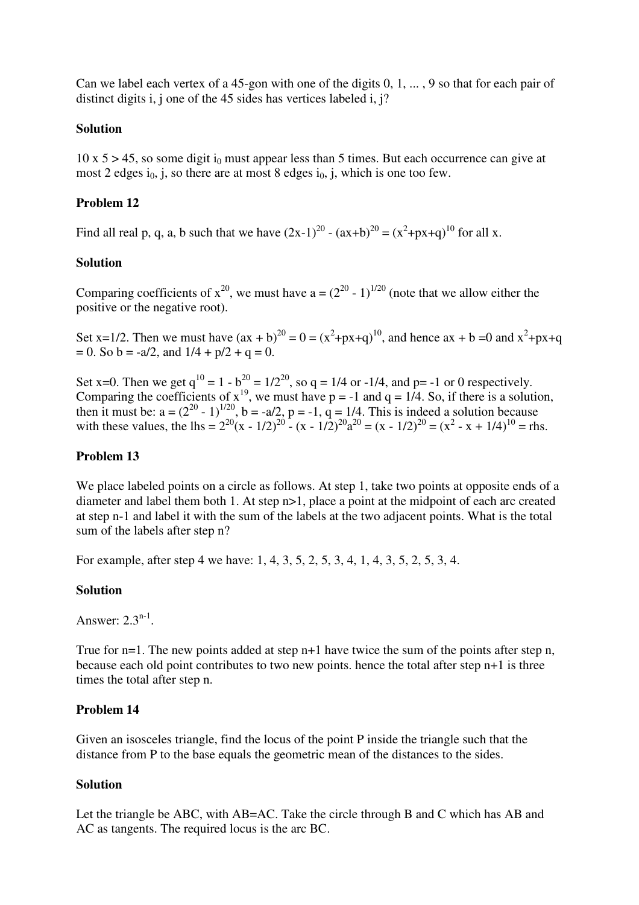Can we label each vertex of a 45-gon with one of the digits 0, 1, ... , 9 so that for each pair of distinct digits i, j one of the 45 sides has vertices labeled i, j?

### **Solution**

 $10 \times 5 > 45$ , so some digit i<sub>0</sub> must appear less than 5 times. But each occurrence can give at most 2 edges  $i_0$ , j, so there are at most 8 edges  $i_0$ , j, which is one too few.

### **Problem 12**

Find all real p, q, a, b such that we have  $(2x-1)^{20} - (ax+b)^{20} = (x^2+px+q)^{10}$  for all x.

### **Solution**

Comparing coefficients of  $x^{20}$ , we must have  $a = (2^{20} - 1)^{1/20}$  (note that we allow either the positive or the negative root).

Set x=1/2. Then we must have  $(ax + b)^{20} = 0 = (x^2+px+q)^{10}$ , and hence  $ax + b = 0$  and  $x^2+px+q$  $= 0.$  So b = -a/2, and  $1/4 + p/2 + q = 0$ .

Set x=0. Then we get  $q^{10} = 1 - b^{20} = 1/2^{20}$ , so  $q = 1/4$  or -1/4, and p= -1 or 0 respectively. Comparing the coefficients of  $x^{19}$ , we must have  $p = -1$  and  $q = 1/4$ . So, if there is a solution, then it must be:  $a = (2^{20} - 1)^{1/20}$ ,  $b = -a/2$ ,  $p = -1$ ,  $q = 1/4$ . This is indeed a solution because with these values, the lhs =  $2^{20}(x - 1/2)^{20} - (x - 1/2)^{20}a^{20} = (x - 1/2)^{20} = (x^2 - x + 1/4)^{10} = \text{rhs}$ .

#### **Problem 13**

We place labeled points on a circle as follows. At step 1, take two points at opposite ends of a diameter and label them both 1. At step n>1, place a point at the midpoint of each arc created at step n-1 and label it with the sum of the labels at the two adjacent points. What is the total sum of the labels after step n?

For example, after step 4 we have: 1, 4, 3, 5, 2, 5, 3, 4, 1, 4, 3, 5, 2, 5, 3, 4.

#### **Solution**

Answer:  $2.3<sup>n-1</sup>$ .

True for n=1. The new points added at step n+1 have twice the sum of the points after step n, because each old point contributes to two new points. hence the total after step n+1 is three times the total after step n.

#### **Problem 14**

Given an isosceles triangle, find the locus of the point P inside the triangle such that the distance from P to the base equals the geometric mean of the distances to the sides.

#### **Solution**

Let the triangle be ABC, with AB=AC. Take the circle through B and C which has AB and AC as tangents. The required locus is the arc BC.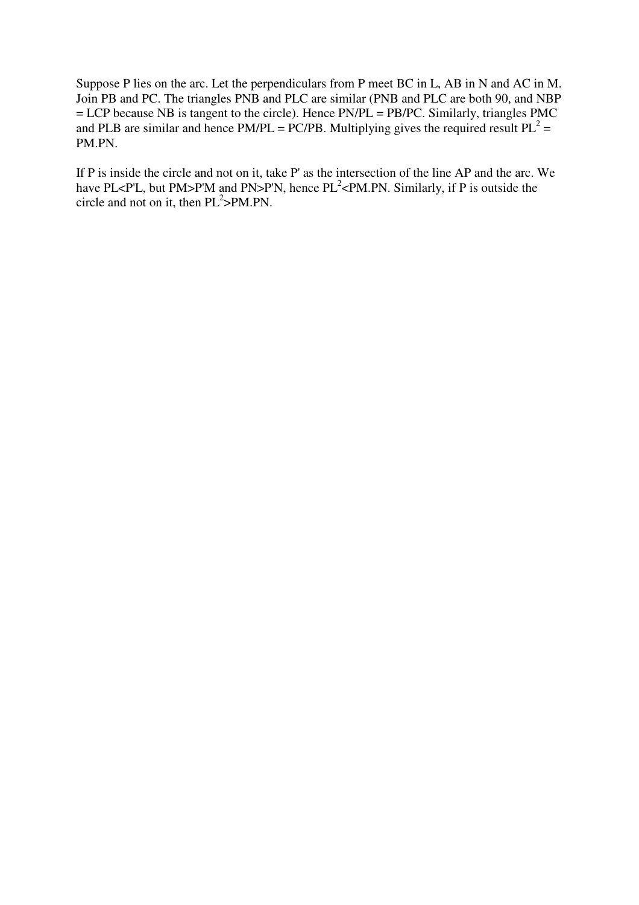Suppose P lies on the arc. Let the perpendiculars from P meet BC in L, AB in N and AC in M. Join PB and PC. The triangles PNB and PLC are similar (PNB and PLC are both 90, and NBP = LCP because NB is tangent to the circle). Hence PN/PL = PB/PC. Similarly, triangles PMC and PLB are similar and hence PM/PL = PC/PB. Multiplying gives the required result  $PL^2 =$ PM.PN.

If P is inside the circle and not on it, take P' as the intersection of the line AP and the arc. We have PL<P'L, but PM>P'M and PN>P'N, hence  $PL^2 \leq P M$ . PN. Similarly, if P is outside the circle and not on it, then  $PL^2 > PM.PN$ .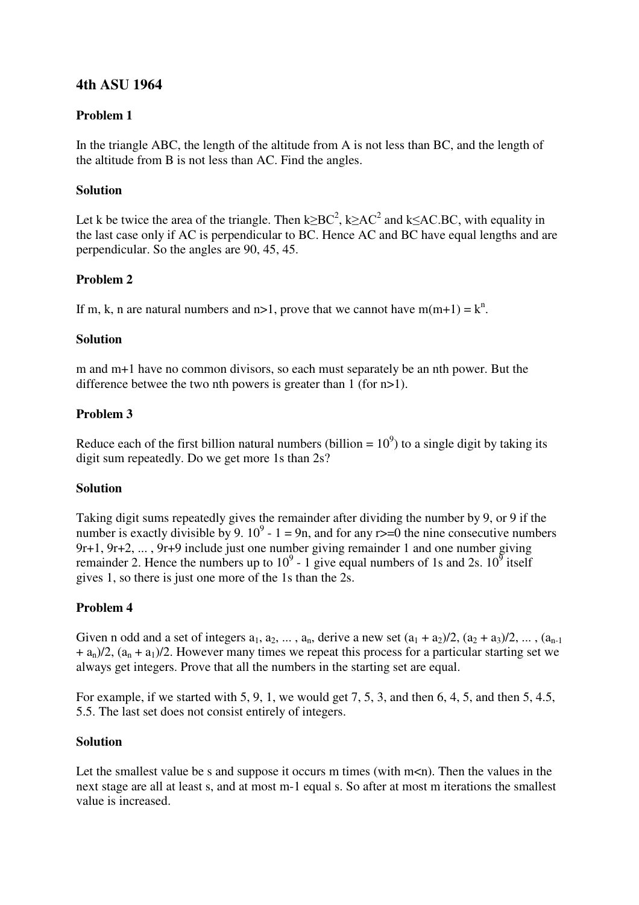# **4th ASU 1964**

# **Problem 1**

In the triangle ABC, the length of the altitude from A is not less than BC, and the length of the altitude from B is not less than AC. Find the angles.

# **Solution**

Let k be twice the area of the triangle. Then  $k \ge BC^2$ ,  $k \ge AC^2$  and  $k \le AC$ .BC, with equality in the last case only if AC is perpendicular to BC. Hence AC and BC have equal lengths and are perpendicular. So the angles are 90, 45, 45.

# **Problem 2**

If m, k, n are natural numbers and  $n>1$ , prove that we cannot have  $m(m+1) = k^n$ .

### **Solution**

m and m+1 have no common divisors, so each must separately be an nth power. But the difference betwee the two nth powers is greater than 1 (for n>1).

# **Problem 3**

Reduce each of the first billion natural numbers (billion =  $10^9$ ) to a single digit by taking its digit sum repeatedly. Do we get more 1s than 2s?

# **Solution**

Taking digit sums repeatedly gives the remainder after dividing the number by 9, or 9 if the number is exactly divisible by 9.  $10^9 - 1 = 9n$ , and for any r>=0 the nine consecutive numbers 9r+1, 9r+2, ... , 9r+9 include just one number giving remainder 1 and one number giving remainder 2. Hence the numbers up to  $10^9$  - 1 give equal numbers of 1s and 2s.  $10^9$  itself gives 1, so there is just one more of the 1s than the 2s.

# **Problem 4**

Given n odd and a set of integers  $a_1, a_2, ..., a_n$ , derive a new set  $(a_1 + a_2)/2, (a_2 + a_3)/2, ..., (a_{n-1})$  $+ a_n/2$ ,  $(a_n + a_1)/2$ . However many times we repeat this process for a particular starting set we always get integers. Prove that all the numbers in the starting set are equal.

For example, if we started with 5, 9, 1, we would get 7, 5, 3, and then 6, 4, 5, and then 5, 4.5, 5.5. The last set does not consist entirely of integers.

#### **Solution**

Let the smallest value be s and suppose it occurs m times (with  $m < n$ ). Then the values in the next stage are all at least s, and at most m-1 equal s. So after at most m iterations the smallest value is increased.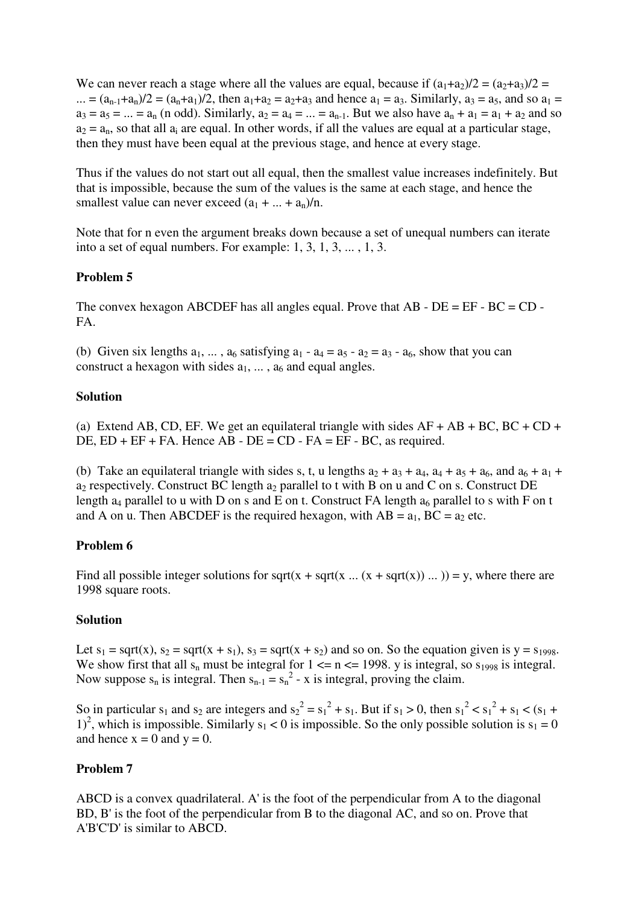We can never reach a stage where all the values are equal, because if  $(a_1+a_2)/2 = (a_2+a_3)/2 =$ ... =  $(a_{n-1}+a_n)/2 = (a_n+a_1)/2$ , then  $a_1+a_2 = a_2+a_3$  and hence  $a_1 = a_3$ . Similarly,  $a_3 = a_5$ , and so  $a_1 = a_3$  $a_3 = a_5 = ... = a_n$  (n odd). Similarly,  $a_2 = a_4 = ... = a_{n-1}$ . But we also have  $a_n + a_1 = a_1 + a_2$  and so  $a_2 = a_n$ , so that all  $a_i$  are equal. In other words, if all the values are equal at a particular stage, then they must have been equal at the previous stage, and hence at every stage.

Thus if the values do not start out all equal, then the smallest value increases indefinitely. But that is impossible, because the sum of the values is the same at each stage, and hence the smallest value can never exceed  $(a_1 + ... + a_n)/n$ .

Note that for n even the argument breaks down because a set of unequal numbers can iterate into a set of equal numbers. For example: 1, 3, 1, 3, ... , 1, 3.

# **Problem 5**

The convex hexagon ABCDEF has all angles equal. Prove that AB - DE = EF - BC = CD - FA.

(b) Given six lengths  $a_1, \ldots, a_6$  satisfying  $a_1 - a_4 = a_5 - a_2 = a_3 - a_6$ , show that you can construct a hexagon with sides  $a_1, \ldots, a_6$  and equal angles.

#### **Solution**

(a) Extend AB, CD, EF. We get an equilateral triangle with sides  $AF + AB + BC$ ,  $BC + CD + CD$ DE,  $ED + EF + FA$ . Hence  $AB - DE = CD - FA = EF - BC$ , as required.

(b) Take an equilateral triangle with sides s, t, u lengths  $a_2 + a_3 + a_4$ ,  $a_4 + a_5 + a_6$ , and  $a_6 + a_1 + a_2$ a<sub>2</sub> respectively. Construct BC length a<sub>2</sub> parallel to t with B on u and C on s. Construct DE length  $a_4$  parallel to u with D on s and E on t. Construct FA length  $a_6$  parallel to s with F on t and A on u. Then ABCDEF is the required hexagon, with  $AB = a_1$ ,  $BC = a_2$  etc.

#### **Problem 6**

Find all possible integer solutions for sqrt(x + sqrt(x ... (x + sqrt(x)) ... )) = y, where there are 1998 square roots.

#### **Solution**

Let  $s_1$  = sqrt(x),  $s_2$  = sqrt(x + s<sub>1</sub>),  $s_3$  = sqrt(x + s<sub>2</sub>) and so on. So the equation given is y = s<sub>1998</sub>. We show first that all  $s_n$  must be integral for  $1 \le n \le 1998$ . y is integral, so  $s_{1998}$  is integral. Now suppose  $s_n$  is integral. Then  $s_{n-1} = s_n^2 - x$  is integral, proving the claim.

So in particular  $s_1$  and  $s_2$  are integers and  $s_2^2 = s_1^2 + s_1$ . But if  $s_1 > 0$ , then  $s_1^2 < s_1^2 + s_1 < (s_1 + s_2)$ 1)<sup>2</sup>, which is impossible. Similarly  $s_1 < 0$  is impossible. So the only possible solution is  $s_1 = 0$ and hence  $x = 0$  and  $y = 0$ .

#### **Problem 7**

ABCD is a convex quadrilateral. A' is the foot of the perpendicular from A to the diagonal BD, B' is the foot of the perpendicular from B to the diagonal AC, and so on. Prove that A'B'C'D' is similar to ABCD.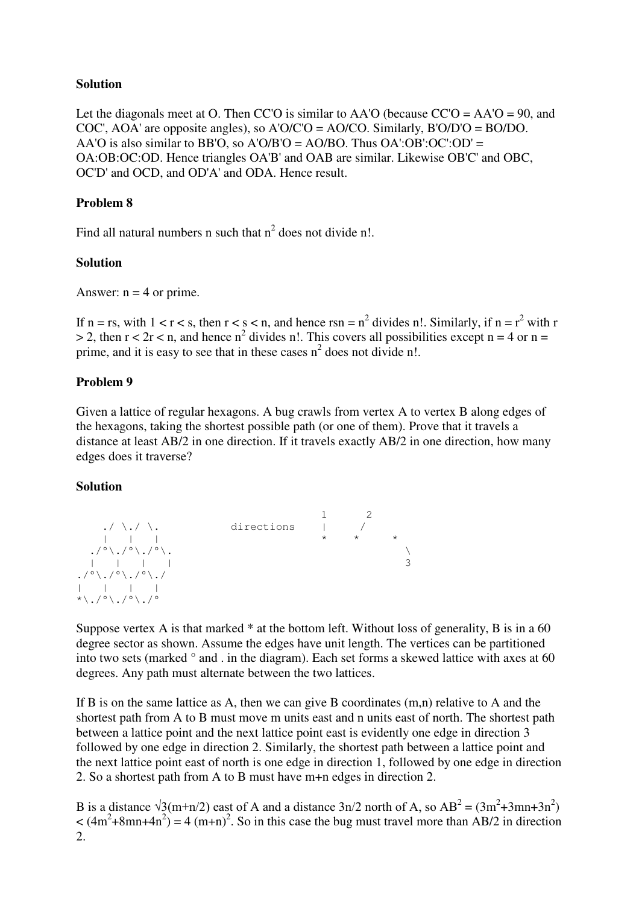# **Solution**

Let the diagonals meet at O. Then CC'O is similar to AA'O (because  $CC'O = AA'O = 90$ , and COC', AOA' are opposite angles), so A'O/C'O = AO/CO. Similarly, B'O/D'O = BO/DO. AA'O is also similar to BB'O, so A'O/B'O = AO/BO. Thus  $OA':OB':OC':OD' =$ OA:OB:OC:OD. Hence triangles OA'B' and OAB are similar. Likewise OB'C' and OBC, OC'D' and OCD, and OD'A' and ODA. Hence result.

### **Problem 8**

Find all natural numbers n such that  $n^2$  does not divide n!.

### **Solution**

Answer:  $n = 4$  or prime.

If n = rs, with  $1 < r < s$ , then  $r < s < n$ , and hence rsn =  $n^2$  divides n!. Similarly, if n =  $r^2$  with r  $> 2$ , then  $r < 2r < n$ , and hence  $n^2$  divides n!. This covers all possibilities except  $n = 4$  or  $n =$ prime, and it is easy to see that in these cases  $n^2$  does not divide n!.

### **Problem 9**

Given a lattice of regular hexagons. A bug crawls from vertex A to vertex B along edges of the hexagons, taking the shortest possible path (or one of them). Prove that it travels a distance at least AB/2 in one direction. If it travels exactly AB/2 in one direction, how many edges does it traverse?

#### **Solution**



Suppose vertex A is that marked  $*$  at the bottom left. Without loss of generality, B is in a 60 degree sector as shown. Assume the edges have unit length. The vertices can be partitioned into two sets (marked ° and . in the diagram). Each set forms a skewed lattice with axes at 60 degrees. Any path must alternate between the two lattices.

If B is on the same lattice as A, then we can give B coordinates (m,n) relative to A and the shortest path from A to B must move m units east and n units east of north. The shortest path between a lattice point and the next lattice point east is evidently one edge in direction 3 followed by one edge in direction 2. Similarly, the shortest path between a lattice point and the next lattice point east of north is one edge in direction 1, followed by one edge in direction 2. So a shortest path from A to B must have m+n edges in direction 2.

B is a distance  $\sqrt{3}(m+n/2)$  east of A and a distance  $3n/2$  north of A, so  $AB^2 = (3m^2+3mn+3n^2)$  $<$  (4m<sup>2</sup>+8mn+4n<sup>2</sup>) = 4 (m+n)<sup>2</sup>. So in this case the bug must travel more than AB/2 in direction 2.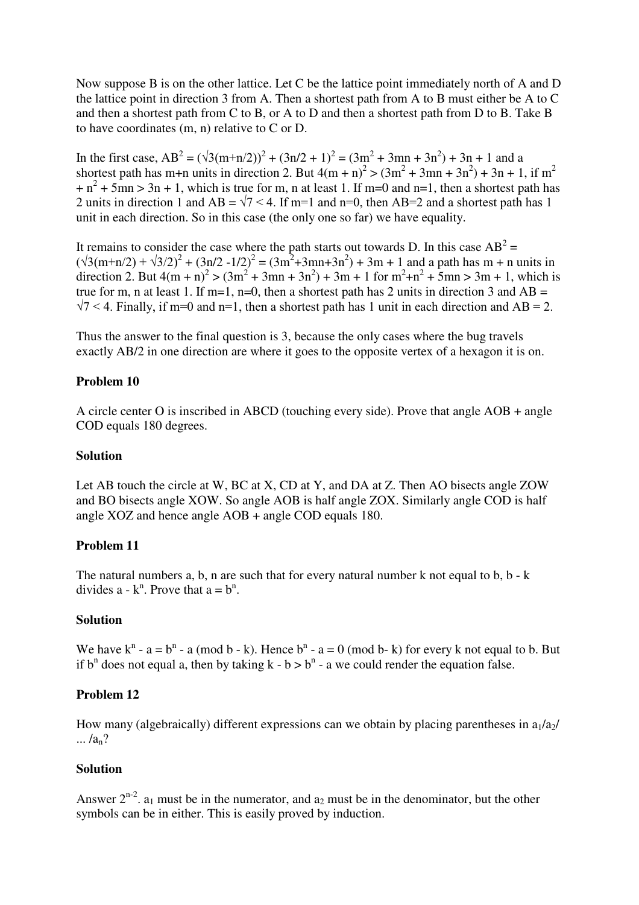Now suppose B is on the other lattice. Let C be the lattice point immediately north of A and D the lattice point in direction 3 from A. Then a shortest path from A to B must either be A to C and then a shortest path from C to B, or A to D and then a shortest path from D to B. Take B to have coordinates (m, n) relative to C or D.

In the first case,  $AB^2 = (\sqrt{3(m+n/2)})^2 + (3n/2 + 1)^2 = (3m^2 + 3mn + 3n^2) + 3n + 1$  and a shortest path has m+n units in direction 2. But  $4(m + n)^2$  >  $(3m^2 + 3mn + 3n^2) + 3n + 1$ , if  $m^2$  $+n^2 + 5mn > 3n + 1$ , which is true for m, n at least 1. If m=0 and n=1, then a shortest path has 2 units in direction 1 and AB =  $\sqrt{7}$  < 4. If m=1 and n=0, then AB=2 and a shortest path has 1 unit in each direction. So in this case (the only one so far) we have equality.

It remains to consider the case where the path starts out towards D. In this case  $AB^2 =$  $(\sqrt{3}(m+n/2) + \sqrt{3}/2)^2 + (3n/2 - 1/2)^2 = (3m^2 + 3mn + 3n^2) + 3m + 1$  and a path has m + n units in direction 2. But  $4(m + n)^2$  >  $(3m^2 + 3mn + 3n^2)$  + 3m + 1 for  $m^2 + n^2 + 5mn$  > 3m + 1, which is true for m, n at least 1. If m=1, n=0, then a shortest path has 2 units in direction 3 and  $AB =$  $\sqrt{7}$  < 4. Finally, if m=0 and n=1, then a shortest path has 1 unit in each direction and AB = 2.

Thus the answer to the final question is 3, because the only cases where the bug travels exactly AB/2 in one direction are where it goes to the opposite vertex of a hexagon it is on.

### **Problem 10**

A circle center O is inscribed in ABCD (touching every side). Prove that angle AOB + angle COD equals 180 degrees.

#### **Solution**

Let AB touch the circle at W, BC at X, CD at Y, and DA at Z. Then AO bisects angle ZOW and BO bisects angle XOW. So angle AOB is half angle ZOX. Similarly angle COD is half angle XOZ and hence angle AOB + angle COD equals 180.

#### **Problem 11**

The natural numbers a, b, n are such that for every natural number k not equal to b,  $b - k$ divides  $a - k^n$ . Prove that  $a = b^n$ .

#### **Solution**

We have  $k^n - a = b^n - a \pmod{b - k}$ . Hence  $b^n - a = 0 \pmod{b - k}$  for every k not equal to b. But if  $b^n$  does not equal a, then by taking  $k - b > b^n - a$  we could render the equation false.

# **Problem 12**

How many (algebraically) different expressions can we obtain by placing parentheses in  $a_1/a_2$ /  $\ldots/a_n?$ 

#### **Solution**

Answer  $2^{n-2}$ .  $a_1$  must be in the numerator, and  $a_2$  must be in the denominator, but the other symbols can be in either. This is easily proved by induction.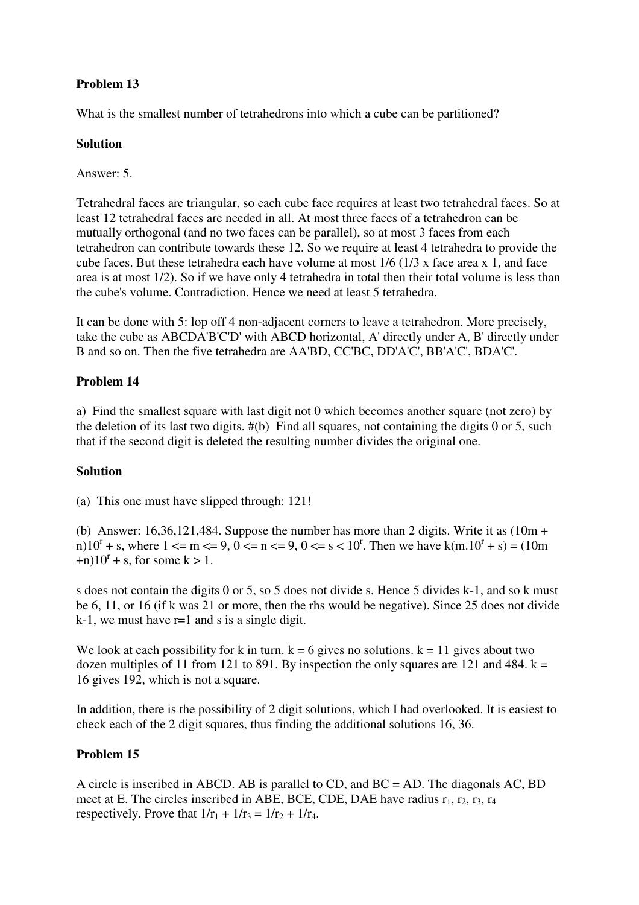# **Problem 13**

What is the smallest number of tetrahedrons into which a cube can be partitioned?

# **Solution**

Answer: 5.

Tetrahedral faces are triangular, so each cube face requires at least two tetrahedral faces. So at least 12 tetrahedral faces are needed in all. At most three faces of a tetrahedron can be mutually orthogonal (and no two faces can be parallel), so at most 3 faces from each tetrahedron can contribute towards these 12. So we require at least 4 tetrahedra to provide the cube faces. But these tetrahedra each have volume at most 1/6 (1/3 x face area x 1, and face area is at most 1/2). So if we have only 4 tetrahedra in total then their total volume is less than the cube's volume. Contradiction. Hence we need at least 5 tetrahedra.

It can be done with 5: lop off 4 non-adjacent corners to leave a tetrahedron. More precisely, take the cube as ABCDA'B'C'D' with ABCD horizontal, A' directly under A, B' directly under B and so on. Then the five tetrahedra are AA'BD, CC'BC, DD'A'C', BB'A'C', BDA'C'.

# **Problem 14**

a) Find the smallest square with last digit not 0 which becomes another square (not zero) by the deletion of its last two digits. #(b) Find all squares, not containing the digits 0 or 5, such that if the second digit is deleted the resulting number divides the original one.

# **Solution**

(a) This one must have slipped through: 121!

(b) Answer: 16,36,121,484. Suppose the number has more than 2 digits. Write it as  $(10m +$ n)10<sup>r</sup> + s, where 1 <= m <= 9, 0 <= n <= 9, 0 <= s < 10<sup>r</sup>. Then we have k(m.10<sup>r</sup> + s) = (10m  $+n$ )10<sup>r</sup> + s, for some k > 1.

s does not contain the digits 0 or 5, so 5 does not divide s. Hence 5 divides k-1, and so k must be 6, 11, or 16 (if k was 21 or more, then the rhs would be negative). Since 25 does not divide  $k-1$ , we must have  $r=1$  and s is a single digit.

We look at each possibility for k in turn.  $k = 6$  gives no solutions.  $k = 11$  gives about two dozen multiples of 11 from 121 to 891. By inspection the only squares are 121 and 484.  $k =$ 16 gives 192, which is not a square.

In addition, there is the possibility of 2 digit solutions, which I had overlooked. It is easiest to check each of the 2 digit squares, thus finding the additional solutions 16, 36.

# **Problem 15**

A circle is inscribed in ABCD. AB is parallel to CD, and BC = AD. The diagonals AC, BD meet at E. The circles inscribed in ABE, BCE, CDE, DAE have radius  $r_1$ ,  $r_2$ ,  $r_3$ ,  $r_4$ respectively. Prove that  $1/r_1 + 1/r_3 = 1/r_2 + 1/r_4$ .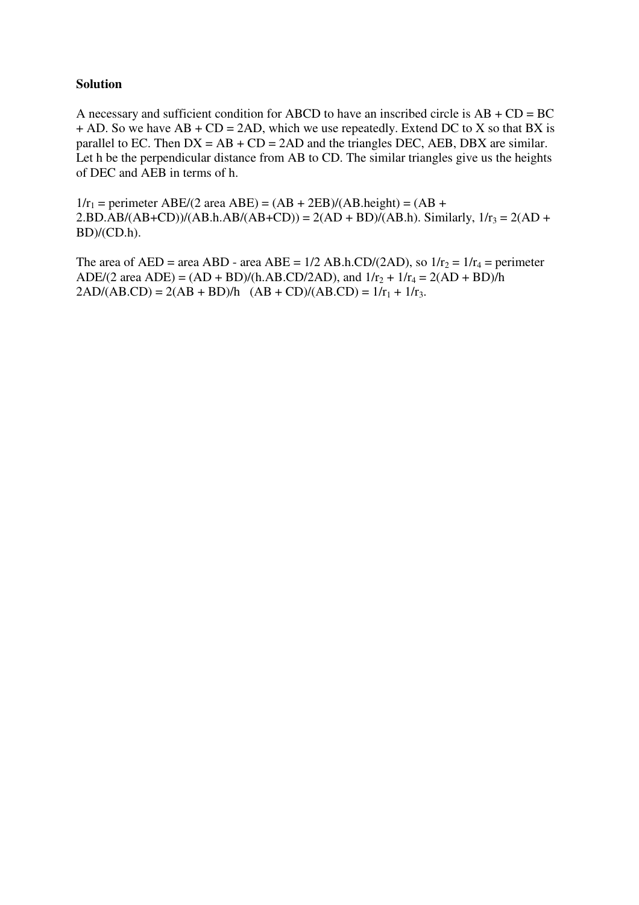### **Solution**

A necessary and sufficient condition for ABCD to have an inscribed circle is  $AB + CD = BC$  $+$  AD. So we have AB  $+$  CD = 2AD, which we use repeatedly. Extend DC to X so that BX is parallel to EC. Then  $DX = AB + CD = 2AD$  and the triangles DEC, AEB, DBX are similar. Let h be the perpendicular distance from AB to CD. The similar triangles give us the heights of DEC and AEB in terms of h.

 $1/r_1$  = perimeter ABE/(2 area ABE) = (AB + 2EB)/(AB.height) = (AB +  $2.BD.AB/(AB+CD)/(AB.h.AB/(AB+CD)) = 2(AD + BD)/(AB.h)$ . Similarly,  $1/r_3 = 2(AD +$  $BD)/(CD.h)$ .

The area of AED = area ABD - area ABE =  $1/2$  AB.h.CD/(2AD), so  $1/r_2 = 1/r_4$  = perimeter ADE/(2 area ADE) = (AD + BD)/(h.AB.CD/2AD), and  $1/r_2 + 1/r_4 = 2(AD + BD)/h$  $2AD/(AB.CD) = 2(AB + BD)/h$   $(AB + CD)/(AB.CD) = 1/r_1 + 1/r_3$ .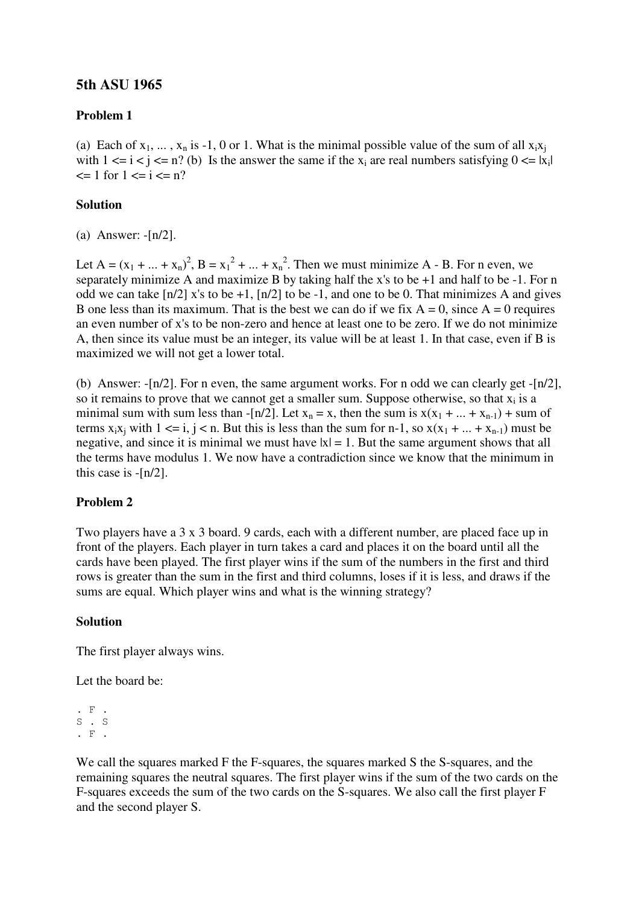# **5th ASU 1965**

### **Problem 1**

(a) Each of  $x_1, \ldots, x_n$  is -1, 0 or 1. What is the minimal possible value of the sum of all  $x_i x_j$ with  $1 \le i \le j \le n$ ? (b) Is the answer the same if the  $x_i$  are real numbers satisfying  $0 \le |x_i|$  $\leq 1$  for  $1 \leq i \leq n$ ?

#### **Solution**

(a) Answer: -[n/2].

Let A =  $(x_1 + ... + x_n)^2$ , B =  $x_1^2 + ... + x_n^2$ . Then we must minimize A - B. For n even, we separately minimize A and maximize B by taking half the x's to be +1 and half to be -1. For n odd we can take  $\lceil n/2 \rceil$  x's to be +1,  $\lceil n/2 \rceil$  to be -1, and one to be 0. That minimizes A and gives B one less than its maximum. That is the best we can do if we fix  $A = 0$ , since  $A = 0$  requires an even number of x's to be non-zero and hence at least one to be zero. If we do not minimize A, then since its value must be an integer, its value will be at least 1. In that case, even if B is maximized we will not get a lower total.

(b) Answer:  $-[n/2]$ . For n even, the same argument works. For n odd we can clearly get  $-[n/2]$ , so it remains to prove that we cannot get a smaller sum. Suppose otherwise, so that  $x_i$  is a minimal sum with sum less than -[n/2]. Let  $x_n = x$ , then the sum is  $x(x_1 + ... + x_{n-1})$  + sum of terms  $x_i x_i$  with  $1 \le i, j \le n$ . But this is less than the sum for n-1, so  $x(x_1 + ... + x_{n-1})$  must be negative, and since it is minimal we must have  $|x| = 1$ . But the same argument shows that all the terms have modulus 1. We now have a contradiction since we know that the minimum in this case is -[n/2].

#### **Problem 2**

Two players have a 3 x 3 board. 9 cards, each with a different number, are placed face up in front of the players. Each player in turn takes a card and places it on the board until all the cards have been played. The first player wins if the sum of the numbers in the first and third rows is greater than the sum in the first and third columns, loses if it is less, and draws if the sums are equal. Which player wins and what is the winning strategy?

#### **Solution**

The first player always wins.

Let the board be:

. F . S . S . F .

We call the squares marked F the F-squares, the squares marked S the S-squares, and the remaining squares the neutral squares. The first player wins if the sum of the two cards on the F-squares exceeds the sum of the two cards on the S-squares. We also call the first player F and the second player S.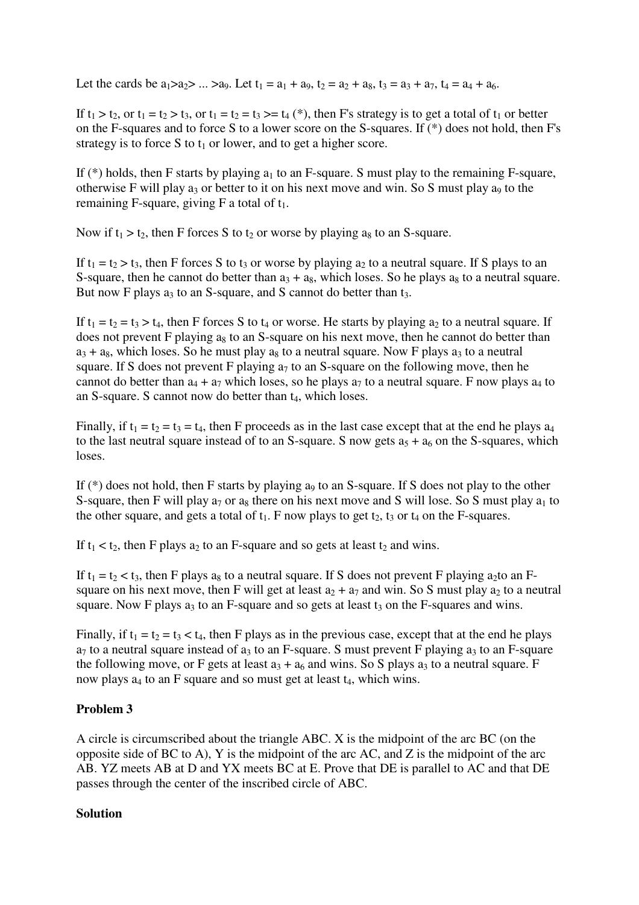Let the cards be  $a_1>a_2\$  ...  $a_9$ . Let  $t_1 = a_1 + a_9$ ,  $t_2 = a_2 + a_8$ ,  $t_3 = a_3 + a_7$ ,  $t_4 = a_4 + a_6$ .

If  $t_1 > t_2$ , or  $t_1 = t_2 > t_3$ , or  $t_1 = t_2 = t_3 >= t_4 (*)$ , then F's strategy is to get a total of  $t_1$  or better on the F-squares and to force S to a lower score on the S-squares. If (\*) does not hold, then F's strategy is to force S to  $t_1$  or lower, and to get a higher score.

If  $(*)$  holds, then F starts by playing  $a_1$  to an F-square. S must play to the remaining F-square, otherwise F will play  $a_3$  or better to it on his next move and win. So S must play  $a_9$  to the remaining F-square, giving F a total of  $t_1$ .

Now if  $t_1 > t_2$ , then F forces S to  $t_2$  or worse by playing a<sub>8</sub> to an S-square.

If  $t_1 = t_2 > t_3$ , then F forces S to  $t_3$  or worse by playing  $a_2$  to a neutral square. If S plays to an S-square, then he cannot do better than  $a_3 + a_8$ , which loses. So he plays as to a neutral square. But now F plays  $a_3$  to an S-square, and S cannot do better than  $t_3$ .

If  $t_1 = t_2 = t_3 > t_4$ , then F forces S to  $t_4$  or worse. He starts by playing  $a_2$  to a neutral square. If does not prevent F playing a<sub>8</sub> to an S-square on his next move, then he cannot do better than  $a_3 + a_8$ , which loses. So he must play  $a_8$  to a neutral square. Now F plays  $a_3$  to a neutral square. If S does not prevent F playing  $a_7$  to an S-square on the following move, then he cannot do better than  $a_4 + a_7$  which loses, so he plays  $a_7$  to a neutral square. F now plays  $a_4$  to an S-square. S cannot now do better than  $t_4$ , which loses.

Finally, if  $t_1 = t_2 = t_3 = t_4$ , then F proceeds as in the last case except that at the end he plays  $a_4$ to the last neutral square instead of to an S-square. S now gets  $a_5 + a_6$  on the S-squares, which loses.

If  $(*)$  does not hold, then F starts by playing a<sub>9</sub> to an S-square. If S does not play to the other S-square, then F will play  $a_7$  or  $a_8$  there on his next move and S will lose. So S must play  $a_1$  to the other square, and gets a total of  $t_1$ . F now plays to get  $t_2$ ,  $t_3$  or  $t_4$  on the F-squares.

If  $t_1 < t_2$ , then F plays  $a_2$  to an F-square and so gets at least  $t_2$  and wins.

If  $t_1 = t_2 < t_3$ , then F plays a<sub>8</sub> to a neutral square. If S does not prevent F playing a<sub>2</sub>to an Fsquare on his next move, then F will get at least  $a_2 + a_7$  and win. So S must play  $a_2$  to a neutral square. Now F plays  $a_3$  to an F-square and so gets at least  $t_3$  on the F-squares and wins.

Finally, if  $t_1 = t_2 = t_3 < t_4$ , then F plays as in the previous case, except that at the end he plays  $a_7$  to a neutral square instead of  $a_3$  to an F-square. S must prevent F playing  $a_3$  to an F-square the following move, or F gets at least  $a_3 + a_6$  and wins. So S plays  $a_3$  to a neutral square. F now plays  $a_4$  to an F square and so must get at least  $t_4$ , which wins.

# **Problem 3**

A circle is circumscribed about the triangle ABC. X is the midpoint of the arc BC (on the opposite side of BC to A), Y is the midpoint of the arc AC, and Z is the midpoint of the arc AB. YZ meets AB at D and YX meets BC at E. Prove that DE is parallel to AC and that DE passes through the center of the inscribed circle of ABC.

# **Solution**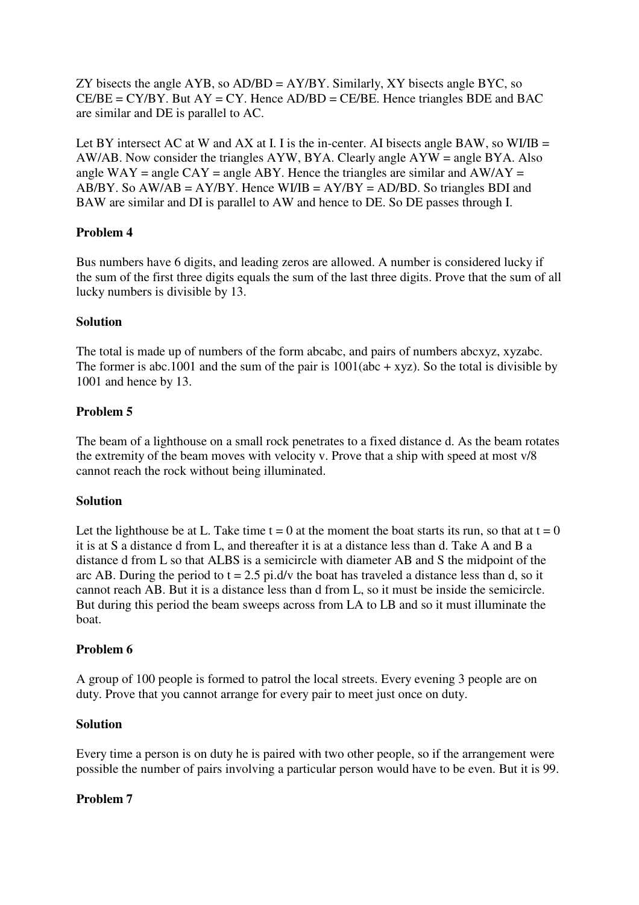ZY bisects the angle AYB, so  $AD/BD = AY/BY$ . Similarly, XY bisects angle BYC, so  $CE/BE = CY/BY$ . But  $AY = CY$ . Hence  $AD/BD = CE/BE$ . Hence triangles BDE and BAC are similar and DE is parallel to AC.

Let BY intersect AC at W and AX at I. I is the in-center. AI bisects angle BAW, so WI/IB = AW/AB. Now consider the triangles AYW, BYA. Clearly angle AYW = angle BYA. Also angle  $WAY = angle CAY = angle ABY$ . Hence the triangles are similar and  $AW/AY =$ AB/BY. So  $AW/AB = AY/BY$ . Hence  $WI/B = AY/BY = AD/BD$ . So triangles BDI and BAW are similar and DI is parallel to AW and hence to DE. So DE passes through I.

# **Problem 4**

Bus numbers have 6 digits, and leading zeros are allowed. A number is considered lucky if the sum of the first three digits equals the sum of the last three digits. Prove that the sum of all lucky numbers is divisible by 13.

# **Solution**

The total is made up of numbers of the form abcabc, and pairs of numbers abcxyz, xyzabc. The former is abc.1001 and the sum of the pair is  $1001(abc + xyz)$ . So the total is divisible by 1001 and hence by 13.

# **Problem 5**

The beam of a lighthouse on a small rock penetrates to a fixed distance d. As the beam rotates the extremity of the beam moves with velocity v. Prove that a ship with speed at most v/8 cannot reach the rock without being illuminated.

# **Solution**

Let the lighthouse be at L. Take time  $t = 0$  at the moment the boat starts its run, so that at  $t = 0$ it is at S a distance d from L, and thereafter it is at a distance less than d. Take A and B a distance d from L so that ALBS is a semicircle with diameter AB and S the midpoint of the arc AB. During the period to  $t = 2.5$  pi.d/v the boat has traveled a distance less than d, so it cannot reach AB. But it is a distance less than d from L, so it must be inside the semicircle. But during this period the beam sweeps across from LA to LB and so it must illuminate the boat.

# **Problem 6**

A group of 100 people is formed to patrol the local streets. Every evening 3 people are on duty. Prove that you cannot arrange for every pair to meet just once on duty.

# **Solution**

Every time a person is on duty he is paired with two other people, so if the arrangement were possible the number of pairs involving a particular person would have to be even. But it is 99.

# **Problem 7**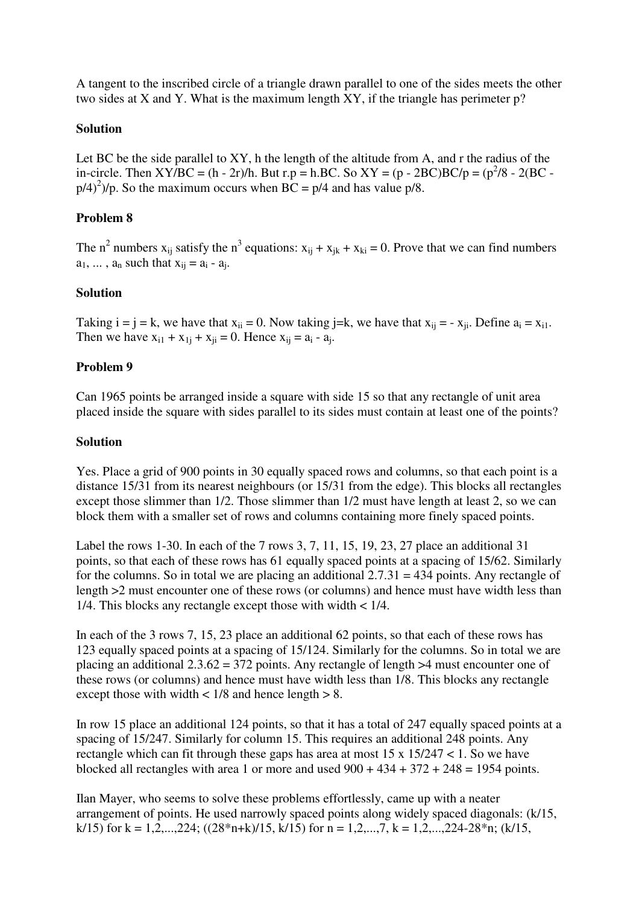A tangent to the inscribed circle of a triangle drawn parallel to one of the sides meets the other two sides at X and Y. What is the maximum length XY, if the triangle has perimeter p?

# **Solution**

Let BC be the side parallel to XY, h the length of the altitude from A, and r the radius of the in-circle. Then XY/BC = (h - 2r)/h. But r.p = h.BC. So XY = (p - 2BC)BC/p = (p<sup>2</sup>/8 - 2(BC  $p/4$ <sup>2</sup> $)$ /p. So the maximum occurs when BC = p/4 and has value p/8.

# **Problem 8**

The n<sup>2</sup> numbers  $x_{ij}$  satisfy the n<sup>3</sup> equations:  $x_{ij} + x_{jk} + x_{ki} = 0$ . Prove that we can find numbers  $a_1, \ldots, a_n$  such that  $x_{ij} = a_i - a_j$ .

### **Solution**

Taking  $i = j = k$ , we have that  $x_{ii} = 0$ . Now taking j=k, we have that  $x_{ii} = -x_{ii}$ . Define  $a_i = x_{i1}$ . Then we have  $x_{i1} + x_{1j} + x_{ji} = 0$ . Hence  $x_{ij} = a_i - a_j$ .

### **Problem 9**

Can 1965 points be arranged inside a square with side 15 so that any rectangle of unit area placed inside the square with sides parallel to its sides must contain at least one of the points?

### **Solution**

Yes. Place a grid of 900 points in 30 equally spaced rows and columns, so that each point is a distance 15/31 from its nearest neighbours (or 15/31 from the edge). This blocks all rectangles except those slimmer than 1/2. Those slimmer than 1/2 must have length at least 2, so we can block them with a smaller set of rows and columns containing more finely spaced points.

Label the rows 1-30. In each of the 7 rows 3, 7, 11, 15, 19, 23, 27 place an additional 31 points, so that each of these rows has 61 equally spaced points at a spacing of 15/62. Similarly for the columns. So in total we are placing an additional  $2.7.31 = 434$  points. Any rectangle of length >2 must encounter one of these rows (or columns) and hence must have width less than 1/4. This blocks any rectangle except those with width < 1/4.

In each of the 3 rows 7, 15, 23 place an additional 62 points, so that each of these rows has 123 equally spaced points at a spacing of 15/124. Similarly for the columns. So in total we are placing an additional  $2.3.62 = 372$  points. Any rectangle of length  $>4$  must encounter one of these rows (or columns) and hence must have width less than 1/8. This blocks any rectangle except those with width  $\lt$  1/8 and hence length  $> 8$ .

In row 15 place an additional 124 points, so that it has a total of 247 equally spaced points at a spacing of 15/247. Similarly for column 15. This requires an additional 248 points. Any rectangle which can fit through these gaps has area at most  $15 \times 15/247 < 1$ . So we have blocked all rectangles with area 1 or more and used  $900 + 434 + 372 + 248 = 1954$  points.

Ilan Mayer, who seems to solve these problems effortlessly, came up with a neater arrangement of points. He used narrowly spaced points along widely spaced diagonals: (k/15, k/15) for k = 1,2,...,224; ((28\*n+k)/15, k/15) for n = 1,2,...,7, k = 1,2,...,224-28\*n; (k/15,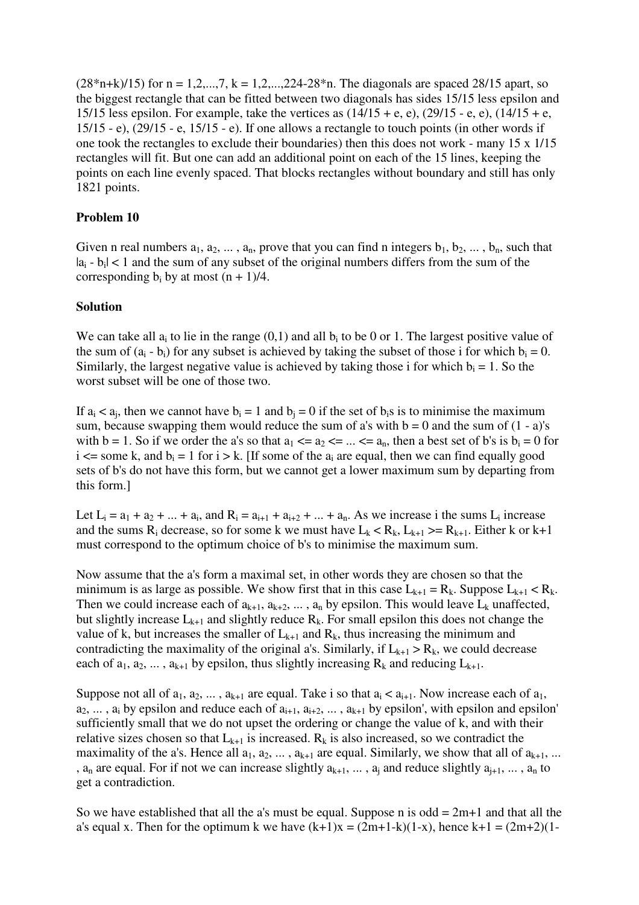$(28*n+k)/15)$  for n = 1,2,...,7, k = 1,2,...,224-28<sup>\*</sup>n. The diagonals are spaced 28/15 apart, so the biggest rectangle that can be fitted between two diagonals has sides 15/15 less epsilon and 15/15 less epsilon. For example, take the vertices as  $(14/15 + e, e)$ ,  $(29/15 - e, e)$ ,  $(14/15 + e,$ 15/15 - e), (29/15 - e, 15/15 - e). If one allows a rectangle to touch points (in other words if one took the rectangles to exclude their boundaries) then this does not work - many 15 x 1/15 rectangles will fit. But one can add an additional point on each of the 15 lines, keeping the points on each line evenly spaced. That blocks rectangles without boundary and still has only 1821 points.

# **Problem 10**

Given n real numbers  $a_1, a_2, ..., a_n$ , prove that you can find n integers  $b_1, b_2, ..., b_n$ , such that  $|a_i - b_i| < 1$  and the sum of any subset of the original numbers differs from the sum of the corresponding  $b_i$  by at most  $(n + 1)/4$ .

### **Solution**

We can take all  $a_i$  to lie in the range  $(0,1)$  and all  $b_i$  to be 0 or 1. The largest positive value of the sum of  $(a_i - b_i)$  for any subset is achieved by taking the subset of those i for which  $b_i = 0$ . Similarly, the largest negative value is achieved by taking those i for which  $b_i = 1$ . So the worst subset will be one of those two.

If  $a_i < a_j$ , then we cannot have  $b_i = 1$  and  $b_j = 0$  if the set of  $b_i$ s is to minimise the maximum sum, because swapping them would reduce the sum of a's with  $b = 0$  and the sum of  $(1 - a)$ 's with b = 1. So if we order the a's so that  $a_1 \le a_2 \le \dots \le a_n$ , then a best set of b's is  $b_i = 0$  for i  $\leq$  some k, and  $b_i = 1$  for i > k. [If some of the  $a_i$  are equal, then we can find equally good sets of b's do not have this form, but we cannot get a lower maximum sum by departing from this form.]

Let  $L_i = a_1 + a_2 + ... + a_i$ , and  $R_i = a_{i+1} + a_{i+2} + ... + a_n$ . As we increase i the sums  $L_i$  increase and the sums  $R_i$  decrease, so for some k we must have  $L_k < R_k$ ,  $L_{k+1} > = R_{k+1}$ . Either k or k+1 must correspond to the optimum choice of b's to minimise the maximum sum.

Now assume that the a's form a maximal set, in other words they are chosen so that the minimum is as large as possible. We show first that in this case  $L_{k+1} = R_k$ . Suppose  $L_{k+1} < R_k$ . Then we could increase each of  $a_{k+1}, a_{k+2}, \ldots, a_n$  by epsilon. This would leave  $L_k$  unaffected, but slightly increase  $L_{k+1}$  and slightly reduce  $R_k$ . For small epsilon this does not change the value of k, but increases the smaller of  $L_{k+1}$  and  $R_k$ , thus increasing the minimum and contradicting the maximality of the original a's. Similarly, if  $L_{k+1} > R_k$ , we could decrease each of  $a_1, a_2, \ldots, a_{k+1}$  by epsilon, thus slightly increasing  $R_k$  and reducing  $L_{k+1}$ .

Suppose not all of  $a_1, a_2, \ldots, a_{k+1}$  are equal. Take i so that  $a_i < a_{i+1}$ . Now increase each of  $a_1$ ,  $a_2, \ldots, a_i$  by epsilon and reduce each of  $a_{i+1}, a_{i+2}, \ldots, a_{k+1}$  by epsilon', with epsilon and epsilon' sufficiently small that we do not upset the ordering or change the value of k, and with their relative sizes chosen so that  $L_{k+1}$  is increased. R<sub>k</sub> is also increased, so we contradict the maximality of the a's. Hence all  $a_1, a_2, \ldots, a_{k+1}$  are equal. Similarly, we show that all of  $a_{k+1}, \ldots$ ,  $a_n$  are equal. For if not we can increase slightly  $a_{k+1}, \ldots, a_i$  and reduce slightly  $a_{i+1}, \ldots, a_n$  to get a contradiction.

So we have established that all the a's must be equal. Suppose n is odd  $= 2m+1$  and that all the a's equal x. Then for the optimum k we have  $(k+1)x = (2m+1-k)(1-x)$ , hence  $k+1 = (2m+2)(1-$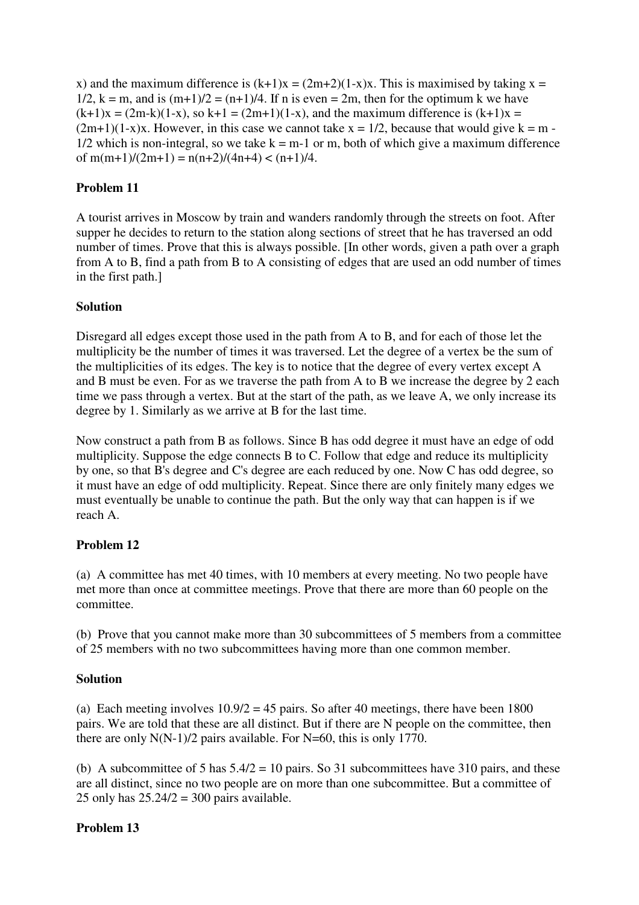x) and the maximum difference is  $(k+1)x = (2m+2)(1-x)x$ . This is maximised by taking  $x =$  $1/2$ ,  $k = m$ , and is  $(m+1)/2 = (n+1)/4$ . If n is even  $= 2m$ , then for the optimum k we have  $(k+1)x = (2m-k)(1-x)$ , so  $k+1 = (2m+1)(1-x)$ , and the maximum difference is  $(k+1)x =$  $(2m+1)(1-x)x$ . However, in this case we cannot take  $x = 1/2$ , because that would give  $k = m - 1/2$  $1/2$  which is non-integral, so we take  $k = m-1$  or m, both of which give a maximum difference of  $m(m+1)/(2m+1) = n(n+2)/(4n+4) < (n+1)/4$ .

# **Problem 11**

A tourist arrives in Moscow by train and wanders randomly through the streets on foot. After supper he decides to return to the station along sections of street that he has traversed an odd number of times. Prove that this is always possible. [In other words, given a path over a graph from A to B, find a path from B to A consisting of edges that are used an odd number of times in the first path.]

# **Solution**

Disregard all edges except those used in the path from A to B, and for each of those let the multiplicity be the number of times it was traversed. Let the degree of a vertex be the sum of the multiplicities of its edges. The key is to notice that the degree of every vertex except A and B must be even. For as we traverse the path from A to B we increase the degree by 2 each time we pass through a vertex. But at the start of the path, as we leave A, we only increase its degree by 1. Similarly as we arrive at B for the last time.

Now construct a path from B as follows. Since B has odd degree it must have an edge of odd multiplicity. Suppose the edge connects B to C. Follow that edge and reduce its multiplicity by one, so that B's degree and C's degree are each reduced by one. Now C has odd degree, so it must have an edge of odd multiplicity. Repeat. Since there are only finitely many edges we must eventually be unable to continue the path. But the only way that can happen is if we reach A.

# **Problem 12**

(a) A committee has met 40 times, with 10 members at every meeting. No two people have met more than once at committee meetings. Prove that there are more than 60 people on the committee.

(b) Prove that you cannot make more than 30 subcommittees of 5 members from a committee of 25 members with no two subcommittees having more than one common member.

# **Solution**

(a) Each meeting involves  $10.9/2 = 45$  pairs. So after 40 meetings, there have been 1800 pairs. We are told that these are all distinct. But if there are N people on the committee, then there are only  $N(N-1)/2$  pairs available. For  $N=60$ , this is only 1770.

(b) A subcommittee of 5 has  $5.4/2 = 10$  pairs. So 31 subcommittees have 310 pairs, and these are all distinct, since no two people are on more than one subcommittee. But a committee of 25 only has  $25.24/2 = 300$  pairs available.

# **Problem 13**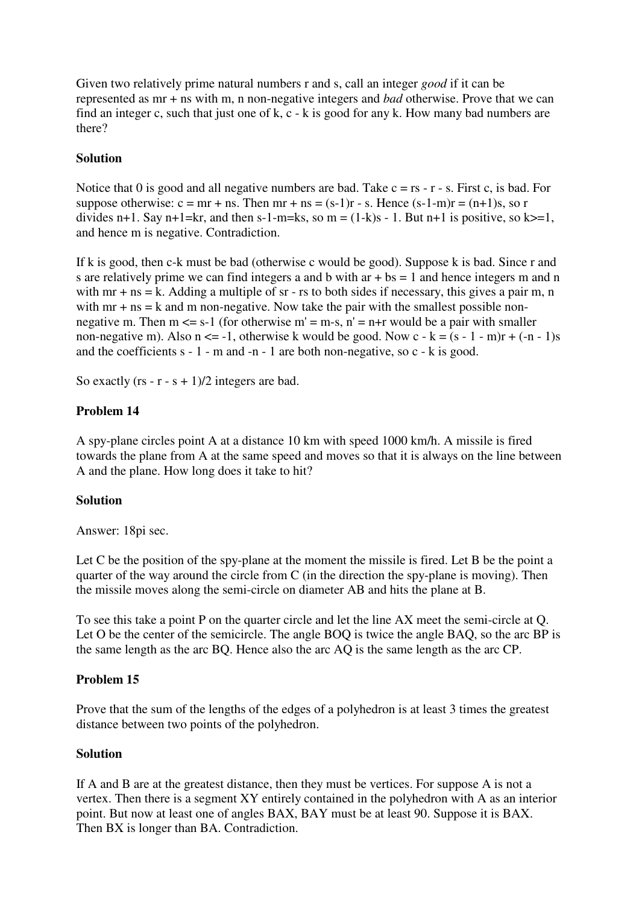Given two relatively prime natural numbers r and s, call an integer *good* if it can be represented as mr + ns with m, n non-negative integers and *bad* otherwise. Prove that we can find an integer c, such that just one of k, c - k is good for any k. How many bad numbers are there?

# **Solution**

Notice that 0 is good and all negative numbers are bad. Take  $c = rs - r - s$ . First c, is bad. For suppose otherwise:  $c = mr + ns$ . Then  $mr + ns = (s-1)r - s$ . Hence  $(s-1-m)r = (n+1)s$ , so r divides n+1. Say n+1=kr, and then s-1-m=ks, so m =  $(1-k)s - 1$ . But n+1 is positive, so k>=1, and hence m is negative. Contradiction.

If k is good, then c-k must be bad (otherwise c would be good). Suppose k is bad. Since r and s are relatively prime we can find integers a and b with  $ar + bs = 1$  and hence integers m and n with  $mr + ns = k$ . Adding a multiple of  $sr - rs$  to both sides if necessary, this gives a pair m, n with  $mr + ns = k$  and m non-negative. Now take the pair with the smallest possible nonnegative m. Then  $m \le s-1$  (for otherwise  $m' = m-s$ ,  $n' = n+r$  would be a pair with smaller non-negative m). Also  $n \le -1$ , otherwise k would be good. Now  $c - k = (s - 1 - m)r + (-n - 1)s$ and the coefficients s - 1 - m and -n - 1 are both non-negative, so c - k is good.

So exactly  $(rs - r - s + 1)/2$  integers are bad.

# **Problem 14**

A spy-plane circles point A at a distance 10 km with speed 1000 km/h. A missile is fired towards the plane from A at the same speed and moves so that it is always on the line between A and the plane. How long does it take to hit?

# **Solution**

Answer: 18pi sec.

Let C be the position of the spy-plane at the moment the missile is fired. Let B be the point a quarter of the way around the circle from C (in the direction the spy-plane is moving). Then the missile moves along the semi-circle on diameter AB and hits the plane at B.

To see this take a point P on the quarter circle and let the line AX meet the semi-circle at Q. Let O be the center of the semicircle. The angle BOQ is twice the angle BAQ, so the arc BP is the same length as the arc BQ. Hence also the arc AQ is the same length as the arc CP.

# **Problem 15**

Prove that the sum of the lengths of the edges of a polyhedron is at least 3 times the greatest distance between two points of the polyhedron.

# **Solution**

If A and B are at the greatest distance, then they must be vertices. For suppose A is not a vertex. Then there is a segment XY entirely contained in the polyhedron with A as an interior point. But now at least one of angles BAX, BAY must be at least 90. Suppose it is BAX. Then BX is longer than BA. Contradiction.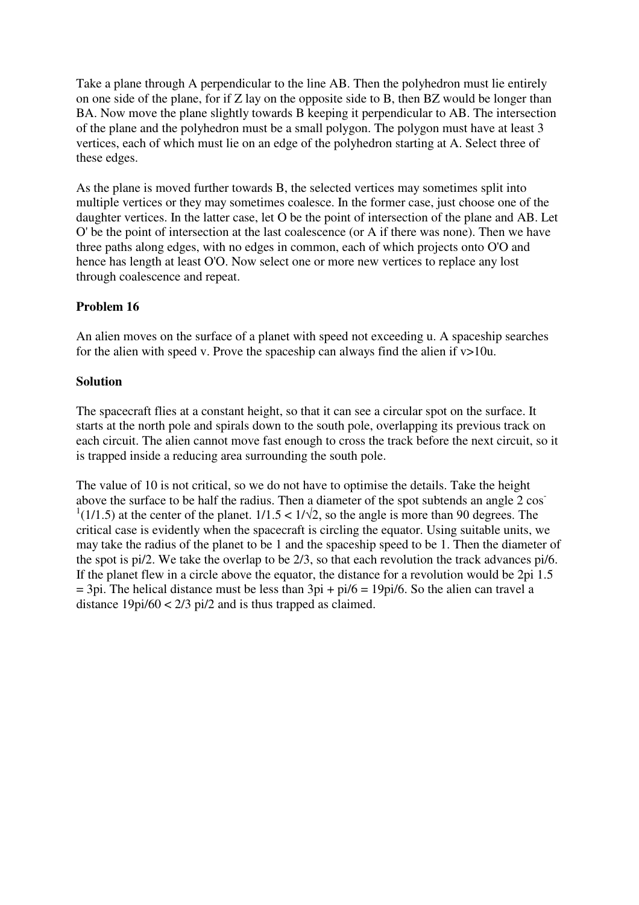Take a plane through A perpendicular to the line AB. Then the polyhedron must lie entirely on one side of the plane, for if Z lay on the opposite side to B, then BZ would be longer than BA. Now move the plane slightly towards B keeping it perpendicular to AB. The intersection of the plane and the polyhedron must be a small polygon. The polygon must have at least 3 vertices, each of which must lie on an edge of the polyhedron starting at A. Select three of these edges.

As the plane is moved further towards B, the selected vertices may sometimes split into multiple vertices or they may sometimes coalesce. In the former case, just choose one of the daughter vertices. In the latter case, let O be the point of intersection of the plane and AB. Let O' be the point of intersection at the last coalescence (or A if there was none). Then we have three paths along edges, with no edges in common, each of which projects onto O'O and hence has length at least O'O. Now select one or more new vertices to replace any lost through coalescence and repeat.

# **Problem 16**

An alien moves on the surface of a planet with speed not exceeding u. A spaceship searches for the alien with speed v. Prove the spaceship can always find the alien if  $v>10u$ .

# **Solution**

The spacecraft flies at a constant height, so that it can see a circular spot on the surface. It starts at the north pole and spirals down to the south pole, overlapping its previous track on each circuit. The alien cannot move fast enough to cross the track before the next circuit, so it is trapped inside a reducing area surrounding the south pole.

The value of 10 is not critical, so we do not have to optimise the details. Take the height above the surface to be half the radius. Then a diameter of the spot subtends an angle 2 cos<sup>-</sup>  $1(1/1.5)$  at the center of the planet.  $1/1.5 < 1/\sqrt{2}$ , so the angle is more than 90 degrees. The critical case is evidently when the spacecraft is circling the equator. Using suitable units, we may take the radius of the planet to be 1 and the spaceship speed to be 1. Then the diameter of the spot is pi/2. We take the overlap to be 2/3, so that each revolution the track advances pi/6. If the planet flew in a circle above the equator, the distance for a revolution would be 2pi 1.5  $=$  3pi. The helical distance must be less than  $3pi + pi/6 = 19pi/6$ . So the alien can travel a distance  $19pi/60 < 2/3$  pi/2 and is thus trapped as claimed.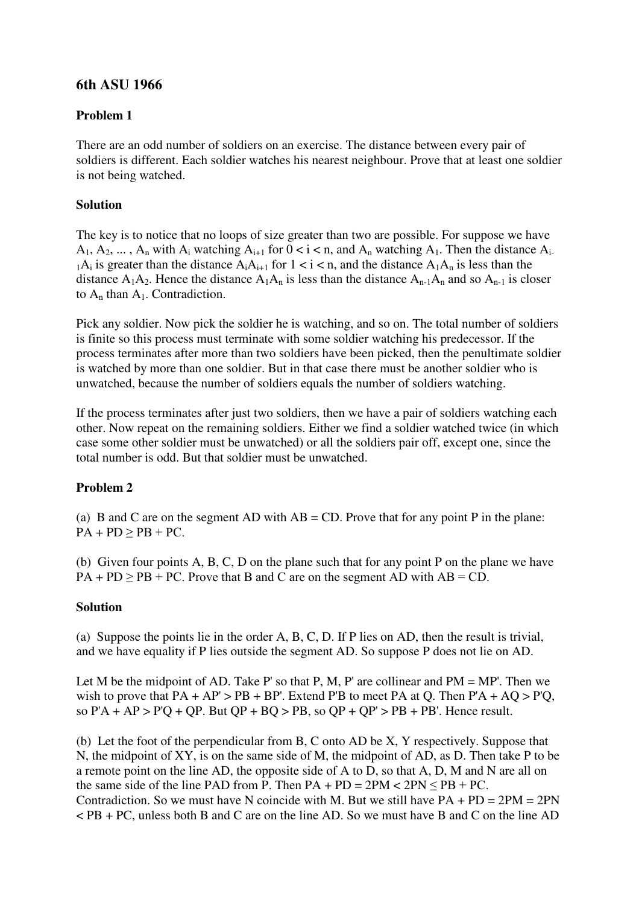# **6th ASU 1966**

# **Problem 1**

There are an odd number of soldiers on an exercise. The distance between every pair of soldiers is different. Each soldier watches his nearest neighbour. Prove that at least one soldier is not being watched.

# **Solution**

The key is to notice that no loops of size greater than two are possible. For suppose we have  $A_1, A_2, \ldots, A_n$  with  $A_i$  watching  $A_{i+1}$  for  $0 < i < n$ , and  $A_n$  watching  $A_1$ . Then the distance  $A_i$ .  $1\text{A}_i$  is greater than the distance  $\text{A}_i\text{A}_{i+1}$  for  $1 \le i \le n$ , and the distance  $\text{A}_1\text{A}_n$  is less than the distance  $A_1A_2$ . Hence the distance  $A_1A_n$  is less than the distance  $A_{n-1}A_n$  and so  $A_{n-1}$  is closer to  $A_n$  than  $A_1$ . Contradiction.

Pick any soldier. Now pick the soldier he is watching, and so on. The total number of soldiers is finite so this process must terminate with some soldier watching his predecessor. If the process terminates after more than two soldiers have been picked, then the penultimate soldier is watched by more than one soldier. But in that case there must be another soldier who is unwatched, because the number of soldiers equals the number of soldiers watching.

If the process terminates after just two soldiers, then we have a pair of soldiers watching each other. Now repeat on the remaining soldiers. Either we find a soldier watched twice (in which case some other soldier must be unwatched) or all the soldiers pair off, except one, since the total number is odd. But that soldier must be unwatched.

# **Problem 2**

(a) B and C are on the segment AD with  $AB = CD$ . Prove that for any point P in the plane:  $PA + PD \ge PB + PC$ .

(b) Given four points A, B, C, D on the plane such that for any point P on the plane we have  $PA + PD \ge PB + PC$ . Prove that B and C are on the segment AD with  $AB = CD$ .

# **Solution**

(a) Suppose the points lie in the order A, B, C, D. If P lies on AD, then the result is trivial, and we have equality if P lies outside the segment AD. So suppose P does not lie on AD.

Let M be the midpoint of AD. Take P' so that P, M, P' are collinear and  $PM = MP'$ . Then we wish to prove that  $PA + AP' > PB + BP'$ . Extend P'B to meet PA at Q. Then  $P'A + AQ > P'Q$ , so  $P'A + AP > P'Q + QP$ . But  $QP + BO > PB$ , so  $QP + QP' > PB + PB'$ . Hence result.

(b) Let the foot of the perpendicular from B, C onto AD be X, Y respectively. Suppose that N, the midpoint of XY, is on the same side of M, the midpoint of AD, as D. Then take P to be a remote point on the line AD, the opposite side of A to D, so that A, D, M and N are all on the same side of the line PAD from P. Then  $PA + PD = 2PM < 2PN < PB + PC$ . Contradiction. So we must have N coincide with M. But we still have  $PA + PD = 2PM = 2PN$ < PB + PC, unless both B and C are on the line AD. So we must have B and C on the line AD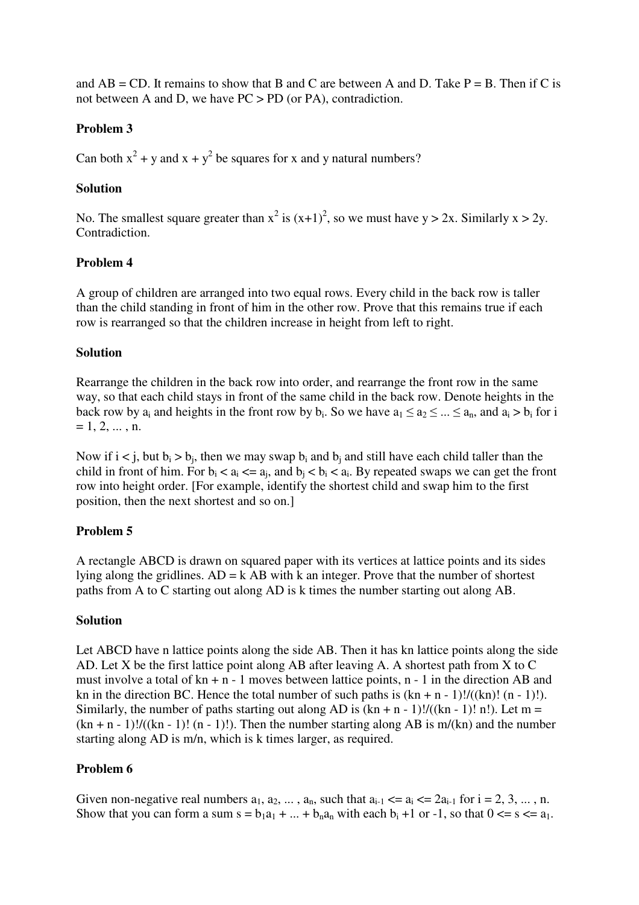and  $AB = CD$ . It remains to show that B and C are between A and D. Take  $P = B$ . Then if C is not between A and D, we have PC > PD (or PA), contradiction.

# **Problem 3**

Can both  $x^2 + y$  and  $x + y^2$  be squares for x and y natural numbers?

### **Solution**

No. The smallest square greater than  $x^2$  is  $(x+1)^2$ , so we must have  $y > 2x$ . Similarly  $x > 2y$ . Contradiction.

# **Problem 4**

A group of children are arranged into two equal rows. Every child in the back row is taller than the child standing in front of him in the other row. Prove that this remains true if each row is rearranged so that the children increase in height from left to right.

### **Solution**

Rearrange the children in the back row into order, and rearrange the front row in the same way, so that each child stays in front of the same child in the back row. Denote heights in the back row by  $a_i$  and heights in the front row by  $b_i$ . So we have  $a_1 \le a_2 \le ... \le a_n$ , and  $a_i > b_i$  for i  $= 1, 2, \ldots, n.$ 

Now if  $i < j$ , but  $b_i > b_j$ , then we may swap  $b_i$  and  $b_j$  and still have each child taller than the child in front of him. For  $b_i < a_i \leq a_j$ , and  $b_j < b_i < a_i$ . By repeated swaps we can get the front row into height order. [For example, identify the shortest child and swap him to the first position, then the next shortest and so on.]

# **Problem 5**

A rectangle ABCD is drawn on squared paper with its vertices at lattice points and its sides lying along the gridlines.  $AD = k AB$  with k an integer. Prove that the number of shortest paths from A to C starting out along AD is k times the number starting out along AB.

#### **Solution**

Let ABCD have n lattice points along the side AB. Then it has kn lattice points along the side AD. Let X be the first lattice point along AB after leaving A. A shortest path from X to C must involve a total of  $kn + n - 1$  moves between lattice points,  $n - 1$  in the direction AB and kn in the direction BC. Hence the total number of such paths is  $(kn + n - 1)!/((kn)! (n - 1)!)$ . Similarly, the number of paths starting out along AD is  $(kn + n - 1)!/((kn - 1)! n!)$ . Let m =  $(kn + n - 1)!/((kn - 1)! (n - 1)!)$ . Then the number starting along AB is m/(kn) and the number starting along AD is m/n, which is k times larger, as required.

# **Problem 6**

Given non-negative real numbers  $a_1, a_2, \ldots, a_n$ , such that  $a_{i-1} \le a_i \le 2a_{i-1}$  for  $i = 2, 3, \ldots, n$ . Show that you can form a sum  $s = b_1a_1 + ... + b_na_n$  with each  $b_i + 1$  or  $-1$ , so that  $0 \le s \le a_1$ .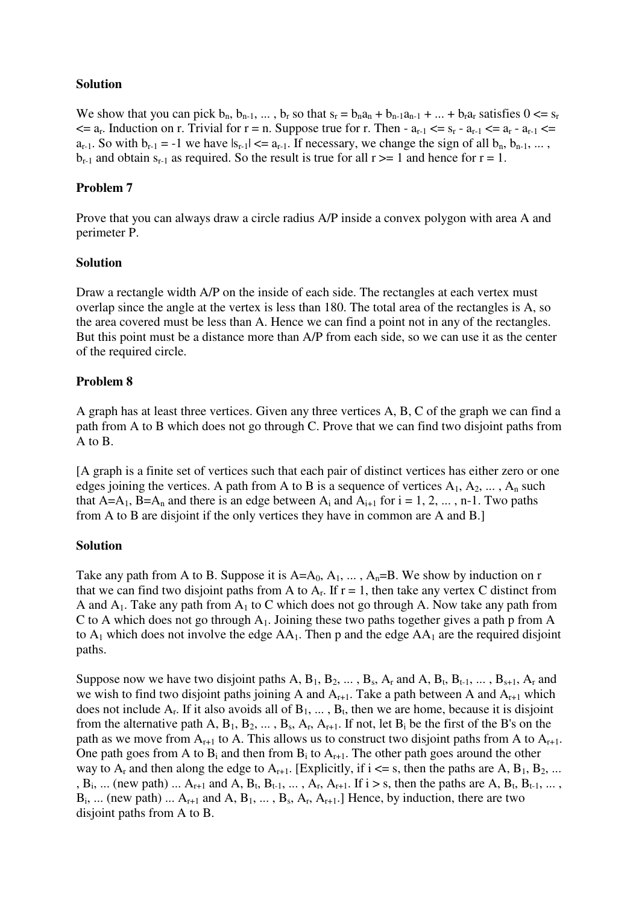### **Solution**

We show that you can pick  $b_n$ ,  $b_{n-1}$ , ...,  $b_r$  so that  $s_r = b_n a_n + b_{n-1} a_{n-1} + ... + b_r a_r$  satisfies  $0 \le s_r$  $\leq$  a<sub>r</sub>. Induction on r. Trivial for r = n. Suppose true for r. Then -  $a_{r-1} \leq s_r - a_{r-1} \leq a_r - a_{r-1} \leq$  $a_{r-1}$ . So with  $b_{r-1} = -1$  we have  $|s_{r-1}| \le a_{r-1}$ . If necessary, we change the sign of all  $b_n, b_{n-1}, \ldots$ ,  $b_{r-1}$  and obtain  $s_{r-1}$  as required. So the result is true for all  $r \geq 1$  and hence for  $r = 1$ .

# **Problem 7**

Prove that you can always draw a circle radius A/P inside a convex polygon with area A and perimeter P.

### **Solution**

Draw a rectangle width A/P on the inside of each side. The rectangles at each vertex must overlap since the angle at the vertex is less than 180. The total area of the rectangles is A, so the area covered must be less than A. Hence we can find a point not in any of the rectangles. But this point must be a distance more than A/P from each side, so we can use it as the center of the required circle.

# **Problem 8**

A graph has at least three vertices. Given any three vertices A, B, C of the graph we can find a path from A to B which does not go through C. Prove that we can find two disjoint paths from A to B.

[A graph is a finite set of vertices such that each pair of distinct vertices has either zero or one edges joining the vertices. A path from A to B is a sequence of vertices  $A_1, A_2, \ldots, A_n$  such that A=A<sub>1</sub>, B=A<sub>n</sub> and there is an edge between A<sub>i</sub> and A<sub>i+1</sub> for i = 1, 2, ..., n-1. Two paths from A to B are disjoint if the only vertices they have in common are A and B.]

# **Solution**

Take any path from A to B. Suppose it is  $A=A_0, A_1, \ldots, A_n=B$ . We show by induction on r that we can find two disjoint paths from A to  $A_r$ . If  $r = 1$ , then take any vertex C distinct from A and  $A_1$ . Take any path from  $A_1$  to C which does not go through A. Now take any path from C to A which does not go through  $A_1$ . Joining these two paths together gives a path p from A to  $A_1$  which does not involve the edge  $AA_1$ . Then p and the edge  $AA_1$  are the required disjoint paths.

Suppose now we have two disjoint paths A,  $B_1$ ,  $B_2$ , ...,  $B_s$ ,  $A_r$  and A,  $B_t$ ,  $B_{t-1}$ , ...,  $B_{s+1}$ ,  $A_r$  and we wish to find two disjoint paths joining A and  $A_{r+1}$ . Take a path between A and  $A_{r+1}$  which does not include  $A_r$ . If it also avoids all of  $B_1, \ldots, B_t$ , then we are home, because it is disjoint from the alternative path A,  $B_1, B_2, ..., B_s, A_r, A_{r+1}$ . If not, let  $B_i$  be the first of the B's on the path as we move from  $A_{r+1}$  to A. This allows us to construct two disjoint paths from A to  $A_{r+1}$ . One path goes from A to  $B_i$  and then from  $B_i$  to  $A_{r+1}$ . The other path goes around the other way to  $A_r$  and then along the edge to  $A_{r+1}$ . [Explicitly, if  $i \le s$ , then the paths are A,  $B_1, B_2, ...$  $B_i$ , ... (new path) ...  $A_{r+1}$  and  $A, B_t, B_{t-1}, \ldots, A_r, A_{r+1}$ . If  $i > s$ , then the paths are  $A, B_t, B_{t-1}, \ldots, A_r$  $B_i$ , ... (new path) ...  $A_{r+1}$  and  $A, B_1, \ldots, B_s, A_r, A_{r+1}$ . Hence, by induction, there are two disjoint paths from A to B.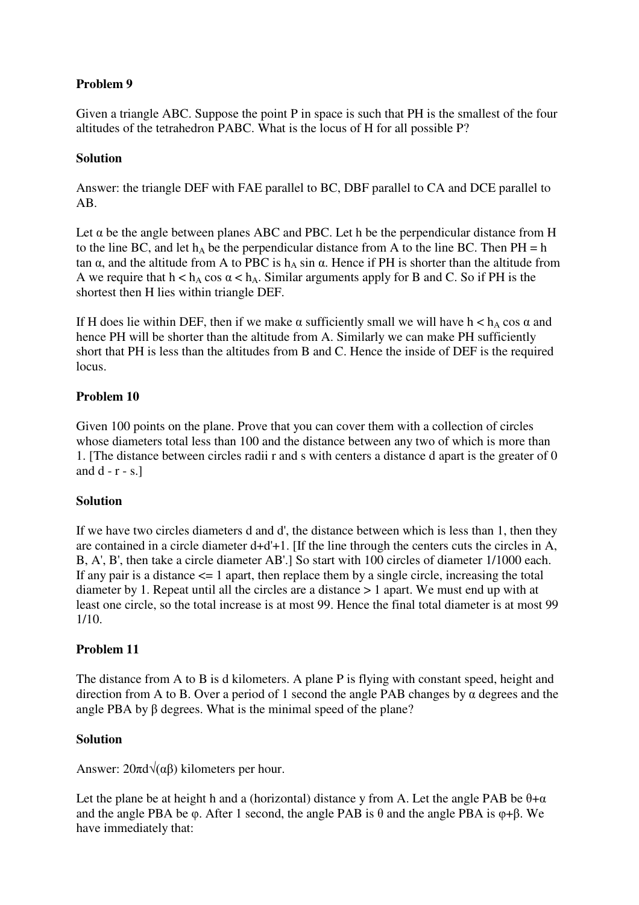# **Problem 9**

Given a triangle ABC. Suppose the point P in space is such that PH is the smallest of the four altitudes of the tetrahedron PABC. What is the locus of H for all possible P?

# **Solution**

Answer: the triangle DEF with FAE parallel to BC, DBF parallel to CA and DCE parallel to AB.

Let  $\alpha$  be the angle between planes ABC and PBC. Let h be the perpendicular distance from H to the line BC, and let  $h_A$  be the perpendicular distance from A to the line BC. Then PH = h tan  $\alpha$ , and the altitude from A to PBC is  $h_A \sin \alpha$ . Hence if PH is shorter than the altitude from A we require that  $h < h_A \cos \alpha < h_A$ . Similar arguments apply for B and C. So if PH is the shortest then H lies within triangle DEF.

If H does lie within DEF, then if we make  $\alpha$  sufficiently small we will have  $h < h_A \cos \alpha$  and hence PH will be shorter than the altitude from A. Similarly we can make PH sufficiently short that PH is less than the altitudes from B and C. Hence the inside of DEF is the required locus.

# **Problem 10**

Given 100 points on the plane. Prove that you can cover them with a collection of circles whose diameters total less than 100 and the distance between any two of which is more than 1. [The distance between circles radii r and s with centers a distance d apart is the greater of 0 and  $d - r - s$ .

# **Solution**

If we have two circles diameters d and d', the distance between which is less than 1, then they are contained in a circle diameter d+d'+1. [If the line through the centers cuts the circles in A, B, A', B', then take a circle diameter AB'.] So start with 100 circles of diameter 1/1000 each. If any pair is a distance  $\leq 1$  apart, then replace them by a single circle, increasing the total diameter by 1. Repeat until all the circles are a distance > 1 apart. We must end up with at least one circle, so the total increase is at most 99. Hence the final total diameter is at most 99 1/10.

# **Problem 11**

The distance from A to B is d kilometers. A plane P is flying with constant speed, height and direction from A to B. Over a period of 1 second the angle PAB changes by  $\alpha$  degrees and the angle PBA by  $\beta$  degrees. What is the minimal speed of the plane?

# **Solution**

Answer:  $20\pi d\sqrt{\alpha\beta}$  kilometers per hour.

Let the plane be at height h and a (horizontal) distance y from A. Let the angle PAB be  $\theta + \alpha$ and the angle PBA be  $\varphi$ . After 1 second, the angle PAB is  $\theta$  and the angle PBA is  $\varphi$ + $\beta$ . We have immediately that: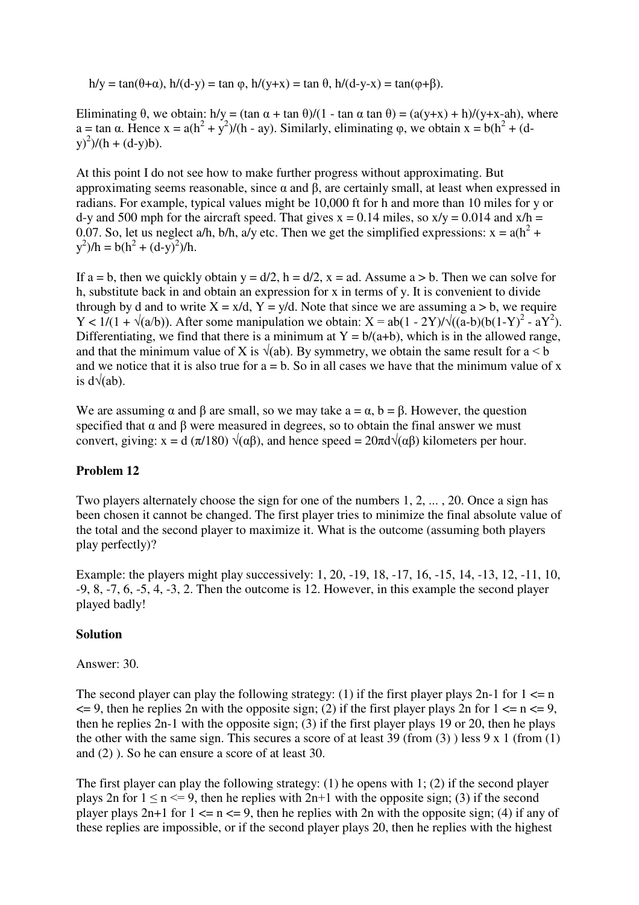$h/y = \tan(\theta + \alpha)$ ,  $h/(d-y) = \tan \varphi$ ,  $h/(y+x) = \tan \theta$ ,  $h/(d-y-x) = \tan(\varphi + \beta)$ .

Eliminating  $\theta$ , we obtain: h/y = (tan  $\alpha$  + tan  $\theta$ )/(1 - tan  $\alpha$  tan  $\theta$ ) = (a(y+x) + h)/(y+x-ah), where a = tan  $\alpha$ . Hence x = a(h<sup>2</sup> + y<sup>2</sup>)/(h - ay). Similarly, eliminating  $\varphi$ , we obtain x = b(h<sup>2</sup> + (d $y)^{2}$ )/(h + (d-y)b).

At this point I do not see how to make further progress without approximating. But approximating seems reasonable, since  $\alpha$  and  $\beta$ , are certainly small, at least when expressed in radians. For example, typical values might be 10,000 ft for h and more than 10 miles for y or d-y and 500 mph for the aircraft speed. That gives  $x = 0.14$  miles, so  $x/y = 0.014$  and  $x/h =$ 0.07. So, let us neglect a/h, b/h, a/y etc. Then we get the simplified expressions:  $x = a(h^2 + b^2)$  $y^2$ )/h = b(h<sup>2</sup> + (d-y)<sup>2</sup>)/h.

If a = b, then we quickly obtain y =  $d/2$ , h =  $d/2$ , x = ad. Assume a > b. Then we can solve for h, substitute back in and obtain an expression for x in terms of y. It is convenient to divide through by d and to write  $X = x/d$ ,  $Y = y/d$ . Note that since we are assuming a > b, we require  $Y < 1/(1 + \sqrt{(a/b)})$ . After some manipulation we obtain:  $X = ab(1 - 2Y)/\sqrt{(a-b)(b(1-Y)^2 - aY^2})$ . Differentiating, we find that there is a minimum at  $Y = b/(a+b)$ , which is in the allowed range, and that the minimum value of X is  $\sqrt{ab}$ . By symmetry, we obtain the same result for a < b and we notice that it is also true for  $a = b$ . So in all cases we have that the minimum value of x is  $d\sqrt{ab}$ .

We are assuming  $\alpha$  and  $\beta$  are small, so we may take  $a = \alpha$ ,  $b = \beta$ . However, the question specified that  $\alpha$  and  $\beta$  were measured in degrees, so to obtain the final answer we must convert, giving:  $x = d (\pi/180) \sqrt{\alpha \beta}$ , and hence speed =  $20\pi d \sqrt{\alpha \beta}$ . kilometers per hour.

# **Problem 12**

Two players alternately choose the sign for one of the numbers 1, 2, ... , 20. Once a sign has been chosen it cannot be changed. The first player tries to minimize the final absolute value of the total and the second player to maximize it. What is the outcome (assuming both players play perfectly)?

Example: the players might play successively: 1, 20, -19, 18, -17, 16, -15, 14, -13, 12, -11, 10, -9, 8, -7, 6, -5, 4, -3, 2. Then the outcome is 12. However, in this example the second player played badly!

#### **Solution**

#### Answer: 30.

The second player can play the following strategy: (1) if the first player plays  $2n-1$  for  $1 \le n$  $\leq$  9, then he replies 2n with the opposite sign; (2) if the first player plays 2n for 1  $\leq$  n  $\leq$  9, then he replies 2n-1 with the opposite sign; (3) if the first player plays 19 or 20, then he plays the other with the same sign. This secures a score of at least 39 (from  $(3)$ ) less 9 x 1 (from  $(1)$ ) and (2) ). So he can ensure a score of at least 30.

The first player can play the following strategy: (1) he opens with 1; (2) if the second player plays 2n for  $1 \le n \le 9$ , then he replies with  $2n+1$  with the opposite sign; (3) if the second player plays  $2n+1$  for  $1 \le n \le 9$ , then he replies with  $2n$  with the opposite sign; (4) if any of these replies are impossible, or if the second player plays 20, then he replies with the highest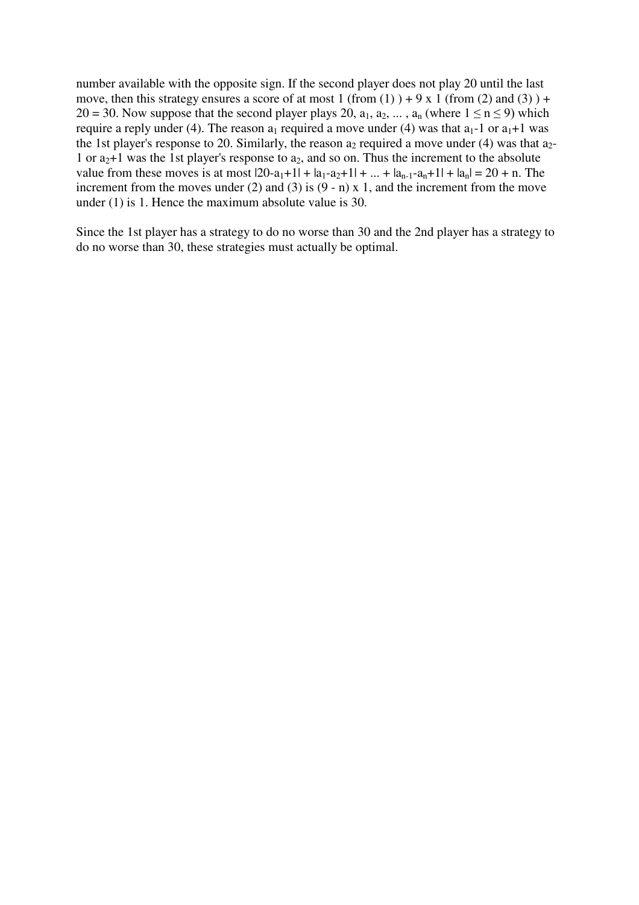number available with the opposite sign. If the second player does not play 20 until the last move, then this strategy ensures a score of at most 1 (from (1)  $)+9x1$  (from (2) and (3)  $)+$ 20 = 30. Now suppose that the second player plays 20,  $a_1, a_2, \ldots, a_n$  (where  $1 \le n \le 9$ ) which require a reply under (4). The reason  $a_1$  required a move under (4) was that  $a_1$ -1 or  $a_1$ +1 was the 1st player's response to 20. Similarly, the reason  $a_2$  required a move under (4) was that  $a_2$ -1 or  $a_2+1$  was the 1st player's response to  $a_2$ , and so on. Thus the increment to the absolute value from these moves is at most  $|20-a_1+1| + |a_1-a_2+1| + ... + |a_{n-1}-a_n+1| + |a_n| = 20 + n$ . The increment from the moves under (2) and (3) is  $(9 - n)$  x 1, and the increment from the move under (1) is 1. Hence the maximum absolute value is 30.

Since the 1st player has a strategy to do no worse than 30 and the 2nd player has a strategy to do no worse than 30, these strategies must actually be optimal.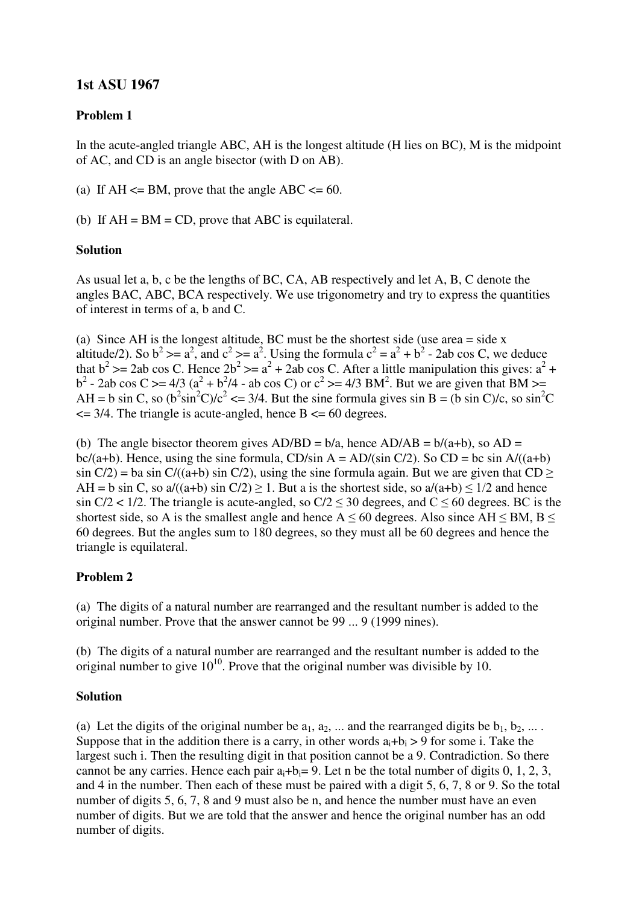# **1st ASU 1967**

# **Problem 1**

In the acute-angled triangle ABC, AH is the longest altitude (H lies on BC), M is the midpoint of AC, and CD is an angle bisector (with D on AB).

(a) If  $AH \leq BM$ , prove that the angle  $ABC \leq 60$ .

(b) If  $AH = BM = CD$ , prove that ABC is equilateral.

#### **Solution**

As usual let a, b, c be the lengths of BC, CA, AB respectively and let A, B, C denote the angles BAC, ABC, BCA respectively. We use trigonometry and try to express the quantities of interest in terms of a, b and C.

(a) Since AH is the longest altitude, BC must be the shortest side (use area = side x altitude/2). So  $b^2 \ge a^2$ , and  $c^2 \ge a^2$ . Using the formula  $c^2 = a^2 + b^2$  - 2ab cos C, we deduce that  $b^2$  >= 2ab cos C. Hence  $2b^2$  >=  $a^2 + 2ab$  cos C. After a little manipulation this gives:  $a^2 +$  $b^2$  - 2ab cos C > = 4/3 (a<sup>2</sup> + b<sup>2</sup>/4 - ab cos C) or c<sup>2</sup> > = 4/3 BM<sup>2</sup>. But we are given that BM > = AH = b sin C, so  $(b^2 \sin^2 C)/c^2 \le 3/4$ . But the sine formula gives sin B = (b sin C)/c, so sin<sup>2</sup>C  $\leq$  3/4. The triangle is acute-angled, hence B  $\leq$  60 degrees.

(b) The angle bisector theorem gives  $AD/BD = b/a$ , hence  $AD/AB = b/(a+b)$ , so  $AD =$ bc/(a+b). Hence, using the sine formula, CD/sin A = AD/(sin C/2). So CD = bc sin A/((a+b)  $\sin C/2$  = ba sin C/((a+b) sin C/2), using the sine formula again. But we are given that CD  $\ge$ AH = b sin C, so a/((a+b) sin C/2)  $\geq$  1. But a is the shortest side, so a/(a+b)  $\leq$  1/2 and hence sin  $C/2$  < 1/2. The triangle is acute-angled, so  $C/2 \le 30$  degrees, and  $C \le 60$  degrees. BC is the shortest side, so A is the smallest angle and hence  $A \le 60$  degrees. Also since AH  $\le$  BM, B  $\le$ 60 degrees. But the angles sum to 180 degrees, so they must all be 60 degrees and hence the triangle is equilateral.

### **Problem 2**

(a) The digits of a natural number are rearranged and the resultant number is added to the original number. Prove that the answer cannot be 99 ... 9 (1999 nines).

(b) The digits of a natural number are rearranged and the resultant number is added to the original number to give  $10^{10}$ . Prove that the original number was divisible by 10.

### **Solution**

(a) Let the digits of the original number be  $a_1, a_2, \ldots$  and the rearranged digits be  $b_1, b_2, \ldots$ . Suppose that in the addition there is a carry, in other words  $a_i + b_i > 9$  for some i. Take the largest such i. Then the resulting digit in that position cannot be a 9. Contradiction. So there cannot be any carries. Hence each pair  $a_i + b_i = 9$ . Let n be the total number of digits 0, 1, 2, 3, and 4 in the number. Then each of these must be paired with a digit 5, 6, 7, 8 or 9. So the total number of digits 5, 6, 7, 8 and 9 must also be n, and hence the number must have an even number of digits. But we are told that the answer and hence the original number has an odd number of digits.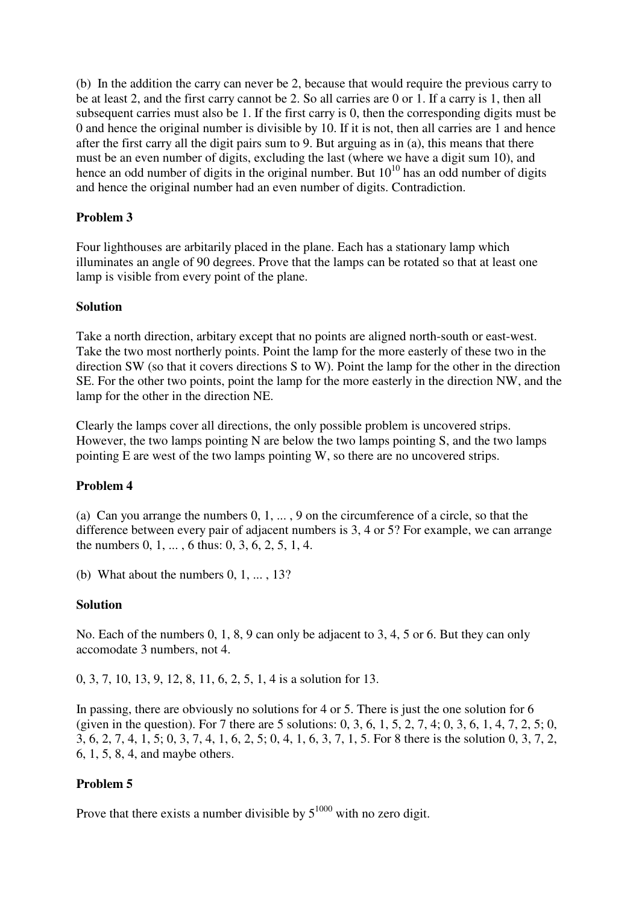(b) In the addition the carry can never be 2, because that would require the previous carry to be at least 2, and the first carry cannot be 2. So all carries are 0 or 1. If a carry is 1, then all subsequent carries must also be 1. If the first carry is 0, then the corresponding digits must be 0 and hence the original number is divisible by 10. If it is not, then all carries are 1 and hence after the first carry all the digit pairs sum to 9. But arguing as in (a), this means that there must be an even number of digits, excluding the last (where we have a digit sum 10), and hence an odd number of digits in the original number. But  $10^{10}$  has an odd number of digits and hence the original number had an even number of digits. Contradiction.

## **Problem 3**

Four lighthouses are arbitarily placed in the plane. Each has a stationary lamp which illuminates an angle of 90 degrees. Prove that the lamps can be rotated so that at least one lamp is visible from every point of the plane.

#### **Solution**

Take a north direction, arbitary except that no points are aligned north-south or east-west. Take the two most northerly points. Point the lamp for the more easterly of these two in the direction SW (so that it covers directions S to W). Point the lamp for the other in the direction SE. For the other two points, point the lamp for the more easterly in the direction NW, and the lamp for the other in the direction NE.

Clearly the lamps cover all directions, the only possible problem is uncovered strips. However, the two lamps pointing N are below the two lamps pointing S, and the two lamps pointing E are west of the two lamps pointing W, so there are no uncovered strips.

### **Problem 4**

(a) Can you arrange the numbers 0, 1, ... , 9 on the circumference of a circle, so that the difference between every pair of adjacent numbers is 3, 4 or 5? For example, we can arrange the numbers 0, 1, ... , 6 thus: 0, 3, 6, 2, 5, 1, 4.

(b) What about the numbers  $0, 1, \ldots, 13$ ?

### **Solution**

No. Each of the numbers 0, 1, 8, 9 can only be adjacent to 3, 4, 5 or 6. But they can only accomodate 3 numbers, not 4.

0, 3, 7, 10, 13, 9, 12, 8, 11, 6, 2, 5, 1, 4 is a solution for 13.

In passing, there are obviously no solutions for 4 or 5. There is just the one solution for 6 (given in the question). For 7 there are 5 solutions:  $0, 3, 6, 1, 5, 2, 7, 4, 0, 3, 6, 1, 4, 7, 2, 5, 0$ , 3, 6, 2, 7, 4, 1, 5; 0, 3, 7, 4, 1, 6, 2, 5; 0, 4, 1, 6, 3, 7, 1, 5. For 8 there is the solution 0, 3, 7, 2, 6, 1, 5, 8, 4, and maybe others.

### **Problem 5**

Prove that there exists a number divisible by  $5^{1000}$  with no zero digit.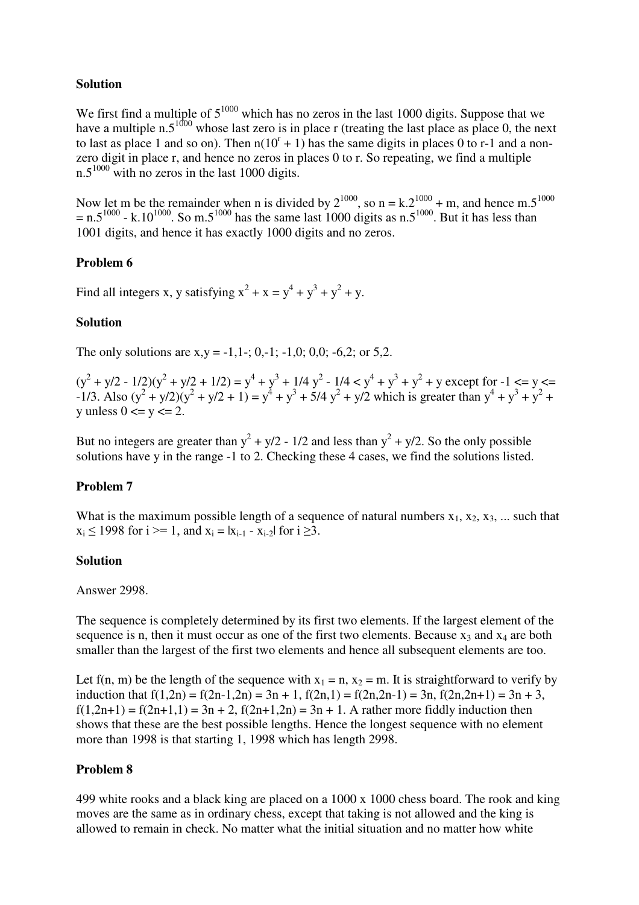### **Solution**

We first find a multiple of  $5^{1000}$  which has no zeros in the last 1000 digits. Suppose that we have a multiple n.5<sup>1000</sup> whose last zero is in place r (treating the last place as place 0, the next to last as place 1 and so on). Then  $n(10^{r} + 1)$  has the same digits in places 0 to r-1 and a nonzero digit in place r, and hence no zeros in places 0 to r. So repeating, we find a multiple  $n.5^{1000}$  with no zeros in the last 1000 digits.

Now let m be the remainder when n is divided by  $2^{1000}$ , so n = k. $2^{1000}$  + m, and hence m.5<sup>1000</sup>  $=$  n.5<sup>1000</sup> - k.10<sup>1000</sup>. So m.5<sup>1000</sup> has the same last 1000 digits as n.5<sup>1000</sup>. But it has less than 1001 digits, and hence it has exactly 1000 digits and no zeros.

#### **Problem 6**

Find all integers x, y satisfying  $x^2 + x = y^4 + y^3 + y^2 + y$ .

#### **Solution**

The only solutions are  $x,y = -1,1-(0,-1)-1,0; 0,0; -6,2;$  or 5,2.

 $(y^{2} + y/2 - 1/2)(y^{2} + y/2 + 1/2) = y^{4} + y^{3} + 1/4y^{2} - 1/4 < y^{4} + y^{3} + y^{2} + y$  except for  $-1 \le y \le z$  $-1/3$ . Also  $(y^2 + y/2)(y^2 + y/2 + 1) = y^4 + y^3 + 5/4y^2 + y/2$  which is greater than  $y^4 + y^3 + y^2 + y/2$  $y$  unless  $0 \le y \le 2$ .

But no integers are greater than  $y^2 + y/2 - 1/2$  and less than  $y^2 + y/2$ . So the only possible solutions have y in the range -1 to 2. Checking these 4 cases, we find the solutions listed.

### **Problem 7**

What is the maximum possible length of a sequence of natural numbers  $x_1, x_2, x_3, ...$  such that  $x_i \le 1998$  for  $i \ge 1$ , and  $x_i = |x_{i-1} - x_{i-2}|$  for  $i \ge 3$ .

#### **Solution**

Answer 2998.

The sequence is completely determined by its first two elements. If the largest element of the sequence is n, then it must occur as one of the first two elements. Because  $x_3$  and  $x_4$  are both smaller than the largest of the first two elements and hence all subsequent elements are too.

Let f(n, m) be the length of the sequence with  $x_1 = n$ ,  $x_2 = m$ . It is straightforward to verify by induction that  $f(1,2n) = f(2n-1,2n) = 3n + 1$ ,  $f(2n,1) = f(2n,2n-1) = 3n$ ,  $f(2n,2n+1) = 3n + 3$ ,  $f(1,2n+1) = f(2n+1,1) = 3n + 2$ ,  $f(2n+1,2n) = 3n + 1$ . A rather more fiddly induction then shows that these are the best possible lengths. Hence the longest sequence with no element more than 1998 is that starting 1, 1998 which has length 2998.

### **Problem 8**

499 white rooks and a black king are placed on a 1000 x 1000 chess board. The rook and king moves are the same as in ordinary chess, except that taking is not allowed and the king is allowed to remain in check. No matter what the initial situation and no matter how white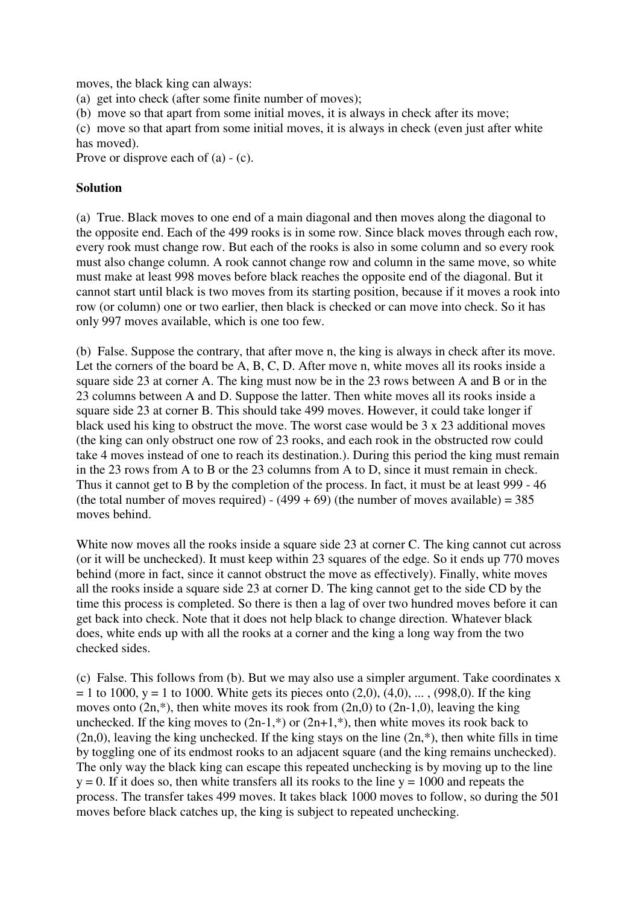moves, the black king can always:

(a) get into check (after some finite number of moves);

(b) move so that apart from some initial moves, it is always in check after its move;

(c) move so that apart from some initial moves, it is always in check (even just after white has moved).

Prove or disprove each of (a) - (c).

#### **Solution**

(a) True. Black moves to one end of a main diagonal and then moves along the diagonal to the opposite end. Each of the 499 rooks is in some row. Since black moves through each row, every rook must change row. But each of the rooks is also in some column and so every rook must also change column. A rook cannot change row and column in the same move, so white must make at least 998 moves before black reaches the opposite end of the diagonal. But it cannot start until black is two moves from its starting position, because if it moves a rook into row (or column) one or two earlier, then black is checked or can move into check. So it has only 997 moves available, which is one too few.

(b) False. Suppose the contrary, that after move n, the king is always in check after its move. Let the corners of the board be A, B, C, D. After move n, white moves all its rooks inside a square side 23 at corner A. The king must now be in the 23 rows between A and B or in the 23 columns between A and D. Suppose the latter. Then white moves all its rooks inside a square side 23 at corner B. This should take 499 moves. However, it could take longer if black used his king to obstruct the move. The worst case would be 3 x 23 additional moves (the king can only obstruct one row of 23 rooks, and each rook in the obstructed row could take 4 moves instead of one to reach its destination.). During this period the king must remain in the 23 rows from A to B or the 23 columns from A to D, since it must remain in check. Thus it cannot get to B by the completion of the process. In fact, it must be at least 999 - 46 (the total number of moves required) -  $(499 + 69)$  (the number of moves available) = 385 moves behind.

White now moves all the rooks inside a square side 23 at corner C. The king cannot cut across (or it will be unchecked). It must keep within 23 squares of the edge. So it ends up 770 moves behind (more in fact, since it cannot obstruct the move as effectively). Finally, white moves all the rooks inside a square side 23 at corner D. The king cannot get to the side CD by the time this process is completed. So there is then a lag of over two hundred moves before it can get back into check. Note that it does not help black to change direction. Whatever black does, white ends up with all the rooks at a corner and the king a long way from the two checked sides.

(c) False. This follows from (b). But we may also use a simpler argument. Take coordinates x  $= 1$  to 1000, y = 1 to 1000. White gets its pieces onto (2,0), (4,0), ..., (998,0). If the king moves onto  $(2n, *),$  then white moves its rook from  $(2n, 0)$  to  $(2n-1, 0)$ , leaving the king unchecked. If the king moves to  $(2n-1,*)$  or  $(2n+1,*)$ , then white moves its rook back to  $(2n,0)$ , leaving the king unchecked. If the king stays on the line  $(2n,*)$ , then white fills in time by toggling one of its endmost rooks to an adjacent square (and the king remains unchecked). The only way the black king can escape this repeated unchecking is by moving up to the line  $y = 0$ . If it does so, then white transfers all its rooks to the line  $y = 1000$  and repeats the process. The transfer takes 499 moves. It takes black 1000 moves to follow, so during the 501 moves before black catches up, the king is subject to repeated unchecking.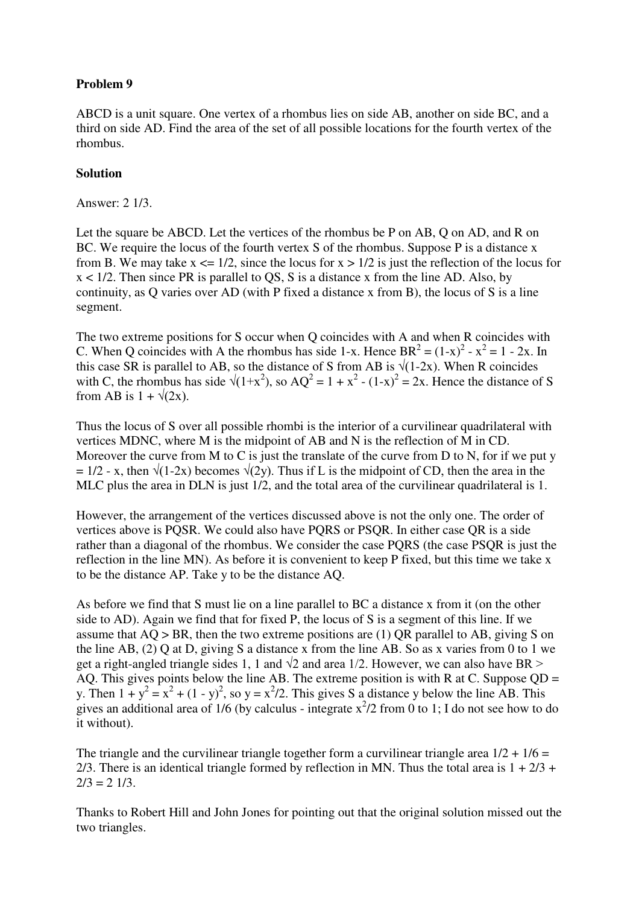ABCD is a unit square. One vertex of a rhombus lies on side AB, another on side BC, and a third on side AD. Find the area of the set of all possible locations for the fourth vertex of the rhombus.

#### **Solution**

Answer: 2 1/3.

Let the square be ABCD. Let the vertices of the rhombus be P on AB, Q on AD, and R on BC. We require the locus of the fourth vertex S of the rhombus. Suppose P is a distance x from B. We may take  $x \le 1/2$ , since the locus for  $x > 1/2$  is just the reflection of the locus for x < 1/2. Then since PR is parallel to QS, S is a distance x from the line AD. Also, by continuity, as Q varies over AD (with P fixed a distance x from B), the locus of S is a line segment.

The two extreme positions for S occur when Q coincides with A and when R coincides with C. When Q coincides with A the rhombus has side 1-x. Hence  $BR^2 = (1-x)^2 - x^2 = 1 - 2x$ . In this case SR is parallel to AB, so the distance of S from AB is  $\sqrt{(1-2x)}$ . When R coincides with C, the rhombus has side  $\sqrt{(1+x^2)}$ , so AQ<sup>2</sup> = 1 + x<sup>2</sup> - (1-x)<sup>2</sup> = 2x. Hence the distance of S from AB is  $1 + \sqrt{2x}$ .

Thus the locus of S over all possible rhombi is the interior of a curvilinear quadrilateral with vertices MDNC, where M is the midpoint of AB and N is the reflection of M in CD. Moreover the curve from M to C is just the translate of the curve from D to N, for if we put y  $= 1/2$  - x, then  $\sqrt{(1-2x)}$  becomes  $\sqrt{(2y)}$ . Thus if L is the midpoint of CD, then the area in the MLC plus the area in DLN is just 1/2, and the total area of the curvilinear quadrilateral is 1.

However, the arrangement of the vertices discussed above is not the only one. The order of vertices above is PQSR. We could also have PQRS or PSQR. In either case QR is a side rather than a diagonal of the rhombus. We consider the case PQRS (the case PSQR is just the reflection in the line MN). As before it is convenient to keep P fixed, but this time we take x to be the distance AP. Take y to be the distance AQ.

As before we find that S must lie on a line parallel to BC a distance x from it (on the other side to AD). Again we find that for fixed P, the locus of S is a segment of this line. If we assume that  $AQ > BR$ , then the two extreme positions are (1)  $QR$  parallel to  $AB$ , giving S on the line AB, (2) Q at D, giving S a distance x from the line AB. So as x varies from 0 to 1 we get a right-angled triangle sides 1, 1 and  $\sqrt{2}$  and area 1/2. However, we can also have BR > AO. This gives points below the line AB. The extreme position is with R at C. Suppose  $OD =$ y. Then  $1 + y^2 = x^2 + (1 - y)^2$ , so  $y = x^2/2$ . This gives S a distance y below the line AB. This gives an additional area of  $1/6$  (by calculus - integrate  $x^2/2$  from 0 to 1; I do not see how to do it without).

The triangle and the curvilinear triangle together form a curvilinear triangle area  $1/2 + 1/6 =$ 2/3. There is an identical triangle formed by reflection in MN. Thus the total area is  $1 + 2/3 + 1$  $2/3 = 2 \frac{1}{3}$ .

Thanks to Robert Hill and John Jones for pointing out that the original solution missed out the two triangles.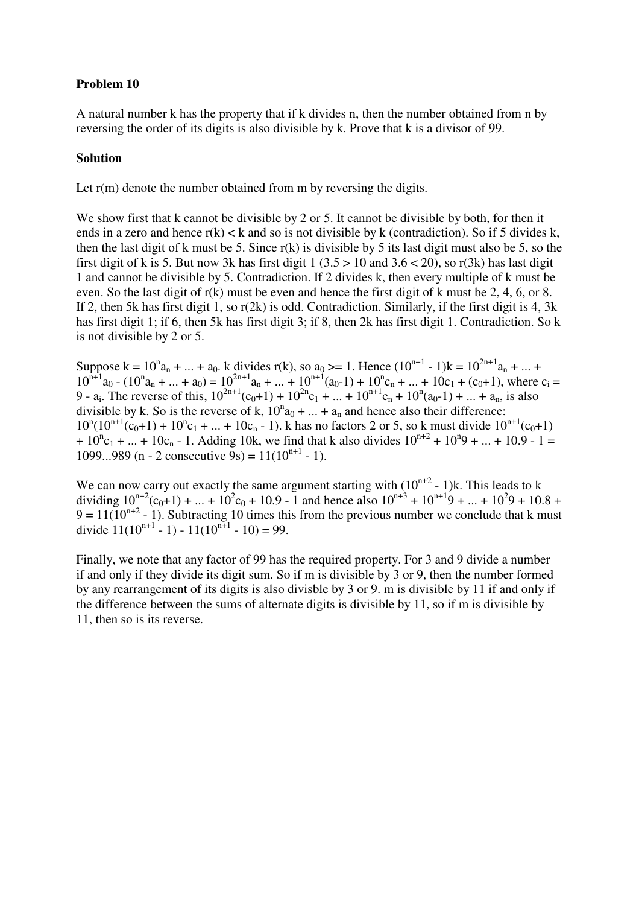A natural number k has the property that if k divides n, then the number obtained from n by reversing the order of its digits is also divisible by k. Prove that k is a divisor of 99.

#### **Solution**

Let r(m) denote the number obtained from m by reversing the digits.

We show first that k cannot be divisible by 2 or 5. It cannot be divisible by both, for then it ends in a zero and hence  $r(k) < k$  and so is not divisible by k (contradiction). So if 5 divides k, then the last digit of k must be 5. Since  $r(k)$  is divisible by 5 its last digit must also be 5, so the first digit of k is 5. But now 3k has first digit  $1 (3.5 > 10$  and  $3.6 < 20$ ), so r(3k) has last digit 1 and cannot be divisible by 5. Contradiction. If 2 divides k, then every multiple of k must be even. So the last digit of r(k) must be even and hence the first digit of k must be 2, 4, 6, or 8. If 2, then 5k has first digit 1, so r(2k) is odd. Contradiction. Similarly, if the first digit is 4, 3k has first digit 1; if 6, then 5k has first digit 3; if 8, then 2k has first digit 1. Contradiction. So k is not divisible by 2 or 5.

Suppose  $k = 10^n a_n + ... + a_0$ . k divides r(k), so  $a_0 \ge 1$ . Hence  $(10^{n+1} - 1)k = 10^{2n+1} a_n + ... + a_0$  $10^{n+1}a_0 - (10^n a_n + ... + a_0) = 10^{2n+1}a_n + ... + 10^{n+1}(a_0-1) + 10^n c_n + ... + 10c_1 + (c_0+1)$ , where  $c_1 =$ 9 - a<sub>i</sub>. The reverse of this,  $10^{2n+1}(c_0+1) + 10^{2n}c_1 + ... + 10^{n+1}c_n + 10^n(a_0-1) + ... + a_n$ , is also divisible by k. So is the reverse of k,  $10^n a_0 + ... + a_n$  and hence also their difference:  $10^{n}(10^{n+1}(c_0+1) + 10^{n}c_1 + ... + 10c_n - 1)$ . k has no factors 2 or 5, so k must divide  $10^{n+1}(c_0+1)$ +  $10^{\circ}$ c<sub>1</sub> + ... +  $10$ c<sub>n</sub> - 1. Adding 10k, we find that k also divides  $10^{\circ}$ <sup>n+2</sup> +  $10^{\circ}$  9 + ... + 10.9 - 1 = 1099...989 (n - 2 consecutive 9s) =  $11(10^{n+1} - 1)$ .

We can now carry out exactly the same argument starting with  $(10^{n+2} - 1)$ k. This leads to k dividing  $10^{n+2}(c_0+1) + ... + 10^2c_0 + 10.9 - 1$  and hence also  $10^{n+3} + 10^{n+1}9 + ... + 10^29 + 10.8 + 10^29$  $9 = 11(10^{n+2} - 1)$ . Subtracting 10 times this from the previous number we conclude that k must divide  $11(10^{n+1} - 1) - 11(10^{n+1} - 10) = 99$ .

Finally, we note that any factor of 99 has the required property. For 3 and 9 divide a number if and only if they divide its digit sum. So if m is divisible by 3 or 9, then the number formed by any rearrangement of its digits is also divisble by 3 or 9. m is divisible by 11 if and only if the difference between the sums of alternate digits is divisible by 11, so if m is divisible by 11, then so is its reverse.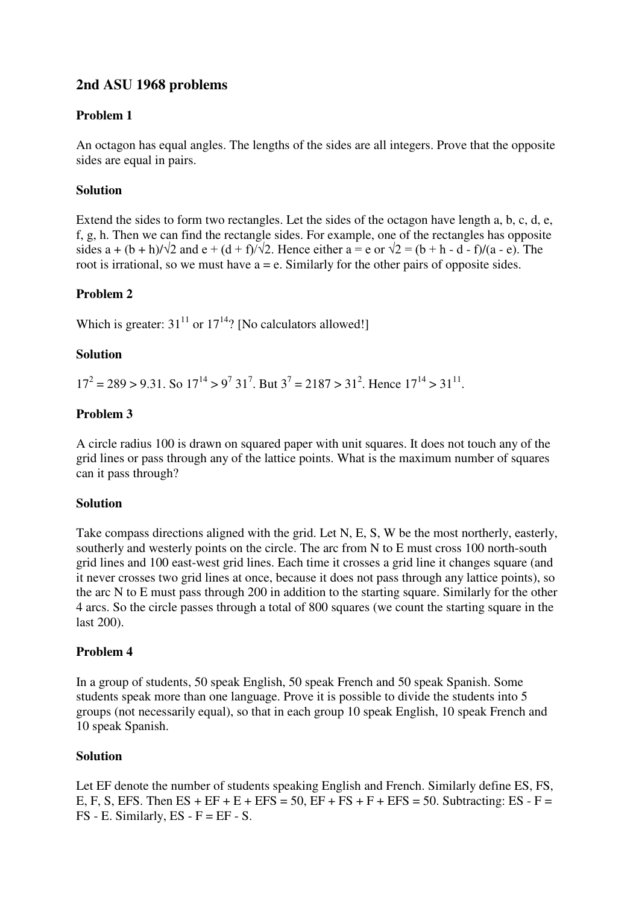# **2nd ASU 1968 problems**

# **Problem 1**

An octagon has equal angles. The lengths of the sides are all integers. Prove that the opposite sides are equal in pairs.

# **Solution**

Extend the sides to form two rectangles. Let the sides of the octagon have length a, b, c, d, e, f, g, h. Then we can find the rectangle sides. For example, one of the rectangles has opposite sides a + (b + h)/ $\sqrt{2}$  and e + (d + f)/ $\sqrt{2}$ . Hence either a = e or  $\sqrt{2}$  = (b + h - d - f)/(a - e). The root is irrational, so we must have  $a = e$ . Similarly for the other pairs of opposite sides.

# **Problem 2**

Which is greater:  $31^{11}$  or  $17^{14}$ ? [No calculators allowed!]

#### **Solution**

 $17^2 = 289 > 9.31$ . So  $17^{14} > 9^7 31^7$ . But  $3^7 = 2187 > 31^2$ . Hence  $17^{14} > 31^{11}$ .

### **Problem 3**

A circle radius 100 is drawn on squared paper with unit squares. It does not touch any of the grid lines or pass through any of the lattice points. What is the maximum number of squares can it pass through?

### **Solution**

Take compass directions aligned with the grid. Let N, E, S, W be the most northerly, easterly, southerly and westerly points on the circle. The arc from N to E must cross 100 north-south grid lines and 100 east-west grid lines. Each time it crosses a grid line it changes square (and it never crosses two grid lines at once, because it does not pass through any lattice points), so the arc N to E must pass through 200 in addition to the starting square. Similarly for the other 4 arcs. So the circle passes through a total of 800 squares (we count the starting square in the last 200).

### **Problem 4**

In a group of students, 50 speak English, 50 speak French and 50 speak Spanish. Some students speak more than one language. Prove it is possible to divide the students into 5 groups (not necessarily equal), so that in each group 10 speak English, 10 speak French and 10 speak Spanish.

### **Solution**

Let EF denote the number of students speaking English and French. Similarly define ES, FS, E, F, S, EFS. Then  $ES + EF + E + EFS = 50$ ,  $EF + FS + F + EFS = 50$ . Subtracting:  $ES - F =$  $FS$  - E. Similarly,  $ES$  -  $F = EF - S$ .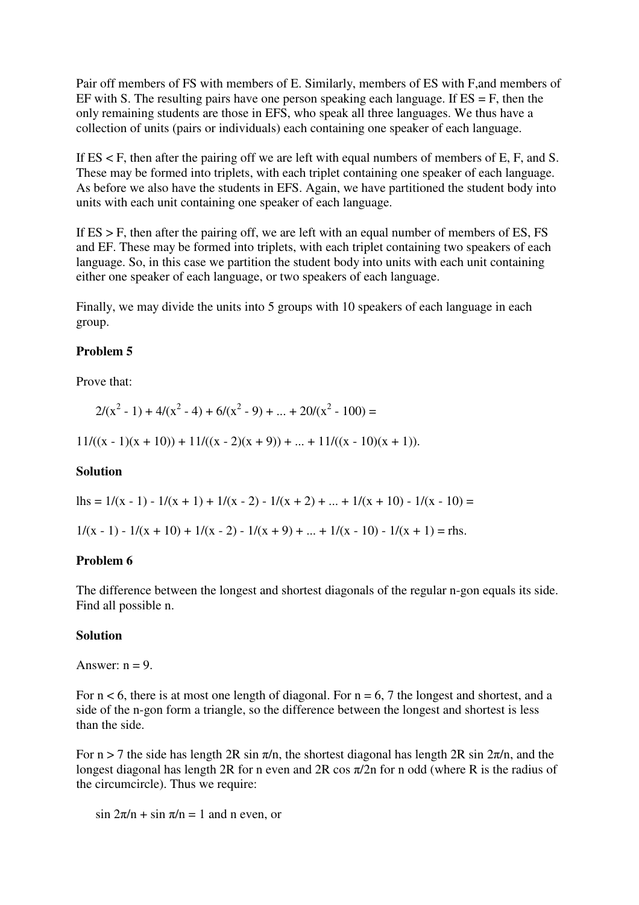Pair off members of FS with members of E. Similarly, members of ES with F,and members of EF with S. The resulting pairs have one person speaking each language. If  $ES = F$ , then the only remaining students are those in EFS, who speak all three languages. We thus have a collection of units (pairs or individuals) each containing one speaker of each language.

If ES < F, then after the pairing off we are left with equal numbers of members of E, F, and S. These may be formed into triplets, with each triplet containing one speaker of each language. As before we also have the students in EFS. Again, we have partitioned the student body into units with each unit containing one speaker of each language.

If  $ES > F$ , then after the pairing off, we are left with an equal number of members of  $ES$ ,  $FS$ and EF. These may be formed into triplets, with each triplet containing two speakers of each language. So, in this case we partition the student body into units with each unit containing either one speaker of each language, or two speakers of each language.

Finally, we may divide the units into 5 groups with 10 speakers of each language in each group.

#### **Problem 5**

Prove that:

$$
2/(x^2 - 1) + 4/(x^2 - 4) + 6/(x^2 - 9) + \dots + 20/(x^2 - 100) =
$$

 $11/((x - 1)(x + 10)) + 11/((x - 2)(x + 9)) + ... + 11/((x - 10)(x + 1)).$ 

### **Solution**

lhs =  $1/(x - 1) - 1/(x + 1) + 1/(x - 2) - 1/(x + 2) + ... + 1/(x + 10) - 1/(x - 10) =$ 

 $1/(x-1) - 1/(x+10) + 1/(x-2) - 1/(x+9) + ... + 1/(x-10) - 1/(x+1) =$ rhs.

#### **Problem 6**

The difference between the longest and shortest diagonals of the regular n-gon equals its side. Find all possible n.

#### **Solution**

Answer:  $n = 9$ .

For  $n < 6$ , there is at most one length of diagonal. For  $n = 6$ , 7 the longest and shortest, and a side of the n-gon form a triangle, so the difference between the longest and shortest is less than the side.

For  $n > 7$  the side has length 2R sin  $\pi/n$ , the shortest diagonal has length 2R sin  $2\pi/n$ , and the longest diagonal has length 2R for n even and 2R cos  $\pi/2$ n for n odd (where R is the radius of the circumcircle). Thus we require:

 $\sin 2\pi/n + \sin \pi/n = 1$  and n even, or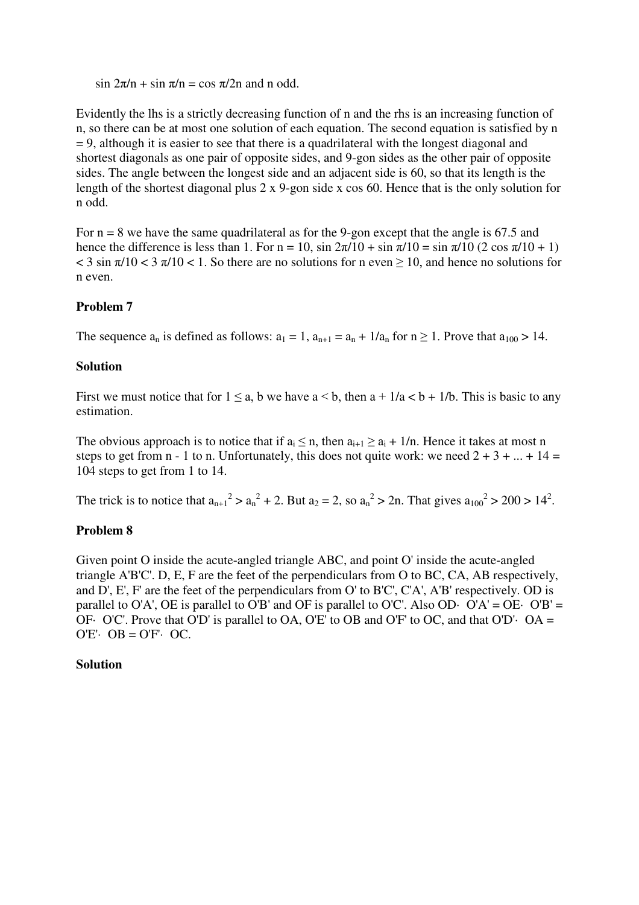$\sin 2\pi/n + \sin \pi/n = \cos \pi/2n$  and n odd.

Evidently the lhs is a strictly decreasing function of n and the rhs is an increasing function of n, so there can be at most one solution of each equation. The second equation is satisfied by n  $= 9$ , although it is easier to see that there is a quadrilateral with the longest diagonal and shortest diagonals as one pair of opposite sides, and 9-gon sides as the other pair of opposite sides. The angle between the longest side and an adjacent side is 60, so that its length is the length of the shortest diagonal plus 2 x 9-gon side x cos 60. Hence that is the only solution for n odd.

For  $n = 8$  we have the same quadrilateral as for the 9-gon except that the angle is 67.5 and hence the difference is less than 1. For  $n = 10$ ,  $\sin 2\pi/10 + \sin \pi/10 = \sin \pi/10 (2 \cos \pi/10 + 1)$  $\lt$  3 sin  $\pi/10$   $\lt$  3  $\pi/10$   $\lt$  1. So there are no solutions for n even  $\geq$  10, and hence no solutions for n even.

### **Problem 7**

The sequence  $a_n$  is defined as follows:  $a_1 = 1$ ,  $a_{n+1} = a_n + 1/a_n$  for  $n \ge 1$ . Prove that  $a_{100} > 14$ .

#### **Solution**

First we must notice that for  $1 \le a$ , b we have  $a \le b$ , then  $a + 1/a < b + 1/b$ . This is basic to any estimation.

The obvious approach is to notice that if  $a_i \le n$ , then  $a_{i+1} \ge a_i + 1/n$ . Hence it takes at most n steps to get from n - 1 to n. Unfortunately, this does not quite work: we need  $2 + 3 + ... + 14 =$ 104 steps to get from 1 to 14.

The trick is to notice that  $a_{n+1}^2 > a_n^2 + 2$ . But  $a_2 = 2$ , so  $a_n^2 > 2n$ . That gives  $a_{100}^2 > 200 > 14^2$ .

### **Problem 8**

Given point O inside the acute-angled triangle ABC, and point O' inside the acute-angled triangle A'B'C'. D, E, F are the feet of the perpendiculars from O to BC, CA, AB respectively, and D', E', F' are the feet of the perpendiculars from O' to B'C', C'A', A'B' respectively. OD is parallel to O'A', OE is parallel to O'B' and OF is parallel to O'C'. Also OD $\cdot$  O'A' = OE $\cdot$  O'B' = OF $\cdot$  O'C'. Prove that O'D' is parallel to OA, O'E' to OB and O'F' to OC, and that O'D' $\cdot$  OA =  $O'E' \cdot OB = O'F' \cdot OC$ .

#### **Solution**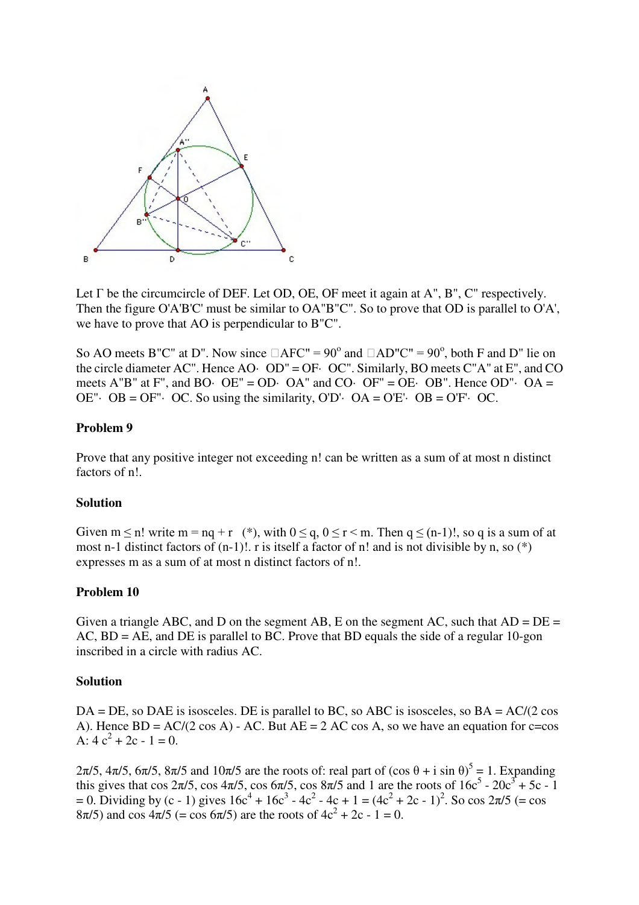

Let  $\Gamma$  be the circumcircle of DEF. Let OD, OE, OF meet it again at A", B", C" respectively. Then the figure O'A'B'C' must be similar to OA"B"C". So to prove that OD is parallel to O'A', we have to prove that AO is perpendicular to B"C".

So AO meets B"C" at D". Now since  $\Box$ AFC" = 90° and  $\Box$ AD"C" = 90°, both F and D" lie on the circle diameter AC". Hence AO· OD" = OF· OC". Similarly, BO meets C"A" at E", and CO meets A"B" at F", and BO· OE" = OD· OA" and CO· OF" = OE· OB". Hence OD"· OA = OE" $\cdot$  OB = OF" $\cdot$  OC. So using the similarity, O'D' $\cdot$  OA = O'E' $\cdot$  OB = O'F' $\cdot$  OC.

#### **Problem 9**

Prove that any positive integer not exceeding n! can be written as a sum of at most n distinct factors of n!.

#### **Solution**

Given  $m \le n!$  write  $m = nq + r$  (\*), with  $0 \le q, 0 \le r \le m$ . Then  $q \le (n-1)!$ , so q is a sum of at most n-1 distinct factors of  $(n-1)!$ . r is itself a factor of n! and is not divisible by n, so  $(*)$ expresses m as a sum of at most n distinct factors of n!.

#### **Problem 10**

Given a triangle ABC, and D on the segment AB, E on the segment AC, such that  $AD = DE =$  $AC$ ,  $BD = AE$ , and  $DE$  is parallel to BC. Prove that BD equals the side of a regular 10-gon inscribed in a circle with radius AC.

#### **Solution**

 $DA = DE$ , so  $DAE$  is isosceles. DE is parallel to BC, so ABC is isosceles, so  $BA = AC/(2 \cos \theta)$ A). Hence  $BD = AC/(2 \cos A) - AC$ . But  $AE = 2 AC \cos A$ , so we have an equation for c=cos A:  $4c^2 + 2c - 1 = 0$ .

 $2\pi/5$ ,  $4\pi/5$ ,  $6\pi/5$ ,  $8\pi/5$  and  $10\pi/5$  are the roots of: real part of  $(\cos \theta + i \sin \theta)^5 = 1$ . Expanding this gives that cos  $2\pi/5$ , cos  $4\pi/5$ , cos  $6\pi/5$ , cos  $8\pi/5$  and 1 are the roots of  $16c^5 - 20c^3 + 5c - 1$ = 0. Dividing by (c - 1) gives  $16c^4 + 16c^3 - 4c^2 - 4c + 1 = (4c^2 + 2c - 1)^2$ . So cos  $2\pi/5$  (= cos  $8\pi/5$ ) and cos  $4\pi/5$  (= cos  $6\pi/5$ ) are the roots of  $4c^2 + 2c - 1 = 0$ .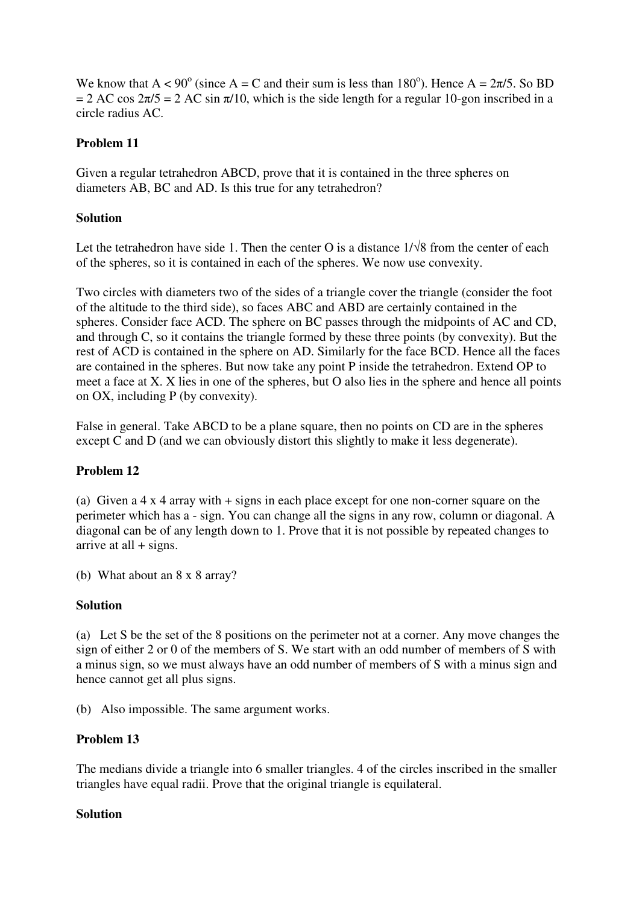We know that  $A < 90^\circ$  (since  $A = C$  and their sum is less than 180°). Hence  $A = 2\pi/5$ . So BD = 2 AC cos  $2\pi/5$  = 2 AC sin  $\pi/10$ , which is the side length for a regular 10-gon inscribed in a circle radius AC.

## **Problem 11**

Given a regular tetrahedron ABCD, prove that it is contained in the three spheres on diameters AB, BC and AD. Is this true for any tetrahedron?

## **Solution**

Let the tetrahedron have side 1. Then the center O is a distance  $1/\sqrt{8}$  from the center of each of the spheres, so it is contained in each of the spheres. We now use convexity.

Two circles with diameters two of the sides of a triangle cover the triangle (consider the foot of the altitude to the third side), so faces ABC and ABD are certainly contained in the spheres. Consider face ACD. The sphere on BC passes through the midpoints of AC and CD, and through C, so it contains the triangle formed by these three points (by convexity). But the rest of ACD is contained in the sphere on AD. Similarly for the face BCD. Hence all the faces are contained in the spheres. But now take any point P inside the tetrahedron. Extend OP to meet a face at X. X lies in one of the spheres, but O also lies in the sphere and hence all points on OX, including P (by convexity).

False in general. Take ABCD to be a plane square, then no points on CD are in the spheres except C and D (and we can obviously distort this slightly to make it less degenerate).

# **Problem 12**

(a) Given a 4 x 4 array with + signs in each place except for one non-corner square on the perimeter which has a - sign. You can change all the signs in any row, column or diagonal. A diagonal can be of any length down to 1. Prove that it is not possible by repeated changes to arrive at all  $+$  signs.

(b) What about an 8 x 8 array?

### **Solution**

(a) Let S be the set of the 8 positions on the perimeter not at a corner. Any move changes the sign of either 2 or 0 of the members of S. We start with an odd number of members of S with a minus sign, so we must always have an odd number of members of S with a minus sign and hence cannot get all plus signs.

(b) Also impossible. The same argument works.

### **Problem 13**

The medians divide a triangle into 6 smaller triangles. 4 of the circles inscribed in the smaller triangles have equal radii. Prove that the original triangle is equilateral.

### **Solution**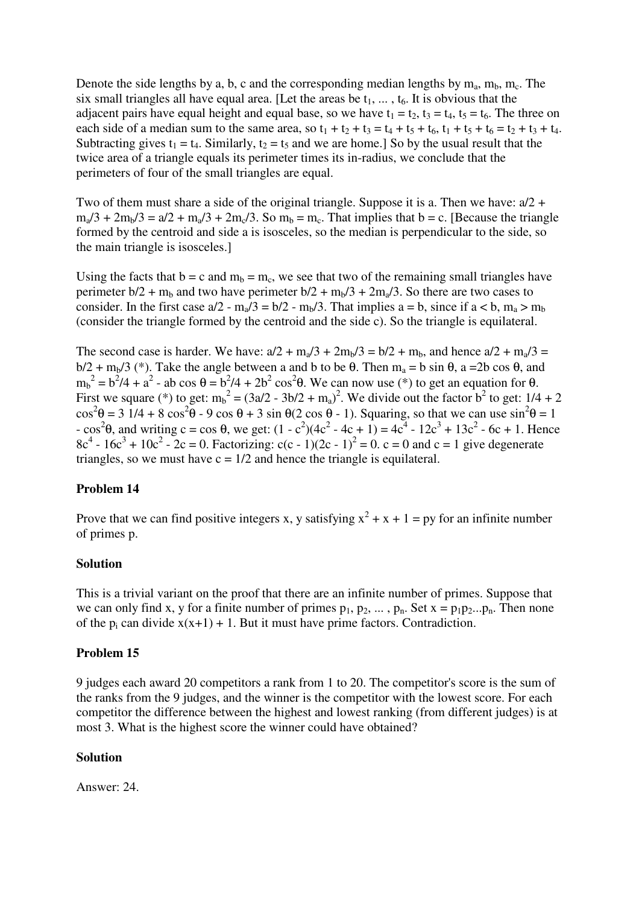Denote the side lengths by a, b, c and the corresponding median lengths by  $m_a$ ,  $m_b$ ,  $m_c$ . The six small triangles all have equal area. [Let the areas be  $t_1, \ldots, t_6$ . It is obvious that the adjacent pairs have equal height and equal base, so we have  $t_1 = t_2$ ,  $t_3 = t_4$ ,  $t_5 = t_6$ . The three on each side of a median sum to the same area, so  $t_1 + t_2 + t_3 = t_4 + t_5 + t_6$ ,  $t_1 + t_5 + t_6 = t_2 + t_3 + t_4$ . Subtracting gives  $t_1 = t_4$ . Similarly,  $t_2 = t_5$  and we are home.] So by the usual result that the twice area of a triangle equals its perimeter times its in-radius, we conclude that the perimeters of four of the small triangles are equal.

Two of them must share a side of the original triangle. Suppose it is a. Then we have:  $a/2 + b$  $m_a/3 + 2m_b/3 = a/2 + m_a/3 + 2m_c/3$ . So  $m_b = m_c$ . That implies that  $b = c$ . [Because the triangle formed by the centroid and side a is isosceles, so the median is perpendicular to the side, so the main triangle is isosceles.]

Using the facts that  $b = c$  and  $m_b = m_c$ , we see that two of the remaining small triangles have perimeter  $b/2 + m_b$  and two have perimeter  $b/2 + m_b/3 + 2m_a/3$ . So there are two cases to consider. In the first case  $a/2 - m_a/3 = b/2 - m_b/3$ . That implies  $a = b$ , since if  $a < b$ ,  $m_a > m_b$ (consider the triangle formed by the centroid and the side c). So the triangle is equilateral.

The second case is harder. We have:  $a/2 + m_a/3 + 2m_b/3 = b/2 + m_b$ , and hence  $a/2 + m_a/3 =$  $b/2 + m_b/3$  (\*). Take the angle between a and b to be  $\theta$ . Then  $m_a = b \sin \theta$ , a =2b cos  $\theta$ , and  $m_b^2 = b^2/4 + a^2$  - ab cos  $\theta = b^2/4 + 2b^2 \cos^2{\theta}$ . We can now use (\*) to get an equation for  $\theta$ . First we square (\*) to get:  $m_b^2 = (3a/2 - 3b/2 + m_a)^2$ . We divide out the factor  $b^2$  to get:  $1/4 + 2$  $\cos^2\theta = 31/4 + 8 \cos^2\theta - 9 \cos\theta + 3 \sin\theta (2 \cos\theta - 1)$ . Squaring, so that we can use  $\sin^2\theta = 1$  $\cos^2\theta$ , and writing c = cos θ, we get:  $(1 - c^2)(4c^2 - 4c + 1) = 4c^4 - 12c^3 + 13c^2 - 6c + 1$ . Hence  $8c^4 - 16c^3 + 10c^2 - 2c = 0$ . Factorizing:  $c(c - 1)(2c - 1)^2 = 0$ .  $c = 0$  and  $c = 1$  give degenerate triangles, so we must have  $c = 1/2$  and hence the triangle is equilateral.

### **Problem 14**

Prove that we can find positive integers x, y satisfying  $x^2 + x + 1 = py$  for an infinite number of primes p.

#### **Solution**

This is a trivial variant on the proof that there are an infinite number of primes. Suppose that we can only find x, y for a finite number of primes  $p_1, p_2, \ldots, p_n$ . Set  $x = p_1p_2...p_n$ . Then none of the  $p_i$  can divide  $x(x+1) + 1$ . But it must have prime factors. Contradiction.

#### **Problem 15**

9 judges each award 20 competitors a rank from 1 to 20. The competitor's score is the sum of the ranks from the 9 judges, and the winner is the competitor with the lowest score. For each competitor the difference between the highest and lowest ranking (from different judges) is at most 3. What is the highest score the winner could have obtained?

#### **Solution**

Answer: 24.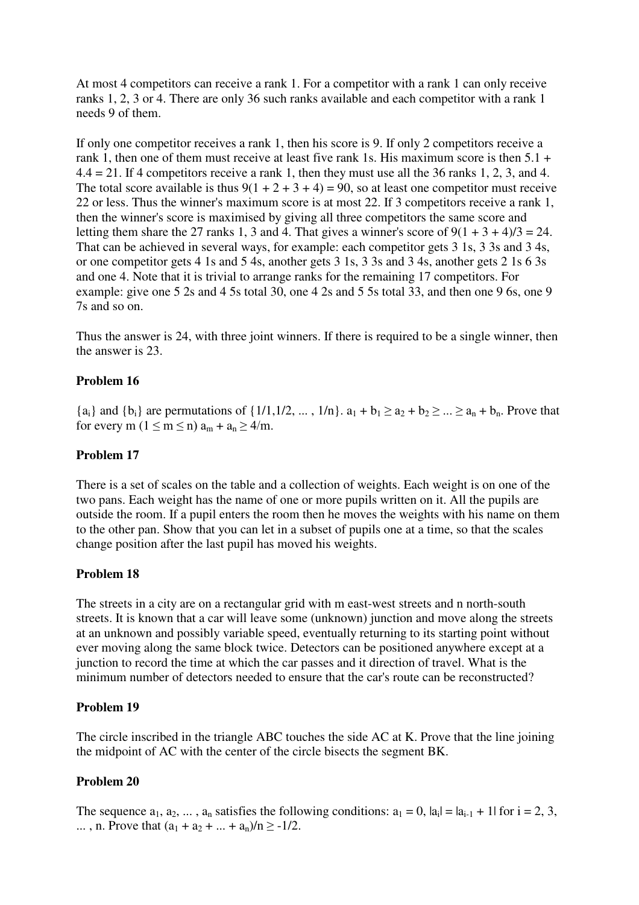At most 4 competitors can receive a rank 1. For a competitor with a rank 1 can only receive ranks 1, 2, 3 or 4. There are only 36 such ranks available and each competitor with a rank 1 needs 9 of them.

If only one competitor receives a rank 1, then his score is 9. If only 2 competitors receive a rank 1, then one of them must receive at least five rank 1s. His maximum score is then 5.1 +  $4.4 = 21$ . If 4 competitors receive a rank 1, then they must use all the 36 ranks 1, 2, 3, and 4. The total score available is thus  $9(1 + 2 + 3 + 4) = 90$ , so at least one competitor must receive 22 or less. Thus the winner's maximum score is at most 22. If 3 competitors receive a rank 1, then the winner's score is maximised by giving all three competitors the same score and letting them share the 27 ranks 1, 3 and 4. That gives a winner's score of  $9(1 + 3 + 4)/3 = 24$ . That can be achieved in several ways, for example: each competitor gets 3 1s, 3 3s and 3 4s, or one competitor gets 4 1s and 5 4s, another gets 3 1s, 3 3s and 3 4s, another gets 2 1s 6 3s and one 4. Note that it is trivial to arrange ranks for the remaining 17 competitors. For example: give one 5 2s and 4 5s total 30, one 4 2s and 5 5s total 33, and then one 9 6s, one 9 7s and so on.

Thus the answer is 24, with three joint winners. If there is required to be a single winner, then the answer is 23.

### **Problem 16**

 ${a_i}$  and  ${b_i}$  are permutations of  ${1/1, 1/2, ..., 1/n}$ .  $a_1 + b_1 \ge a_2 + b_2 \ge ... \ge a_n + b_n$ . Prove that for every m ( $1 \le m \le n$ )  $a_m + a_n \ge 4/m$ .

## **Problem 17**

There is a set of scales on the table and a collection of weights. Each weight is on one of the two pans. Each weight has the name of one or more pupils written on it. All the pupils are outside the room. If a pupil enters the room then he moves the weights with his name on them to the other pan. Show that you can let in a subset of pupils one at a time, so that the scales change position after the last pupil has moved his weights.

### **Problem 18**

The streets in a city are on a rectangular grid with m east-west streets and n north-south streets. It is known that a car will leave some (unknown) junction and move along the streets at an unknown and possibly variable speed, eventually returning to its starting point without ever moving along the same block twice. Detectors can be positioned anywhere except at a junction to record the time at which the car passes and it direction of travel. What is the minimum number of detectors needed to ensure that the car's route can be reconstructed?

### **Problem 19**

The circle inscribed in the triangle ABC touches the side AC at K. Prove that the line joining the midpoint of AC with the center of the circle bisects the segment BK.

# **Problem 20**

The sequence  $a_1, a_2, \dots, a_n$  satisfies the following conditions:  $a_1 = 0$ ,  $|a_i| = |a_{i-1} + 1|$  for  $i = 2, 3$ , ..., n. Prove that  $(a_1 + a_2 + ... + a_n)/n \ge -1/2$ .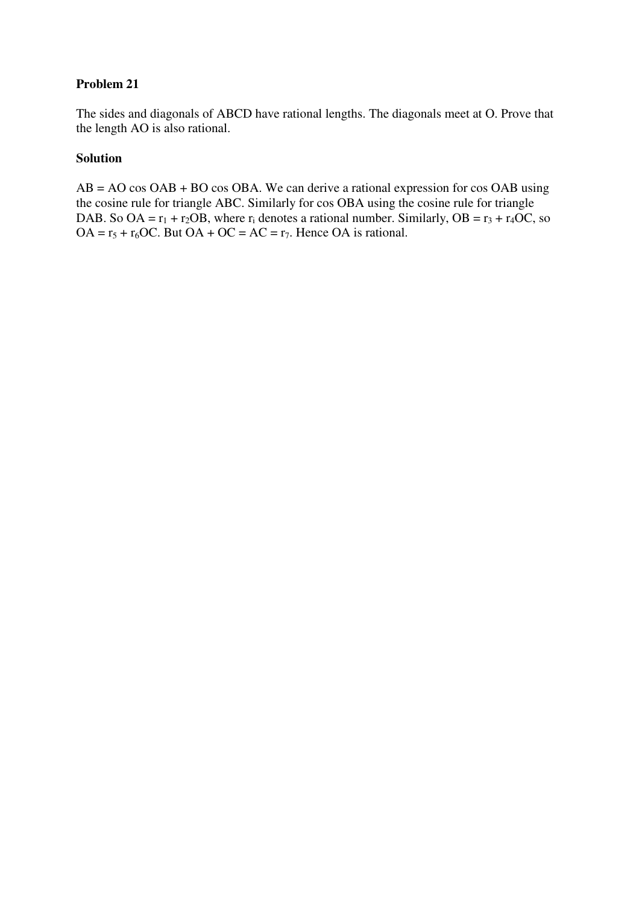The sides and diagonals of ABCD have rational lengths. The diagonals meet at O. Prove that the length AO is also rational.

#### **Solution**

AB = AO cos OAB + BO cos OBA. We can derive a rational expression for cos OAB using the cosine rule for triangle ABC. Similarly for cos OBA using the cosine rule for triangle DAB. So OA =  $r_1$  +  $r_2$ OB, where  $r_i$  denotes a rational number. Similarly, OB =  $r_3$  +  $r_4$ OC, so  $OA = r_5 + r_6OC$ . But  $OA + OC = AC = r_7$ . Hence  $OA$  is rational.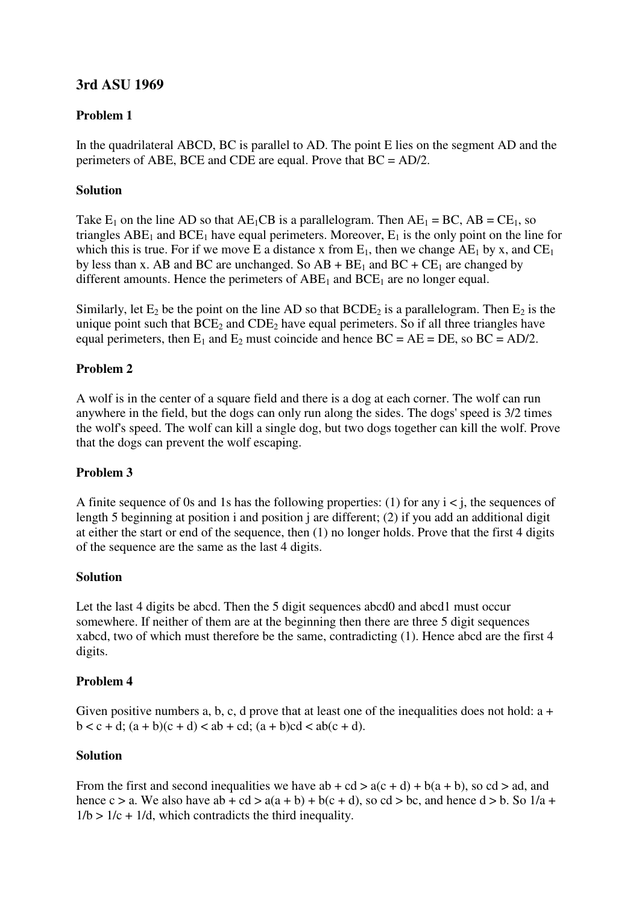# **3rd ASU 1969**

# **Problem 1**

In the quadrilateral ABCD, BC is parallel to AD. The point E lies on the segment AD and the perimeters of ABE, BCE and CDE are equal. Prove that BC = AD/2.

# **Solution**

Take  $E_1$  on the line AD so that  $AE_1CB$  is a parallelogram. Then  $AE_1 = BC$ ,  $AB = CE_1$ , so triangles  $ABE_1$  and  $BCE_1$  have equal perimeters. Moreover,  $E_1$  is the only point on the line for which this is true. For if we move E a distance x from  $E_1$ , then we change  $AE_1$  by x, and  $CE_1$ by less than x. AB and BC are unchanged. So  $AB + BE_1$  and  $BC + CE_1$  are changed by different amounts. Hence the perimeters of  $ABE<sub>1</sub>$  and  $BCE<sub>1</sub>$  are no longer equal.

Similarly, let  $E_2$  be the point on the line AD so that  $BCDE_2$  is a parallelogram. Then  $E_2$  is the unique point such that  $BCE_2$  and  $CDE_2$  have equal perimeters. So if all three triangles have equal perimeters, then  $E_1$  and  $E_2$  must coincide and hence  $BC = AE = DE$ , so  $BC = AD/2$ .

# **Problem 2**

A wolf is in the center of a square field and there is a dog at each corner. The wolf can run anywhere in the field, but the dogs can only run along the sides. The dogs' speed is 3/2 times the wolf's speed. The wolf can kill a single dog, but two dogs together can kill the wolf. Prove that the dogs can prevent the wolf escaping.

### **Problem 3**

A finite sequence of 0s and 1s has the following properties: (1) for any  $i < j$ , the sequences of length 5 beginning at position i and position j are different; (2) if you add an additional digit at either the start or end of the sequence, then (1) no longer holds. Prove that the first 4 digits of the sequence are the same as the last 4 digits.

### **Solution**

Let the last 4 digits be abcd. Then the 5 digit sequences abcd0 and abcd1 must occur somewhere. If neither of them are at the beginning then there are three 5 digit sequences xabcd, two of which must therefore be the same, contradicting (1). Hence abcd are the first 4 digits.

### **Problem 4**

Given positive numbers a, b, c, d prove that at least one of the inequalities does not hold:  $a +$  $b < c + d$ ;  $(a + b)(c + d) < ab + cd$ ;  $(a + b)cd < ab(c + d)$ .

### **Solution**

From the first and second inequalities we have  $ab + cd > a(c + d) + b(a + b)$ , so  $cd > ad$ , and hence c > a. We also have ab + cd >  $a(a + b) + b(c + d)$ , so cd > bc, and hence d > b. So 1/a +  $1/b > 1/c + 1/d$ , which contradicts the third inequality.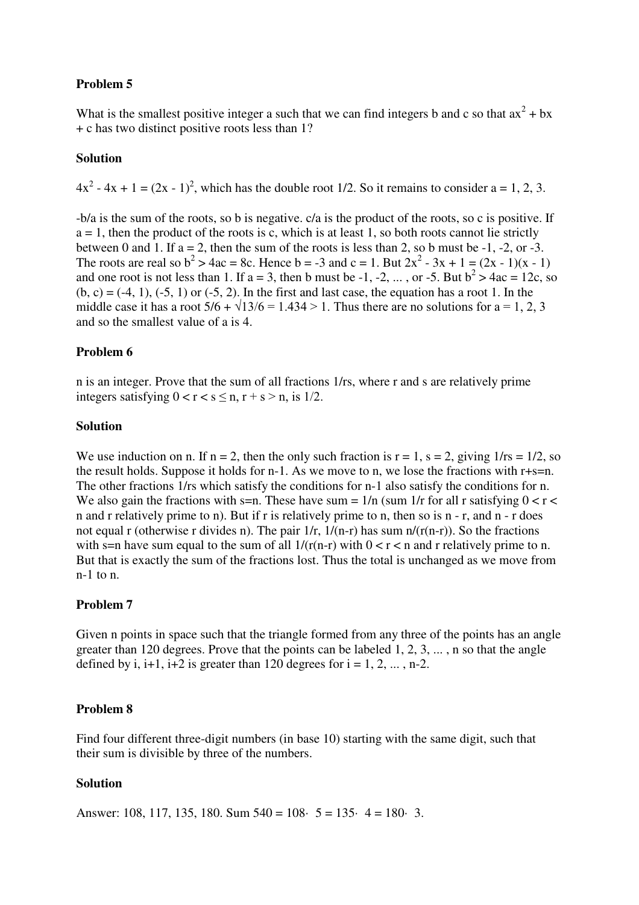What is the smallest positive integer a such that we can find integers b and c so that  $ax^2 + bx$ + c has two distinct positive roots less than 1?

#### **Solution**

 $4x^2 - 4x + 1 = (2x - 1)^2$ , which has the double root 1/2. So it remains to consider a = 1, 2, 3.

-b/a is the sum of the roots, so b is negative. c/a is the product of the roots, so c is positive. If  $a = 1$ , then the product of the roots is c, which is at least 1, so both roots cannot lie strictly between 0 and 1. If  $a = 2$ , then the sum of the roots is less than 2, so b must be  $-1$ ,  $-2$ , or  $-3$ . The roots are real so  $b^2 > 4ac = 8c$ . Hence  $b = -3$  and  $c = 1$ . But  $2x^2 - 3x + 1 = (2x - 1)(x - 1)$ and one root is not less than 1. If  $a = 3$ , then b must be -1, -2, ..., or -5. But  $b^2 > 4ac = 12c$ , so  $(b, c) = (-4, 1), (-5, 1)$  or  $(-5, 2)$ . In the first and last case, the equation has a root 1. In the middle case it has a root  $5/6 + \sqrt{13/6} = 1.434 > 1$ . Thus there are no solutions for a = 1, 2, 3 and so the smallest value of a is 4.

#### **Problem 6**

n is an integer. Prove that the sum of all fractions 1/rs, where r and s are relatively prime integers satisfying  $0 < r < s < n$ ,  $r + s > n$ , is  $1/2$ .

#### **Solution**

We use induction on n. If  $n = 2$ , then the only such fraction is  $r = 1$ ,  $s = 2$ , giving  $1/rs = 1/2$ , so the result holds. Suppose it holds for n-1. As we move to n, we lose the fractions with  $r+s=n$ . The other fractions 1/rs which satisfy the conditions for n-1 also satisfy the conditions for n. We also gain the fractions with s=n. These have sum =  $1/n$  (sum  $1/r$  for all r satisfying  $0 < r <$ n and r relatively prime to n). But if r is relatively prime to n, then so is n - r, and n - r does not equal r (otherwise r divides n). The pair  $1/r$ ,  $1/(n-r)$  has sum  $n/(r(n-r))$ . So the fractions with s=n have sum equal to the sum of all  $1/(r(n-r))$  with  $0 < r < n$  and r relatively prime to n. But that is exactly the sum of the fractions lost. Thus the total is unchanged as we move from n-1 to n.

#### **Problem 7**

Given n points in space such that the triangle formed from any three of the points has an angle greater than 120 degrees. Prove that the points can be labeled 1, 2, 3, ... , n so that the angle defined by i,  $i+1$ ,  $i+2$  is greater than 120 degrees for  $i = 1, 2, \dots, n-2$ .

#### **Problem 8**

Find four different three-digit numbers (in base 10) starting with the same digit, such that their sum is divisible by three of the numbers.

#### **Solution**

Answer: 108, 117, 135, 180. Sum  $540 = 108$ ·  $5 = 135$ ·  $4 = 180$ · 3.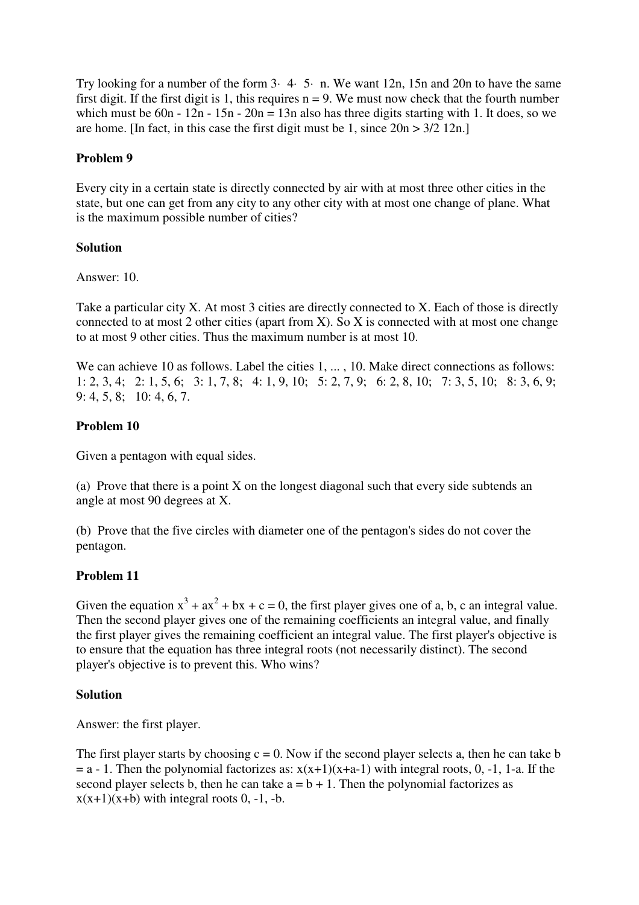Try looking for a number of the form 3· 4· 5· n. We want 12n, 15n and 20n to have the same first digit. If the first digit is 1, this requires  $n = 9$ . We must now check that the fourth number which must be 60n - 12n - 15n - 20n = 13n also has three digits starting with 1. It does, so we are home. [In fact, in this case the first digit must be 1, since  $20n > 3/2$  12n.]

#### **Problem 9**

Every city in a certain state is directly connected by air with at most three other cities in the state, but one can get from any city to any other city with at most one change of plane. What is the maximum possible number of cities?

#### **Solution**

Answer: 10.

Take a particular city X. At most 3 cities are directly connected to X. Each of those is directly connected to at most 2 other cities (apart from X). So X is connected with at most one change to at most 9 other cities. Thus the maximum number is at most 10.

We can achieve 10 as follows. Label the cities 1, ..., 10. Make direct connections as follows: 1: 2, 3, 4; 2: 1, 5, 6; 3: 1, 7, 8; 4: 1, 9, 10; 5: 2, 7, 9; 6: 2, 8, 10; 7: 3, 5, 10; 8: 3, 6, 9; 9: 4, 5, 8; 10: 4, 6, 7.

### **Problem 10**

Given a pentagon with equal sides.

(a) Prove that there is a point X on the longest diagonal such that every side subtends an angle at most 90 degrees at X.

(b) Prove that the five circles with diameter one of the pentagon's sides do not cover the pentagon.

### **Problem 11**

Given the equation  $x^3 + ax^2 + bx + c = 0$ , the first player gives one of a, b, c an integral value. Then the second player gives one of the remaining coefficients an integral value, and finally the first player gives the remaining coefficient an integral value. The first player's objective is to ensure that the equation has three integral roots (not necessarily distinct). The second player's objective is to prevent this. Who wins?

#### **Solution**

Answer: the first player.

The first player starts by choosing  $c = 0$ . Now if the second player selects a, then he can take b  $= a - 1$ . Then the polynomial factorizes as:  $x(x+1)(x+a-1)$  with integral roots, 0, -1, 1-a. If the second player selects b, then he can take  $a = b + 1$ . Then the polynomial factorizes as  $x(x+1)(x+b)$  with integral roots 0, -1, -b.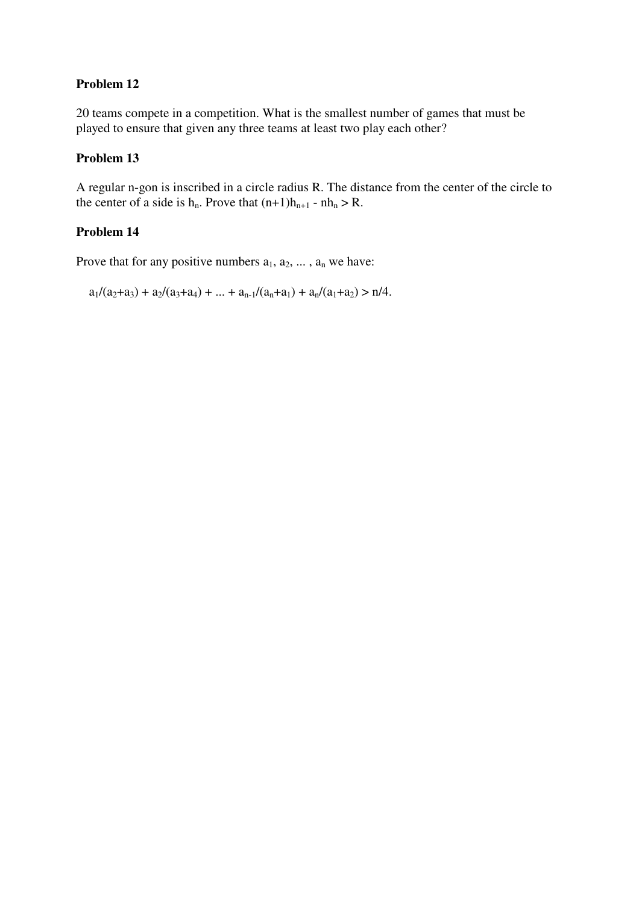20 teams compete in a competition. What is the smallest number of games that must be played to ensure that given any three teams at least two play each other?

#### **Problem 13**

A regular n-gon is inscribed in a circle radius R. The distance from the center of the circle to the center of a side is  $h_n$ . Prove that  $(n+1)h_{n+1}$  -  $nh_n > R$ .

# **Problem 14**

Prove that for any positive numbers  $a_1, a_2, \ldots, a_n$  we have:

 $a_1/(a_2+a_3) + a_2/(a_3+a_4) + ... + a_{n-1}/(a_n+a_1) + a_n/(a_1+a_2) > n/4.$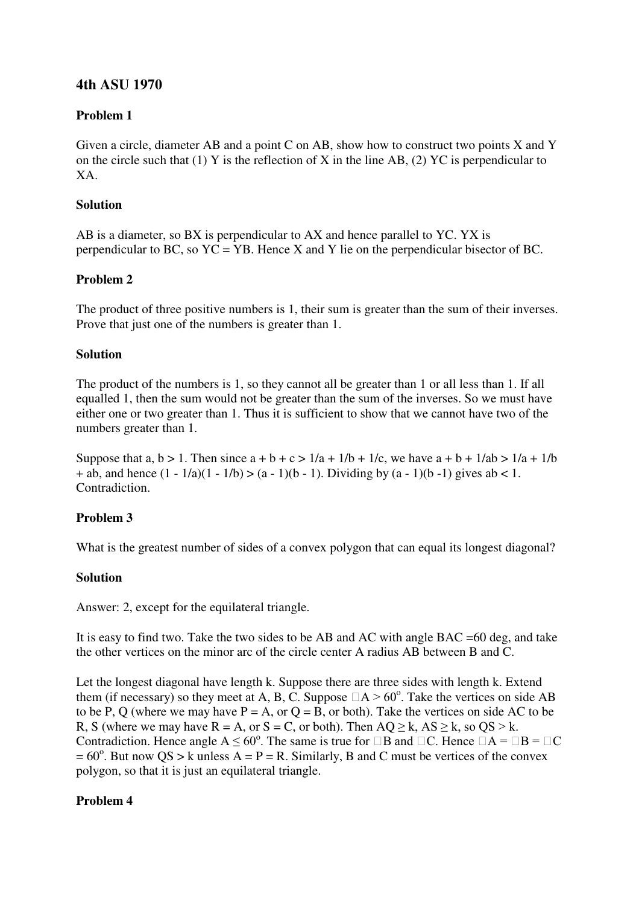# **4th ASU 1970**

# **Problem 1**

Given a circle, diameter AB and a point C on AB, show how to construct two points X and Y on the circle such that (1) Y is the reflection of X in the line AB, (2) YC is perpendicular to XA.

## **Solution**

AB is a diameter, so BX is perpendicular to AX and hence parallel to YC. YX is perpendicular to BC, so  $YC = YB$ . Hence X and Y lie on the perpendicular bisector of BC.

# **Problem 2**

The product of three positive numbers is 1, their sum is greater than the sum of their inverses. Prove that just one of the numbers is greater than 1.

#### **Solution**

The product of the numbers is 1, so they cannot all be greater than 1 or all less than 1. If all equalled 1, then the sum would not be greater than the sum of the inverses. So we must have either one or two greater than 1. Thus it is sufficient to show that we cannot have two of the numbers greater than 1.

Suppose that a,  $b > 1$ . Then since  $a + b + c > 1/a + 1/b + 1/c$ , we have  $a + b + 1/a b > 1/a + 1/b$ + ab, and hence  $(1 - 1/a)(1 - 1/b) > (a - 1)(b - 1)$ . Dividing by  $(a - 1)(b - 1)$  gives ab < 1. Contradiction.

### **Problem 3**

What is the greatest number of sides of a convex polygon that can equal its longest diagonal?

### **Solution**

Answer: 2, except for the equilateral triangle.

It is easy to find two. Take the two sides to be AB and AC with angle BAC =60 deg, and take the other vertices on the minor arc of the circle center A radius AB between B and C.

Let the longest diagonal have length k. Suppose there are three sides with length k. Extend them (if necessary) so they meet at A, B, C. Suppose  $\Box A > 60^{\circ}$ . Take the vertices on side AB to be P, Q (where we may have  $P = A$ , or  $Q = B$ , or both). Take the vertices on side AC to be R, S (where we may have  $R = A$ , or  $S = C$ , or both). Then  $AQ > k$ ,  $AS > k$ , so  $QS > k$ . Contradiction. Hence angle  $A \le 60^{\circ}$ . The same is true for  $\Box B$  and  $\Box C$ . Hence  $\Box A = \Box B = \Box C$  $= 60^{\circ}$ . But now QS > k unless A = P = R. Similarly, B and C must be vertices of the convex polygon, so that it is just an equilateral triangle.

### **Problem 4**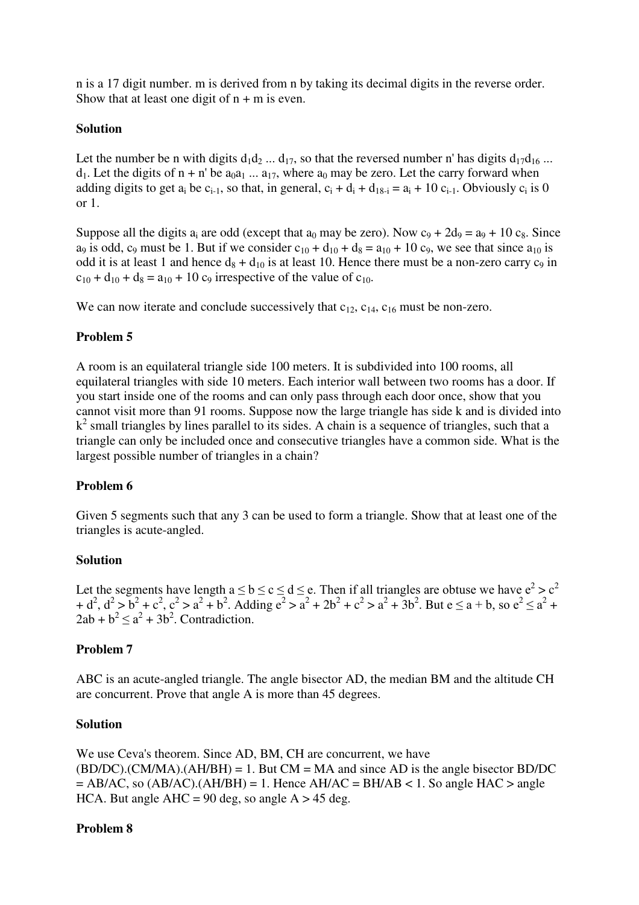n is a 17 digit number. m is derived from n by taking its decimal digits in the reverse order. Show that at least one digit of  $n + m$  is even.

#### **Solution**

Let the number be n with digits  $d_1d_2$  ...  $d_{17}$ , so that the reversed number n' has digits  $d_{17}d_{16}$  ...  $d_1$ . Let the digits of  $n + n'$  be  $a_0a_1 ... a_{17}$ , where  $a_0$  may be zero. Let the carry forward when adding digits to get  $a_i$  be  $c_{i-1}$ , so that, in general,  $c_i + d_i + d_{18-i} = a_i + 10 c_{i-1}$ . Obviously  $c_i$  is 0 or 1.

Suppose all the digits a<sub>i</sub> are odd (except that a<sub>0</sub> may be zero). Now  $c_9 + 2d_9 = a_9 + 10c_8$ . Since  $a_9$  is odd,  $c_9$  must be 1. But if we consider  $c_{10} + d_{10} + d_8 = a_{10} + 10 c_9$ , we see that since  $a_{10}$  is odd it is at least 1 and hence  $d_8 + d_{10}$  is at least 10. Hence there must be a non-zero carry  $c_9$  in  $c_{10} + d_{10} + d_8 = a_{10} + 10$  c<sub>9</sub> irrespective of the value of c<sub>10</sub>.

We can now iterate and conclude successively that  $c_{12}$ ,  $c_{14}$ ,  $c_{16}$  must be non-zero.

### **Problem 5**

A room is an equilateral triangle side 100 meters. It is subdivided into 100 rooms, all equilateral triangles with side 10 meters. Each interior wall between two rooms has a door. If you start inside one of the rooms and can only pass through each door once, show that you cannot visit more than 91 rooms. Suppose now the large triangle has side k and is divided into k<sup>2</sup> small triangles by lines parallel to its sides. A chain is a sequence of triangles, such that a triangle can only be included once and consecutive triangles have a common side. What is the largest possible number of triangles in a chain?

### **Problem 6**

Given 5 segments such that any 3 can be used to form a triangle. Show that at least one of the triangles is acute-angled.

### **Solution**

Let the segments have length  $a \le b \le c \le d \le e$ . Then if all triangles are obtuse we have  $e^2 > c^2$ + d<sup>2</sup>, d<sup>2</sup> > b<sup>2</sup> + c<sup>2</sup>, c<sup>2</sup> > a<sup>2</sup> + b<sup>2</sup>. Adding e<sup>2</sup> > a<sup>2</sup> + 2b<sup>2</sup> + c<sup>2</sup> > a<sup>2</sup> + 3b<sup>2</sup>. But e ≤ a + b, so e<sup>2</sup> ≤ a<sup>2</sup> +  $2ab + b^2 \le a^2 + 3b^2$ . Contradiction.

### **Problem 7**

ABC is an acute-angled triangle. The angle bisector AD, the median BM and the altitude CH are concurrent. Prove that angle A is more than 45 degrees.

#### **Solution**

We use Ceva's theorem. Since AD, BM, CH are concurrent, we have  $(BD/DC)$ .(CM/MA).(AH/BH) = 1. But CM = MA and since AD is the angle bisector BD/DC  $=$  AB/AC, so (AB/AC).(AH/BH) = 1. Hence AH/AC = BH/AB < 1. So angle HAC > angle HCA. But angle  $AHC = 90$  deg, so angle  $A > 45$  deg.

### **Problem 8**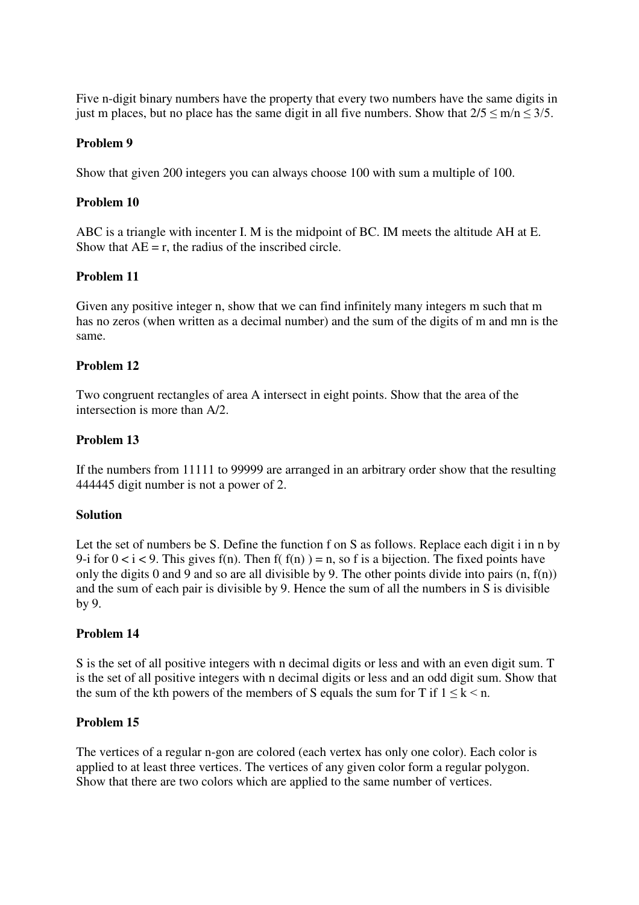Five n-digit binary numbers have the property that every two numbers have the same digits in just m places, but no place has the same digit in all five numbers. Show that  $2/5 \le m/n \le 3/5$ .

#### **Problem 9**

Show that given 200 integers you can always choose 100 with sum a multiple of 100.

#### **Problem 10**

ABC is a triangle with incenter I. M is the midpoint of BC. IM meets the altitude AH at E. Show that  $AE = r$ , the radius of the inscribed circle.

### **Problem 11**

Given any positive integer n, show that we can find infinitely many integers m such that m has no zeros (when written as a decimal number) and the sum of the digits of m and mn is the same.

#### **Problem 12**

Two congruent rectangles of area A intersect in eight points. Show that the area of the intersection is more than A/2.

#### **Problem 13**

If the numbers from 11111 to 99999 are arranged in an arbitrary order show that the resulting 444445 digit number is not a power of 2.

#### **Solution**

Let the set of numbers be S. Define the function f on S as follows. Replace each digit i in n by 9-i for  $0 < i < 9$ . This gives f(n). Then f(f(n)) = n, so f is a bijection. The fixed points have only the digits 0 and 9 and so are all divisible by 9. The other points divide into pairs  $(n, f(n))$ and the sum of each pair is divisible by 9. Hence the sum of all the numbers in S is divisible by 9.

### **Problem 14**

S is the set of all positive integers with n decimal digits or less and with an even digit sum. T is the set of all positive integers with n decimal digits or less and an odd digit sum. Show that the sum of the kth powers of the members of S equals the sum for T if  $1 \leq k \leq n$ .

#### **Problem 15**

The vertices of a regular n-gon are colored (each vertex has only one color). Each color is applied to at least three vertices. The vertices of any given color form a regular polygon. Show that there are two colors which are applied to the same number of vertices.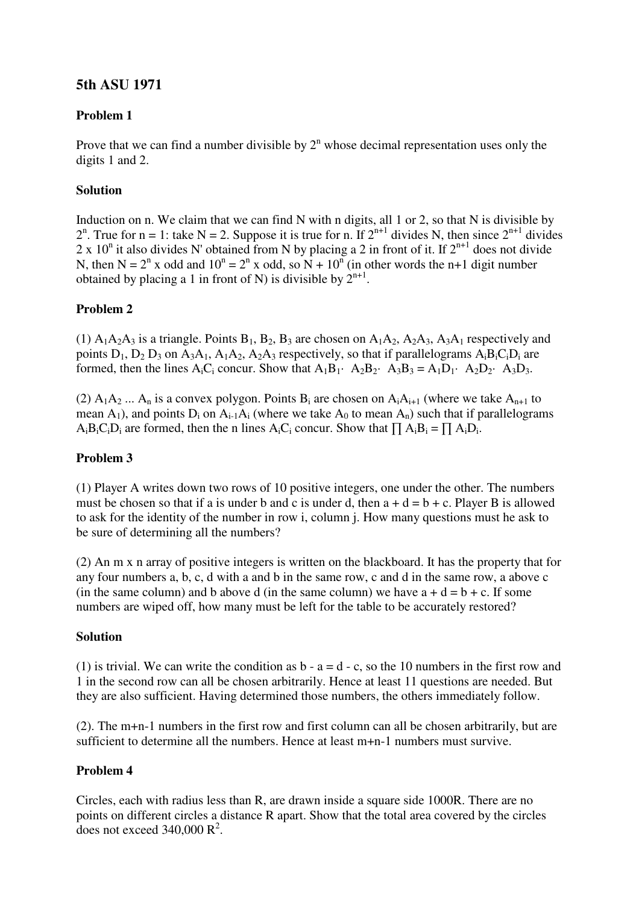# **5th ASU 1971**

# **Problem 1**

Prove that we can find a number divisible by  $2<sup>n</sup>$  whose decimal representation uses only the digits 1 and 2.

# **Solution**

Induction on n. We claim that we can find N with n digits, all 1 or 2, so that N is divisible by  $2^n$ . True for n = 1: take N = 2. Suppose it is true for n. If  $2^{n+1}$  divides N, then since  $2^{n+1}$  divides 2 x 10<sup>n</sup> it also divides N' obtained from N by placing a 2 in front of it. If  $2^{n+1}$  does not divide N, then N =  $2^n$  x odd and  $10^n = 2^n$  x odd, so N +  $10^n$  (in other words the n+1 digit number obtained by placing a 1 in front of N) is divisible by  $2^{n+1}$ .

### **Problem 2**

(1)  $A_1A_2A_3$  is a triangle. Points  $B_1$ ,  $B_2$ ,  $B_3$  are chosen on  $A_1A_2$ ,  $A_2A_3$ ,  $A_3A_1$  respectively and points  $D_1$ ,  $D_2$ ,  $D_3$  on  $A_3A_1$ ,  $A_1A_2$ ,  $A_2A_3$  respectively, so that if parallelograms  $A_iB_iC_iD_i$  are formed, then the lines  $A_iC_i$  concur. Show that  $A_1B_1$  ·  $A_2B_2$  ·  $A_3B_3 = A_1D_1$  ·  $A_2D_2$  ·  $A_3D_3$ .

(2)  $A_1A_2$  ...  $A_n$  is a convex polygon. Points  $B_i$  are chosen on  $A_iA_{i+1}$  (where we take  $A_{n+1}$  to mean  $A_1$ ), and points  $D_i$  on  $A_{i-1}A_i$  (where we take  $A_0$  to mean  $A_n$ ) such that if parallelograms  $A_iB_iC_iD_i$  are formed, then the n lines  $A_iC_i$  concur. Show that  $\prod A_iB_i = \prod A_iD_i$ .

### **Problem 3**

(1) Player A writes down two rows of 10 positive integers, one under the other. The numbers must be chosen so that if a is under b and c is under d, then  $a + d = b + c$ . Player B is allowed to ask for the identity of the number in row i, column j. How many questions must he ask to be sure of determining all the numbers?

(2) An m x n array of positive integers is written on the blackboard. It has the property that for any four numbers a, b, c, d with a and b in the same row, c and d in the same row, a above c (in the same column) and b above d (in the same column) we have  $a + d = b + c$ . If some numbers are wiped off, how many must be left for the table to be accurately restored?

### **Solution**

(1) is trivial. We can write the condition as  $b - a = d - c$ , so the 10 numbers in the first row and 1 in the second row can all be chosen arbitrarily. Hence at least 11 questions are needed. But they are also sufficient. Having determined those numbers, the others immediately follow.

(2). The m+n-1 numbers in the first row and first column can all be chosen arbitrarily, but are sufficient to determine all the numbers. Hence at least m+n-1 numbers must survive.

# **Problem 4**

Circles, each with radius less than R, are drawn inside a square side 1000R. There are no points on different circles a distance R apart. Show that the total area covered by the circles does not exceed  $340,000 \text{ R}^2$ .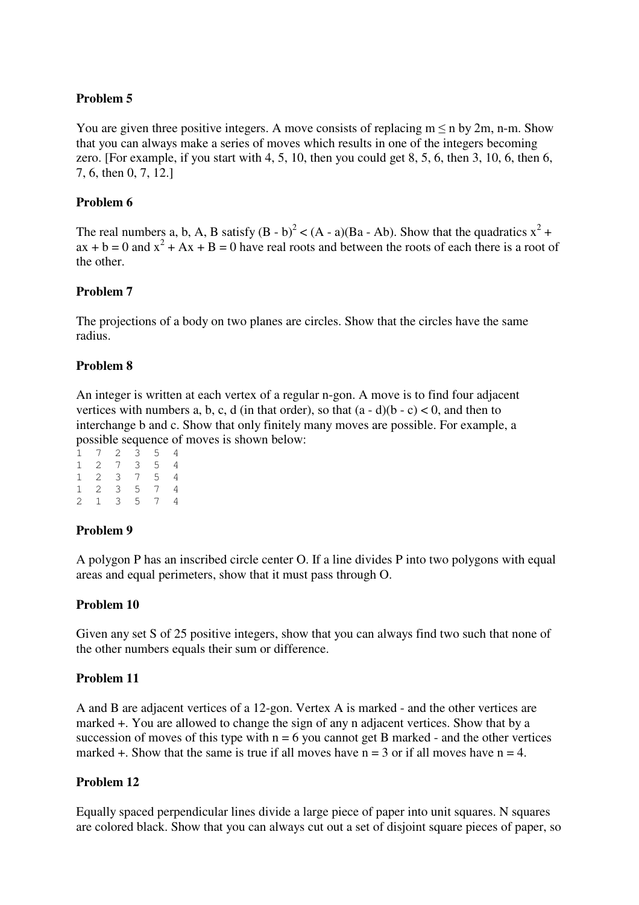You are given three positive integers. A move consists of replacing  $m \le n$  by  $2m$ , n-m. Show that you can always make a series of moves which results in one of the integers becoming zero. [For example, if you start with 4, 5, 10, then you could get 8, 5, 6, then 3, 10, 6, then 6, 7, 6, then 0, 7, 12.]

## **Problem 6**

The real numbers a, b, A, B satisfy  $(B - b)^2 < (A - a)(Ba - Ab)$ . Show that the quadratics  $x^2 +$  $ax + b = 0$  and  $x^2 + Ax + B = 0$  have real roots and between the roots of each there is a root of the other.

### **Problem 7**

The projections of a body on two planes are circles. Show that the circles have the same radius.

### **Problem 8**

An integer is written at each vertex of a regular n-gon. A move is to find four adjacent vertices with numbers a, b, c, d (in that order), so that  $(a - d)(b - c) < 0$ , and then to interchange b and c. Show that only finitely many moves are possible. For example, a possible sequence of moves is shown below:

|                  | 1 7                         |                |                     | $2 \quad 3 \quad 5$ | 4              |
|------------------|-----------------------------|----------------|---------------------|---------------------|----------------|
|                  | $1 \quad 2 \quad 7 \quad 3$ |                |                     | 5 <sub>5</sub>      | 4              |
| $\Gamma_{\rm c}$ |                             |                | $2 \quad 3 \quad 7$ | 5 <sub>5</sub>      | 4              |
| $\Gamma$         | $\overline{2}$              |                |                     | $3 \quad 5 \quad 7$ | $\overline{4}$ |
| $\mathbf{2}$     | 1                           | $\overline{3}$ |                     | 5 7                 | 4              |

### **Problem 9**

A polygon P has an inscribed circle center O. If a line divides P into two polygons with equal areas and equal perimeters, show that it must pass through O.

### **Problem 10**

Given any set S of 25 positive integers, show that you can always find two such that none of the other numbers equals their sum or difference.

### **Problem 11**

A and B are adjacent vertices of a 12-gon. Vertex A is marked - and the other vertices are marked +. You are allowed to change the sign of any n adjacent vertices. Show that by a succession of moves of this type with  $n = 6$  you cannot get B marked - and the other vertices marked  $+$ . Show that the same is true if all moves have  $n = 3$  or if all moves have  $n = 4$ .

### **Problem 12**

Equally spaced perpendicular lines divide a large piece of paper into unit squares. N squares are colored black. Show that you can always cut out a set of disjoint square pieces of paper, so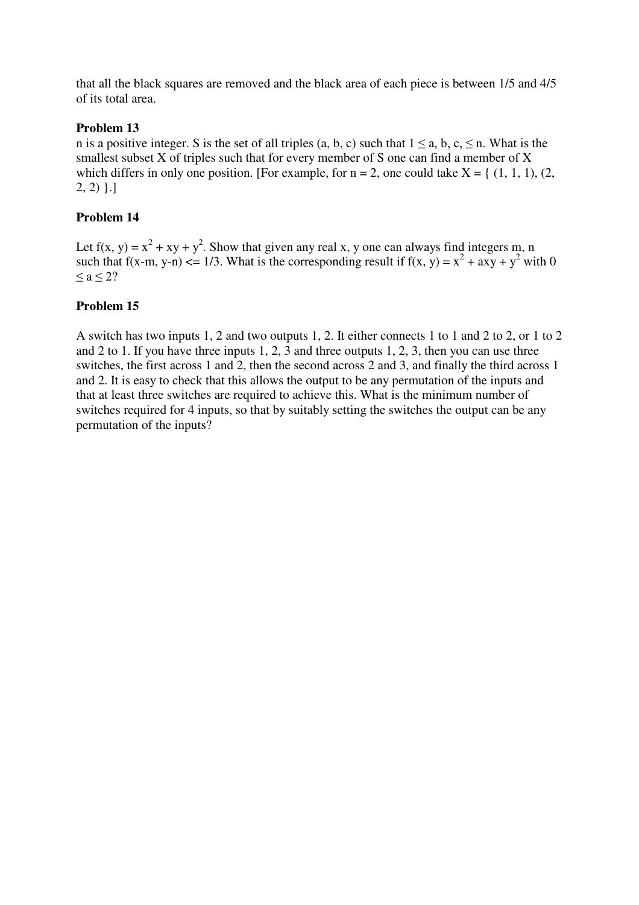that all the black squares are removed and the black area of each piece is between 1/5 and 4/5 of its total area.

# **Problem 13**

n is a positive integer. S is the set of all triples (a, b, c) such that  $1 \le a, b, c, \le n$ . What is the smallest subset X of triples such that for every member of S one can find a member of X which differs in only one position. [For example, for  $n = 2$ , one could take  $X = \{(1, 1, 1), (2, 1)\}$  $2, 2)$  }.]

## **Problem 14**

Let  $f(x, y) = x^2 + xy + y^2$ . Show that given any real x, y one can always find integers m, n such that f(x-m, y-n)  $\leq 1/3$ . What is the corresponding result if f(x, y) =  $x^2 + axy + y^2$  with 0  $\leq a \leq 2?$ 

### **Problem 15**

A switch has two inputs 1, 2 and two outputs 1, 2. It either connects 1 to 1 and 2 to 2, or 1 to 2 and 2 to 1. If you have three inputs 1, 2, 3 and three outputs 1, 2, 3, then you can use three switches, the first across 1 and 2, then the second across 2 and 3, and finally the third across 1 and 2. It is easy to check that this allows the output to be any permutation of the inputs and that at least three switches are required to achieve this. What is the minimum number of switches required for 4 inputs, so that by suitably setting the switches the output can be any permutation of the inputs?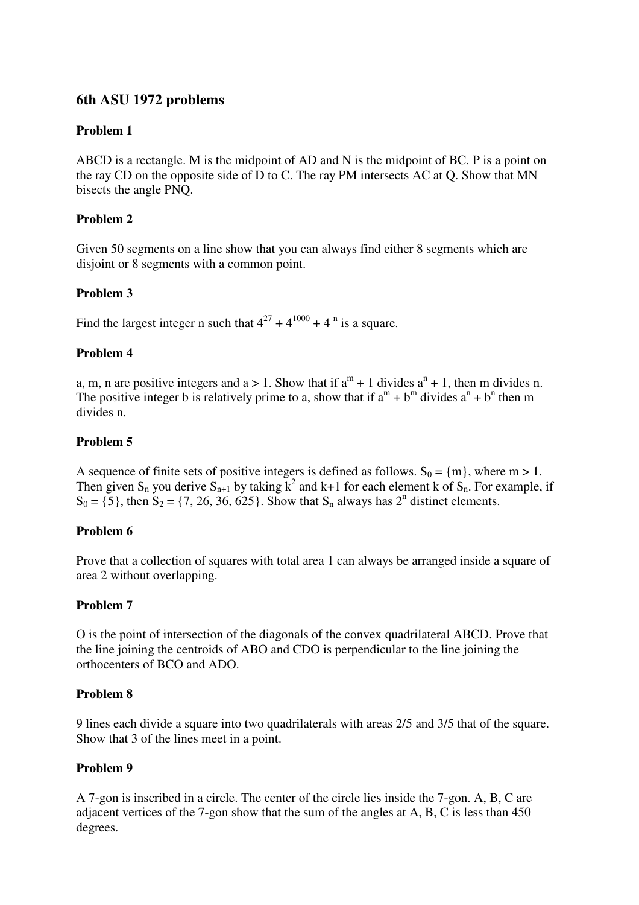# **6th ASU 1972 problems**

# **Problem 1**

ABCD is a rectangle. M is the midpoint of AD and N is the midpoint of BC. P is a point on the ray CD on the opposite side of D to C. The ray PM intersects AC at Q. Show that MN bisects the angle PNQ.

# **Problem 2**

Given 50 segments on a line show that you can always find either 8 segments which are disjoint or 8 segments with a common point.

# **Problem 3**

Find the largest integer n such that  $4^{27} + 4^{1000} + 4^{n}$  is a square.

# **Problem 4**

a, m, n are positive integers and  $a > 1$ . Show that if  $a^m + 1$  divides  $a^n + 1$ , then m divides n. The positive integer b is relatively prime to a, show that if  $a^m + b^m$  divides  $a^n + b^n$  then m divides n.

# **Problem 5**

A sequence of finite sets of positive integers is defined as follows.  $S_0 = \{m\}$ , where  $m > 1$ . Then given S<sub>n</sub> you derive S<sub>n+1</sub> by taking  $k^2$  and k+1 for each element k of S<sub>n</sub>. For example, if  $S_0 = \{5\}$ , then  $S_2 = \{7, 26, 36, 625\}$ . Show that  $S_n$  always has  $2^n$  distinct elements.

### **Problem 6**

Prove that a collection of squares with total area 1 can always be arranged inside a square of area 2 without overlapping.

### **Problem 7**

O is the point of intersection of the diagonals of the convex quadrilateral ABCD. Prove that the line joining the centroids of ABO and CDO is perpendicular to the line joining the orthocenters of BCO and ADO.

### **Problem 8**

9 lines each divide a square into two quadrilaterals with areas 2/5 and 3/5 that of the square. Show that 3 of the lines meet in a point.

### **Problem 9**

A 7-gon is inscribed in a circle. The center of the circle lies inside the 7-gon. A, B, C are adjacent vertices of the 7-gon show that the sum of the angles at A, B, C is less than 450 degrees.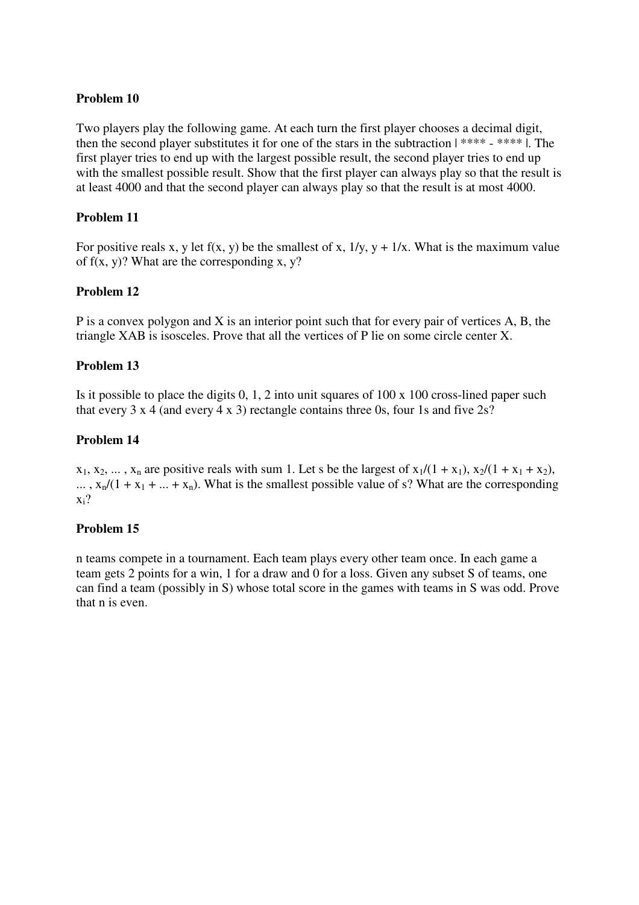Two players play the following game. At each turn the first player chooses a decimal digit, then the second player substitutes it for one of the stars in the subtraction | \*\*\*\* - \*\*\*\* |. The first player tries to end up with the largest possible result, the second player tries to end up with the smallest possible result. Show that the first player can always play so that the result is at least 4000 and that the second player can always play so that the result is at most 4000.

#### **Problem 11**

For positive reals x, y let  $f(x, y)$  be the smallest of x,  $1/y$ ,  $y + 1/x$ . What is the maximum value of  $f(x, y)$ ? What are the corresponding x, y?

#### **Problem 12**

P is a convex polygon and X is an interior point such that for every pair of vertices A, B, the triangle XAB is isosceles. Prove that all the vertices of P lie on some circle center X.

#### **Problem 13**

Is it possible to place the digits 0, 1, 2 into unit squares of 100 x 100 cross-lined paper such that every 3 x 4 (and every 4 x 3) rectangle contains three 0s, four 1s and five  $2s$ ?

#### **Problem 14**

 $x_1, x_2, \ldots, x_n$  are positive reals with sum 1. Let s be the largest of  $x_1/(1 + x_1)$ ,  $x_2/(1 + x_1 + x_2)$ ,  $\ldots$ ,  $x_n/(1 + x_1 + \ldots + x_n)$ . What is the smallest possible value of s? What are the corresponding  $x_i$ ?

### **Problem 15**

n teams compete in a tournament. Each team plays every other team once. In each game a team gets 2 points for a win, 1 for a draw and 0 for a loss. Given any subset S of teams, one can find a team (possibly in S) whose total score in the games with teams in S was odd. Prove that n is even.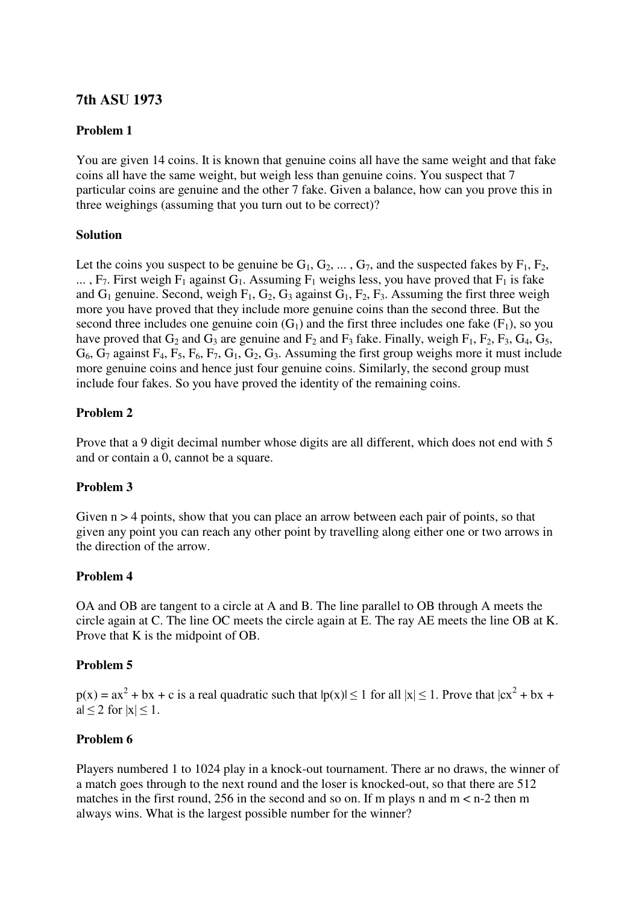# **7th ASU 1973**

### **Problem 1**

You are given 14 coins. It is known that genuine coins all have the same weight and that fake coins all have the same weight, but weigh less than genuine coins. You suspect that 7 particular coins are genuine and the other 7 fake. Given a balance, how can you prove this in three weighings (assuming that you turn out to be correct)?

#### **Solution**

Let the coins you suspect to be genuine be  $G_1, G_2, \ldots, G_7$ , and the suspected fakes by  $F_1, F_2$ , ...,  $F_7$ . First weigh  $F_1$  against  $G_1$ . Assuming  $F_1$  weighs less, you have proved that  $F_1$  is fake and  $G_1$  genuine. Second, weigh  $F_1$ ,  $G_2$ ,  $G_3$  against  $G_1$ ,  $F_2$ ,  $F_3$ . Assuming the first three weigh more you have proved that they include more genuine coins than the second three. But the second three includes one genuine coin  $(G_1)$  and the first three includes one fake  $(F_1)$ , so you have proved that  $G_2$  and  $G_3$  are genuine and  $F_2$  and  $F_3$  fake. Finally, weigh  $F_1$ ,  $F_2$ ,  $F_3$ ,  $G_4$ ,  $G_5$ ,  $G_6$ ,  $G_7$  against  $F_4$ ,  $F_5$ ,  $F_6$ ,  $F_7$ ,  $G_1$ ,  $G_2$ ,  $G_3$ . Assuming the first group weighs more it must include more genuine coins and hence just four genuine coins. Similarly, the second group must include four fakes. So you have proved the identity of the remaining coins.

#### **Problem 2**

Prove that a 9 digit decimal number whose digits are all different, which does not end with 5 and or contain a 0, cannot be a square.

### **Problem 3**

Given  $n > 4$  points, show that you can place an arrow between each pair of points, so that given any point you can reach any other point by travelling along either one or two arrows in the direction of the arrow.

### **Problem 4**

OA and OB are tangent to a circle at A and B. The line parallel to OB through A meets the circle again at C. The line OC meets the circle again at E. The ray AE meets the line OB at K. Prove that K is the midpoint of OB.

#### **Problem 5**

 $p(x) = ax^2 + bx + c$  is a real quadratic such that  $|p(x)| \le 1$  for all  $|x| \le 1$ . Prove that  $|cx^2 + bx + c$ a $|\leq 2$  for  $|x| \leq 1$ .

### **Problem 6**

Players numbered 1 to 1024 play in a knock-out tournament. There ar no draws, the winner of a match goes through to the next round and the loser is knocked-out, so that there are 512 matches in the first round, 256 in the second and so on. If m plays n and  $m < n-2$  then m always wins. What is the largest possible number for the winner?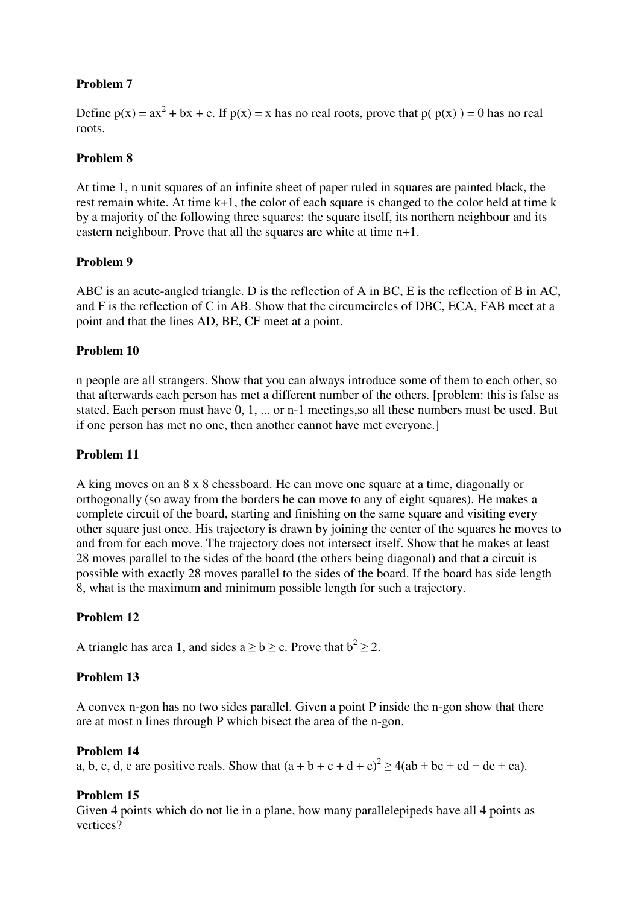Define  $p(x) = ax^2 + bx + c$ . If  $p(x) = x$  has no real roots, prove that  $p(p(x)) = 0$  has no real roots.

### **Problem 8**

At time 1, n unit squares of an infinite sheet of paper ruled in squares are painted black, the rest remain white. At time k+1, the color of each square is changed to the color held at time k by a majority of the following three squares: the square itself, its northern neighbour and its eastern neighbour. Prove that all the squares are white at time n+1.

#### **Problem 9**

ABC is an acute-angled triangle. D is the reflection of A in BC, E is the reflection of B in AC, and F is the reflection of C in AB. Show that the circumcircles of DBC, ECA, FAB meet at a point and that the lines AD, BE, CF meet at a point.

#### **Problem 10**

n people are all strangers. Show that you can always introduce some of them to each other, so that afterwards each person has met a different number of the others. [problem: this is false as stated. Each person must have 0, 1, ... or n-1 meetings,so all these numbers must be used. But if one person has met no one, then another cannot have met everyone.]

#### **Problem 11**

A king moves on an 8 x 8 chessboard. He can move one square at a time, diagonally or orthogonally (so away from the borders he can move to any of eight squares). He makes a complete circuit of the board, starting and finishing on the same square and visiting every other square just once. His trajectory is drawn by joining the center of the squares he moves to and from for each move. The trajectory does not intersect itself. Show that he makes at least 28 moves parallel to the sides of the board (the others being diagonal) and that a circuit is possible with exactly 28 moves parallel to the sides of the board. If the board has side length 8, what is the maximum and minimum possible length for such a trajectory.

### **Problem 12**

A triangle has area 1, and sides  $a \ge b \ge c$ . Prove that  $b^2 \ge 2$ .

#### **Problem 13**

A convex n-gon has no two sides parallel. Given a point P inside the n-gon show that there are at most n lines through P which bisect the area of the n-gon.

#### **Problem 14**

a, b, c, d, e are positive reals. Show that  $(a + b + c + d + e)^2 \ge 4(ab + bc + cd + de + ea)$ .

#### **Problem 15**

Given 4 points which do not lie in a plane, how many parallelepipeds have all 4 points as vertices?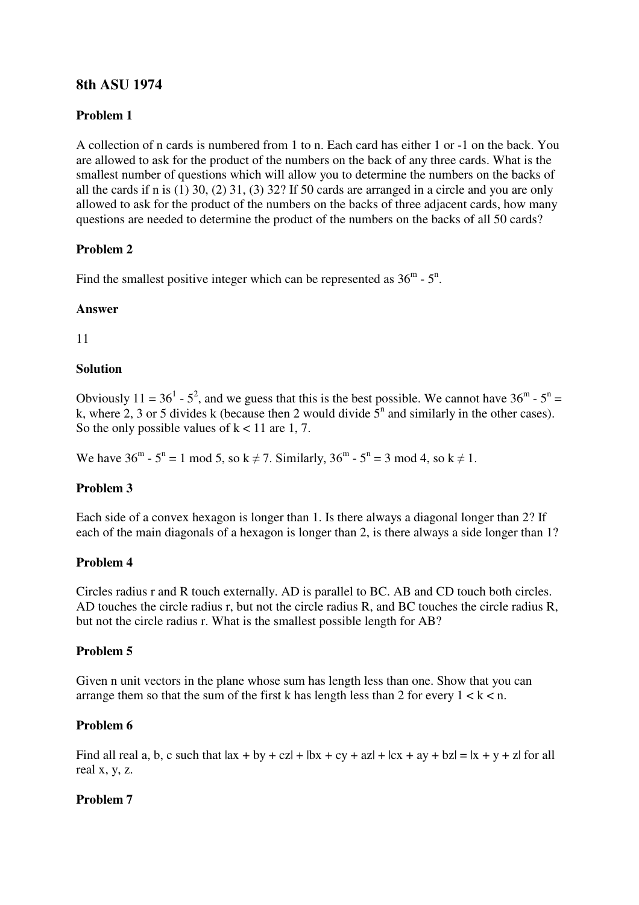# **8th ASU 1974**

# **Problem 1**

A collection of n cards is numbered from 1 to n. Each card has either 1 or -1 on the back. You are allowed to ask for the product of the numbers on the back of any three cards. What is the smallest number of questions which will allow you to determine the numbers on the backs of all the cards if n is (1) 30, (2) 31, (3) 32? If 50 cards are arranged in a circle and you are only allowed to ask for the product of the numbers on the backs of three adjacent cards, how many questions are needed to determine the product of the numbers on the backs of all 50 cards?

# **Problem 2**

Find the smallest positive integer which can be represented as  $36^{\text{m}}$  -  $5^{\text{n}}$ .

# **Answer**

11

# **Solution**

Obviously 11 = 36<sup>1</sup> - 5<sup>2</sup>, and we guess that this is the best possible. We cannot have 36<sup>m</sup> - 5<sup>n</sup> = k, where 2, 3 or 5 divides k (because then 2 would divide  $\bar{5}^n$  and similarly in the other cases). So the only possible values of  $k < 11$  are 1, 7.

We have  $36^{\text{m}}$  -  $5^{\text{n}} = 1 \text{ mod } 5$ , so k  $\neq$  7. Similarly,  $36^{\text{m}}$  -  $5^{\text{n}} = 3 \text{ mod } 4$ , so k  $\neq$  1.

# **Problem 3**

Each side of a convex hexagon is longer than 1. Is there always a diagonal longer than 2? If each of the main diagonals of a hexagon is longer than 2, is there always a side longer than 1?

# **Problem 4**

Circles radius r and R touch externally. AD is parallel to BC. AB and CD touch both circles. AD touches the circle radius r, but not the circle radius R, and BC touches the circle radius R, but not the circle radius r. What is the smallest possible length for AB?

# **Problem 5**

Given n unit vectors in the plane whose sum has length less than one. Show that you can arrange them so that the sum of the first k has length less than 2 for every  $1 < k < n$ .

# **Problem 6**

Find all real a, b, c such that  $|ax + by + cz| + |bx + cy + az| + |cx + ay + bz| = |x + y + z|$  for all real x, y, z.

# **Problem 7**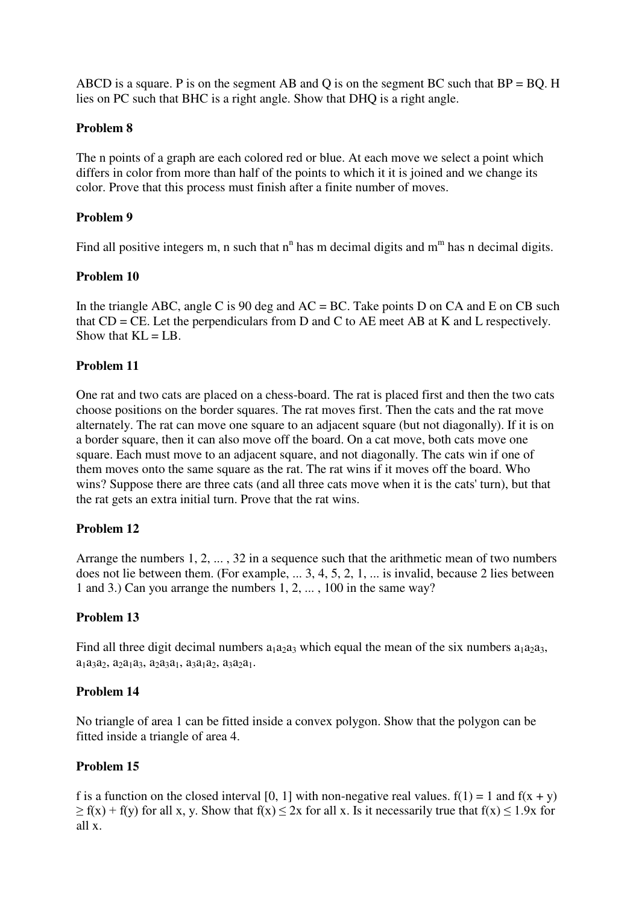ABCD is a square. P is on the segment AB and Q is on the segment BC such that  $BP = BQ$ . H lies on PC such that BHC is a right angle. Show that DHQ is a right angle.

## **Problem 8**

The n points of a graph are each colored red or blue. At each move we select a point which differs in color from more than half of the points to which it it is joined and we change its color. Prove that this process must finish after a finite number of moves.

# **Problem 9**

Find all positive integers m, n such that  $n^n$  has m decimal digits and  $m^m$  has n decimal digits.

### **Problem 10**

In the triangle ABC, angle C is 90 deg and  $AC = BC$ . Take points D on CA and E on CB such that  $CD = CE$ . Let the perpendiculars from D and C to AE meet AB at K and L respectively. Show that  $KL = LB$ .

# **Problem 11**

One rat and two cats are placed on a chess-board. The rat is placed first and then the two cats choose positions on the border squares. The rat moves first. Then the cats and the rat move alternately. The rat can move one square to an adjacent square (but not diagonally). If it is on a border square, then it can also move off the board. On a cat move, both cats move one square. Each must move to an adjacent square, and not diagonally. The cats win if one of them moves onto the same square as the rat. The rat wins if it moves off the board. Who wins? Suppose there are three cats (and all three cats move when it is the cats' turn), but that the rat gets an extra initial turn. Prove that the rat wins.

### **Problem 12**

Arrange the numbers 1, 2, ... , 32 in a sequence such that the arithmetic mean of two numbers does not lie between them. (For example, ... 3, 4, 5, 2, 1, ... is invalid, because 2 lies between 1 and 3.) Can you arrange the numbers 1, 2, ... , 100 in the same way?

### **Problem 13**

Find all three digit decimal numbers  $a_1a_2a_3$  which equal the mean of the six numbers  $a_1a_2a_3$ ,  $a_1a_3a_2, a_2a_1a_3, a_2a_3a_1, a_3a_1a_2, a_3a_2a_1.$ 

### **Problem 14**

No triangle of area 1 can be fitted inside a convex polygon. Show that the polygon can be fitted inside a triangle of area 4.

# **Problem 15**

f is a function on the closed interval [0, 1] with non-negative real values.  $f(1) = 1$  and  $f(x + y)$  $\geq f(x) + f(y)$  for all x, y. Show that  $f(x) \leq 2x$  for all x. Is it necessarily true that  $f(x) \leq 1.9x$  for all x.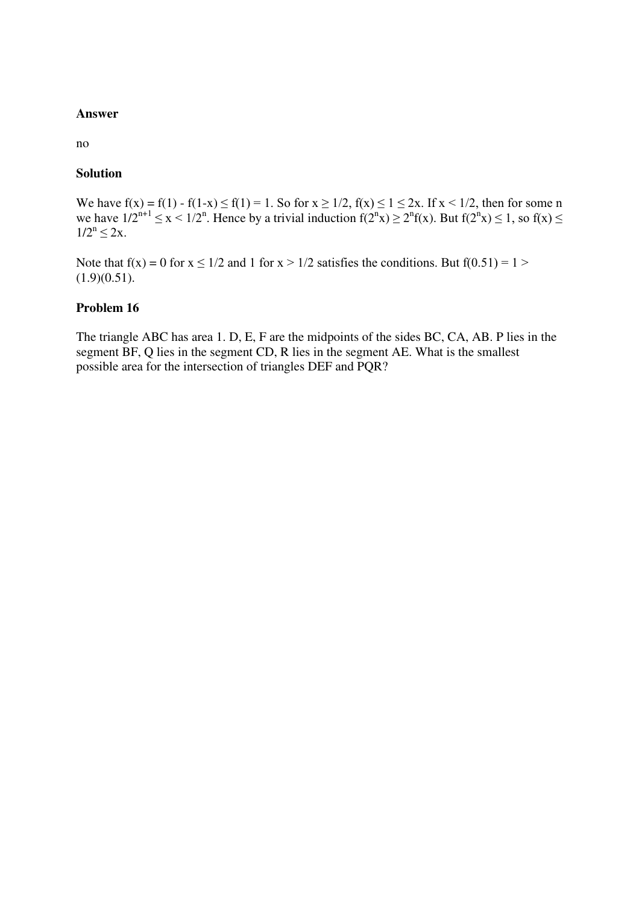#### **Answer**

no

#### **Solution**

We have  $f(x) = f(1) - f(1-x) \le f(1) = 1$ . So for  $x \ge 1/2$ ,  $f(x) \le 1 \le 2x$ . If  $x < 1/2$ , then for some n we have  $1/2^{n+1} \le x \le 1/2^n$ . Hence by a trivial induction  $f(2^n x) \ge 2^n f(x)$ . But  $f(2^n x) \le 1$ , so  $f(x) \le$  $1/2^n \leq 2x$ .

Note that  $f(x) = 0$  for  $x \le 1/2$  and 1 for  $x > 1/2$  satisfies the conditions. But  $f(0.51) = 1$  $(1.9)(0.51)$ .

#### **Problem 16**

The triangle ABC has area 1. D, E, F are the midpoints of the sides BC, CA, AB. P lies in the segment BF, Q lies in the segment CD, R lies in the segment AE. What is the smallest possible area for the intersection of triangles DEF and PQR?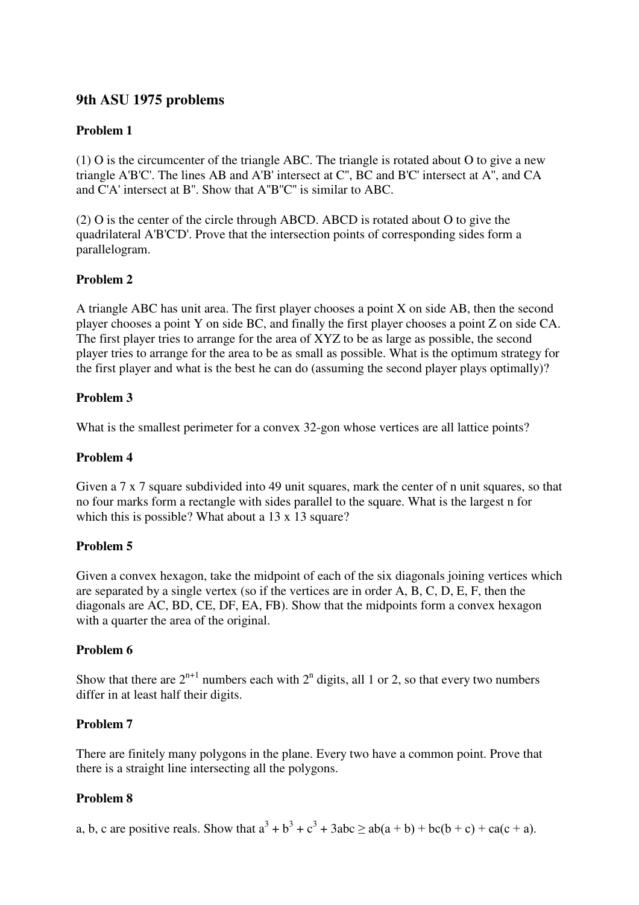# **9th ASU 1975 problems**

# **Problem 1**

(1) O is the circumcenter of the triangle ABC. The triangle is rotated about O to give a new triangle A'B'C'. The lines AB and A'B' intersect at C'', BC and B'C' intersect at A'', and CA and C'A' intersect at B''. Show that A''B''C'' is similar to ABC.

(2) O is the center of the circle through ABCD. ABCD is rotated about O to give the quadrilateral A'B'C'D'. Prove that the intersection points of corresponding sides form a parallelogram.

# **Problem 2**

A triangle ABC has unit area. The first player chooses a point X on side AB, then the second player chooses a point Y on side BC, and finally the first player chooses a point Z on side CA. The first player tries to arrange for the area of XYZ to be as large as possible, the second player tries to arrange for the area to be as small as possible. What is the optimum strategy for the first player and what is the best he can do (assuming the second player plays optimally)?

### **Problem 3**

What is the smallest perimeter for a convex 32-gon whose vertices are all lattice points?

### **Problem 4**

Given a 7 x 7 square subdivided into 49 unit squares, mark the center of n unit squares, so that no four marks form a rectangle with sides parallel to the square. What is the largest n for which this is possible? What about a 13 x 13 square?

### **Problem 5**

Given a convex hexagon, take the midpoint of each of the six diagonals joining vertices which are separated by a single vertex (so if the vertices are in order A, B, C, D, E, F, then the diagonals are AC, BD, CE, DF, EA, FB). Show that the midpoints form a convex hexagon with a quarter the area of the original.

### **Problem 6**

Show that there are  $2^{n+1}$  numbers each with  $2^n$  digits, all 1 or 2, so that every two numbers differ in at least half their digits.

### **Problem 7**

There are finitely many polygons in the plane. Every two have a common point. Prove that there is a straight line intersecting all the polygons.

### **Problem 8**

a, b, c are positive reals. Show that  $a^3 + b^3 + c^3 + 3abc \ge ab(a + b) + bc(b + c) + ca(c + a)$ .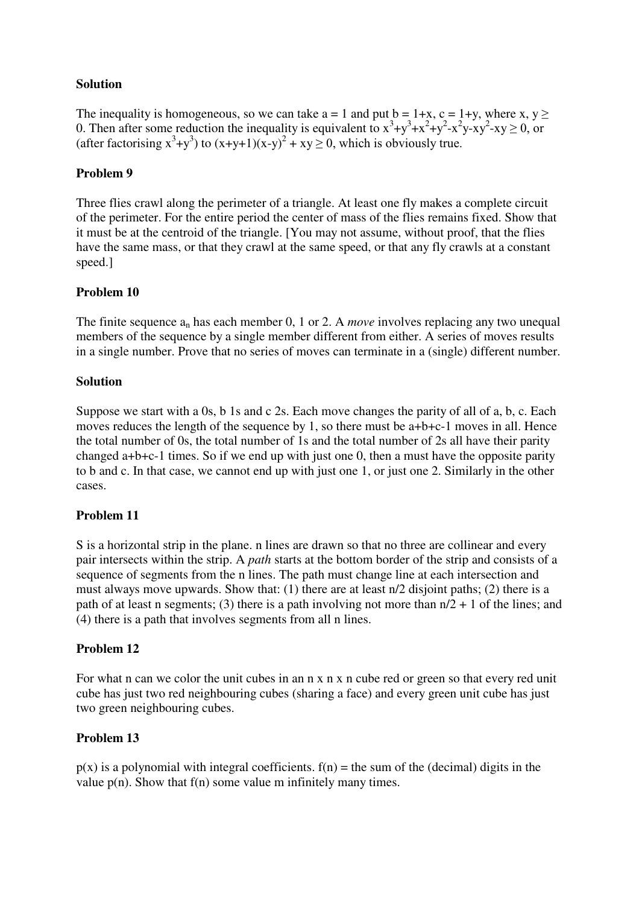## **Solution**

The inequality is homogeneous, so we can take  $a = 1$  and put  $b = 1+x$ ,  $c = 1+y$ , where x,  $y >$ 0. Then after some reduction the inequality is equivalent to  $x^3+y^3+x^2+y^2-x^2y-xy^2-xy \ge 0$ , or (after factorising  $x^3+y^3$ ) to  $(x+y+1)(x-y)^2 + xy \ge 0$ , which is obviously true.

## **Problem 9**

Three flies crawl along the perimeter of a triangle. At least one fly makes a complete circuit of the perimeter. For the entire period the center of mass of the flies remains fixed. Show that it must be at the centroid of the triangle. [You may not assume, without proof, that the flies have the same mass, or that they crawl at the same speed, or that any fly crawls at a constant speed.]

# **Problem 10**

The finite sequence a<sub>n</sub> has each member 0, 1 or 2. A *move* involves replacing any two unequal members of the sequence by a single member different from either. A series of moves results in a single number. Prove that no series of moves can terminate in a (single) different number.

### **Solution**

Suppose we start with a 0s, b 1s and c 2s. Each move changes the parity of all of a, b, c. Each moves reduces the length of the sequence by 1, so there must be a+b+c-1 moves in all. Hence the total number of 0s, the total number of 1s and the total number of 2s all have their parity changed a+b+c-1 times. So if we end up with just one 0, then a must have the opposite parity to b and c. In that case, we cannot end up with just one 1, or just one 2. Similarly in the other cases.

### **Problem 11**

S is a horizontal strip in the plane. n lines are drawn so that no three are collinear and every pair intersects within the strip. A *path* starts at the bottom border of the strip and consists of a sequence of segments from the n lines. The path must change line at each intersection and must always move upwards. Show that: (1) there are at least n/2 disjoint paths; (2) there is a path of at least n segments; (3) there is a path involving not more than  $n/2 + 1$  of the lines; and (4) there is a path that involves segments from all n lines.

### **Problem 12**

For what n can we color the unit cubes in an n x n x n cube red or green so that every red unit cube has just two red neighbouring cubes (sharing a face) and every green unit cube has just two green neighbouring cubes.

### **Problem 13**

 $p(x)$  is a polynomial with integral coefficients.  $f(n) =$  the sum of the (decimal) digits in the value  $p(n)$ . Show that  $f(n)$  some value m infinitely many times.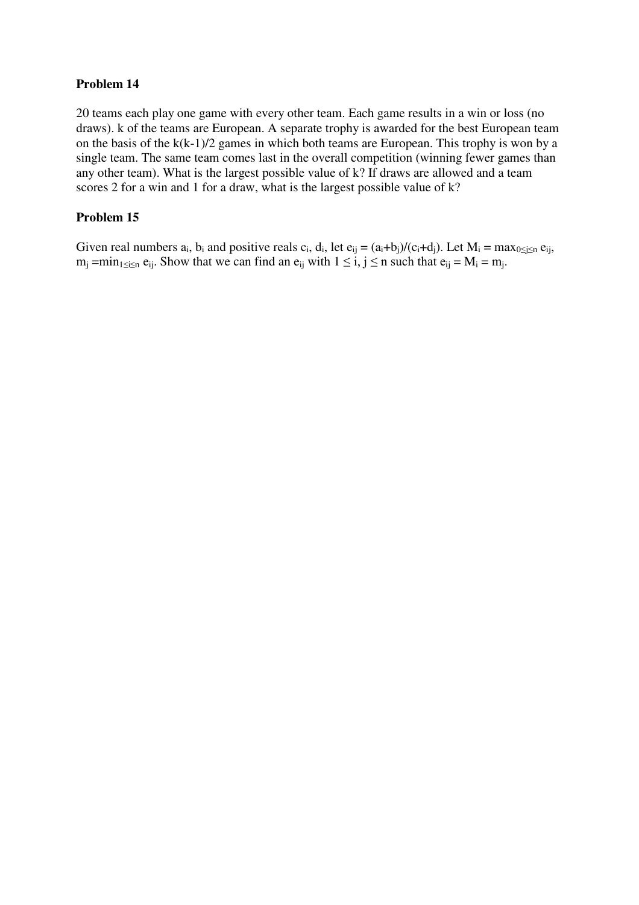20 teams each play one game with every other team. Each game results in a win or loss (no draws). k of the teams are European. A separate trophy is awarded for the best European team on the basis of the k(k-1)/2 games in which both teams are European. This trophy is won by a single team. The same team comes last in the overall competition (winning fewer games than any other team). What is the largest possible value of k? If draws are allowed and a team scores 2 for a win and 1 for a draw, what is the largest possible value of k?

## **Problem 15**

Given real numbers  $a_i$ ,  $b_i$  and positive reals  $c_i$ ,  $d_i$ , let  $e_{ij} = (a_i + b_j)/(c_i + d_j)$ . Let  $M_i = \max_{0 \le j \le n} e_{ij}$ ,  $m_j = min_{1 \le i \le n} e_{ij}$ . Show that we can find an  $e_{ij}$  with  $1 \le i, j \le n$  such that  $e_{ij} = M_i = m_j$ .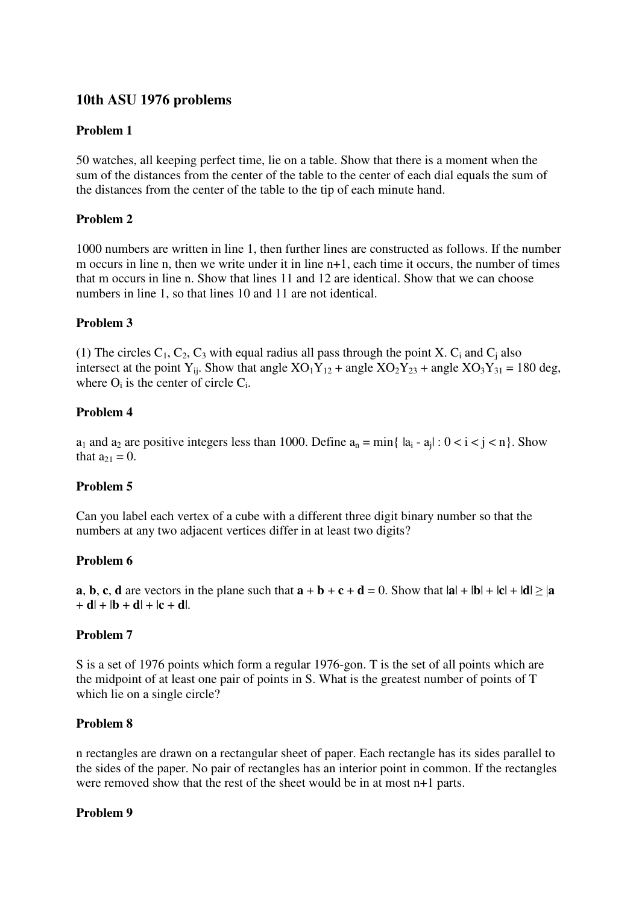# **10th ASU 1976 problems**

# **Problem 1**

50 watches, all keeping perfect time, lie on a table. Show that there is a moment when the sum of the distances from the center of the table to the center of each dial equals the sum of the distances from the center of the table to the tip of each minute hand.

# **Problem 2**

1000 numbers are written in line 1, then further lines are constructed as follows. If the number m occurs in line n, then we write under it in line n+1, each time it occurs, the number of times that m occurs in line n. Show that lines 11 and 12 are identical. Show that we can choose numbers in line 1, so that lines 10 and 11 are not identical.

# **Problem 3**

(1) The circles  $C_1$ ,  $C_2$ ,  $C_3$  with equal radius all pass through the point X.  $C_i$  and  $C_i$  also intersect at the point Y<sub>ij</sub>. Show that angle  $XO_1Y_{12}$  + angle  $XO_2Y_{23}$  + angle  $XO_3Y_{31}$  = 180 deg, where  $O_i$  is the center of circle  $C_i$ .

# **Problem 4**

 $a_1$  and  $a_2$  are positive integers less than 1000. Define  $a_n = \min\{ |a_i - a_j| : 0 < i < j < n \}$ . Show that  $a_{21} = 0$ .

### **Problem 5**

Can you label each vertex of a cube with a different three digit binary number so that the numbers at any two adjacent vertices differ in at least two digits?

### **Problem 6**

**a**, **b**, **c**, **d** are vectors in the plane such that  $\mathbf{a} + \mathbf{b} + \mathbf{c} + \mathbf{d} = 0$ . Show that  $|\mathbf{a}| + |\mathbf{b}| + |\mathbf{c}| + |\mathbf{d}| \geq |\mathbf{a}|$  $+ d$ | + |**b** + **d**| + |**c** + **d**|.

### **Problem 7**

S is a set of 1976 points which form a regular 1976-gon. T is the set of all points which are the midpoint of at least one pair of points in S. What is the greatest number of points of T which lie on a single circle?

### **Problem 8**

n rectangles are drawn on a rectangular sheet of paper. Each rectangle has its sides parallel to the sides of the paper. No pair of rectangles has an interior point in common. If the rectangles were removed show that the rest of the sheet would be in at most n+1 parts.

### **Problem 9**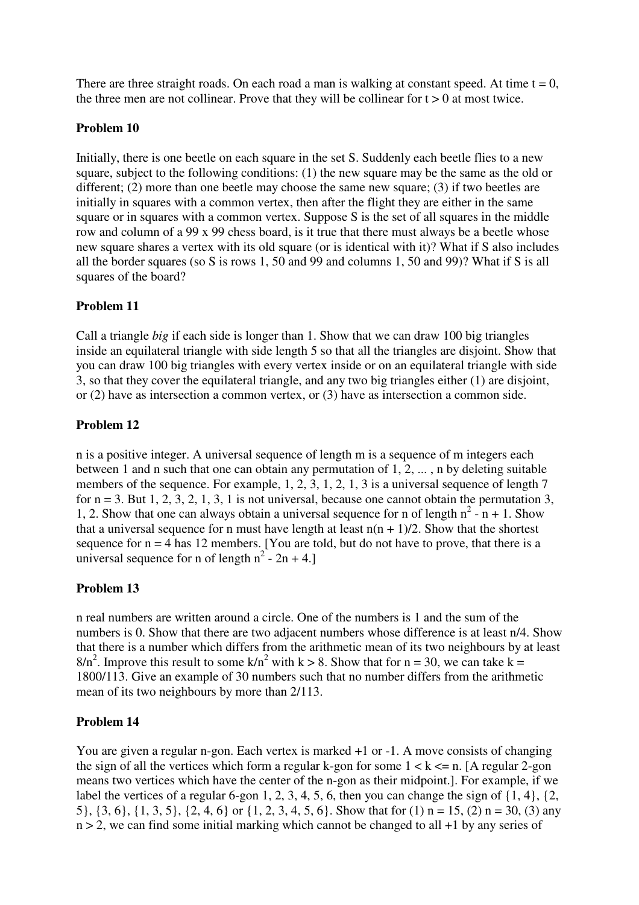There are three straight roads. On each road a man is walking at constant speed. At time  $t = 0$ , the three men are not collinear. Prove that they will be collinear for  $t > 0$  at most twice.

#### **Problem 10**

Initially, there is one beetle on each square in the set S. Suddenly each beetle flies to a new square, subject to the following conditions: (1) the new square may be the same as the old or different; (2) more than one beetle may choose the same new square; (3) if two beetles are initially in squares with a common vertex, then after the flight they are either in the same square or in squares with a common vertex. Suppose S is the set of all squares in the middle row and column of a 99 x 99 chess board, is it true that there must always be a beetle whose new square shares a vertex with its old square (or is identical with it)? What if S also includes all the border squares (so S is rows 1, 50 and 99 and columns 1, 50 and 99)? What if S is all squares of the board?

#### **Problem 11**

Call a triangle *big* if each side is longer than 1. Show that we can draw 100 big triangles inside an equilateral triangle with side length 5 so that all the triangles are disjoint. Show that you can draw 100 big triangles with every vertex inside or on an equilateral triangle with side 3, so that they cover the equilateral triangle, and any two big triangles either (1) are disjoint, or (2) have as intersection a common vertex, or (3) have as intersection a common side.

### **Problem 12**

n is a positive integer. A universal sequence of length m is a sequence of m integers each between 1 and n such that one can obtain any permutation of 1, 2, ... , n by deleting suitable members of the sequence. For example, 1, 2, 3, 1, 2, 1, 3 is a universal sequence of length 7 for  $n = 3$ . But 1, 2, 3, 2, 1, 3, 1 is not universal, because one cannot obtain the permutation 3, 1, 2. Show that one can always obtain a universal sequence for n of length  $n^2 - n + 1$ . Show that a universal sequence for n must have length at least  $n(n + 1)/2$ . Show that the shortest sequence for  $n = 4$  has 12 members. [You are told, but do not have to prove, that there is a universal sequence for n of length  $n^2 - 2n + 4$ .

### **Problem 13**

n real numbers are written around a circle. One of the numbers is 1 and the sum of the numbers is 0. Show that there are two adjacent numbers whose difference is at least n/4. Show that there is a number which differs from the arithmetic mean of its two neighbours by at least  $8/n^2$ . Improve this result to some k/n<sup>2</sup> with k > 8. Show that for n = 30, we can take k = 1800/113. Give an example of 30 numbers such that no number differs from the arithmetic mean of its two neighbours by more than 2/113.

#### **Problem 14**

You are given a regular n-gon. Each vertex is marked  $+1$  or  $-1$ . A move consists of changing the sign of all the vertices which form a regular k-gon for some  $1 < k \le n$ . [A regular 2-gon means two vertices which have the center of the n-gon as their midpoint.]. For example, if we label the vertices of a regular 6-gon 1, 2, 3, 4, 5, 6, then you can change the sign of  $\{1, 4\}$ ,  $\{2, 4, 5, 6, 6, 7\}$ 5}, {3, 6}, {1, 3, 5}, {2, 4, 6} or {1, 2, 3, 4, 5, 6}. Show that for (1) n = 15, (2) n = 30, (3) any  $n > 2$ , we can find some initial marking which cannot be changed to all  $+1$  by any series of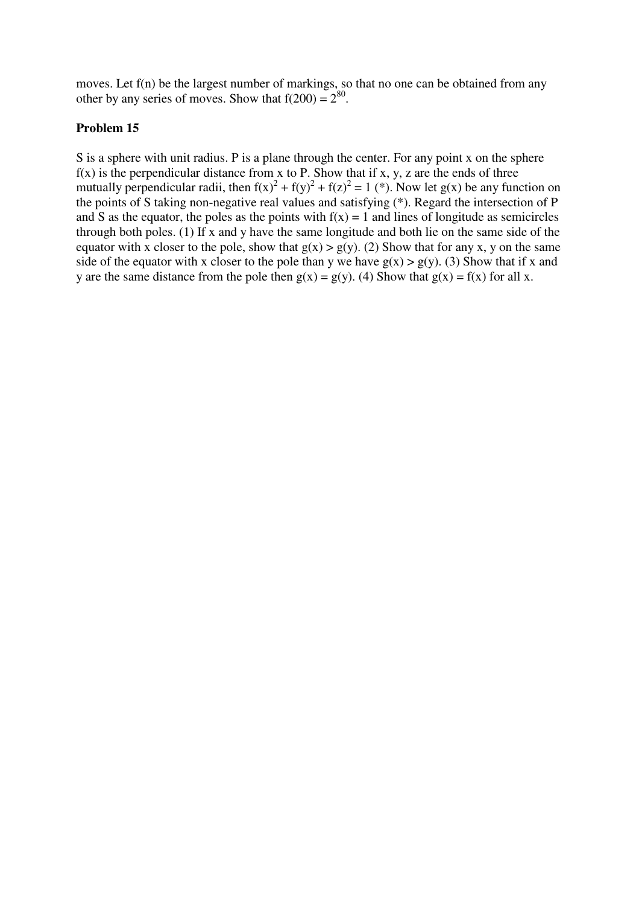moves. Let f(n) be the largest number of markings, so that no one can be obtained from any other by any series of moves. Show that  $f(200) = 2^{80}$ .

#### **Problem 15**

S is a sphere with unit radius. P is a plane through the center. For any point x on the sphere  $f(x)$  is the perpendicular distance from x to P. Show that if x, y, z are the ends of three mutually perpendicular radii, then  $f(x)^2 + f(y)^2 + f(z)^2 = 1$  (\*). Now let g(x) be any function on the points of S taking non-negative real values and satisfying (\*). Regard the intersection of P and S as the equator, the poles as the points with  $f(x) = 1$  and lines of longitude as semicircles through both poles. (1) If x and y have the same longitude and both lie on the same side of the equator with x closer to the pole, show that  $g(x) > g(y)$ . (2) Show that for any x, y on the same side of the equator with x closer to the pole than y we have  $g(x) > g(y)$ . (3) Show that if x and y are the same distance from the pole then  $g(x) = g(y)$ . (4) Show that  $g(x) = f(x)$  for all x.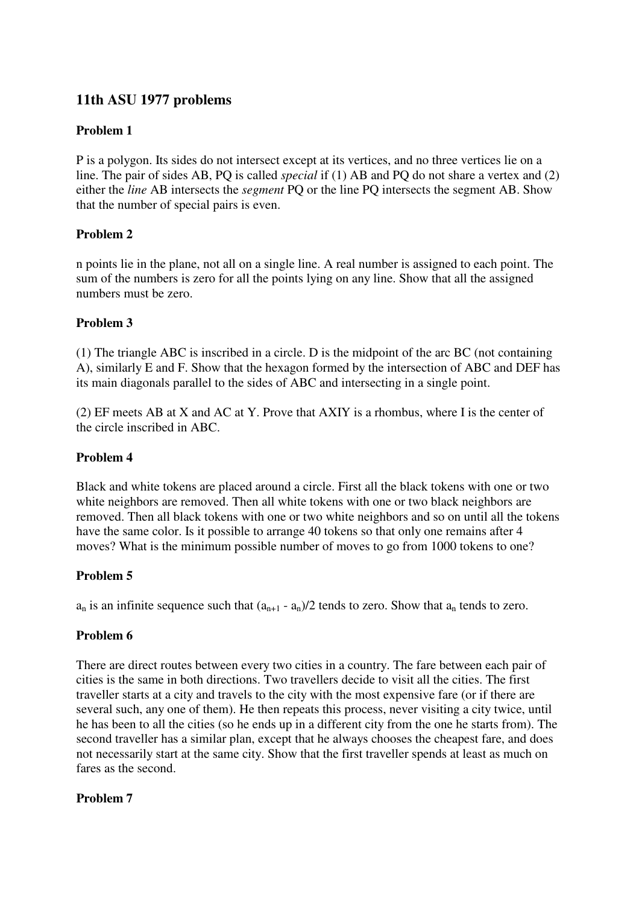# **11th ASU 1977 problems**

### **Problem 1**

P is a polygon. Its sides do not intersect except at its vertices, and no three vertices lie on a line. The pair of sides AB, PQ is called *special* if (1) AB and PQ do not share a vertex and (2) either the *line* AB intersects the *segment* PQ or the line PQ intersects the segment AB. Show that the number of special pairs is even.

# **Problem 2**

n points lie in the plane, not all on a single line. A real number is assigned to each point. The sum of the numbers is zero for all the points lying on any line. Show that all the assigned numbers must be zero.

### **Problem 3**

(1) The triangle ABC is inscribed in a circle. D is the midpoint of the arc BC (not containing A), similarly E and F. Show that the hexagon formed by the intersection of ABC and DEF has its main diagonals parallel to the sides of ABC and intersecting in a single point.

(2) EF meets AB at X and AC at Y. Prove that AXIY is a rhombus, where I is the center of the circle inscribed in ABC.

### **Problem 4**

Black and white tokens are placed around a circle. First all the black tokens with one or two white neighbors are removed. Then all white tokens with one or two black neighbors are removed. Then all black tokens with one or two white neighbors and so on until all the tokens have the same color. Is it possible to arrange 40 tokens so that only one remains after 4 moves? What is the minimum possible number of moves to go from 1000 tokens to one?

### **Problem 5**

 $a_n$  is an infinite sequence such that  $(a_{n+1} - a_n)/2$  tends to zero. Show that  $a_n$  tends to zero.

### **Problem 6**

There are direct routes between every two cities in a country. The fare between each pair of cities is the same in both directions. Two travellers decide to visit all the cities. The first traveller starts at a city and travels to the city with the most expensive fare (or if there are several such, any one of them). He then repeats this process, never visiting a city twice, until he has been to all the cities (so he ends up in a different city from the one he starts from). The second traveller has a similar plan, except that he always chooses the cheapest fare, and does not necessarily start at the same city. Show that the first traveller spends at least as much on fares as the second.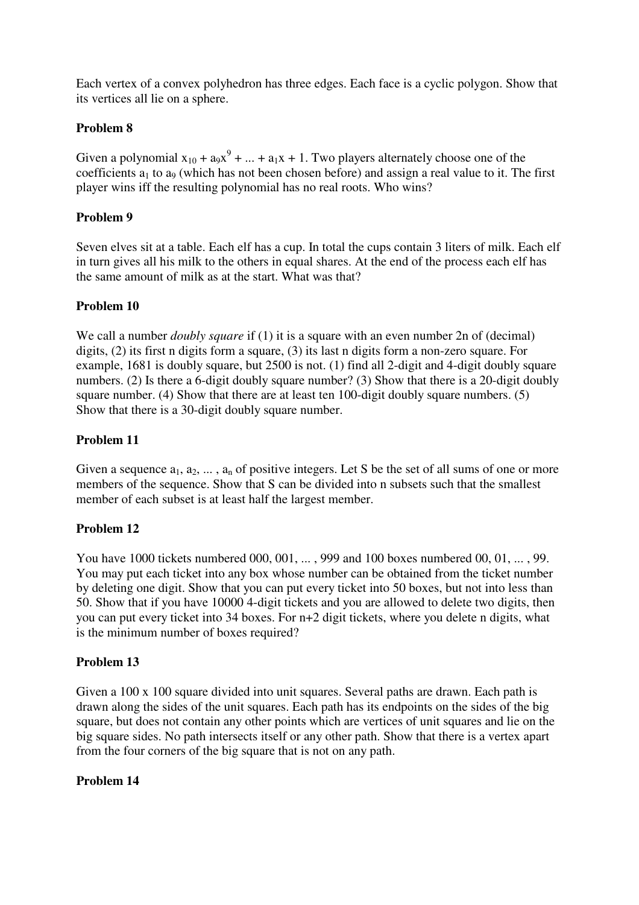Each vertex of a convex polyhedron has three edges. Each face is a cyclic polygon. Show that its vertices all lie on a sphere.

### **Problem 8**

Given a polynomial  $x_{10} + a_9x^9 + ... + a_1x + 1$ . Two players alternately choose one of the coefficients  $a_1$  to  $a_9$  (which has not been chosen before) and assign a real value to it. The first player wins iff the resulting polynomial has no real roots. Who wins?

### **Problem 9**

Seven elves sit at a table. Each elf has a cup. In total the cups contain 3 liters of milk. Each elf in turn gives all his milk to the others in equal shares. At the end of the process each elf has the same amount of milk as at the start. What was that?

### **Problem 10**

We call a number *doubly square* if (1) it is a square with an even number 2n of (decimal) digits, (2) its first n digits form a square, (3) its last n digits form a non-zero square. For example, 1681 is doubly square, but 2500 is not. (1) find all 2-digit and 4-digit doubly square numbers. (2) Is there a 6-digit doubly square number? (3) Show that there is a 20-digit doubly square number. (4) Show that there are at least ten 100-digit doubly square numbers. (5) Show that there is a 30-digit doubly square number.

### **Problem 11**

Given a sequence  $a_1, a_2, \ldots, a_n$  of positive integers. Let S be the set of all sums of one or more members of the sequence. Show that S can be divided into n subsets such that the smallest member of each subset is at least half the largest member.

### **Problem 12**

You have 1000 tickets numbered 000, 001, ... , 999 and 100 boxes numbered 00, 01, ... , 99. You may put each ticket into any box whose number can be obtained from the ticket number by deleting one digit. Show that you can put every ticket into 50 boxes, but not into less than 50. Show that if you have 10000 4-digit tickets and you are allowed to delete two digits, then you can put every ticket into 34 boxes. For n+2 digit tickets, where you delete n digits, what is the minimum number of boxes required?

### **Problem 13**

Given a 100 x 100 square divided into unit squares. Several paths are drawn. Each path is drawn along the sides of the unit squares. Each path has its endpoints on the sides of the big square, but does not contain any other points which are vertices of unit squares and lie on the big square sides. No path intersects itself or any other path. Show that there is a vertex apart from the four corners of the big square that is not on any path.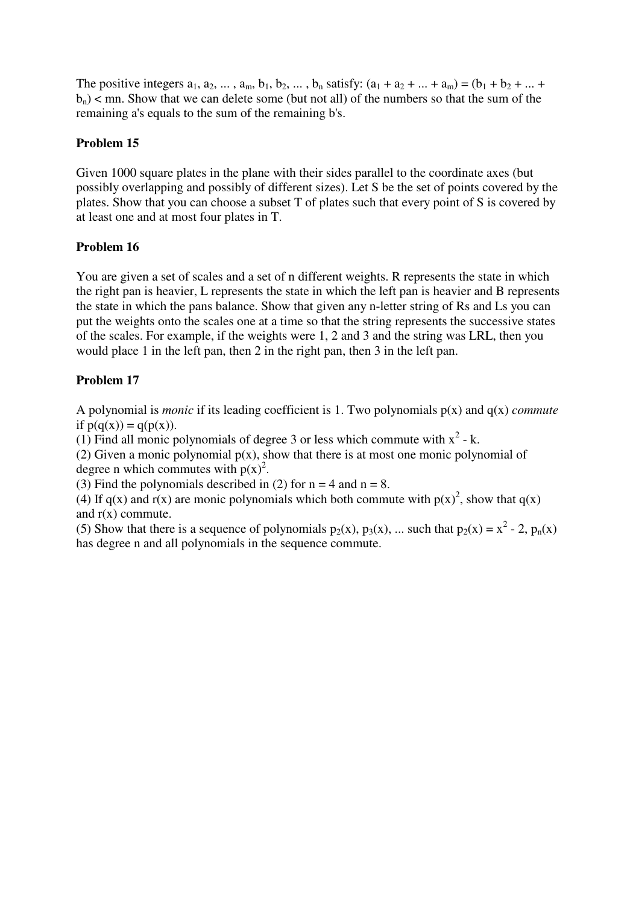The positive integers  $a_1, a_2, ..., a_m, b_1, b_2, ..., b_n$  satisfy:  $(a_1 + a_2 + ... + a_m) = (b_1 + b_2 + ... + b_m)$  $b_n$ ) < mn. Show that we can delete some (but not all) of the numbers so that the sum of the remaining a's equals to the sum of the remaining b's.

# **Problem 15**

Given 1000 square plates in the plane with their sides parallel to the coordinate axes (but possibly overlapping and possibly of different sizes). Let S be the set of points covered by the plates. Show that you can choose a subset T of plates such that every point of S is covered by at least one and at most four plates in T.

# **Problem 16**

You are given a set of scales and a set of n different weights. R represents the state in which the right pan is heavier, L represents the state in which the left pan is heavier and B represents the state in which the pans balance. Show that given any n-letter string of Rs and Ls you can put the weights onto the scales one at a time so that the string represents the successive states of the scales. For example, if the weights were 1, 2 and 3 and the string was LRL, then you would place 1 in the left pan, then 2 in the right pan, then 3 in the left pan.

# **Problem 17**

A polynomial is *monic* if its leading coefficient is 1. Two polynomials p(x) and q(x) *commute* if  $p(q(x)) = q(p(x))$ .

(1) Find all monic polynomials of degree 3 or less which commute with  $x^2 - k$ .

(2) Given a monic polynomial  $p(x)$ , show that there is at most one monic polynomial of degree n which commutes with  $p(x)^2$ .

(3) Find the polynomials described in (2) for  $n = 4$  and  $n = 8$ .

(4) If  $q(x)$  and  $r(x)$  are monic polynomials which both commute with  $p(x)^2$ , show that  $q(x)$ and  $r(x)$  commute.

(5) Show that there is a sequence of polynomials  $p_2(x)$ ,  $p_3(x)$ , ... such that  $p_2(x) = x^2 - 2$ ,  $p_n(x)$ has degree n and all polynomials in the sequence commute.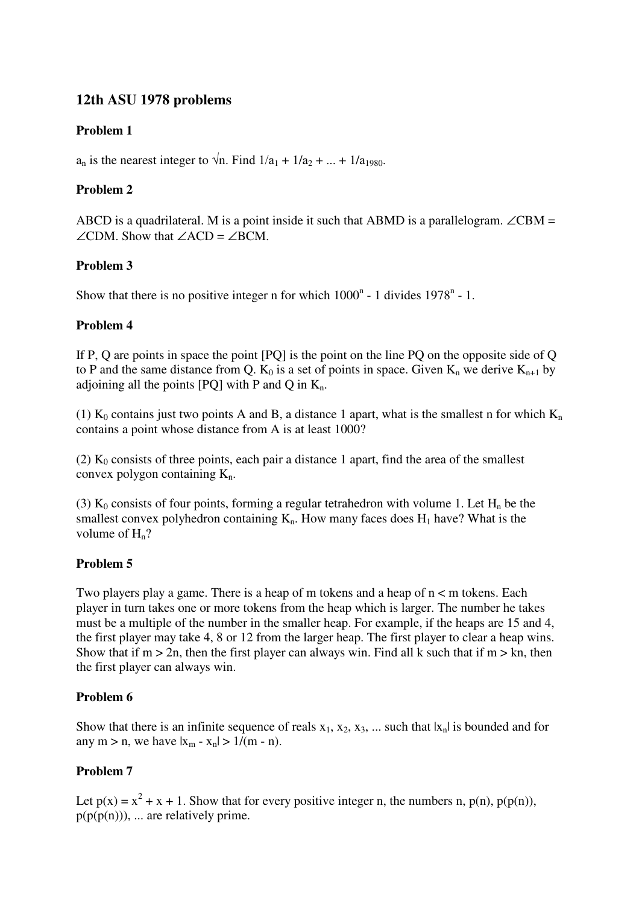# **12th ASU 1978 problems**

# **Problem 1**

 $a_n$  is the nearest integer to  $\sqrt{n}$ . Find  $1/a_1 + 1/a_2 + ... + 1/a_1$ <sub>980</sub>.

# **Problem 2**

ABCD is a quadrilateral. M is a point inside it such that ABMD is a parallelogram.  $\angle$ CBM =  $\angle$ CDM. Show that  $\angle$ ACD =  $\angle$ BCM.

# **Problem 3**

Show that there is no positive integer n for which  $1000<sup>n</sup>$  - 1 divides  $1978<sup>n</sup>$  - 1.

# **Problem 4**

If P, Q are points in space the point [PQ] is the point on the line PQ on the opposite side of Q to P and the same distance from Q.  $K_0$  is a set of points in space. Given  $K_n$  we derive  $K_{n+1}$  by adjoining all the points  $[PO]$  with P and Q in  $K_n$ .

(1)  $K_0$  contains just two points A and B, a distance 1 apart, what is the smallest n for which  $K_n$ contains a point whose distance from A is at least 1000?

(2)  $K_0$  consists of three points, each pair a distance 1 apart, find the area of the smallest convex polygon containing  $K_n$ .

(3)  $K_0$  consists of four points, forming a regular tetrahedron with volume 1. Let  $H_n$  be the smallest convex polyhedron containing  $K_n$ . How many faces does  $H_1$  have? What is the volume of  $H_n$ ?

# **Problem 5**

Two players play a game. There is a heap of m tokens and a heap of n < m tokens. Each player in turn takes one or more tokens from the heap which is larger. The number he takes must be a multiple of the number in the smaller heap. For example, if the heaps are 15 and 4, the first player may take 4, 8 or 12 from the larger heap. The first player to clear a heap wins. Show that if  $m > 2n$ , then the first player can always win. Find all k such that if  $m > kn$ , then the first player can always win.

# **Problem 6**

Show that there is an infinite sequence of reals  $x_1, x_2, x_3, ...$  such that  $|x_n|$  is bounded and for any m > n, we have  $|x_m - x_n| > 1/(m - n)$ .

# **Problem 7**

Let  $p(x) = x^2 + x + 1$ . Show that for every positive integer n, the numbers n,  $p(n)$ ,  $p(p(n))$ ,  $p(p(p(n)))$ , ... are relatively prime.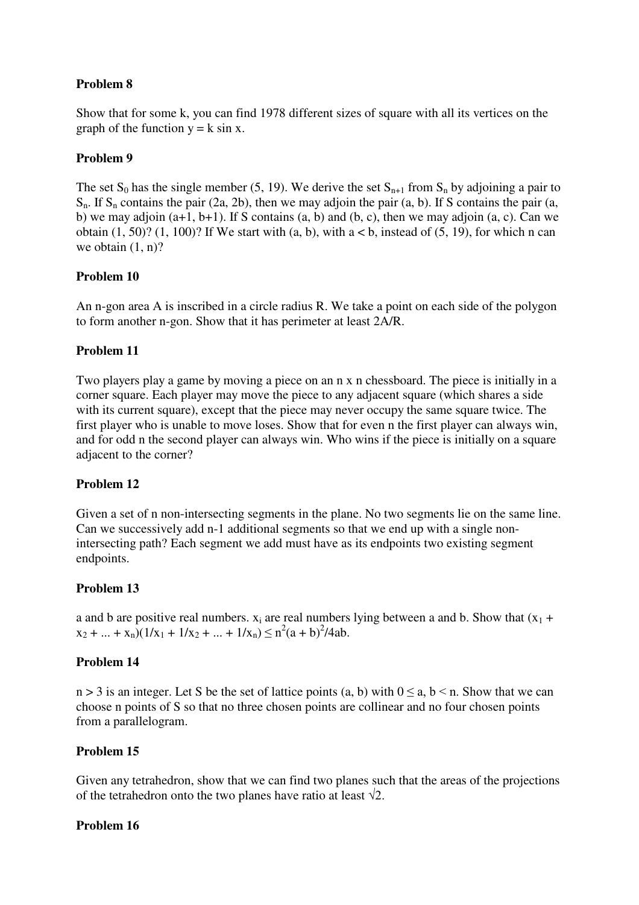# **Problem 8**

Show that for some k, you can find 1978 different sizes of square with all its vertices on the graph of the function  $y = k \sin x$ .

### **Problem 9**

The set  $S_0$  has the single member (5, 19). We derive the set  $S_{n+1}$  from  $S_n$  by adjoining a pair to  $S_n$ . If  $S_n$  contains the pair (2a, 2b), then we may adjoin the pair (a, b). If S contains the pair (a, b) we may adjoin  $(a+1, b+1)$ . If S contains  $(a, b)$  and  $(b, c)$ , then we may adjoin  $(a, c)$ . Can we obtain  $(1, 50)$ ?  $(1, 100)$ ? If We start with  $(a, b)$ , with  $a < b$ , instead of  $(5, 19)$ , for which n can we obtain  $(1, n)$ ?

### **Problem 10**

An n-gon area A is inscribed in a circle radius R. We take a point on each side of the polygon to form another n-gon. Show that it has perimeter at least 2A/R.

# **Problem 11**

Two players play a game by moving a piece on an n x n chessboard. The piece is initially in a corner square. Each player may move the piece to any adjacent square (which shares a side with its current square), except that the piece may never occupy the same square twice. The first player who is unable to move loses. Show that for even n the first player can always win, and for odd n the second player can always win. Who wins if the piece is initially on a square adjacent to the corner?

### **Problem 12**

Given a set of n non-intersecting segments in the plane. No two segments lie on the same line. Can we successively add n-1 additional segments so that we end up with a single nonintersecting path? Each segment we add must have as its endpoints two existing segment endpoints.

### **Problem 13**

a and b are positive real numbers.  $x_i$  are real numbers lying between a and b. Show that  $(x_1 +$  $x_2 + ... + x_n(1/x_1 + 1/x_2 + ... + 1/x_n) \le n^2(a + b)^2/4ab.$ 

### **Problem 14**

 $n > 3$  is an integer. Let S be the set of lattice points (a, b) with  $0 \le a, b \le n$ . Show that we can choose n points of S so that no three chosen points are collinear and no four chosen points from a parallelogram.

### **Problem 15**

Given any tetrahedron, show that we can find two planes such that the areas of the projections of the tetrahedron onto the two planes have ratio at least  $\sqrt{2}$ .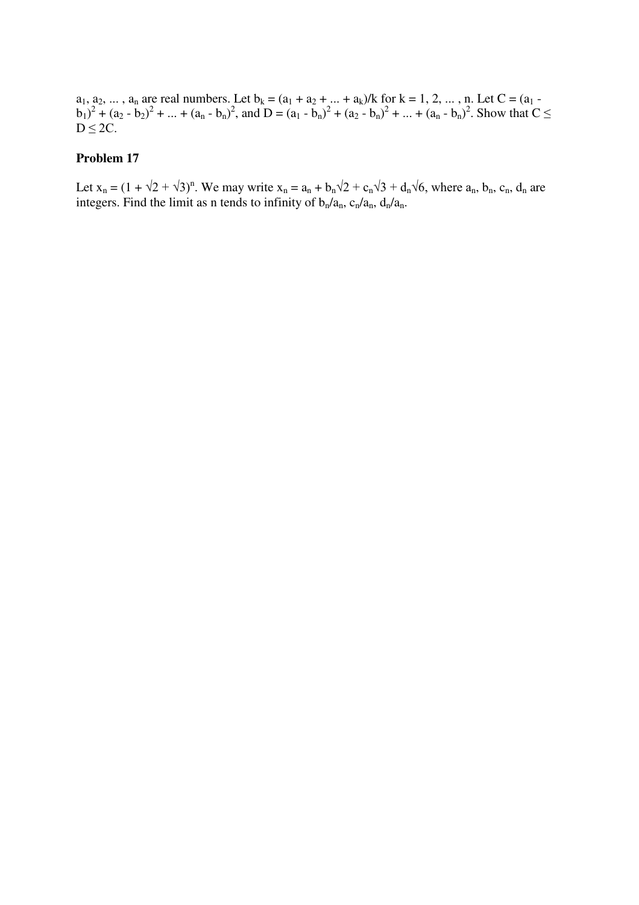$a_1, a_2, ..., a_n$  are real numbers. Let  $b_k = (a_1 + a_2 + ... + a_k)/k$  for  $k = 1, 2, ..., n$ . Let  $C = (a_1 - a_2)$ .  $(b_1)^2 + (a_2 - b_2)^2 + ... + (a_n - b_n)^2$ , and  $D = (a_1 - b_n)^2 + (a_2 - b_n)^2 + ... + (a_n - b_n)^2$ . Show that  $C \leq$  $D \leq 2C$ .

#### **Problem 17**

Let  $x_n = (1 + \sqrt{2} + \sqrt{3})^n$ . We may write  $x_n = a_n + b_n\sqrt{2} + c_n\sqrt{3} + d_n\sqrt{6}$ , where  $a_n$ ,  $b_n$ ,  $c_n$ ,  $d_n$  are integers. Find the limit as n tends to infinity of  $b_n/a_n$ ,  $c_n/a_n$ ,  $d_n/a_n$ .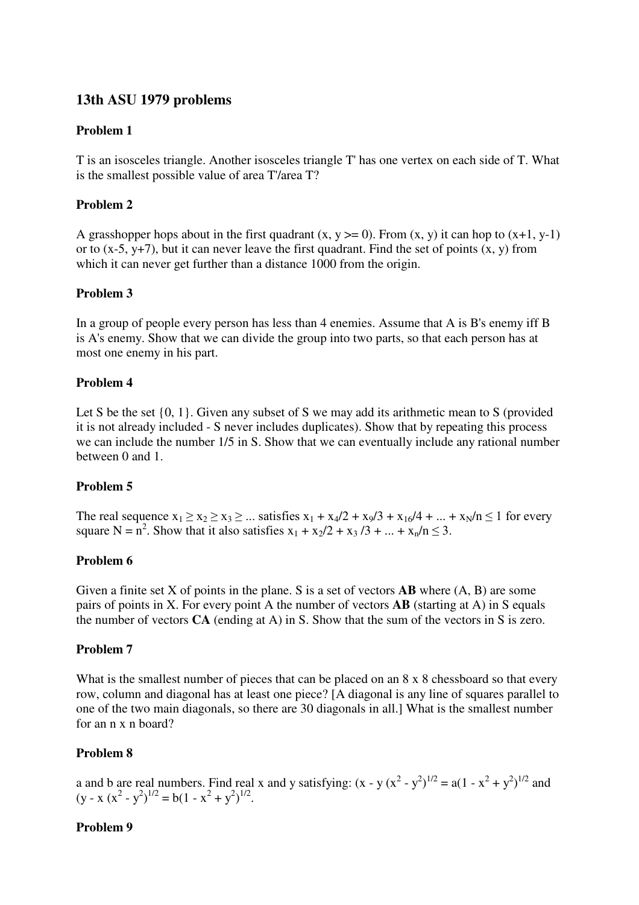# **13th ASU 1979 problems**

### **Problem 1**

T is an isosceles triangle. Another isosceles triangle T' has one vertex on each side of T. What is the smallest possible value of area T'/area T?

### **Problem 2**

A grasshopper hops about in the first quadrant  $(x, y \ge 0)$ . From  $(x, y)$  it can hop to  $(x+1, y-1)$ or to  $(x-5, y+7)$ , but it can never leave the first quadrant. Find the set of points  $(x, y)$  from which it can never get further than a distance 1000 from the origin.

# **Problem 3**

In a group of people every person has less than 4 enemies. Assume that A is B's enemy iff B is A's enemy. Show that we can divide the group into two parts, so that each person has at most one enemy in his part.

### **Problem 4**

Let S be the set  $\{0, 1\}$ . Given any subset of S we may add its arithmetic mean to S (provided it is not already included - S never includes duplicates). Show that by repeating this process we can include the number 1/5 in S. Show that we can eventually include any rational number between 0 and 1.

# **Problem 5**

The real sequence  $x_1 \ge x_2 \ge x_3 \ge ...$  satisfies  $x_1 + x_4/2 + x_9/3 + x_{16}/4 + ... + x_N/n \le 1$  for every square N =  $n^2$ . Show that it also satisfies  $x_1 + x_2/2 + x_3/3 + ... + x_n/n \le 3$ .

### **Problem 6**

Given a finite set X of points in the plane. S is a set of vectors **AB** where (A, B) are some pairs of points in X. For every point A the number of vectors **AB** (starting at A) in S equals the number of vectors **CA** (ending at A) in S. Show that the sum of the vectors in S is zero.

### **Problem 7**

What is the smallest number of pieces that can be placed on an 8 x 8 chessboard so that every row, column and diagonal has at least one piece? [A diagonal is any line of squares parallel to one of the two main diagonals, so there are 30 diagonals in all.] What is the smallest number for an n x n board?

### **Problem 8**

a and b are real numbers. Find real x and y satisfying:  $(x - y(x^2 - y^2)^{1/2} = a(1 - x^2 + y^2)^{1/2}$  and  $(y - x (x<sup>2</sup> - y<sup>2</sup>)<sup>1/2</sup> = b(1 - x<sup>2</sup> + y<sup>2</sup>)<sup>1/2</sup>.$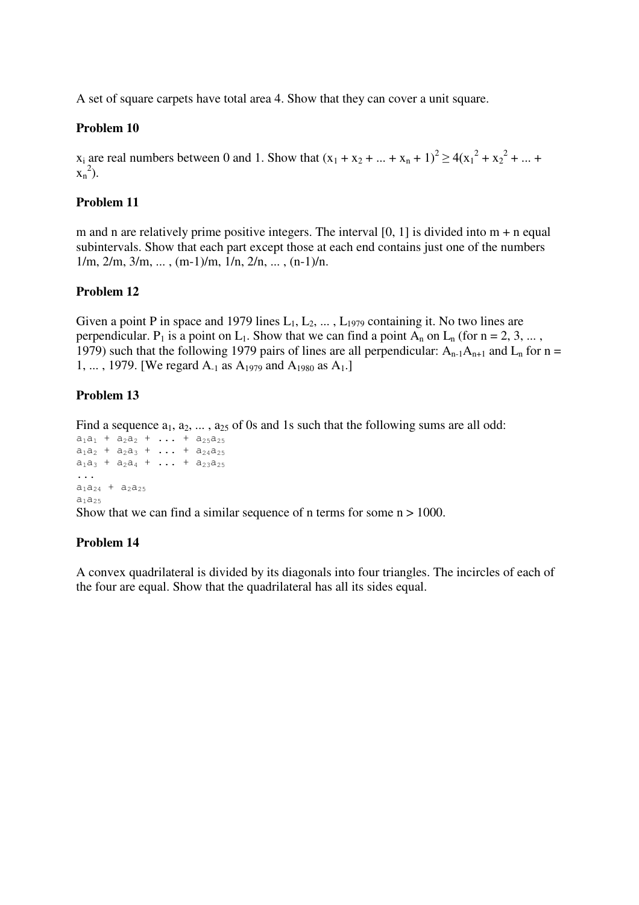A set of square carpets have total area 4. Show that they can cover a unit square.

### **Problem 10**

 $x_i$  are real numbers between 0 and 1. Show that  $(x_1 + x_2 + ... + x_n + 1)^2 \ge 4(x_1^2 + x_2^2 + ... + x_n^2)$  $x_n^2$ ).

### **Problem 11**

m and n are relatively prime positive integers. The interval  $[0, 1]$  is divided into  $m + n$  equal subintervals. Show that each part except those at each end contains just one of the numbers  $1/m$ ,  $2/m$ ,  $3/m$ , ...,  $(m-1)/m$ ,  $1/n$ ,  $2/n$ , ...,  $(n-1)/n$ .

### **Problem 12**

Given a point P in space and 1979 lines  $L_1, L_2, \ldots, L_{1979}$  containing it. No two lines are perpendicular.  $P_1$  is a point on  $L_1$ . Show that we can find a point  $A_n$  on  $L_n$  (for  $n = 2, 3, ...$ ) 1979) such that the following 1979 pairs of lines are all perpendicular:  $A_{n-1}A_{n+1}$  and  $L_n$  for  $n =$ 1, ..., 1979. [We regard  $A_{-1}$  as  $A_{1979}$  and  $A_{1980}$  as  $A_{1}$ .]

# **Problem 13**

Find a sequence  $a_1, a_2, \ldots, a_{25}$  of 0s and 1s such that the following sums are all odd:

```
a_1a_1 + a_2a_2 + \ldots + a_{25}a_{25}a_1a_2 + a_2a_3 + \ldots + a_{24}a_{25}a_1a_3 + a_2a_4 + \ldots + a_{23}a_{25}...
a_1a_{24} + a_2a_{25}a_1a_25
```
Show that we can find a similar sequence of n terms for some  $n > 1000$ .

### **Problem 14**

A convex quadrilateral is divided by its diagonals into four triangles. The incircles of each of the four are equal. Show that the quadrilateral has all its sides equal.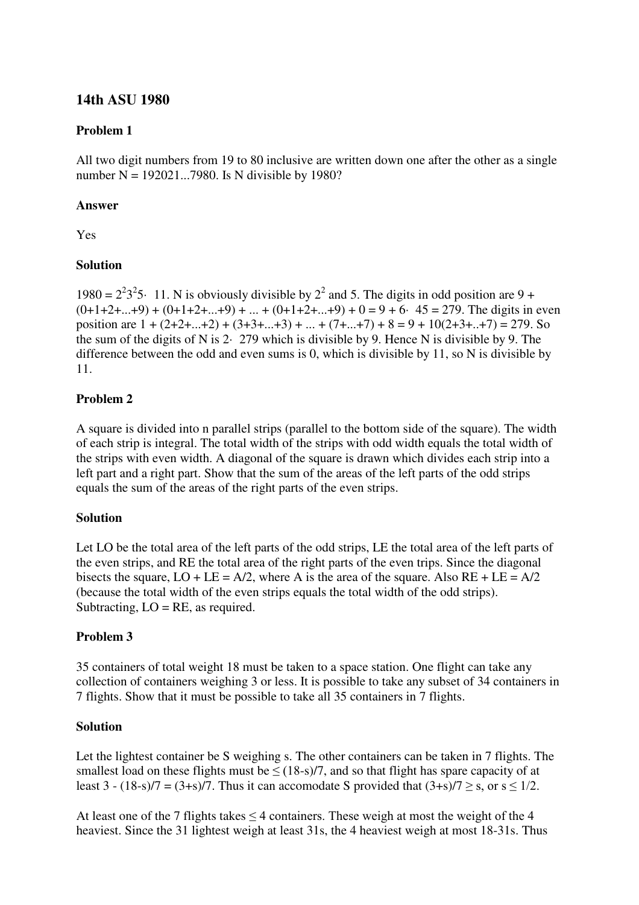# **14th ASU 1980**

### **Problem 1**

All two digit numbers from 19 to 80 inclusive are written down one after the other as a single number  $N = 192021...7980$ . Is N divisible by 1980?

#### **Answer**

Yes

### **Solution**

1980 =  $2^23^25$  11. N is obviously divisible by  $2^2$  and 5. The digits in odd position are 9 +  $(0+1+2+...+9) + (0+1+2+...+9) + ... + (0+1+2+...+9) + 0 = 9 + 6.$  45 = 279. The digits in even position are  $1 + (2+2+\dots+2) + (3+3+\dots+3) + \dots + (7+\dots+7) + 8 = 9 + 10(2+3+\dots+7) = 279$ . So the sum of the digits of N is 2· 279 which is divisible by 9. Hence N is divisible by 9. The difference between the odd and even sums is 0, which is divisible by 11, so N is divisible by 11.

# **Problem 2**

A square is divided into n parallel strips (parallel to the bottom side of the square). The width of each strip is integral. The total width of the strips with odd width equals the total width of the strips with even width. A diagonal of the square is drawn which divides each strip into a left part and a right part. Show that the sum of the areas of the left parts of the odd strips equals the sum of the areas of the right parts of the even strips.

### **Solution**

Let LO be the total area of the left parts of the odd strips, LE the total area of the left parts of the even strips, and RE the total area of the right parts of the even trips. Since the diagonal bisects the square,  $LO + LE = A/2$ , where A is the area of the square. Also  $RE + LE = A/2$ (because the total width of the even strips equals the total width of the odd strips). Subtracting,  $LO = RE$ , as required.

### **Problem 3**

35 containers of total weight 18 must be taken to a space station. One flight can take any collection of containers weighing 3 or less. It is possible to take any subset of 34 containers in 7 flights. Show that it must be possible to take all 35 containers in 7 flights.

#### **Solution**

Let the lightest container be S weighing s. The other containers can be taken in 7 flights. The smallest load on these flights must be  $\leq$  (18-s)/7, and so that flight has spare capacity of at least 3 - (18-s)/7 = (3+s)/7. Thus it can accomodate S provided that  $(3+s)/7 \geq s$ , or  $s \leq 1/2$ .

At least one of the 7 flights takes  $\leq$  4 containers. These weigh at most the weight of the 4 heaviest. Since the 31 lightest weigh at least 31s, the 4 heaviest weigh at most 18-31s. Thus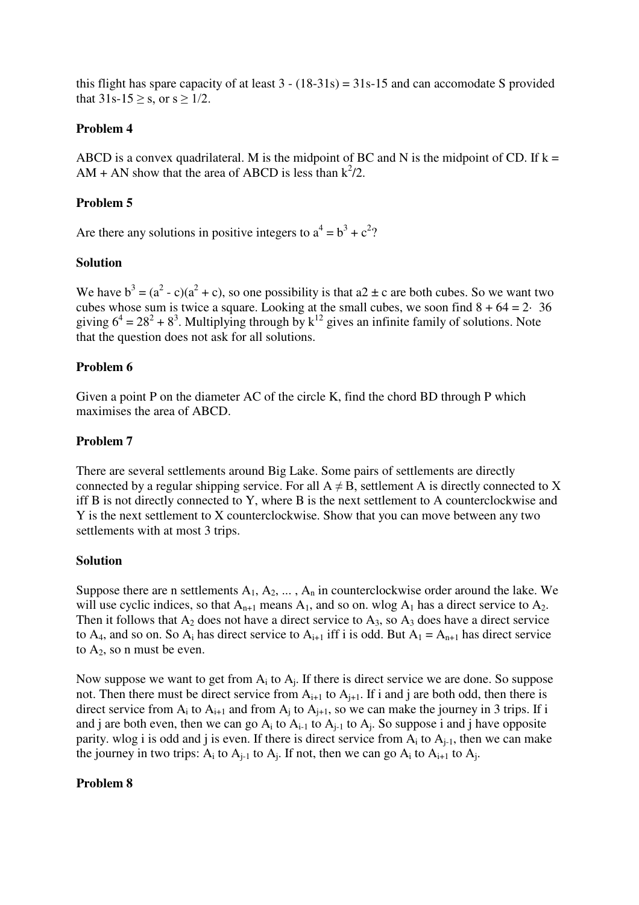this flight has spare capacity of at least  $3 - (18-31s) = 31s-15$  and can accomodate S provided that  $31s-15 \geq s$ , or  $s \geq 1/2$ .

### **Problem 4**

ABCD is a convex quadrilateral. M is the midpoint of BC and N is the midpoint of CD. If  $k =$ AM + AN show that the area of ABCD is less than  $k^2/2$ .

#### **Problem 5**

Are there any solutions in positive integers to  $a^4 = b^3 + c^2$ ?

#### **Solution**

We have  $b^3 = (a^2 - c)(a^2 + c)$ , so one possibility is that  $a2 \pm c$  are both cubes. So we want two cubes whose sum is twice a square. Looking at the small cubes, we soon find  $8 + 64 = 2 \cdot 36$ giving  $6^4 = 28^2 + 8^3$ . Multiplying through by  $k^{12}$  gives an infinite family of solutions. Note that the question does not ask for all solutions.

#### **Problem 6**

Given a point P on the diameter AC of the circle K, find the chord BD through P which maximises the area of ABCD.

#### **Problem 7**

There are several settlements around Big Lake. Some pairs of settlements are directly connected by a regular shipping service. For all  $A \neq B$ , settlement A is directly connected to X iff B is not directly connected to Y, where B is the next settlement to A counterclockwise and Y is the next settlement to X counterclockwise. Show that you can move between any two settlements with at most 3 trips.

#### **Solution**

Suppose there are n settlements  $A_1, A_2, \ldots, A_n$  in counterclockwise order around the lake. We will use cyclic indices, so that  $A_{n+1}$  means  $A_1$ , and so on. wlog  $A_1$  has a direct service to  $A_2$ . Then it follows that  $A_2$  does not have a direct service to  $A_3$ , so  $A_3$  does have a direct service to A<sub>4</sub>, and so on. So A<sub>i</sub> has direct service to A<sub>i+1</sub> iff i is odd. But A<sub>1</sub> = A<sub>n+1</sub> has direct service to  $A_2$ , so n must be even.

Now suppose we want to get from  $A_i$  to  $A_j$ . If there is direct service we are done. So suppose not. Then there must be direct service from  $A_{i+1}$  to  $A_{i+1}$ . If i and j are both odd, then there is direct service from  $A_i$  to  $A_{i+1}$  and from  $A_j$  to  $A_{i+1}$ , so we can make the journey in 3 trips. If i and j are both even, then we can go  $A_i$  to  $A_{i-1}$  to  $A_{j-1}$  to  $A_j$ . So suppose i and j have opposite parity. wlog i is odd and j is even. If there is direct service from  $A_i$  to  $A_{i-1}$ , then we can make the journey in two trips:  $A_i$  to  $A_{j-1}$  to  $A_j$ . If not, then we can go  $A_i$  to  $A_{i+1}$  to  $A_j$ .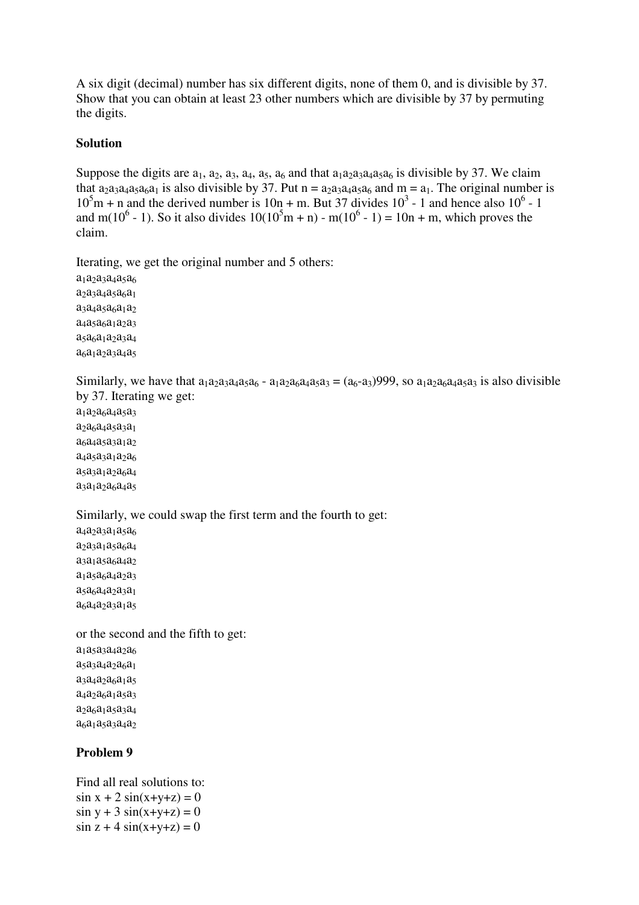A six digit (decimal) number has six different digits, none of them 0, and is divisible by 37. Show that you can obtain at least 23 other numbers which are divisible by 37 by permuting the digits.

### **Solution**

Suppose the digits are  $a_1$ ,  $a_2$ ,  $a_3$ ,  $a_4$ ,  $a_5$ ,  $a_6$  and that  $a_1a_2a_3a_4a_5a_6$  is divisible by 37. We claim that  $a_{2}a_{3}a_{4}a_{5}a_{6}a_{1}$  is also divisible by 37. Put n =  $a_{2}a_{3}a_{4}a_{5}a_{6}$  and m =  $a_{1}$ . The original number is  $10<sup>5</sup>m + n$  and the derived number is 10n + m. But 37 divides  $10<sup>3</sup>$  - 1 and hence also  $10<sup>6</sup>$  - 1 and m(10<sup>6</sup> - 1). So it also divides  $10(10^5m + n)$  - m(10<sup>6</sup> - 1) = 10n + m, which proves the claim.

Iterating, we get the original number and 5 others:

 $a_1a_2a_3a_4a_5a_6$  $a_2a_3a_4a_5a_6a_1$ a<sub>3</sub>a<sub>4</sub>a<sub>5</sub>a<sub>6</sub>a<sub>1</sub>a<sub>2</sub> a<sub>4</sub>a<sub>5</sub>a<sub>6</sub>a<sub>1</sub>a<sub>2</sub>a<sub>3</sub>  $a_5a_6a_1a_2a_3a_4$  $a_6a_1a_2a_3a_4a_5$ 

Similarly, we have that  $a_1a_2a_3a_4a_5a_6 - a_1a_2a_6a_4a_5a_3 = (a_6-a_3)999$ , so  $a_1a_2a_6a_4a_5a_3$  is also divisible by 37. Iterating we get:

a<sub>1</sub>a<sub>2</sub>a<sub>6</sub>a<sub>4</sub>a<sub>5</sub>a<sub>3</sub>  $a_2a_6a_4a_5a_3a_1$ a<sub>6</sub>a<sub>4</sub>a<sub>5</sub>a<sub>3</sub>a<sub>1</sub>a<sub>2</sub>  $a_4a_5a_3a_1a_2a_6$ a<sub>5</sub>a<sub>3</sub>a<sub>1</sub>a<sub>2</sub>a<sub>6</sub>a<sub>4</sub> a<sub>3</sub>a<sub>1</sub>a<sub>2</sub>a<sub>6</sub>a<sub>4</sub>a<sub>5</sub>

Similarly, we could swap the first term and the fourth to get:

a<sub>4</sub>a<sub>2</sub>a<sub>3</sub>a<sub>1</sub>a<sub>5</sub>a<sub>6</sub> a<sub>2</sub>a<sub>3</sub>a<sub>1</sub>a<sub>5</sub>a<sub>6</sub>a<sub>4</sub> a<sub>3</sub>a<sub>1</sub>a<sub>5</sub>a<sub>6</sub>a<sub>4</sub>a<sub>2</sub> a<sub>1</sub>a<sub>5</sub>a<sub>6</sub>a<sub>4</sub>a<sub>2</sub>a<sub>3</sub>  $a_5a_6a_4a_2a_3a_1$ a<sub>6</sub>a<sub>4</sub>a<sub>2</sub>a<sub>3</sub>a<sub>1</sub>a<sub>5</sub>

or the second and the fifth to get: a<sub>1</sub>a<sub>5</sub>a<sub>3</sub>a<sub>4</sub>a<sub>2</sub>a<sub>6</sub> a<sub>5</sub>a<sub>3</sub>a<sub>4</sub>a<sub>2</sub>a<sub>6</sub>a<sub>1</sub>  $a_3a_4a_2a_6a_1a_5$  $a_4a_2a_6a_1a_5a_3$ a2a6a1a5a3a<sup>4</sup> a<sub>6</sub>a<sub>1</sub>a<sub>5</sub>a<sub>3</sub>a<sub>4</sub>a<sub>2</sub>

### **Problem 9**

Find all real solutions to:  $\sin x + 2 \sin(x+y+z) = 0$  $\sin y + 3 \sin(x+y+z) = 0$  $\sin z + 4 \sin(x+y+z) = 0$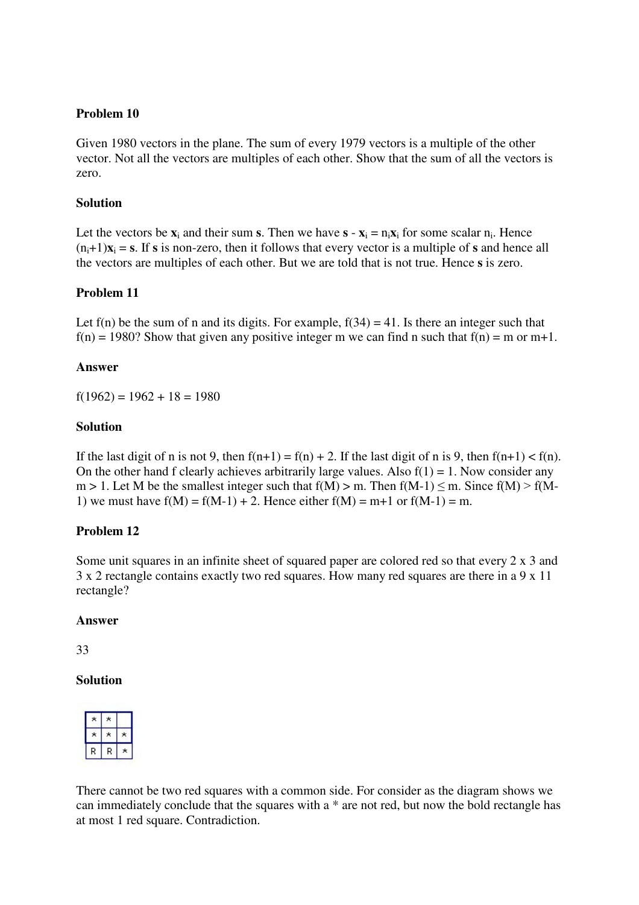#### **Problem 10**

Given 1980 vectors in the plane. The sum of every 1979 vectors is a multiple of the other vector. Not all the vectors are multiples of each other. Show that the sum of all the vectors is zero.

#### **Solution**

Let the vectors be  $\mathbf{x}_i$  and their sum **s**. Then we have  $\mathbf{s} - \mathbf{x}_i = \mathbf{n}_i \mathbf{x}_i$  for some scalar  $\mathbf{n}_i$ . Hence  $(n_i+1)x_i = s$ . If s is non-zero, then it follows that every vector is a multiple of s and hence all the vectors are multiples of each other. But we are told that is not true. Hence **s** is zero.

### **Problem 11**

Let  $f(n)$  be the sum of n and its digits. For example,  $f(34) = 41$ . Is there an integer such that  $f(n) = 1980$ ? Show that given any positive integer m we can find n such that  $f(n) = m$  or m+1.

#### **Answer**

 $f(1962) = 1962 + 18 = 1980$ 

#### **Solution**

If the last digit of n is not 9, then  $f(n+1) = f(n) + 2$ . If the last digit of n is 9, then  $f(n+1) < f(n)$ . On the other hand f clearly achieves arbitrarily large values. Also  $f(1) = 1$ . Now consider any  $m > 1$ . Let M be the smallest integer such that  $f(M) > m$ . Then  $f(M-1) \le m$ . Since  $f(M) > f(M-1)$ 1) we must have  $f(M) = f(M-1) + 2$ . Hence either  $f(M) = m+1$  or  $f(M-1) = m$ .

#### **Problem 12**

Some unit squares in an infinite sheet of squared paper are colored red so that every  $2 \times 3$  and 3 x 2 rectangle contains exactly two red squares. How many red squares are there in a 9 x 11 rectangle?

#### **Answer**

33

#### **Solution**

| ٠ |  |
|---|--|

There cannot be two red squares with a common side. For consider as the diagram shows we can immediately conclude that the squares with a \* are not red, but now the bold rectangle has at most 1 red square. Contradiction.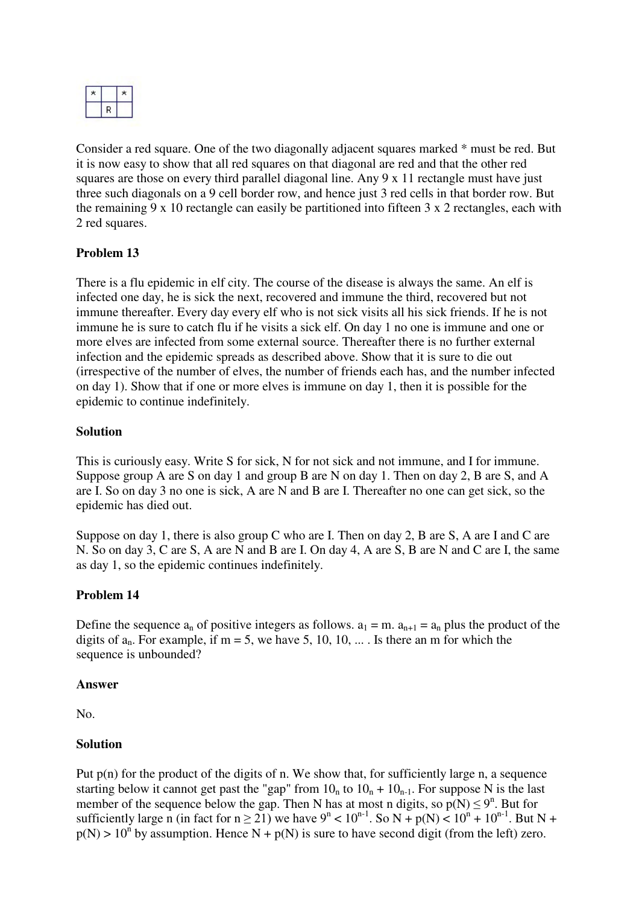

Consider a red square. One of the two diagonally adjacent squares marked \* must be red. But it is now easy to show that all red squares on that diagonal are red and that the other red squares are those on every third parallel diagonal line. Any 9 x 11 rectangle must have just three such diagonals on a 9 cell border row, and hence just 3 red cells in that border row. But the remaining 9 x 10 rectangle can easily be partitioned into fifteen 3 x 2 rectangles, each with 2 red squares.

### **Problem 13**

There is a flu epidemic in elf city. The course of the disease is always the same. An elf is infected one day, he is sick the next, recovered and immune the third, recovered but not immune thereafter. Every day every elf who is not sick visits all his sick friends. If he is not immune he is sure to catch flu if he visits a sick elf. On day 1 no one is immune and one or more elves are infected from some external source. Thereafter there is no further external infection and the epidemic spreads as described above. Show that it is sure to die out (irrespective of the number of elves, the number of friends each has, and the number infected on day 1). Show that if one or more elves is immune on day 1, then it is possible for the epidemic to continue indefinitely.

#### **Solution**

This is curiously easy. Write S for sick, N for not sick and not immune, and I for immune. Suppose group A are S on day 1 and group B are N on day 1. Then on day 2, B are S, and A are I. So on day 3 no one is sick, A are N and B are I. Thereafter no one can get sick, so the epidemic has died out.

Suppose on day 1, there is also group C who are I. Then on day 2, B are S, A are I and C are N. So on day 3, C are S, A are N and B are I. On day 4, A are S, B are N and C are I, the same as day 1, so the epidemic continues indefinitely.

#### **Problem 14**

Define the sequence  $a_n$  of positive integers as follows.  $a_1 = m$ .  $a_{n+1} = a_n$  plus the product of the digits of  $a_n$ . For example, if m = 5, we have 5, 10, 10, ... Is there an m for which the sequence is unbounded?

#### **Answer**

No.

#### **Solution**

Put  $p(n)$  for the product of the digits of n. We show that, for sufficiently large n, a sequence starting below it cannot get past the "gap" from  $10<sub>n</sub>$  to  $10<sub>n</sub> + 10<sub>n-1</sub>$ . For suppose N is the last member of the sequence below the gap. Then N has at most n digits, so  $p(N) \le 9^n$ . But for sufficiently large n (in fact for  $n \ge 21$ ) we have  $9^n < 10^{n-1}$ . So N + p(N) <  $10^n + 10^{n-1}$ . But N +  $p(N) > 10^{n}$  by assumption. Hence N +  $p(N)$  is sure to have second digit (from the left) zero.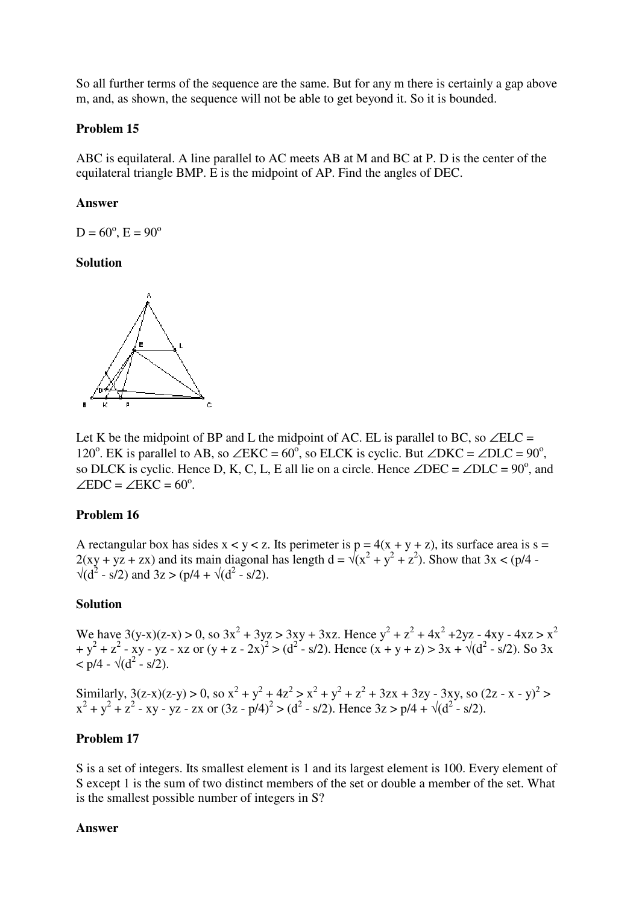So all further terms of the sequence are the same. But for any m there is certainly a gap above m, and, as shown, the sequence will not be able to get beyond it. So it is bounded.

#### **Problem 15**

ABC is equilateral. A line parallel to AC meets AB at M and BC at P. D is the center of the equilateral triangle BMP. E is the midpoint of AP. Find the angles of DEC.

#### **Answer**

 $D = 60^{\circ}, E = 90^{\circ}$ 

#### **Solution**



Let K be the midpoint of BP and L the midpoint of AC. EL is parallel to BC, so  $\angle$ ELC = 120<sup>o</sup>. EK is parallel to AB, so ∠EKC =  $60^\circ$ , so ELCK is cyclic. But ∠DKC = ∠DLC =  $90^\circ$ , so DLCK is cyclic. Hence D, K, C, L, E all lie on a circle. Hence  $\angle$ DEC =  $\angle$ DLC = 90<sup>o</sup>, and  $\angle$ EDC =  $\angle$ EKC = 60<sup>o</sup>.

#### **Problem 16**

A rectangular box has sides  $x < y < z$ . Its perimeter is  $p = 4(x + y + z)$ , its surface area is  $s =$  $2(xy + yz + zx)$  and its main diagonal has length  $d = \sqrt{x^2 + y^2 + z^2}$ . Show that  $3x < (p/4 - p^2)$  $\sqrt{d^2 - s/2}$  and  $3z > (p/4 + \sqrt{d^2 - s/2})$ .

#### **Solution**

We have  $3(y-x)(z-x) > 0$ , so  $3x^2 + 3yz > 3xy + 3xz$ . Hence  $y^2 + z^2 + 4x^2 + 2yz - 4xy - 4xz > x^2$  $+y^2 + z^2$  - xy - yz - xz or  $(y + z - 2x)^2 > (d^2 - s/2)$ . Hence  $(x + y + z) > 3x + \sqrt{d^2 - s/2}$ . So 3x  $\langle$  p/4 -  $\sqrt{d^2 - s/2}$ .

Similarly,  $3(z-x)(z-y) > 0$ , so  $x^2 + y^2 + 4z^2 > x^2 + y^2 + z^2 + 3zx + 3zy - 3xy$ , so  $(2z - x - y)^2 > 0$  $x^{2} + y^{2} + z^{2}$  - xy - yz - zx or  $(3z - p/4)^{2} > (d^{2} - s/2)$ . Hence  $3z > p/4 + \sqrt{(d^{2} - s/2)}$ .

### **Problem 17**

S is a set of integers. Its smallest element is 1 and its largest element is 100. Every element of S except 1 is the sum of two distinct members of the set or double a member of the set. What is the smallest possible number of integers in S?

#### **Answer**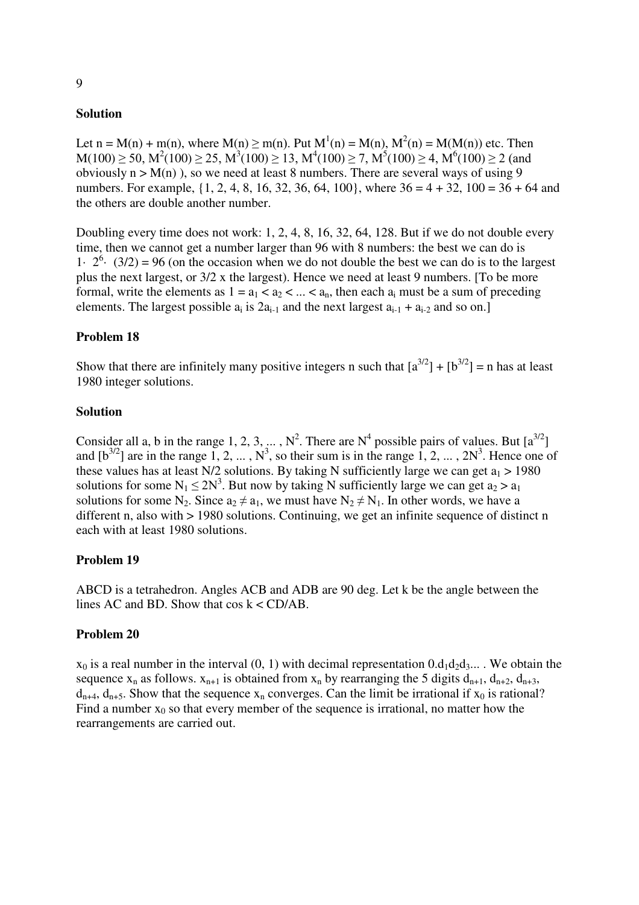#### **Solution**

Let  $n = M(n) + m(n)$ , where  $M(n) \ge m(n)$ . Put  $M^1(n) = M(n)$ ,  $M^2(n) = M(M(n))$  etc. Then  $M(100) \ge 50$ ,  $M^2(100) \ge 25$ ,  $M^3(100) \ge 13$ ,  $M^4(100) \ge 7$ ,  $M^5(100) \ge 4$ ,  $M^6(100) \ge 2$  (and obviously  $n > M(n)$ , so we need at least 8 numbers. There are several ways of using 9 numbers. For example,  $\{1, 2, 4, 8, 16, 32, 36, 64, 100\}$ , where  $36 = 4 + 32$ ,  $100 = 36 + 64$  and the others are double another number.

Doubling every time does not work: 1, 2, 4, 8, 16, 32, 64, 128. But if we do not double every time, then we cannot get a number larger than 96 with 8 numbers: the best we can do is 1.  $2^6$  (3/2) = 96 (on the occasion when we do not double the best we can do is to the largest plus the next largest, or 3/2 x the largest). Hence we need at least 9 numbers. [To be more formal, write the elements as  $1 = a_1 < a_2 < ... < a_n$ , then each  $a_i$  must be a sum of preceding elements. The largest possible  $a_i$  is  $2a_{i-1}$  and the next largest  $a_{i-1} + a_{i-2}$  and so on.]

#### **Problem 18**

Show that there are infinitely many positive integers n such that  $[a^{3/2}] + [b^{3/2}] = n$  has at least 1980 integer solutions.

#### **Solution**

Consider all a, b in the range 1, 2, 3, ...,  $N^2$ . There are  $N^4$  possible pairs of values. But  $[a^{3/2}]$ and  $[b^{3/2}]$  are in the range 1, 2, ...,  $N^3$ , so their sum is in the range 1, 2, ...,  $2N^3$ . Hence one of these values has at least N/2 solutions. By taking N sufficiently large we can get  $a_1 > 1980$ solutions for some  $N_1 \leq 2N^3$ . But now by taking N sufficiently large we can get  $a_2 > a_1$ solutions for some N<sub>2</sub>. Since  $a_2 \neq a_1$ , we must have N<sub>2</sub>  $\neq$  N<sub>1</sub>. In other words, we have a different n, also with > 1980 solutions. Continuing, we get an infinite sequence of distinct n each with at least 1980 solutions.

#### **Problem 19**

ABCD is a tetrahedron. Angles ACB and ADB are 90 deg. Let k be the angle between the lines AC and BD. Show that  $cos k < CD/AB$ .

#### **Problem 20**

 $x_0$  is a real number in the interval (0, 1) with decimal representation  $0.d_1d_2d_3...$ . We obtain the sequence  $x_n$  as follows.  $x_{n+1}$  is obtained from  $x_n$  by rearranging the 5 digits  $d_{n+1}$ ,  $d_{n+2}$ ,  $d_{n+3}$ ,  $d_{n+4}$ ,  $d_{n+5}$ . Show that the sequence  $x_n$  converges. Can the limit be irrational if  $x_0$  is rational? Find a number  $x_0$  so that every member of the sequence is irrational, no matter how the rearrangements are carried out.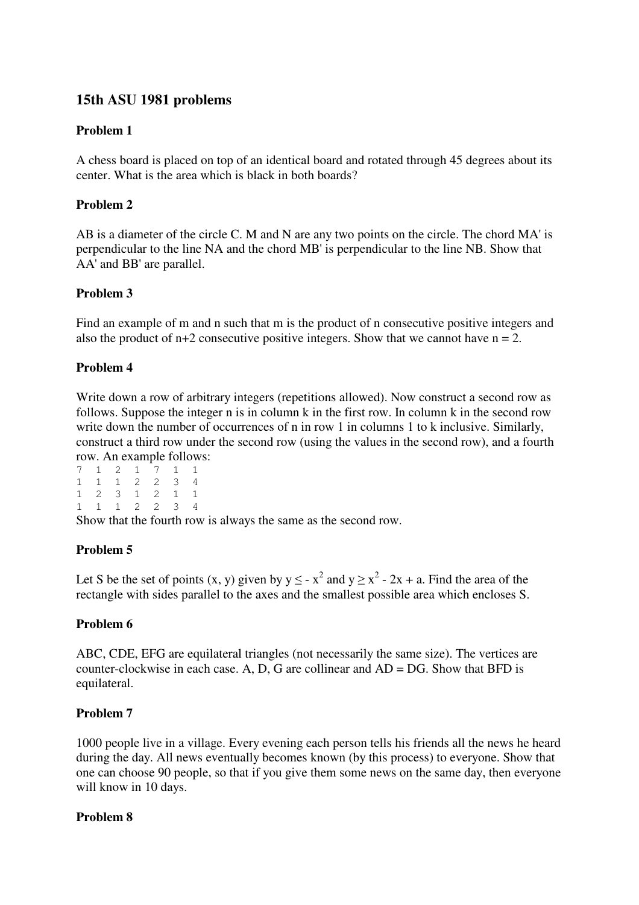# **15th ASU 1981 problems**

### **Problem 1**

A chess board is placed on top of an identical board and rotated through 45 degrees about its center. What is the area which is black in both boards?

# **Problem 2**

AB is a diameter of the circle C. M and N are any two points on the circle. The chord MA' is perpendicular to the line NA and the chord MB' is perpendicular to the line NB. Show that AA' and BB' are parallel.

# **Problem 3**

Find an example of m and n such that m is the product of n consecutive positive integers and also the product of  $n+2$  consecutive positive integers. Show that we cannot have  $n = 2$ .

# **Problem 4**

Write down a row of arbitrary integers (repetitions allowed). Now construct a second row as follows. Suppose the integer n is in column k in the first row. In column k in the second row write down the number of occurrences of n in row 1 in columns 1 to k inclusive. Similarly, construct a third row under the second row (using the values in the second row), and a fourth row. An example follows:

|  |  | 7 1 2 1 7 1 1 |  |
|--|--|---------------|--|
|  |  | 1 1 1 2 2 3 4 |  |
|  |  | 1 2 3 1 2 1 1 |  |
|  |  | 1 1 1 2 2 3 4 |  |

Show that the fourth row is always the same as the second row.

# **Problem 5**

Let S be the set of points (x, y) given by  $y \le -x^2$  and  $y \ge x^2 - 2x + a$ . Find the area of the rectangle with sides parallel to the axes and the smallest possible area which encloses S.

### **Problem 6**

ABC, CDE, EFG are equilateral triangles (not necessarily the same size). The vertices are counter-clockwise in each case. A, D, G are collinear and AD = DG. Show that BFD is equilateral.

### **Problem 7**

1000 people live in a village. Every evening each person tells his friends all the news he heard during the day. All news eventually becomes known (by this process) to everyone. Show that one can choose 90 people, so that if you give them some news on the same day, then everyone will know in 10 days.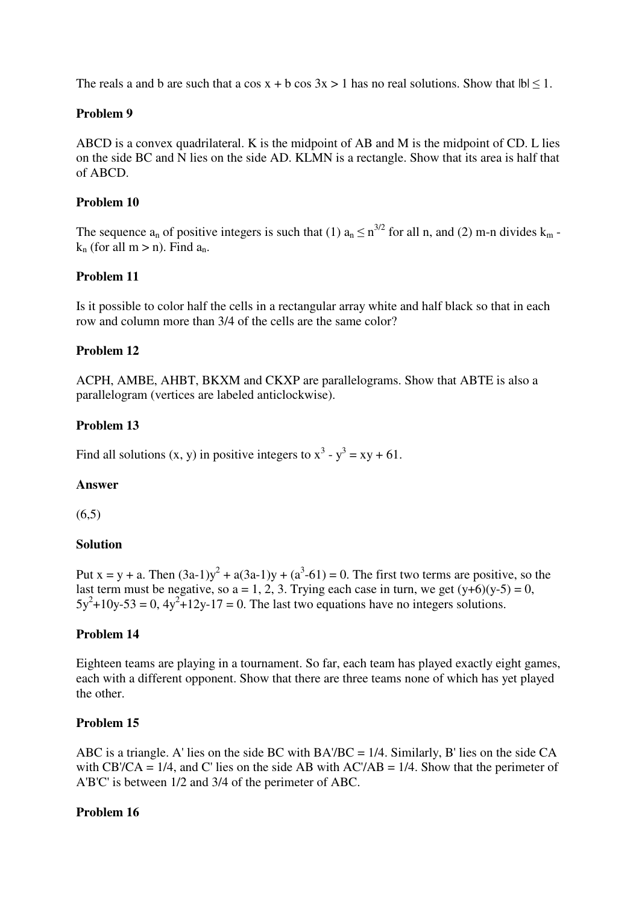The reals a and b are such that a cos  $x + b \cos 3x > 1$  has no real solutions. Show that  $|b| \le 1$ .

### **Problem 9**

ABCD is a convex quadrilateral. K is the midpoint of AB and M is the midpoint of CD. L lies on the side BC and N lies on the side AD. KLMN is a rectangle. Show that its area is half that of ABCD.

### **Problem 10**

The sequence  $a_n$  of positive integers is such that (1)  $a_n \le n^{3/2}$  for all n, and (2) m-n divides  $k_m$   $k_n$  (for all m > n). Find  $a_n$ .

# **Problem 11**

Is it possible to color half the cells in a rectangular array white and half black so that in each row and column more than 3/4 of the cells are the same color?

# **Problem 12**

ACPH, AMBE, AHBT, BKXM and CKXP are parallelograms. Show that ABTE is also a parallelogram (vertices are labeled anticlockwise).

# **Problem 13**

Find all solutions  $(x, y)$  in positive integers to  $x^3 - y^3 = xy + 61$ .

### **Answer**

 $(6,5)$ 

### **Solution**

Put x = y + a. Then  $(3a-1)y^2 + a(3a-1)y + (a^3-61) = 0$ . The first two terms are positive, so the last term must be negative, so  $a = 1, 2, 3$ . Trying each case in turn, we get  $(y+6)(y-5) = 0$ ,  $5y^2+10y-53=0$ ,  $4y^2+12y-17=0$ . The last two equations have no integers solutions.

### **Problem 14**

Eighteen teams are playing in a tournament. So far, each team has played exactly eight games, each with a different opponent. Show that there are three teams none of which has yet played the other.

### **Problem 15**

ABC is a triangle. A' lies on the side BC with BA'/BC = 1/4. Similarly, B' lies on the side CA with CB'/CA =  $1/4$ , and C' lies on the side AB with AC'/AB =  $1/4$ . Show that the perimeter of A'B'C' is between 1/2 and 3/4 of the perimeter of ABC.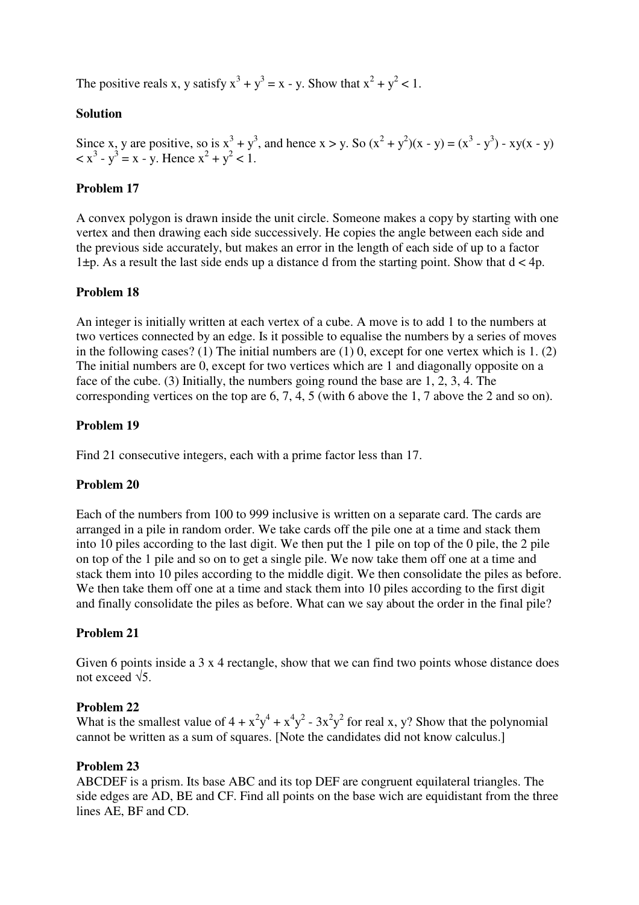The positive reals x, y satisfy  $x^3 + y^3 = x - y$ . Show that  $x^2 + y^2 < 1$ .

# **Solution**

Since x, y are positive, so is  $x^3 + y^3$ , and hence  $x > y$ . So  $(x^2 + y^2)(x - y) = (x^3 - y^3) - xy(x - y)$  $\langle x^3 - y^3 = x - y$ . Hence  $x^2 + y^2 < 1$ .

### **Problem 17**

A convex polygon is drawn inside the unit circle. Someone makes a copy by starting with one vertex and then drawing each side successively. He copies the angle between each side and the previous side accurately, but makes an error in the length of each side of up to a factor  $1\pm p$ . As a result the last side ends up a distance d from the starting point. Show that  $d < 4p$ .

# **Problem 18**

An integer is initially written at each vertex of a cube. A move is to add 1 to the numbers at two vertices connected by an edge. Is it possible to equalise the numbers by a series of moves in the following cases? (1) The initial numbers are (1) 0, except for one vertex which is 1. (2) The initial numbers are 0, except for two vertices which are 1 and diagonally opposite on a face of the cube. (3) Initially, the numbers going round the base are 1, 2, 3, 4. The corresponding vertices on the top are 6, 7, 4, 5 (with 6 above the 1, 7 above the 2 and so on).

### **Problem 19**

Find 21 consecutive integers, each with a prime factor less than 17.

### **Problem 20**

Each of the numbers from 100 to 999 inclusive is written on a separate card. The cards are arranged in a pile in random order. We take cards off the pile one at a time and stack them into 10 piles according to the last digit. We then put the 1 pile on top of the 0 pile, the 2 pile on top of the 1 pile and so on to get a single pile. We now take them off one at a time and stack them into 10 piles according to the middle digit. We then consolidate the piles as before. We then take them off one at a time and stack them into 10 piles according to the first digit and finally consolidate the piles as before. What can we say about the order in the final pile?

# **Problem 21**

Given 6 points inside a 3 x 4 rectangle, show that we can find two points whose distance does not exceed  $\sqrt{5}$ 

### **Problem 22**

What is the smallest value of  $4 + x^2y^4 + x^4y^2 - 3x^2y^2$  for real x, y? Show that the polynomial cannot be written as a sum of squares. [Note the candidates did not know calculus.]

### **Problem 23**

ABCDEF is a prism. Its base ABC and its top DEF are congruent equilateral triangles. The side edges are AD, BE and CF. Find all points on the base wich are equidistant from the three lines AE, BF and CD.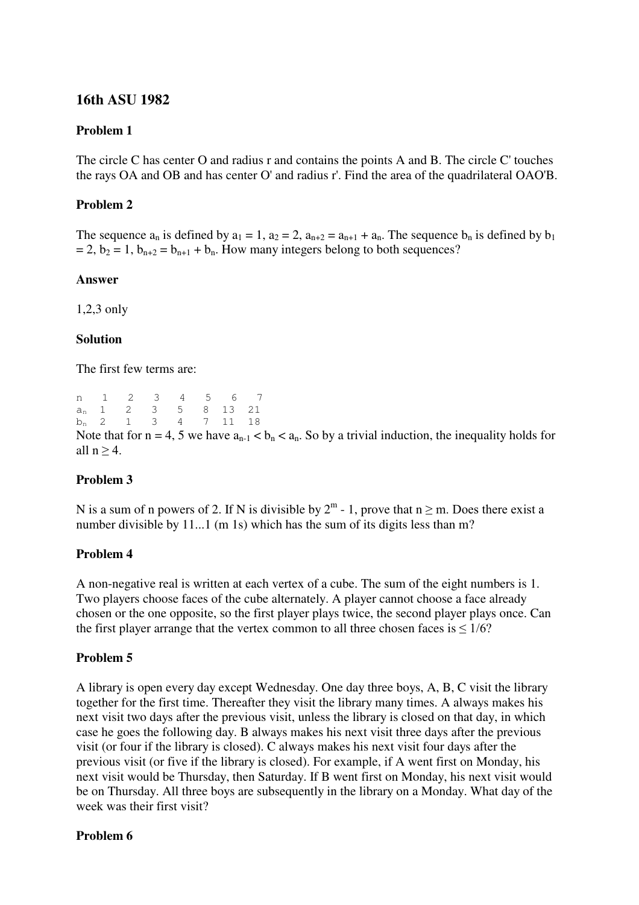# **16th ASU 1982**

#### **Problem 1**

The circle C has center O and radius r and contains the points A and B. The circle C' touches the rays OA and OB and has center O' and radius r'. Find the area of the quadrilateral OAO'B.

#### **Problem 2**

The sequence  $a_n$  is defined by  $a_1 = 1$ ,  $a_2 = 2$ ,  $a_{n+2} = a_{n+1} + a_n$ . The sequence  $b_n$  is defined by  $b_1$  $= 2$ ,  $b_2 = 1$ ,  $b_{n+2} = b_{n+1} + b_n$ . How many integers belong to both sequences?

#### **Answer**

1,2,3 only

#### **Solution**

The first few terms are:

n 1 2 3 4 5 6 7 an 1 2 3 5 8 13 21 b<sub>n</sub> 2 1 3 4 7 11 18

Note that for  $n = 4$ , 5 we have  $a_{n-1} < b_n < a_n$ . So by a trivial induction, the inequality holds for all  $n > 4$ .

### **Problem 3**

N is a sum of n powers of 2. If N is divisible by  $2^m$  - 1, prove that  $n \ge m$ . Does there exist a number divisible by 11...1 (m 1s) which has the sum of its digits less than m?

#### **Problem 4**

A non-negative real is written at each vertex of a cube. The sum of the eight numbers is 1. Two players choose faces of the cube alternately. A player cannot choose a face already chosen or the one opposite, so the first player plays twice, the second player plays once. Can the first player arrange that the vertex common to all three chosen faces is  $\leq 1/6$ ?

#### **Problem 5**

A library is open every day except Wednesday. One day three boys, A, B, C visit the library together for the first time. Thereafter they visit the library many times. A always makes his next visit two days after the previous visit, unless the library is closed on that day, in which case he goes the following day. B always makes his next visit three days after the previous visit (or four if the library is closed). C always makes his next visit four days after the previous visit (or five if the library is closed). For example, if A went first on Monday, his next visit would be Thursday, then Saturday. If B went first on Monday, his next visit would be on Thursday. All three boys are subsequently in the library on a Monday. What day of the week was their first visit?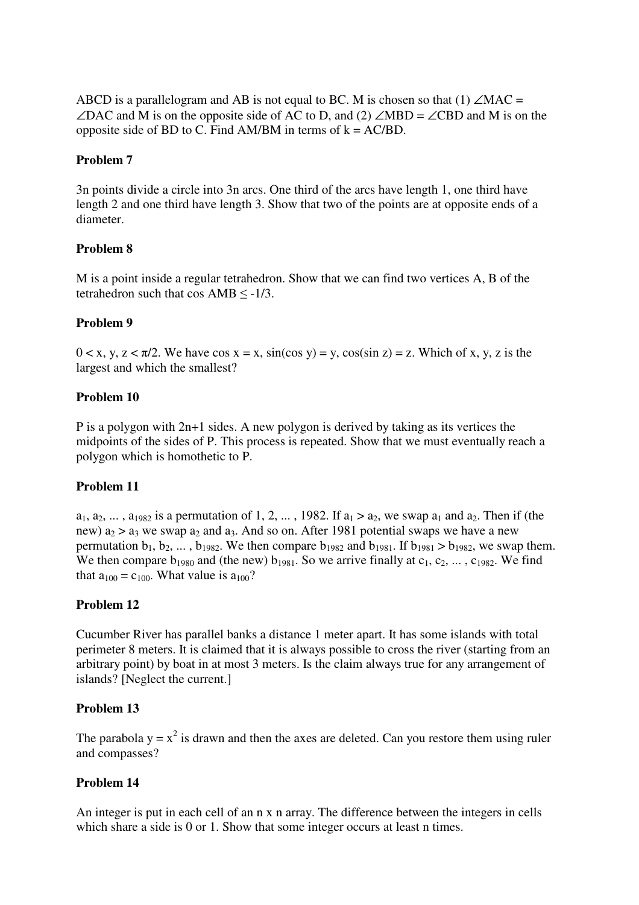ABCD is a parallelogram and AB is not equal to BC. M is chosen so that (1)  $\angle$ MAC = ∠DAC and M is on the opposite side of AC to D, and (2) ∠MBD = ∠CBD and M is on the opposite side of BD to C. Find AM/BM in terms of  $k = AC/BD$ .

#### **Problem 7**

3n points divide a circle into 3n arcs. One third of the arcs have length 1, one third have length 2 and one third have length 3. Show that two of the points are at opposite ends of a diameter.

#### **Problem 8**

M is a point inside a regular tetrahedron. Show that we can find two vertices A, B of the tetrahedron such that cos  $AMB \le -1/3$ .

#### **Problem 9**

 $0 < x, y, z < \pi/2$ . We have  $\cos x = x$ ,  $\sin(\cos y) = y$ ,  $\cos(\sin z) = z$ . Which of x, y, z is the largest and which the smallest?

#### **Problem 10**

P is a polygon with 2n+1 sides. A new polygon is derived by taking as its vertices the midpoints of the sides of P. This process is repeated. Show that we must eventually reach a polygon which is homothetic to P.

#### **Problem 11**

 $a_1, a_2, \ldots, a_{1982}$  is a permutation of 1, 2,  $\ldots$ , 1982. If  $a_1 > a_2$ , we swap  $a_1$  and  $a_2$ . Then if (the new)  $a_2 > a_3$  we swap  $a_2$  and  $a_3$ . And so on. After 1981 potential swaps we have a new permutation  $b_1$ ,  $b_2$ , ...,  $b_{1982}$ . We then compare  $b_{1982}$  and  $b_{1981}$ . If  $b_{1981} > b_{1982}$ , we swap them. We then compare  $b_{1980}$  and (the new)  $b_{1981}$ . So we arrive finally at  $c_1, c_2, \ldots, c_{1982}$ . We find that  $a_{100} = c_{100}$ . What value is  $a_{100}$ ?

#### **Problem 12**

Cucumber River has parallel banks a distance 1 meter apart. It has some islands with total perimeter 8 meters. It is claimed that it is always possible to cross the river (starting from an arbitrary point) by boat in at most 3 meters. Is the claim always true for any arrangement of islands? [Neglect the current.]

#### **Problem 13**

The parabola  $y = x^2$  is drawn and then the axes are deleted. Can you restore them using ruler and compasses?

#### **Problem 14**

An integer is put in each cell of an n x n array. The difference between the integers in cells which share a side is 0 or 1. Show that some integer occurs at least n times.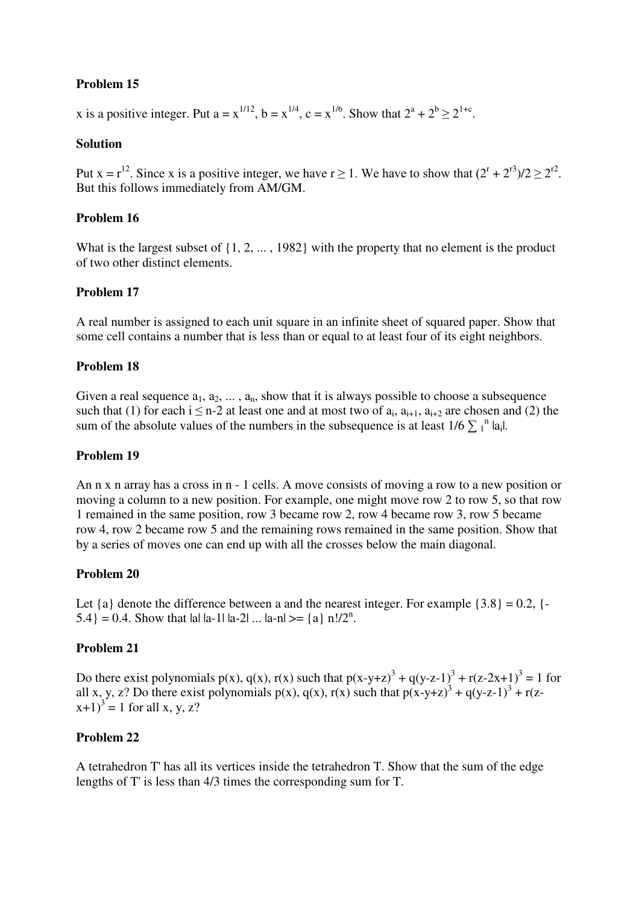# **Problem 15**

x is a positive integer. Put  $a = x^{1/12}$ ,  $b = x^{1/4}$ ,  $c = x^{1/6}$ . Show that  $2^a + 2^b \ge 2^{1+c}$ .

### **Solution**

Put  $x = r^{12}$ . Since x is a positive integer, we have  $r \ge 1$ . We have to show that  $(2^r + 2^{r3})/2 \ge 2^{r2}$ . But this follows immediately from AM/GM.

### **Problem 16**

What is the largest subset of  $\{1, 2, ..., 1982\}$  with the property that no element is the product of two other distinct elements.

### **Problem 17**

A real number is assigned to each unit square in an infinite sheet of squared paper. Show that some cell contains a number that is less than or equal to at least four of its eight neighbors.

### **Problem 18**

Given a real sequence  $a_1, a_2, \ldots, a_n$ , show that it is always possible to choose a subsequence such that (1) for each  $i \le n-2$  at least one and at most two of  $a_i$ ,  $a_{i+1}$ ,  $a_{i+2}$  are chosen and (2) the sum of the absolute values of the numbers in the subsequence is at least  $1/6 \sum_{1}^{n} |a_i|$ .

### **Problem 19**

An n x n array has a cross in n - 1 cells. A move consists of moving a row to a new position or moving a column to a new position. For example, one might move row 2 to row 5, so that row 1 remained in the same position, row 3 became row 2, row 4 became row 3, row 5 became row 4, row 2 became row 5 and the remaining rows remained in the same position. Show that by a series of moves one can end up with all the crosses below the main diagonal.

### **Problem 20**

Let  $\{a\}$  denote the difference between a and the nearest integer. For example  $\{3.8\} = 0.2$ ,  $\{-$ 5.4  $= 0.4$ . Show that lal la-1| la-2| ... la-n| >= {a} n!/2<sup>n</sup>.

### **Problem 21**

Do there exist polynomials  $p(x)$ ,  $q(x)$ ,  $r(x)$  such that  $p(x-y+z)^3 + q(y-z-1)^3 + r(z-2x+1)^3 = 1$  for all x, y, z? Do there exist polynomials  $p(x)$ ,  $q(x)$ ,  $r(x)$  such that  $p(x-y+z)^3 + q(y-z-1)^3 + r(z-z)$  $(x+1)^3 = 1$  for all x, y, z?

### **Problem 22**

A tetrahedron T' has all its vertices inside the tetrahedron T. Show that the sum of the edge lengths of T' is less than 4/3 times the corresponding sum for T.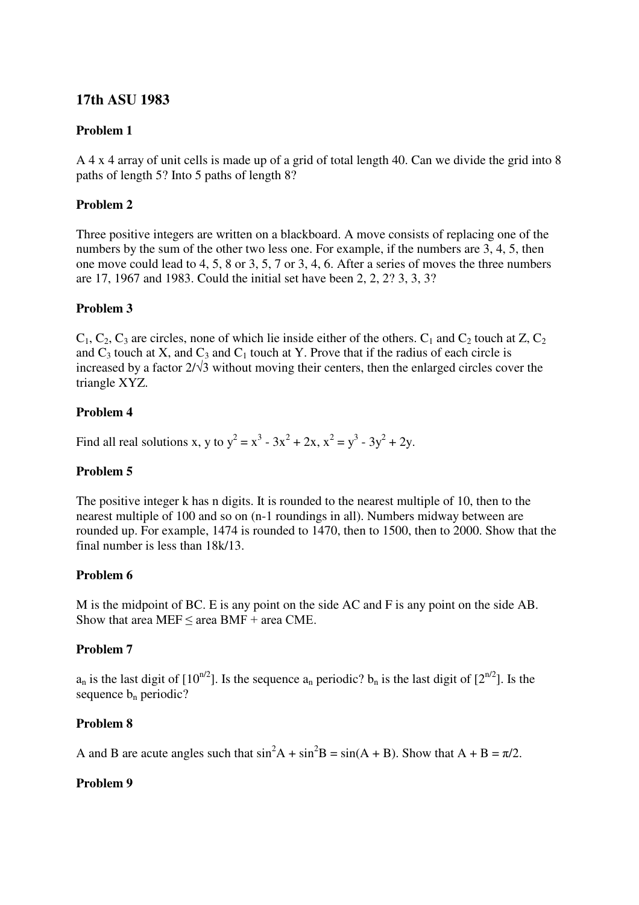# **17th ASU 1983**

### **Problem 1**

A 4 x 4 array of unit cells is made up of a grid of total length 40. Can we divide the grid into 8 paths of length 5? Into 5 paths of length 8?

#### **Problem 2**

Three positive integers are written on a blackboard. A move consists of replacing one of the numbers by the sum of the other two less one. For example, if the numbers are 3, 4, 5, then one move could lead to 4, 5, 8 or 3, 5, 7 or 3, 4, 6. After a series of moves the three numbers are 17, 1967 and 1983. Could the initial set have been 2, 2, 2? 3, 3, 3?

### **Problem 3**

 $C_1$ ,  $C_2$ ,  $C_3$  are circles, none of which lie inside either of the others.  $C_1$  and  $C_2$  touch at Z,  $C_2$ and  $C_3$  touch at X, and  $C_3$  and  $C_1$  touch at Y. Prove that if the radius of each circle is increased by a factor  $2/\sqrt{3}$  without moving their centers, then the enlarged circles cover the triangle XYZ.

#### **Problem 4**

Find all real solutions x, y to  $y^2 = x^3 - 3x^2 + 2x$ ,  $x^2 = y^3 - 3y^2 + 2y$ .

### **Problem 5**

The positive integer k has n digits. It is rounded to the nearest multiple of 10, then to the nearest multiple of 100 and so on (n-1 roundings in all). Numbers midway between are rounded up. For example, 1474 is rounded to 1470, then to 1500, then to 2000. Show that the final number is less than 18k/13.

### **Problem 6**

M is the midpoint of BC. E is any point on the side AC and F is any point on the side AB. Show that area MEF  $\leq$  area BMF  $+$  area CME.

### **Problem 7**

 $a_n$  is the last digit of  $[10^{n/2}]$ . Is the sequence  $a_n$  periodic?  $b_n$  is the last digit of  $[2^{n/2}]$ . Is the sequence  $b_n$  periodic?

### **Problem 8**

A and B are acute angles such that  $\sin^2 A + \sin^2 B = \sin(A + B)$ . Show that  $A + B = \pi/2$ .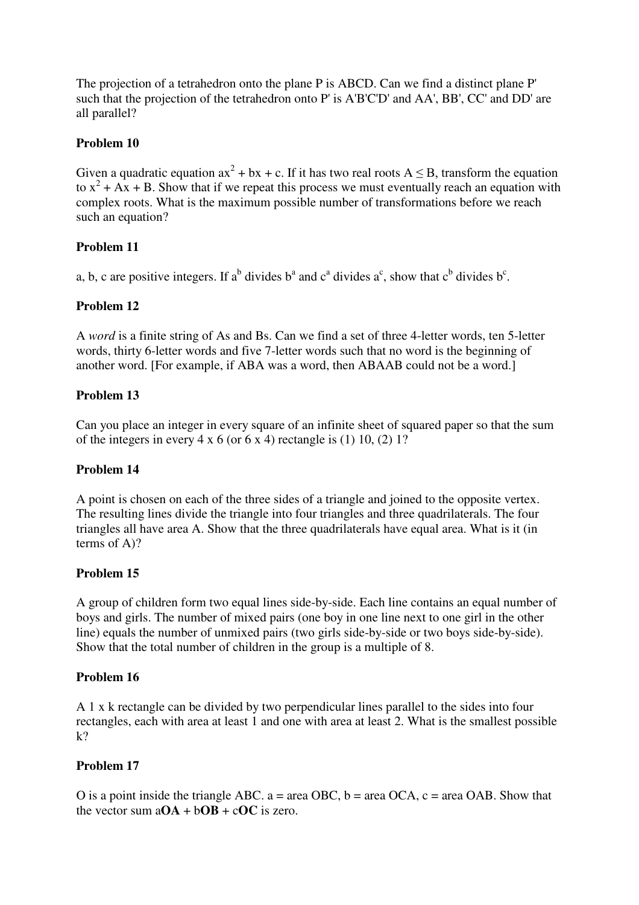The projection of a tetrahedron onto the plane P is ABCD. Can we find a distinct plane P' such that the projection of the tetrahedron onto P' is A'B'C'D' and AA', BB', CC' and DD' are all parallel?

### **Problem 10**

Given a quadratic equation  $ax^2 + bx + c$ . If it has two real roots  $A \leq B$ , transform the equation to  $x^2 + Ax + B$ . Show that if we repeat this process we must eventually reach an equation with complex roots. What is the maximum possible number of transformations before we reach such an equation?

# **Problem 11**

a, b, c are positive integers. If a<sup>b</sup> divides b<sup>a</sup> and c<sup>a</sup> divides a<sup>c</sup>, show that c<sup>b</sup> divides b<sup>c</sup>.

# **Problem 12**

A *word* is a finite string of As and Bs. Can we find a set of three 4-letter words, ten 5-letter words, thirty 6-letter words and five 7-letter words such that no word is the beginning of another word. [For example, if ABA was a word, then ABAAB could not be a word.]

# **Problem 13**

Can you place an integer in every square of an infinite sheet of squared paper so that the sum of the integers in every  $4 \times 6$  (or  $6 \times 4$ ) rectangle is (1) 10, (2) 1?

### **Problem 14**

A point is chosen on each of the three sides of a triangle and joined to the opposite vertex. The resulting lines divide the triangle into four triangles and three quadrilaterals. The four triangles all have area A. Show that the three quadrilaterals have equal area. What is it (in terms of A)?

# **Problem 15**

A group of children form two equal lines side-by-side. Each line contains an equal number of boys and girls. The number of mixed pairs (one boy in one line next to one girl in the other line) equals the number of unmixed pairs (two girls side-by-side or two boys side-by-side). Show that the total number of children in the group is a multiple of 8.

# **Problem 16**

A 1 x k rectangle can be divided by two perpendicular lines parallel to the sides into four rectangles, each with area at least 1 and one with area at least 2. What is the smallest possible  $k$ ?

# **Problem 17**

O is a point inside the triangle ABC,  $a = \text{area OBC}$ ,  $b = \text{area OCA}$ ,  $c = \text{area OAB}$ . Show that the vector sum  $aOA + bOB + cOC$  is zero.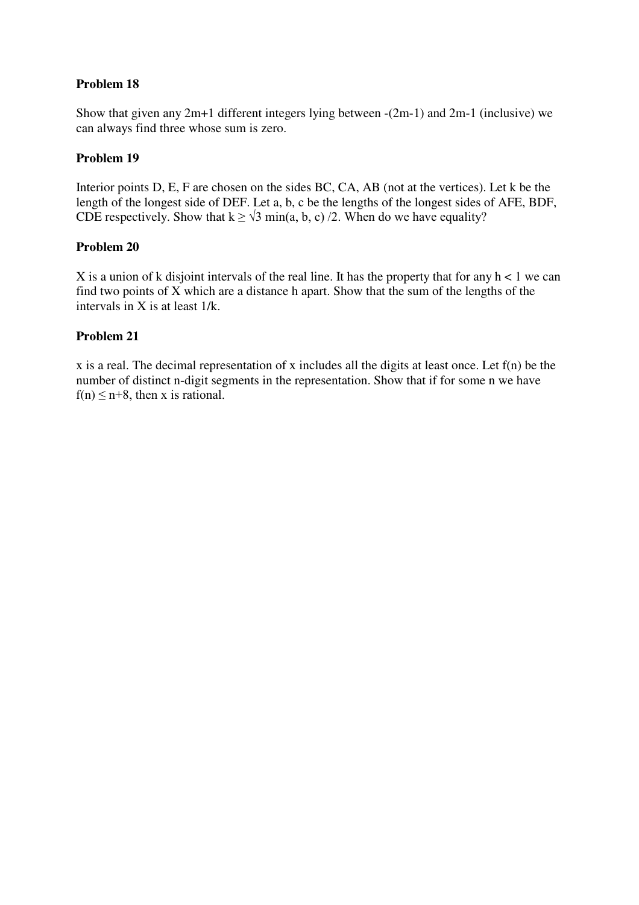# **Problem 18**

Show that given any 2m+1 different integers lying between -(2m-1) and 2m-1 (inclusive) we can always find three whose sum is zero.

#### **Problem 19**

Interior points D, E, F are chosen on the sides BC, CA, AB (not at the vertices). Let k be the length of the longest side of DEF. Let a, b, c be the lengths of the longest sides of AFE, BDF, CDE respectively. Show that  $k \ge \sqrt{3} \min(a, b, c) / 2$ . When do we have equality?

#### **Problem 20**

X is a union of k disjoint intervals of the real line. It has the property that for any  $h < 1$  we can find two points of X which are a distance h apart. Show that the sum of the lengths of the intervals in X is at least 1/k.

#### **Problem 21**

x is a real. The decimal representation of x includes all the digits at least once. Let f(n) be the number of distinct n-digit segments in the representation. Show that if for some n we have  $f(n) \leq n+8$ , then x is rational.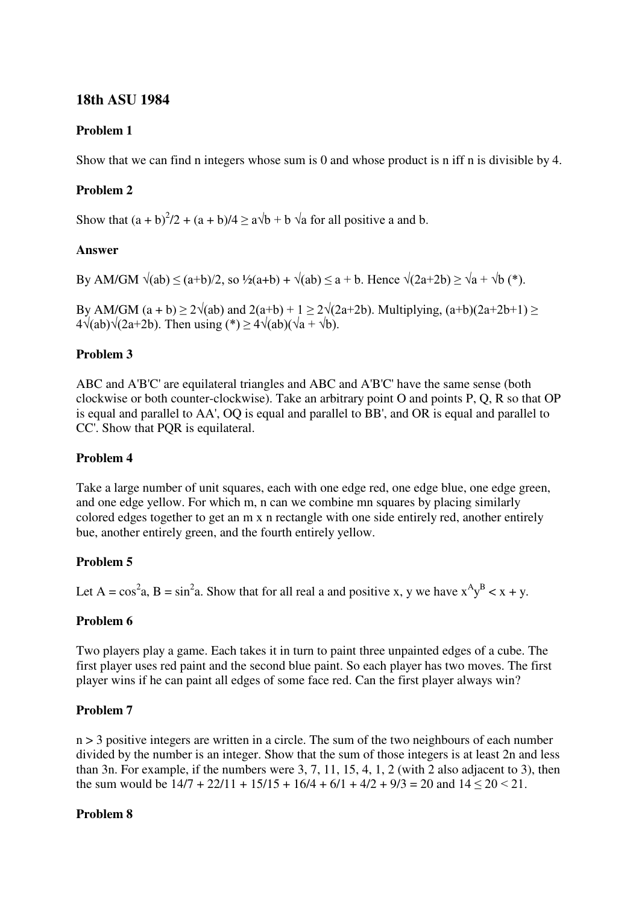# **18th ASU 1984**

### **Problem 1**

Show that we can find n integers whose sum is 0 and whose product is n iff n is divisible by 4.

# **Problem 2**

Show that  $(a + b)^2/2 + (a + b)/4 \ge a\sqrt{b} + b\sqrt{a}$  for all positive a and b.

#### **Answer**

By AM/GM  $\sqrt{(ab)} \le (a+b)/2$ , so  $\frac{1}{2}(a+b) + \sqrt{(ab)} \le a+b$ . Hence  $\sqrt{(2a+2b)} > \sqrt{a} + \sqrt{b}$  (\*).

By AM/GM  $(a + b) \ge 2\sqrt{ab}$  and  $2(a+b) + 1 \ge 2\sqrt{2a+2b}$ . Multiplying,  $(a+b)(2a+2b+1) \ge$  $4\sqrt{(ab)}\sqrt{(2a+2b)}$ . Then using (\*)  $\geq 4\sqrt{(ab)}(\sqrt{a} + \sqrt{b})$ .

#### **Problem 3**

ABC and A'B'C' are equilateral triangles and ABC and A'B'C' have the same sense (both clockwise or both counter-clockwise). Take an arbitrary point O and points P, Q, R so that OP is equal and parallel to AA', OQ is equal and parallel to BB', and OR is equal and parallel to CC'. Show that PQR is equilateral.

#### **Problem 4**

Take a large number of unit squares, each with one edge red, one edge blue, one edge green, and one edge yellow. For which m, n can we combine mn squares by placing similarly colored edges together to get an m x n rectangle with one side entirely red, another entirely bue, another entirely green, and the fourth entirely yellow.

### **Problem 5**

Let A =  $\cos^2 a$ , B =  $\sin^2 a$ . Show that for all real a and positive x, y we have  $x^A y^B < x + y$ .

### **Problem 6**

Two players play a game. Each takes it in turn to paint three unpainted edges of a cube. The first player uses red paint and the second blue paint. So each player has two moves. The first player wins if he can paint all edges of some face red. Can the first player always win?

### **Problem 7**

n > 3 positive integers are written in a circle. The sum of the two neighbours of each number divided by the number is an integer. Show that the sum of those integers is at least 2n and less than 3n. For example, if the numbers were 3, 7, 11, 15, 4, 1, 2 (with 2 also adjacent to 3), then the sum would be  $14/7 + 22/11 + 15/15 + 16/4 + 6/1 + 4/2 + 9/3 = 20$  and  $14 < 20 < 21$ .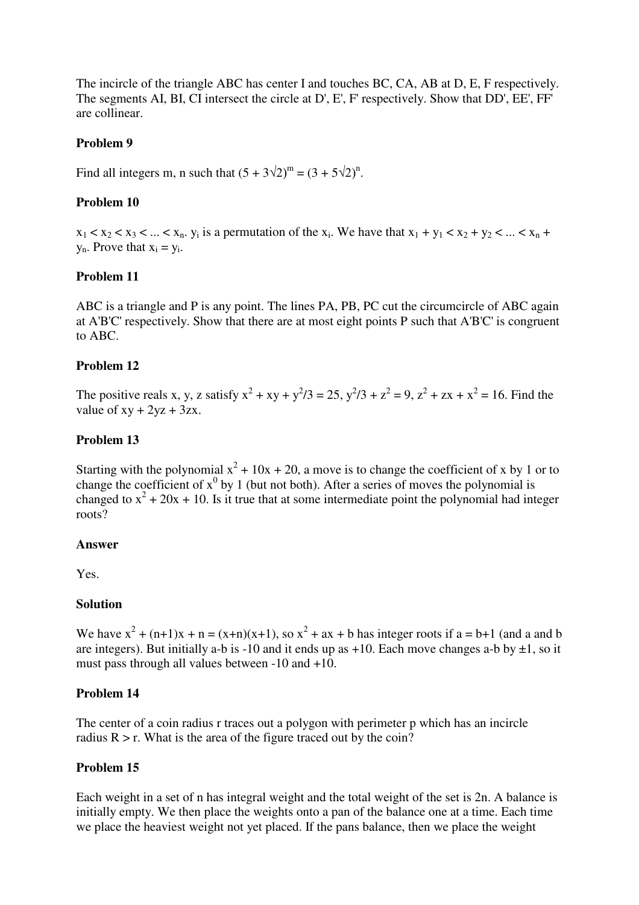The incircle of the triangle ABC has center I and touches BC, CA, AB at D, E, F respectively. The segments AI, BI, CI intersect the circle at D', E', F' respectively. Show that DD', EE', FF' are collinear.

#### **Problem 9**

Find all integers m, n such that  $(5 + 3\sqrt{2})^m = (3 + 5\sqrt{2})^n$ .

### **Problem 10**

 $x_1 < x_2 < x_3 < ... < x_n$ .  $y_i$  is a permutation of the  $x_i$ . We have that  $x_1 + y_1 < x_2 + y_2 < ... < x_n + y_n$  $y_n$ . Prove that  $x_i = y_i$ .

### **Problem 11**

ABC is a triangle and P is any point. The lines PA, PB, PC cut the circumcircle of ABC again at A'B'C' respectively. Show that there are at most eight points P such that A'B'C' is congruent to ABC.

#### **Problem 12**

The positive reals x, y, z satisfy  $x^2 + xy + y^2/3 = 25$ ,  $y^2/3 + z^2 = 9$ ,  $z^2 + zx + x^2 = 16$ . Find the value of  $xy + 2yz + 3zx$ .

#### **Problem 13**

Starting with the polynomial  $x^2 + 10x + 20$ , a move is to change the coefficient of x by 1 or to change the coefficient of  $x^0$  by 1 (but not both). After a series of moves the polynomial is changed to  $x^2 + 20x + 10$ . Is it true that at some intermediate point the polynomial had integer roots?

#### **Answer**

Yes.

#### **Solution**

We have  $x^2 + (n+1)x + n = (x+n)(x+1)$ , so  $x^2 + ax + b$  has integer roots if  $a = b+1$  (and a and b are integers). But initially a-b is -10 and it ends up as  $+10$ . Each move changes a-b by  $\pm 1$ , so it must pass through all values between -10 and +10.

#### **Problem 14**

The center of a coin radius r traces out a polygon with perimeter p which has an incircle radius  $R > r$ . What is the area of the figure traced out by the coin?

#### **Problem 15**

Each weight in a set of n has integral weight and the total weight of the set is 2n. A balance is initially empty. We then place the weights onto a pan of the balance one at a time. Each time we place the heaviest weight not yet placed. If the pans balance, then we place the weight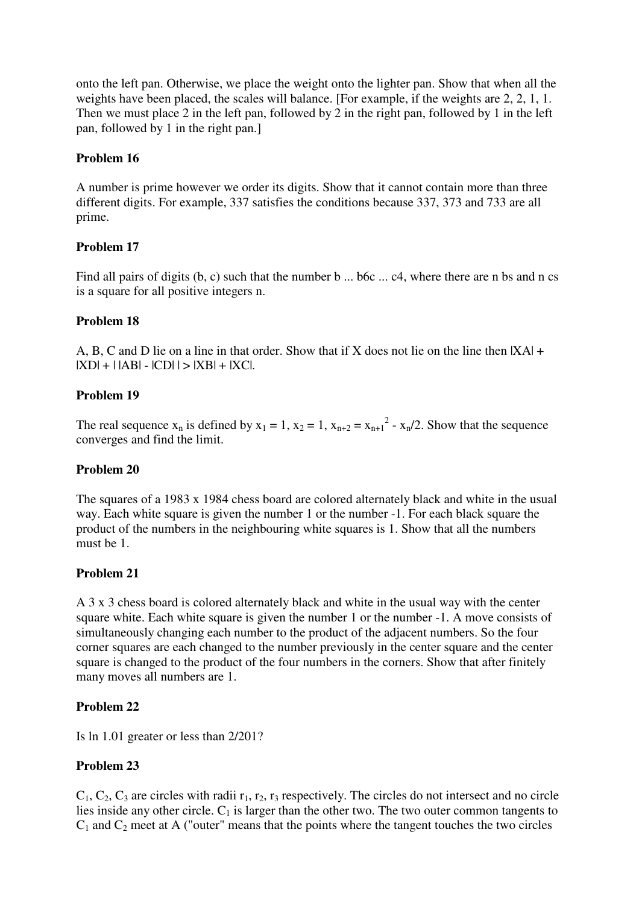onto the left pan. Otherwise, we place the weight onto the lighter pan. Show that when all the weights have been placed, the scales will balance. [For example, if the weights are 2, 2, 1, 1. Then we must place 2 in the left pan, followed by 2 in the right pan, followed by 1 in the left pan, followed by 1 in the right pan.]

#### **Problem 16**

A number is prime however we order its digits. Show that it cannot contain more than three different digits. For example, 337 satisfies the conditions because 337, 373 and 733 are all prime.

#### **Problem 17**

Find all pairs of digits (b, c) such that the number b ... b6c ... c4, where there are n bs and n cs is a square for all positive integers n.

#### **Problem 18**

A, B, C and D lie on a line in that order. Show that if X does not lie on the line then  $|X_A|$  +  $|XD| + | |AB| - |CD| | > |XB| + |XC|$ .

#### **Problem 19**

The real sequence  $x_n$  is defined by  $x_1 = 1$ ,  $x_2 = 1$ ,  $x_{n+2} = x_{n+1}^2 - x_n/2$ . Show that the sequence converges and find the limit.

#### **Problem 20**

The squares of a 1983 x 1984 chess board are colored alternately black and white in the usual way. Each white square is given the number 1 or the number -1. For each black square the product of the numbers in the neighbouring white squares is 1. Show that all the numbers must be 1.

#### **Problem 21**

A 3 x 3 chess board is colored alternately black and white in the usual way with the center square white. Each white square is given the number 1 or the number -1. A move consists of simultaneously changing each number to the product of the adjacent numbers. So the four corner squares are each changed to the number previously in the center square and the center square is changed to the product of the four numbers in the corners. Show that after finitely many moves all numbers are 1.

### **Problem 22**

Is ln 1.01 greater or less than 2/201?

### **Problem 23**

 $C_1, C_2, C_3$  are circles with radii  $r_1, r_2, r_3$  respectively. The circles do not intersect and no circle lies inside any other circle.  $C_1$  is larger than the other two. The two outer common tangents to  $C_1$  and  $C_2$  meet at A ("outer" means that the points where the tangent touches the two circles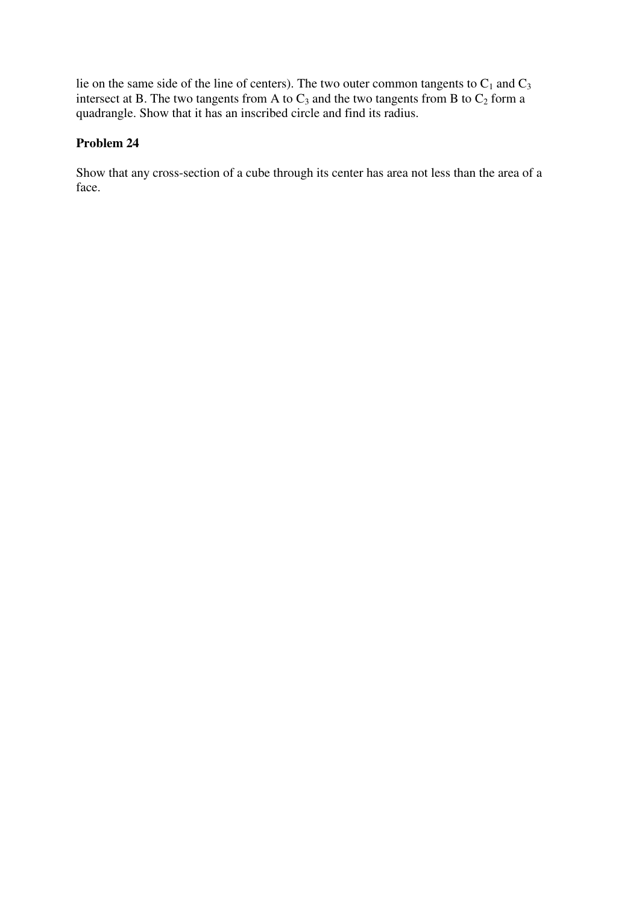lie on the same side of the line of centers). The two outer common tangents to  $C_1$  and  $C_3$ intersect at B. The two tangents from A to  $C_3$  and the two tangents from B to  $C_2$  form a quadrangle. Show that it has an inscribed circle and find its radius.

# **Problem 24**

Show that any cross-section of a cube through its center has area not less than the area of a face.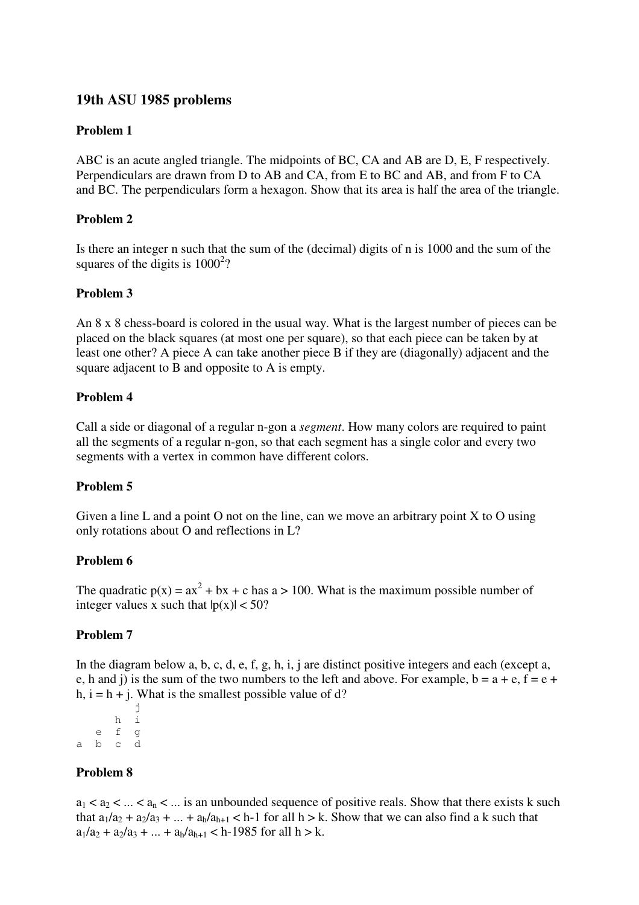# **19th ASU 1985 problems**

### **Problem 1**

ABC is an acute angled triangle. The midpoints of BC, CA and AB are D, E, F respectively. Perpendiculars are drawn from D to AB and CA, from E to BC and AB, and from F to CA and BC. The perpendiculars form a hexagon. Show that its area is half the area of the triangle.

# **Problem 2**

Is there an integer n such that the sum of the (decimal) digits of n is 1000 and the sum of the squares of the digits is  $1000^2$ ?

# **Problem 3**

An 8 x 8 chess-board is colored in the usual way. What is the largest number of pieces can be placed on the black squares (at most one per square), so that each piece can be taken by at least one other? A piece A can take another piece B if they are (diagonally) adjacent and the square adjacent to B and opposite to A is empty.

# **Problem 4**

Call a side or diagonal of a regular n-gon a *segment*. How many colors are required to paint all the segments of a regular n-gon, so that each segment has a single color and every two segments with a vertex in common have different colors.

### **Problem 5**

Given a line L and a point O not on the line, can we move an arbitrary point  $X$  to O using only rotations about O and reflections in L?

### **Problem 6**

The quadratic  $p(x) = ax^2 + bx + c$  has a > 100. What is the maximum possible number of integer values x such that  $|p(x)| < 50$ ?

### **Problem 7**

In the diagram below a, b, c, d, e, f, g, h, i, j are distinct positive integers and each (except a, e, h and j) is the sum of the two numbers to the left and above. For example,  $b = a + e$ ,  $f = e +$ h,  $i = h + i$ . What is the smallest possible value of d?

 j h i e f g a b c d

### **Problem 8**

 $a_1 < a_2 < ... < a_n < ...$  is an unbounded sequence of positive reals. Show that there exists k such that  $a_1/a_2 + a_2/a_3 + ... + a_h/a_{h+1} < h-1$  for all  $h > k$ . Show that we can also find a k such that  $a_1/a_2 + a_2/a_3 + ... + a_h/a_{h+1} < h-1985$  for all  $h > k$ .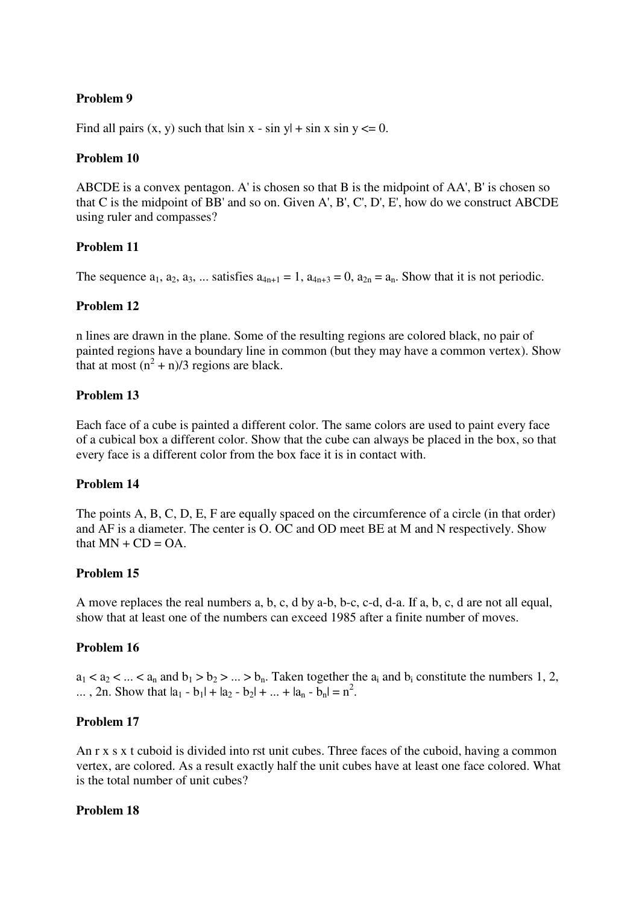#### **Problem 9**

Find all pairs  $(x, y)$  such that  $|\sin x - \sin y| + \sin x \sin y \leq 0$ .

#### **Problem 10**

ABCDE is a convex pentagon. A' is chosen so that B is the midpoint of AA', B' is chosen so that C is the midpoint of BB' and so on. Given A', B', C', D', E', how do we construct ABCDE using ruler and compasses?

#### **Problem 11**

The sequence  $a_1, a_2, a_3, \ldots$  satisfies  $a_{4n+1} = 1$ ,  $a_{4n+3} = 0$ ,  $a_{2n} = a_n$ . Show that it is not periodic.

#### **Problem 12**

n lines are drawn in the plane. Some of the resulting regions are colored black, no pair of painted regions have a boundary line in common (but they may have a common vertex). Show that at most  $(n^2 + n)/3$  regions are black.

#### **Problem 13**

Each face of a cube is painted a different color. The same colors are used to paint every face of a cubical box a different color. Show that the cube can always be placed in the box, so that every face is a different color from the box face it is in contact with.

#### **Problem 14**

The points A, B, C, D, E, F are equally spaced on the circumference of a circle (in that order) and AF is a diameter. The center is O. OC and OD meet BE at M and N respectively. Show that  $MN + CD = OA$ .

#### **Problem 15**

A move replaces the real numbers a, b, c, d by a-b, b-c, c-d, d-a. If a, b, c, d are not all equal, show that at least one of the numbers can exceed 1985 after a finite number of moves.

#### **Problem 16**

 $a_1 < a_2 < ... < a_n$  and  $b_1 > b_2 > ... > b_n$ . Taken together the  $a_i$  and  $b_i$  constitute the numbers 1, 2, ..., 2n. Show that  $|a_1 - b_1| + |a_2 - b_2| + ... + |a_n - b_n| = n^2$ .

#### **Problem 17**

An r x s x t cuboid is divided into rst unit cubes. Three faces of the cuboid, having a common vertex, are colored. As a result exactly half the unit cubes have at least one face colored. What is the total number of unit cubes?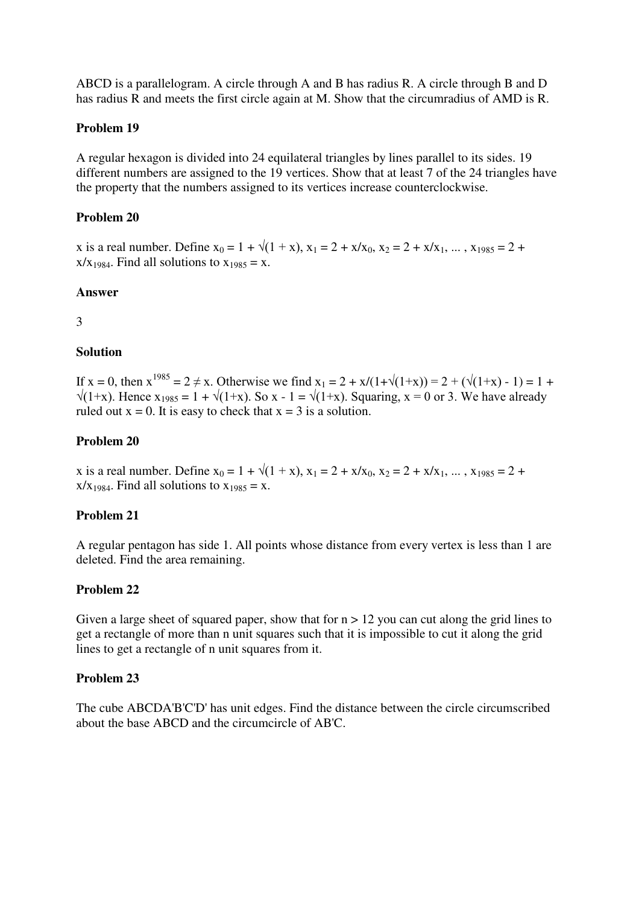ABCD is a parallelogram. A circle through A and B has radius R. A circle through B and D has radius R and meets the first circle again at M. Show that the circumradius of AMD is R.

#### **Problem 19**

A regular hexagon is divided into 24 equilateral triangles by lines parallel to its sides. 19 different numbers are assigned to the 19 vertices. Show that at least 7 of the 24 triangles have the property that the numbers assigned to its vertices increase counterclockwise.

#### **Problem 20**

x is a real number. Define  $x_0 = 1 + \sqrt{(1 + x)}$ ,  $x_1 = 2 + x/x_0$ ,  $x_2 = 2 + x/x_1$ , ...,  $x_{1985} = 2 + x/x_1$  $x/x_{1984}$ . Find all solutions to  $x_{1985} = x$ .

#### **Answer**

3

#### **Solution**

If  $x = 0$ , then  $x^{1985} = 2 \neq x$ . Otherwise we find  $x_1 = 2 + x/(1+\sqrt{(1+x)}) = 2 + (\sqrt{(1+x)} - 1) = 1 +$  $\sqrt{(1+x)}$ . Hence  $x_{1985} = 1 + \sqrt{(1+x)}$ . So x - 1 =  $\sqrt{(1+x)}$ . Squaring, x = 0 or 3. We have already ruled out  $x = 0$ . It is easy to check that  $x = 3$  is a solution.

#### **Problem 20**

x is a real number. Define  $x_0 = 1 + \sqrt{(1 + x)}$ ,  $x_1 = 2 + x/x_0$ ,  $x_2 = 2 + x/x_1$ , ...,  $x_{1985} = 2 + x/x_1$  $x/x_{1984}$ . Find all solutions to  $x_{1985} = x$ .

#### **Problem 21**

A regular pentagon has side 1. All points whose distance from every vertex is less than 1 are deleted. Find the area remaining.

#### **Problem 22**

Given a large sheet of squared paper, show that for  $n > 12$  you can cut along the grid lines to get a rectangle of more than n unit squares such that it is impossible to cut it along the grid lines to get a rectangle of n unit squares from it.

#### **Problem 23**

The cube ABCDA'B'C'D' has unit edges. Find the distance between the circle circumscribed about the base ABCD and the circumcircle of AB'C.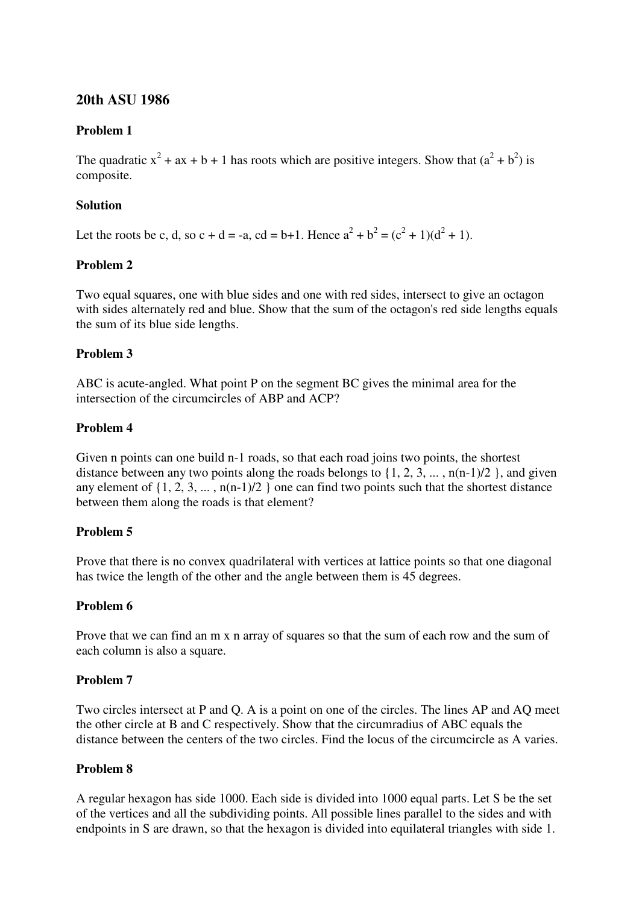# **20th ASU 1986**

### **Problem 1**

The quadratic  $x^2 + ax + b + 1$  has roots which are positive integers. Show that  $(a^2 + b^2)$  is composite.

### **Solution**

Let the roots be c, d, so c + d = -a, cd = b+1. Hence  $a^2 + b^2 = (c^2 + 1)(d^2 + 1)$ .

### **Problem 2**

Two equal squares, one with blue sides and one with red sides, intersect to give an octagon with sides alternately red and blue. Show that the sum of the octagon's red side lengths equals the sum of its blue side lengths.

### **Problem 3**

ABC is acute-angled. What point P on the segment BC gives the minimal area for the intersection of the circumcircles of ABP and ACP?

# **Problem 4**

Given n points can one build n-1 roads, so that each road joins two points, the shortest distance between any two points along the roads belongs to  $\{1, 2, 3, \ldots, n(n-1)/2\}$ , and given any element of  $\{1, 2, 3, \ldots, n(n-1)/2\}$  one can find two points such that the shortest distance between them along the roads is that element?

### **Problem 5**

Prove that there is no convex quadrilateral with vertices at lattice points so that one diagonal has twice the length of the other and the angle between them is 45 degrees.

### **Problem 6**

Prove that we can find an m x n array of squares so that the sum of each row and the sum of each column is also a square.

### **Problem 7**

Two circles intersect at P and Q. A is a point on one of the circles. The lines AP and AQ meet the other circle at B and C respectively. Show that the circumradius of ABC equals the distance between the centers of the two circles. Find the locus of the circumcircle as A varies.

### **Problem 8**

A regular hexagon has side 1000. Each side is divided into 1000 equal parts. Let S be the set of the vertices and all the subdividing points. All possible lines parallel to the sides and with endpoints in S are drawn, so that the hexagon is divided into equilateral triangles with side 1.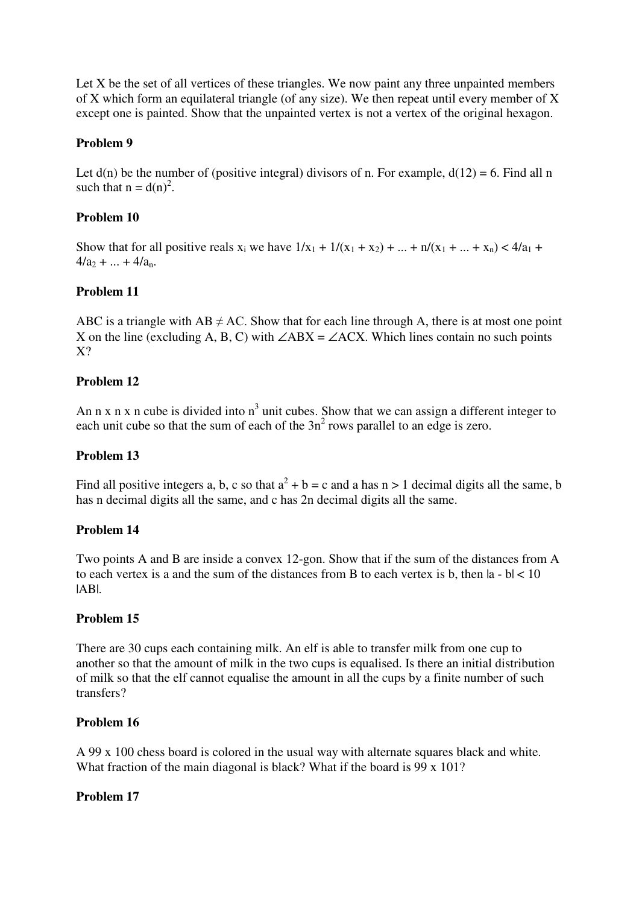Let X be the set of all vertices of these triangles. We now paint any three unpainted members of X which form an equilateral triangle (of any size). We then repeat until every member of X except one is painted. Show that the unpainted vertex is not a vertex of the original hexagon.

# **Problem 9**

Let  $d(n)$  be the number of (positive integral) divisors of n. For example,  $d(12) = 6$ . Find all n such that  $n = d(n)^2$ .

# **Problem 10**

Show that for all positive reals  $x_i$  we have  $1/x_1 + 1/(x_1 + x_2) + ... + n/(x_1 + ... + x_n) < 4/a_1 + ...$  $4/a_2 + ... + 4/a_n$ .

# **Problem 11**

ABC is a triangle with AB  $\neq$  AC. Show that for each line through A, there is at most one point X on the line (excluding A, B, C) with  $∠ABX = ∠ACX$ . Which lines contain no such points X?

### **Problem 12**

An n x n x n cube is divided into  $n<sup>3</sup>$  unit cubes. Show that we can assign a different integer to each unit cube so that the sum of each of the  $3n^2$  rows parallel to an edge is zero.

### **Problem 13**

Find all positive integers a, b, c so that  $a^2 + b = c$  and a has  $n > 1$  decimal digits all the same, b has n decimal digits all the same, and c has 2n decimal digits all the same.

### **Problem 14**

Two points A and B are inside a convex 12-gon. Show that if the sum of the distances from A to each vertex is a and the sum of the distances from B to each vertex is b, then  $|a - b| < 10$  $|AB|$ .

### **Problem 15**

There are 30 cups each containing milk. An elf is able to transfer milk from one cup to another so that the amount of milk in the two cups is equalised. Is there an initial distribution of milk so that the elf cannot equalise the amount in all the cups by a finite number of such transfers?

### **Problem 16**

A 99 x 100 chess board is colored in the usual way with alternate squares black and white. What fraction of the main diagonal is black? What if the board is 99 x 101?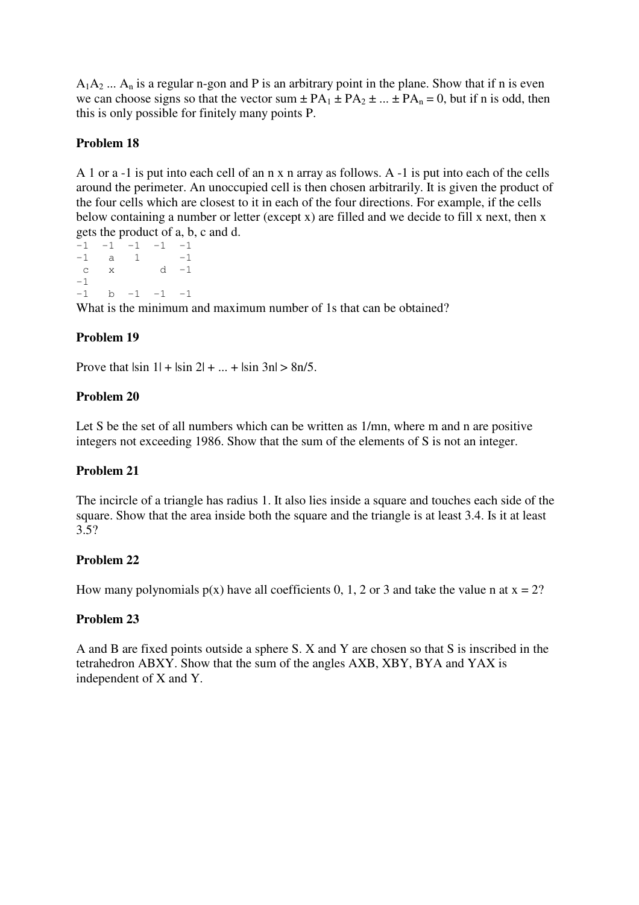$A_1A_2$  ...  $A_n$  is a regular n-gon and P is an arbitrary point in the plane. Show that if n is even we can choose signs so that the vector sum  $\pm PA_1 \pm PA_2 \pm ... \pm PA_n = 0$ , but if n is odd, then this is only possible for finitely many points P.

# **Problem 18**

A 1 or a -1 is put into each cell of an n x n array as follows. A -1 is put into each of the cells around the perimeter. An unoccupied cell is then chosen arbitrarily. It is given the product of the four cells which are closest to it in each of the four directions. For example, if the cells below containing a number or letter (except x) are filled and we decide to fill x next, then x gets the product of a, b, c and d.

 $-1$   $-1$   $-1$   $-1$   $-1$  $-1$  a 1  $-1$ c  $x$  d  $-1$  $-1$  $-1$  b  $-1$   $-1$   $-1$ What is the minimum and maximum number of 1s that can be obtained?

# **Problem 19**

Prove that  $|\sin 1| + |\sin 2| + ... + |\sin 3n| > 8n/5$ .

### **Problem 20**

Let S be the set of all numbers which can be written as  $1/mn$ , where m and n are positive integers not exceeding 1986. Show that the sum of the elements of S is not an integer.

### **Problem 21**

The incircle of a triangle has radius 1. It also lies inside a square and touches each side of the square. Show that the area inside both the square and the triangle is at least 3.4. Is it at least 3.5?

### **Problem 22**

How many polynomials  $p(x)$  have all coefficients 0, 1, 2 or 3 and take the value n at  $x = 2$ ?

### **Problem 23**

A and B are fixed points outside a sphere S. X and Y are chosen so that S is inscribed in the tetrahedron ABXY. Show that the sum of the angles AXB, XBY, BYA and YAX is independent of X and Y.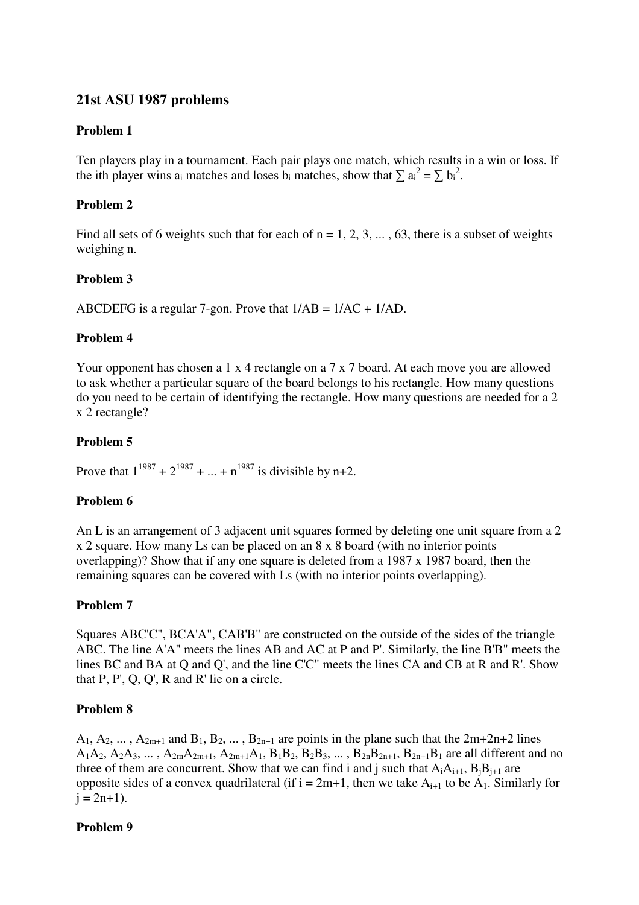# **21st ASU 1987 problems**

### **Problem 1**

Ten players play in a tournament. Each pair plays one match, which results in a win or loss. If the ith player wins a<sub>i</sub> matches and loses  $\mathbf{b}_i$  matches, show that  $\sum \mathbf{a}_i^2 = \sum \mathbf{b}_i^2$ .

### **Problem 2**

Find all sets of 6 weights such that for each of  $n = 1, 2, 3, \dots, 63$ , there is a subset of weights weighing n.

### **Problem 3**

ABCDEFG is a regular 7-gon. Prove that 1/AB = 1/AC + 1/AD.

### **Problem 4**

Your opponent has chosen a 1 x 4 rectangle on a 7 x 7 board. At each move you are allowed to ask whether a particular square of the board belongs to his rectangle. How many questions do you need to be certain of identifying the rectangle. How many questions are needed for a 2 x 2 rectangle?

### **Problem 5**

Prove that  $1^{1987} + 2^{1987} + ... + n^{1987}$  is divisible by n+2.

### **Problem 6**

An L is an arrangement of 3 adjacent unit squares formed by deleting one unit square from a 2 x 2 square. How many Ls can be placed on an 8 x 8 board (with no interior points overlapping)? Show that if any one square is deleted from a 1987 x 1987 board, then the remaining squares can be covered with Ls (with no interior points overlapping).

### **Problem 7**

Squares ABC'C", BCA'A", CAB'B" are constructed on the outside of the sides of the triangle ABC. The line A'A" meets the lines AB and AC at P and P'. Similarly, the line B'B" meets the lines BC and BA at Q and Q', and the line C'C" meets the lines CA and CB at R and R'. Show that P, P', Q, Q', R and R' lie on a circle.

### **Problem 8**

 $A_1, A_2, \ldots, A_{2m+1}$  and  $B_1, B_2, \ldots, B_{2n+1}$  are points in the plane such that the  $2m+2n+2$  lines  $A_1A_2, A_2A_3, \ldots, A_{2m}A_{2m+1}, A_{2m+1}A_1, B_1B_2, B_2B_3, \ldots, B_{2n}B_{2n+1}, B_{2n+1}B_1$  are all different and no three of them are concurrent. Show that we can find i and j such that  $A_iA_{i+1}$ ,  $B_jB_{j+1}$  are opposite sides of a convex quadrilateral (if  $i = 2m+1$ , then we take  $A_{i+1}$  to be  $A_1$ . Similarly for  $i = 2n+1$ ).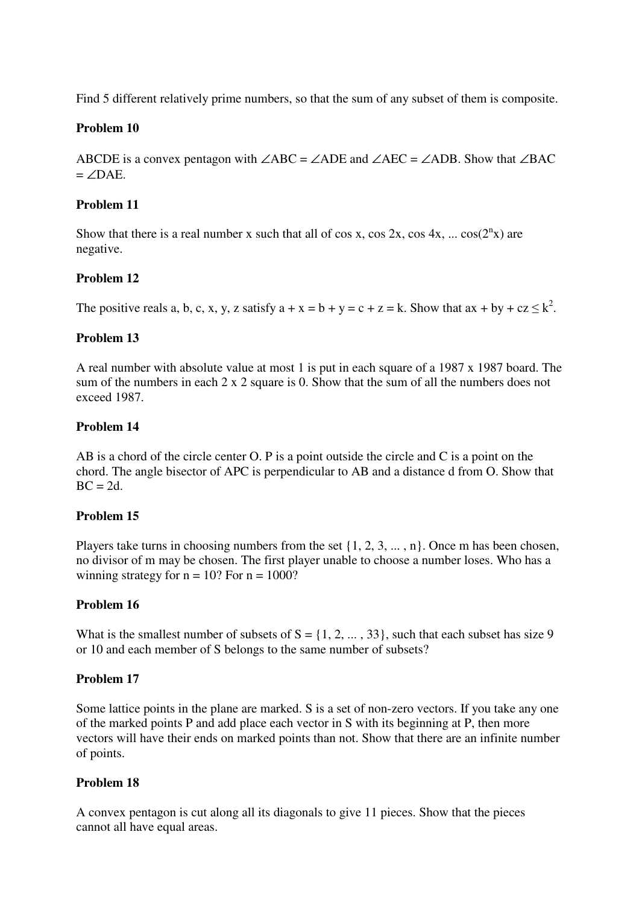Find 5 different relatively prime numbers, so that the sum of any subset of them is composite.

## **Problem 10**

ABCDE is a convex pentagon with  $\angle$ ABC =  $\angle$ ADE and  $\angle$ AEC =  $\angle$ ADB. Show that  $\angle$ BAC  $=$   $\angle$ DAE.

### **Problem 11**

Show that there is a real number x such that all of cos x, cos 2x, cos 4x, ...  $cos(2^{n}x)$  are negative.

## **Problem 12**

The positive reals a, b, c, x, y, z satisfy  $a + x = b + y = c + z = k$ . Show that  $ax + by + cz \leq k^2$ .

## **Problem 13**

A real number with absolute value at most 1 is put in each square of a 1987 x 1987 board. The sum of the numbers in each 2 x 2 square is 0. Show that the sum of all the numbers does not exceed 1987.

## **Problem 14**

AB is a chord of the circle center O. P is a point outside the circle and C is a point on the chord. The angle bisector of APC is perpendicular to AB and a distance d from O. Show that  $BC = 2d$ .

### **Problem 15**

Players take turns in choosing numbers from the set  $\{1, 2, 3, \ldots, n\}$ . Once m has been chosen, no divisor of m may be chosen. The first player unable to choose a number loses. Who has a winning strategy for  $n = 10$ ? For  $n = 1000$ ?

### **Problem 16**

What is the smallest number of subsets of  $S = \{1, 2, ..., 33\}$ , such that each subset has size 9 or 10 and each member of S belongs to the same number of subsets?

### **Problem 17**

Some lattice points in the plane are marked. S is a set of non-zero vectors. If you take any one of the marked points P and add place each vector in S with its beginning at P, then more vectors will have their ends on marked points than not. Show that there are an infinite number of points.

### **Problem 18**

A convex pentagon is cut along all its diagonals to give 11 pieces. Show that the pieces cannot all have equal areas.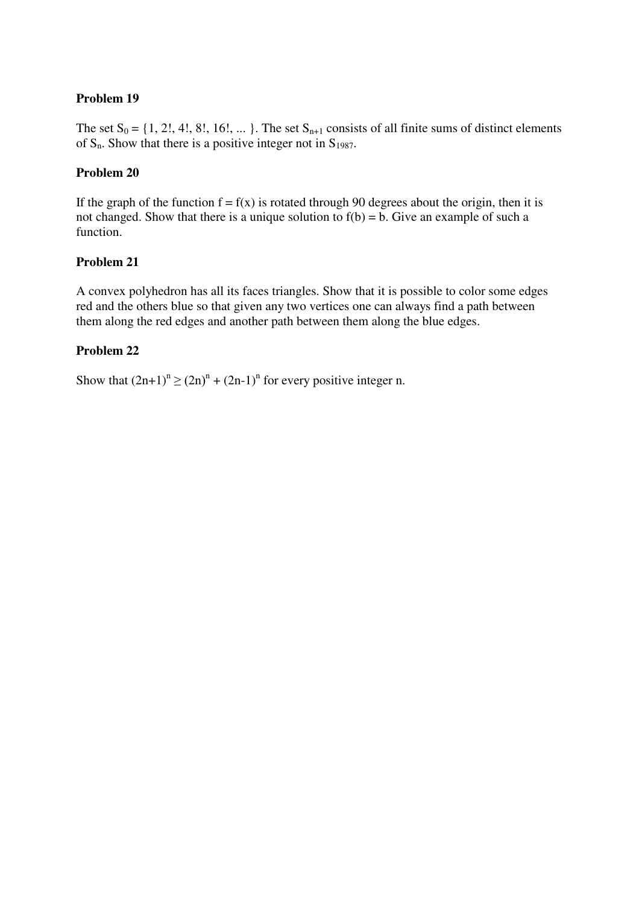## **Problem 19**

The set  $S_0 = \{1, 2!, 4!, 8!, 16!, ...\}$ . The set  $S_{n+1}$  consists of all finite sums of distinct elements of  $S_n$ . Show that there is a positive integer not in  $S_{1987}$ .

## **Problem 20**

If the graph of the function  $f = f(x)$  is rotated through 90 degrees about the origin, then it is not changed. Show that there is a unique solution to  $f(b) = b$ . Give an example of such a function.

## **Problem 21**

A convex polyhedron has all its faces triangles. Show that it is possible to color some edges red and the others blue so that given any two vertices one can always find a path between them along the red edges and another path between them along the blue edges.

## **Problem 22**

Show that  $(2n+1)^n \ge (2n)^n + (2n-1)^n$  for every positive integer n.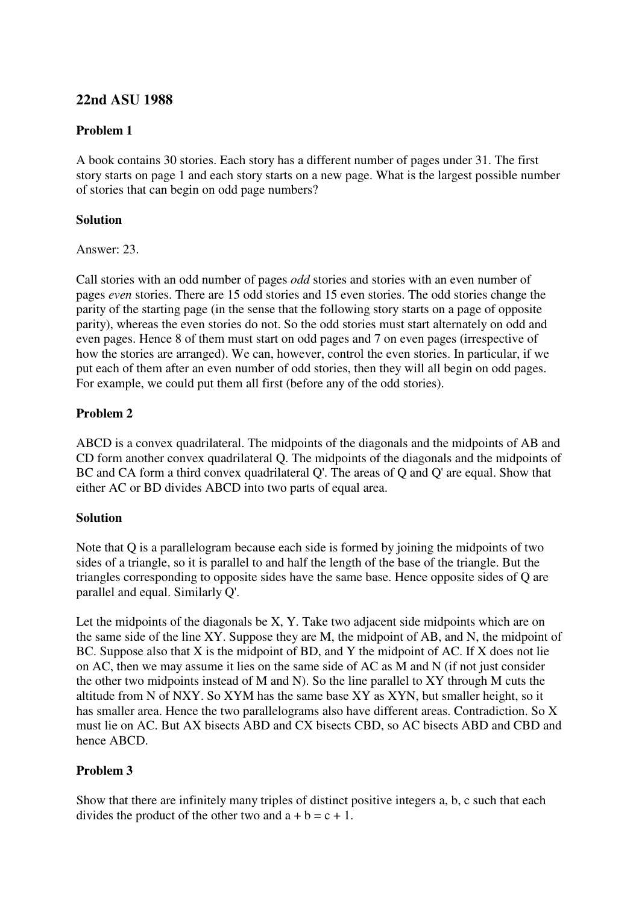# **22nd ASU 1988**

## **Problem 1**

A book contains 30 stories. Each story has a different number of pages under 31. The first story starts on page 1 and each story starts on a new page. What is the largest possible number of stories that can begin on odd page numbers?

## **Solution**

Answer: 23.

Call stories with an odd number of pages *odd* stories and stories with an even number of pages *even* stories. There are 15 odd stories and 15 even stories. The odd stories change the parity of the starting page (in the sense that the following story starts on a page of opposite parity), whereas the even stories do not. So the odd stories must start alternately on odd and even pages. Hence 8 of them must start on odd pages and 7 on even pages (irrespective of how the stories are arranged). We can, however, control the even stories. In particular, if we put each of them after an even number of odd stories, then they will all begin on odd pages. For example, we could put them all first (before any of the odd stories).

## **Problem 2**

ABCD is a convex quadrilateral. The midpoints of the diagonals and the midpoints of AB and CD form another convex quadrilateral Q. The midpoints of the diagonals and the midpoints of BC and CA form a third convex quadrilateral Q'. The areas of Q and Q' are equal. Show that either AC or BD divides ABCD into two parts of equal area.

### **Solution**

Note that Q is a parallelogram because each side is formed by joining the midpoints of two sides of a triangle, so it is parallel to and half the length of the base of the triangle. But the triangles corresponding to opposite sides have the same base. Hence opposite sides of Q are parallel and equal. Similarly Q'.

Let the midpoints of the diagonals be X, Y. Take two adjacent side midpoints which are on the same side of the line XY. Suppose they are M, the midpoint of AB, and N, the midpoint of BC. Suppose also that X is the midpoint of BD, and Y the midpoint of AC. If X does not lie on AC, then we may assume it lies on the same side of AC as M and N (if not just consider the other two midpoints instead of M and N). So the line parallel to XY through M cuts the altitude from N of NXY. So XYM has the same base XY as XYN, but smaller height, so it has smaller area. Hence the two parallelograms also have different areas. Contradiction. So X must lie on AC. But AX bisects ABD and CX bisects CBD, so AC bisects ABD and CBD and hence ABCD.

## **Problem 3**

Show that there are infinitely many triples of distinct positive integers a, b, c such that each divides the product of the other two and  $a + b = c + 1$ .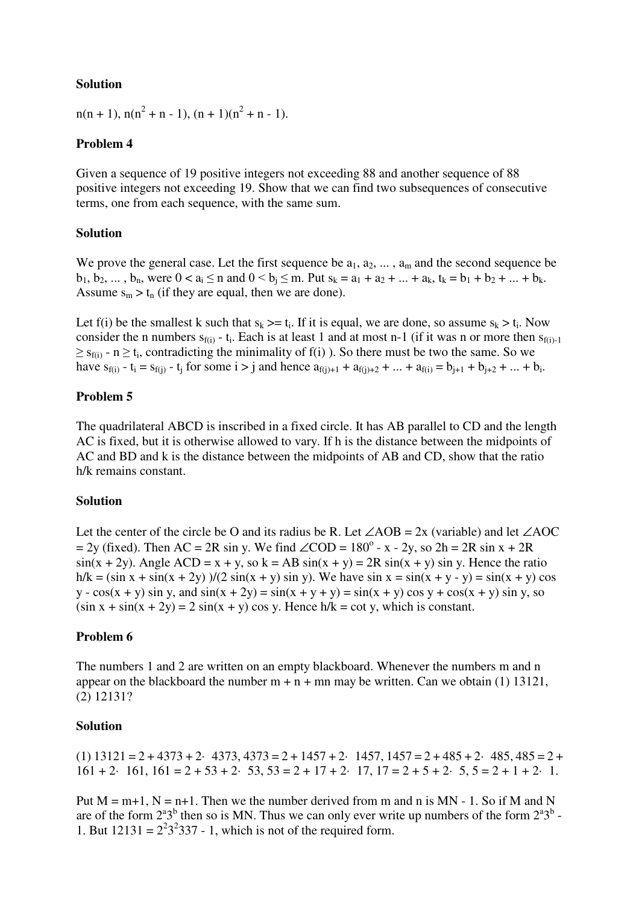## **Solution**

 $n(n + 1), n(n^2 + n - 1), (n + 1)(n^2 + n - 1).$ 

## **Problem 4**

Given a sequence of 19 positive integers not exceeding 88 and another sequence of 88 positive integers not exceeding 19. Show that we can find two subsequences of consecutive terms, one from each sequence, with the same sum.

### **Solution**

We prove the general case. Let the first sequence be  $a_1, a_2, \ldots, a_m$  and the second sequence be  $b_1, b_2, ..., b_n$ , were  $0 < a_i \le n$  and  $0 < b_i \le m$ . Put  $s_k = a_1 + a_2 + ... + a_k$ ,  $t_k = b_1 + b_2 + ... + b_k$ . Assume  $s_m > t_n$  (if they are equal, then we are done).

Let f(i) be the smallest k such that  $s_k \geq t_i$ . If it is equal, we are done, so assume  $s_k > t_i$ . Now consider the n numbers  $s_{f(i)}$  - t<sub>i</sub>. Each is at least 1 and at most n-1 (if it was n or more then  $s_{f(i)-1}$  $\geq$  s<sub>f(i)</sub> - n  $\geq$  t<sub>i</sub>, contradicting the minimality of f(i) ). So there must be two the same. So we have  $s_{f(i)} - t_i = s_{f(j)} - t_j$  for some  $i > j$  and hence  $a_{f(j)+1} + a_{f(j)+2} + ... + a_{f(i)} = b_{j+1} + b_{j+2} + ... + b_i$ .

## **Problem 5**

The quadrilateral ABCD is inscribed in a fixed circle. It has AB parallel to CD and the length AC is fixed, but it is otherwise allowed to vary. If h is the distance between the midpoints of AC and BD and k is the distance between the midpoints of AB and CD, show that the ratio h/k remains constant.

### **Solution**

Let the center of the circle be O and its radius be R. Let  $\angle AOB = 2x$  (variable) and let  $\angle AOC$  $= 2y$  (fixed). Then AC = 2R sin y. We find ∠COD = 180<sup>o</sup> - x - 2y, so 2h = 2R sin x + 2R  $sin(x + 2y)$ . Angle ACD = x + y, so k = AB  $sin(x + y) = 2R sin(x + y) sin y$ . Hence the ratio  $h/k = (\sin x + \sin(x + 2y)) / (2 \sin(x + y) \sin y)$ . We have  $\sin x = \sin(x + y - y) = \sin(x + y) \cos y$  $y - cos(x + y) sin y$ , and  $sin(x + 2y) = sin(x + y + y) = sin(x + y) cos y + cos(x + y) sin y$ , so  $(\sin x + \sin(x + 2y)) = 2 \sin(x + y) \cos y$ . Hence  $h/k = \cot y$ , which is constant.

### **Problem 6**

The numbers 1 and 2 are written on an empty blackboard. Whenever the numbers m and n appear on the blackboard the number  $m + n + mn$  may be written. Can we obtain (1) 13121, (2) 12131?

### **Solution**

 $(1)$  13121 = 2 + 4373 + 2· 4373, 4373 = 2 + 1457 + 2· 1457, 1457 = 2 + 485 + 2· 485, 485 = 2 +  $161 + 2 \cdot 161$ ,  $161 = 2 + 53 + 2 \cdot 53$ ,  $53 = 2 + 17 + 2 \cdot 17$ ,  $17 = 2 + 5 + 2 \cdot 5$ ,  $5 = 2 + 1 + 2 \cdot 1$ .

Put  $M = m+1$ ,  $N = n+1$ . Then we the number derived from m and n is  $MN - 1$ . So if M and N are of the form  $2^a 3^b$  then so is MN. Thus we can only ever write up numbers of the form  $2^a 3^b$ . 1. But  $12131 = 2^2 3^2 337 - 1$ , which is not of the required form.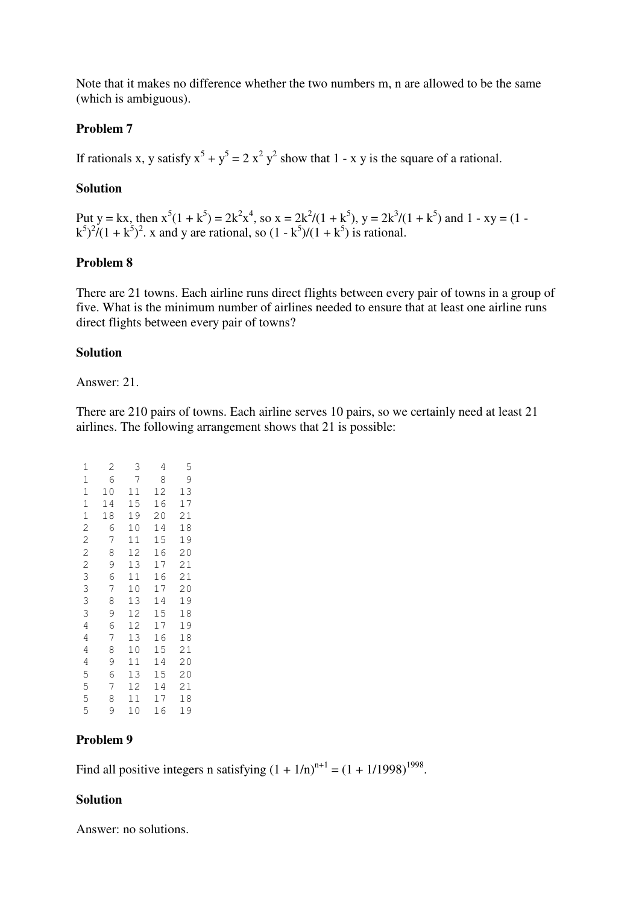Note that it makes no difference whether the two numbers m, n are allowed to be the same (which is ambiguous).

## **Problem 7**

If rationals x, y satisfy  $x^5 + y^5 = 2x^2y^2$  show that 1 - x y is the square of a rational.

### **Solution**

Put y = kx, then  $x^5(1 + k^5) = 2k^2x^4$ , so  $x = 2k^2/(1 + k^5)$ , y =  $2k^3/(1 + k^5)$  and 1 - xy =  $(1 - k^5)$  $(k^5)^2/(1+k^5)^2$ . x and y are rational, so  $(1-k^5)/(1+k^5)$  is rational.

## **Problem 8**

There are 21 towns. Each airline runs direct flights between every pair of towns in a group of five. What is the minimum number of airlines needed to ensure that at least one airline runs direct flights between every pair of towns?

### **Solution**

Answer: 21.

There are 210 pairs of towns. Each airline serves 10 pairs, so we certainly need at least 21 airlines. The following arrangement shows that 21 is possible:

| $\mathbf{1}$   | 2  | 3  | 4  | 5  |
|----------------|----|----|----|----|
| $\mathbf{1}$   | 6  | 7  | 8  | 9  |
| $\mathbf{1}$   | 10 | 11 | 12 | 13 |
| $\overline{1}$ | 14 | 15 | 16 | 17 |
|                | 18 | 19 | 20 | 21 |
| 1222           | 6  | 10 | 14 | 18 |
|                | 7  | 11 | 15 | 19 |
|                | 8  | 12 | 16 | 20 |
|                | 9  | 13 | 17 | 21 |
| $\frac{3}{3}$  | 6  | 11 | 16 | 21 |
|                | 7  | 10 | 17 | 20 |
| $\frac{3}{3}$  | 8  | 13 | 14 | 19 |
|                | 9  | 12 | 15 | 18 |
| 4              | 6  | 12 | 17 | 19 |
| 4              | 7  | 13 | 16 | 18 |
| 4              | 8  | 10 | 15 | 21 |
| 4              | 9  | 11 | 14 | 20 |
|                | 6  | 13 | 15 | 20 |
|                | 7  | 12 | 14 | 21 |
| 55555          | 8  | 11 | 17 | 18 |
|                | 9  | 10 | 16 | 19 |

## **Problem 9**

Find all positive integers n satisfying  $(1 + 1/n)^{n+1} = (1 + 1/1998)^{1998}$ .

## **Solution**

Answer: no solutions.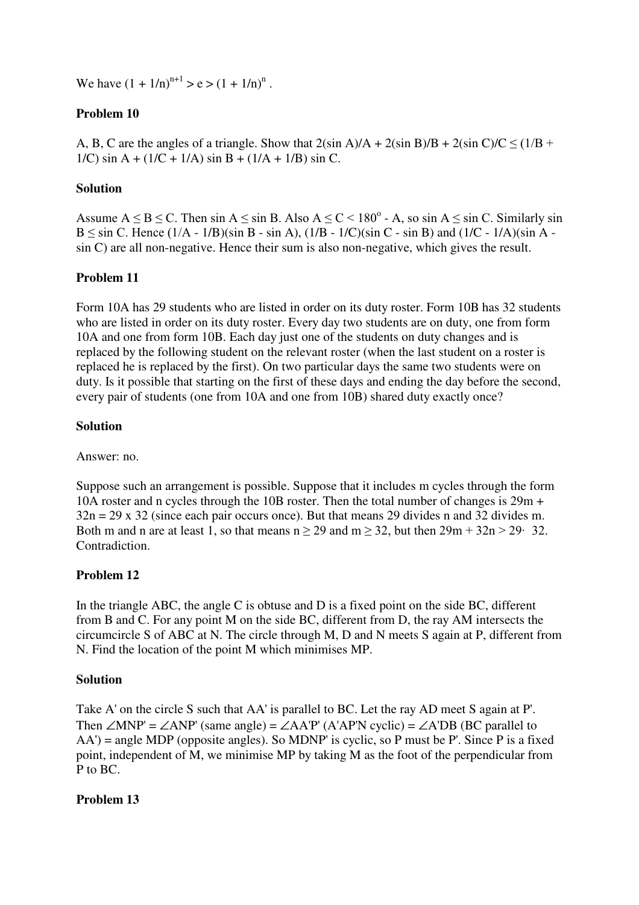We have  $(1 + 1/n)^{n+1} > e > (1 + 1/n)^n$ .

# **Problem 10**

A, B, C are the angles of a triangle. Show that  $2(\sin A)/A + 2(\sin B)/B + 2(\sin C)/C \leq (1/B +$ 1/C) sin A + (1/C + 1/A) sin B + (1/A + 1/B) sin C.

## **Solution**

Assume  $A \leq B \leq C$ . Then sin  $A \leq \sin B$ . Also  $A \leq C < 180^\circ$  - A, so sin  $A \leq \sin C$ . Similarly sin  $B \le \sin C$ . Hence  $(1/A - 1/B)(\sin B - \sin A)$ ,  $(1/B - 1/C)(\sin C - \sin B)$  and  $(1/C - 1/A)(\sin A$ sin C) are all non-negative. Hence their sum is also non-negative, which gives the result.

## **Problem 11**

Form 10A has 29 students who are listed in order on its duty roster. Form 10B has 32 students who are listed in order on its duty roster. Every day two students are on duty, one from form 10A and one from form 10B. Each day just one of the students on duty changes and is replaced by the following student on the relevant roster (when the last student on a roster is replaced he is replaced by the first). On two particular days the same two students were on duty. Is it possible that starting on the first of these days and ending the day before the second, every pair of students (one from 10A and one from 10B) shared duty exactly once?

## **Solution**

Answer: no.

Suppose such an arrangement is possible. Suppose that it includes m cycles through the form 10A roster and n cycles through the 10B roster. Then the total number of changes is 29m +  $32n = 29 \times 32$  (since each pair occurs once). But that means 29 divides n and 32 divides m. Both m and n are at least 1, so that means  $n \ge 29$  and  $m \ge 32$ , but then  $29m + 32n > 29$ . 32. Contradiction.

## **Problem 12**

In the triangle ABC, the angle C is obtuse and D is a fixed point on the side BC, different from B and C. For any point M on the side BC, different from D, the ray AM intersects the circumcircle S of ABC at N. The circle through M, D and N meets S again at P, different from N. Find the location of the point M which minimises MP.

### **Solution**

Take A' on the circle S such that AA' is parallel to BC. Let the ray AD meet S again at P'. Then  $\angle MNP' = \angle AMP'$  (same angle) =  $\angle AAP'$  (A'AP'N cyclic) =  $\angle A'DB$  (BC parallel to  $AA'$ ) = angle MDP (opposite angles). So MDNP' is cyclic, so P must be P'. Since P is a fixed point, independent of M, we minimise MP by taking M as the foot of the perpendicular from P to BC.

## **Problem 13**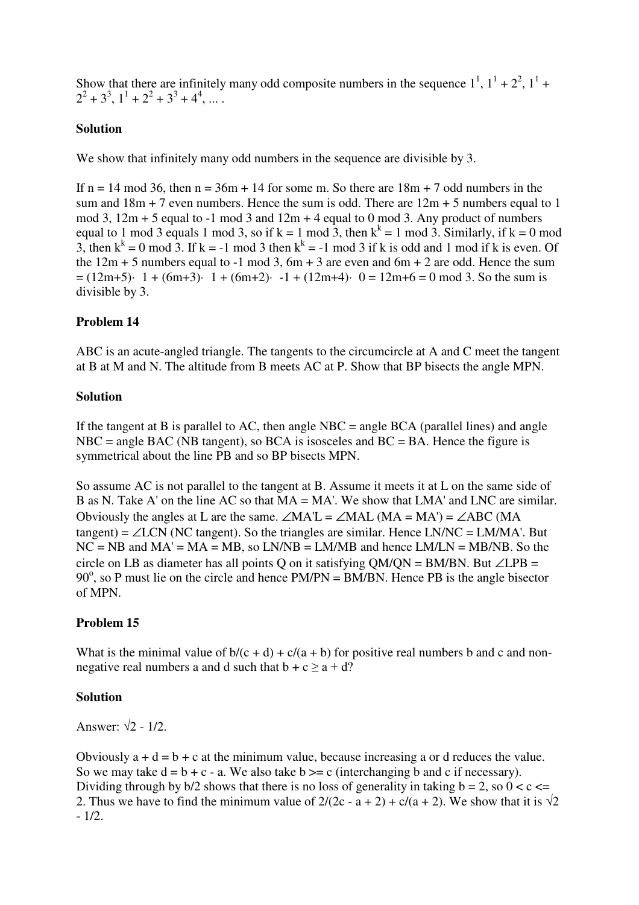Show that there are infinitely many odd composite numbers in the sequence  $1^1$ ,  $1^1 + 2^2$ ,  $1^1 +$  $2^2 + 3^3$ ,  $1^1 + 2^2 + 3^3 + 4^4$ , ...

# **Solution**

We show that infinitely many odd numbers in the sequence are divisible by 3.

If  $n = 14 \text{ mod } 36$ , then  $n = 36m + 14$  for some m. So there are  $18m + 7$  odd numbers in the sum and  $18m + 7$  even numbers. Hence the sum is odd. There are  $12m + 5$  numbers equal to 1 mod 3,  $12m + 5$  equal to  $-1$  mod 3 and  $12m + 4$  equal to 0 mod 3. Any product of numbers equal to 1 mod 3 equals 1 mod 3, so if  $k = 1$  mod 3, then  $k^k = 1$  mod 3. Similarly, if  $k = 0$  mod 3, then  $k^k = 0$  mod 3. If  $k = -1$  mod 3 then  $k^k = -1$  mod 3 if k is odd and 1 mod if k is even. Of the  $12m + 5$  numbers equal to -1 mod 3, 6m + 3 are even and 6m + 2 are odd. Hence the sum  $= (12m+5)$ · 1 + (6m+3)· 1 + (6m+2)· -1 + (12m+4)· 0 = 12m+6 = 0 mod 3. So the sum is divisible by 3.

## **Problem 14**

ABC is an acute-angled triangle. The tangents to the circumcircle at A and C meet the tangent at B at M and N. The altitude from B meets AC at P. Show that BP bisects the angle MPN.

## **Solution**

If the tangent at B is parallel to AC, then angle  $NBC = angle BCA$  (parallel lines) and angle  $NBC = angle BAC (NB tangent), so BCA is isosceles and BC = BA.$  Hence the figure is symmetrical about the line PB and so BP bisects MPN.

So assume AC is not parallel to the tangent at B. Assume it meets it at L on the same side of B as N. Take A' on the line AC so that MA = MA'. We show that LMA' and LNC are similar. Obviously the angles at L are the same.  $\angle$ MA'L =  $\angle$ MAL (MA = MA') =  $\angle$ ABC (MA tangent) =  $\angle$ LCN (NC tangent). So the triangles are similar. Hence LN/NC = LM/MA'. But  $NC = NB$  and  $MA' = MA = MB$ , so  $LN/NB = LM/MB$  and hence  $LM/LN = MB/NB$ . So the circle on LB as diameter has all points Q on it satisfying QM/QN = BM/BN. But ∠LPB = 90 $^{\circ}$ , so P must lie on the circle and hence PM/PN = BM/BN. Hence PB is the angle bisector of MPN.

## **Problem 15**

What is the minimal value of  $b/(c + d) + c/(a + b)$  for positive real numbers b and c and nonnegative real numbers a and d such that  $b + c \ge a + d$ ?

### **Solution**

Answer:  $\sqrt{2}$  - 1/2.

Obviously  $a + d = b + c$  at the minimum value, because increasing a or d reduces the value. So we may take  $d = b + c - a$ . We also take  $b \geq c$  (interchanging b and c if necessary). Dividing through by  $b/2$  shows that there is no loss of generality in taking  $b = 2$ , so  $0 < c \le$ 2. Thus we have to find the minimum value of  $2/(2c - a + 2) + c/(a + 2)$ . We show that it is  $\sqrt{2}$ - 1/2.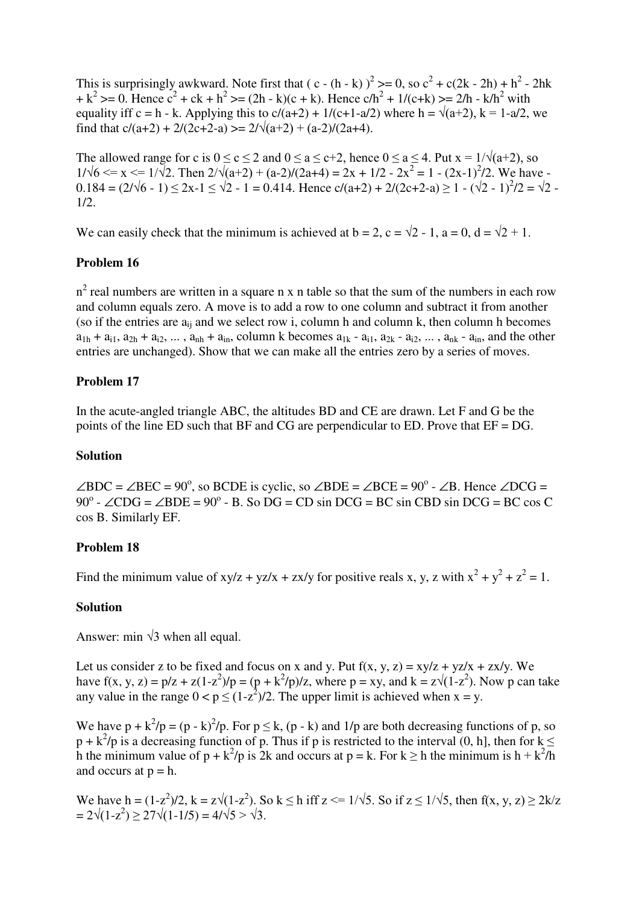This is surprisingly awkward. Note first that  $(c - (h - k))^2$  >= 0, so  $c^2 + c(2k - 2h) + h^2 - 2hk$  $+k^{2}>=0$ . Hence  $c^{2} + ck + h^{2}>= (2h - k)(c + k)$ . Hence  $ch^{2} + 1/(c+k)>= 2/h - k/h^{2}$  with equality iff c = h - k. Applying this to  $c/(a+2) + 1/(c+1-a/2)$  where h =  $\sqrt{(a+2)}$ , k = 1-a/2, we find that  $c/(a+2) + 2/(2c+2-a) \ge 2/\sqrt{(a+2) + (a-2)/(2a+4)}$ .

The allowed range for c is  $0 \le c \le 2$  and  $0 \le a \le c+2$ , hence  $0 \le a \le 4$ . Put  $x = 1/\sqrt{(a+2)}$ , so  $1/\sqrt{6} \le x \le 1/\sqrt{2}$ . Then  $2/\sqrt{(a+2)+(a-2)/(2a+4)} = 2x + 1/2 - 2x^2 = 1 - (2x-1)^2/2$ . We have  $0.184 = (2/\sqrt{6} - 1) \le 2x - 1 \le \sqrt{2} - 1 = 0.414$ . Hence  $c/(a+2) + 2/(2c+2-a) \ge 1 - (\sqrt{2} - 1)^2/2 = \sqrt{2} - 1$ 1/2.

We can easily check that the minimum is achieved at  $b = 2$ ,  $c = \sqrt{2} - 1$ ,  $a = 0$ ,  $d = \sqrt{2} + 1$ .

## **Problem 16**

 $n^2$  real numbers are written in a square n x n table so that the sum of the numbers in each row and column equals zero. A move is to add a row to one column and subtract it from another (so if the entries are  $a_{ii}$  and we select row i, column h and column k, then column h becomes  $a_{1h} + a_{i1}$ ,  $a_{2h} + a_{i2}$ , ...,  $a_{nh} + a_{in}$ , column k becomes  $a_{1k} - a_{i1}$ ,  $a_{2k} - a_{i2}$ , ...,  $a_{nk} - a_{in}$ , and the other entries are unchanged). Show that we can make all the entries zero by a series of moves.

## **Problem 17**

In the acute-angled triangle ABC, the altitudes BD and CE are drawn. Let F and G be the points of the line ED such that BF and CG are perpendicular to ED. Prove that EF = DG.

### **Solution**

 $\angle BDC = \angle BEC = 90^\circ$ , so BCDE is cyclic, so  $\angle BDE = \angle BCE = 90^\circ - \angle B$ . Hence  $\angle DCG =$  $90^\circ$  -  $\angle$ CDG =  $\angle$ BDE =  $90^\circ$  - B. So DG = CD sin DCG = BC sin CBD sin DCG = BC cos C cos B. Similarly EF.

### **Problem 18**

Find the minimum value of  $xy/z + yz/x + zx/y$  for positive reals x, y, z with  $x^2 + y^2 + z^2 = 1$ .

### **Solution**

Answer: min  $\sqrt{3}$  when all equal.

Let us consider z to be fixed and focus on x and y. Put  $f(x, y, z) = xy/z + yz/x + zx/y$ . We have  $f(x, y, z) = p/z + z(1-z^2)/p = (p + k^2/p)/z$ , where  $p = xy$ , and  $k = z\sqrt{(1-z^2)}$ . Now p can take any value in the range  $0 < p \le (1-z^2)/2$ . The upper limit is achieved when  $x = y$ .

We have  $p + k^2/p = (p - k)^2/p$ . For  $p \le k$ ,  $(p - k)$  and  $1/p$  are both decreasing functions of p, so  $p + k^2/p$  is a decreasing function of p. Thus if p is restricted to the interval (0, h], then for  $k \leq$ h the minimum value of  $p + k^2/p$  is 2k and occurs at  $p = k$ . For  $k \ge h$  the minimum is  $h + k^2/h$ and occurs at  $p = h$ .

We have h =  $(1-z^2)/2$ , k =  $z\sqrt{(1-z^2)}$ . So k  $\leq$  h iff z  $\leq$  1/ $\sqrt{5}$ , So if z  $\leq$  1/ $\sqrt{5}$ , then f(x, y, z)  $\geq$  2k/z  $= 2\sqrt{(1-z^2)} \ge 27\sqrt{(1-1/5)} = 4/\sqrt{5} > \sqrt{3}.$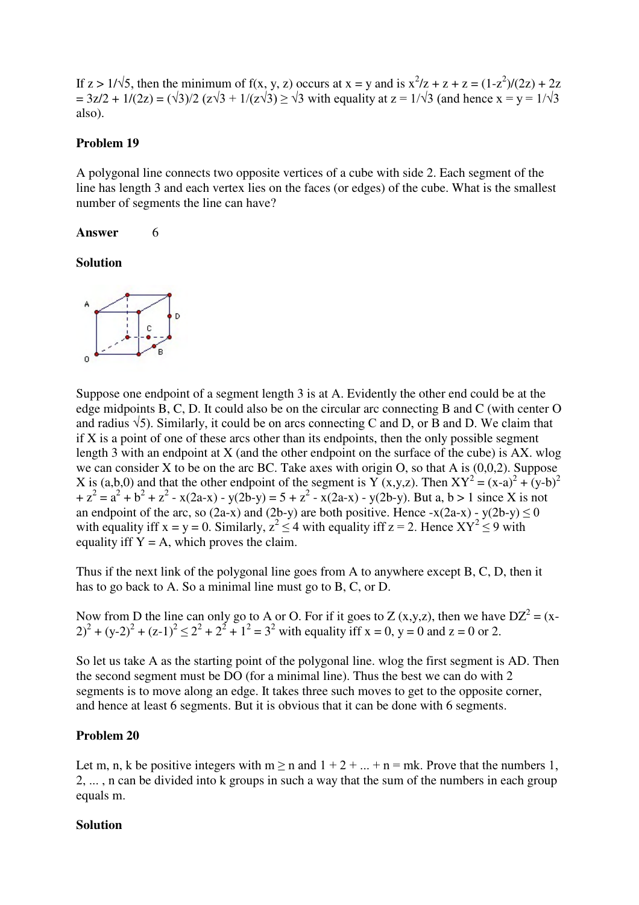If  $z > 1/\sqrt{5}$ , then the minimum of f(x, y, z) occurs at  $x = y$  and is  $x^2/z + z + z = (1-z^2)/(2z) + 2z$  $= 3z/2 + 1/(2z) = (\sqrt{3})/2 (z\sqrt{3} + 1/(z\sqrt{3})) \ge \sqrt{3}$  with equality at  $z = 1/\sqrt{3}$  (and hence  $x = y = 1/\sqrt{3}$ also).

### **Problem 19**

A polygonal line connects two opposite vertices of a cube with side 2. Each segment of the line has length 3 and each vertex lies on the faces (or edges) of the cube. What is the smallest number of segments the line can have?

### Answer 6

## **Solution**



Suppose one endpoint of a segment length 3 is at A. Evidently the other end could be at the edge midpoints B, C, D. It could also be on the circular arc connecting B and C (with center O and radius  $\sqrt{5}$ ). Similarly, it could be on arcs connecting C and D, or B and D. We claim that if  $X$  is a point of one of these arcs other than its endpoints, then the only possible segment length 3 with an endpoint at X (and the other endpoint on the surface of the cube) is AX. wlog we can consider X to be on the arc BC. Take axes with origin O, so that A is  $(0,0,2)$ . Suppose X is (a,b,0) and that the other endpoint of the segment is Y (x,y,z). Then  $XY^2 = (x-a)^2 + (y-b)^2$  $+ z<sup>2</sup> = a<sup>2</sup> + b<sup>2</sup> + z<sup>2</sup> - x(2a-x) - y(2b-y) = 5 + z<sup>2</sup> - x(2a-x) - y(2b-y)$ . But a, b > 1 since X is not an endpoint of the arc, so (2a-x) and (2b-y) are both positive. Hence  $-x(2a-x) - y(2b-y) \le 0$ with equality iff  $x = y = 0$ . Similarly,  $z^2 \le 4$  with equality iff  $z = 2$ . Hence  $XY^2 \le 9$  with equality iff  $Y = A$ , which proves the claim.

Thus if the next link of the polygonal line goes from A to anywhere except B, C, D, then it has to go back to A. So a minimal line must go to B, C, or D.

Now from D the line can only go to A or O. For if it goes to Z  $(x,y,z)$ , then we have  $DZ^2 = (x - z^2)Z$  $(2)^{2} + (y-2)^{2} + (z-1)^{2} \le 2^{2} + 2^{2} + 1^{2} = 3^{2}$  with equality iff  $x = 0$ ,  $y = 0$  and  $z = 0$  or 2.

So let us take A as the starting point of the polygonal line. wlog the first segment is AD. Then the second segment must be DO (for a minimal line). Thus the best we can do with 2 segments is to move along an edge. It takes three such moves to get to the opposite corner, and hence at least 6 segments. But it is obvious that it can be done with 6 segments.

## **Problem 20**

Let m, n, k be positive integers with  $m \ge n$  and  $1 + 2 + ... + n = mk$ . Prove that the numbers 1, 2, ... , n can be divided into k groups in such a way that the sum of the numbers in each group equals m.

### **Solution**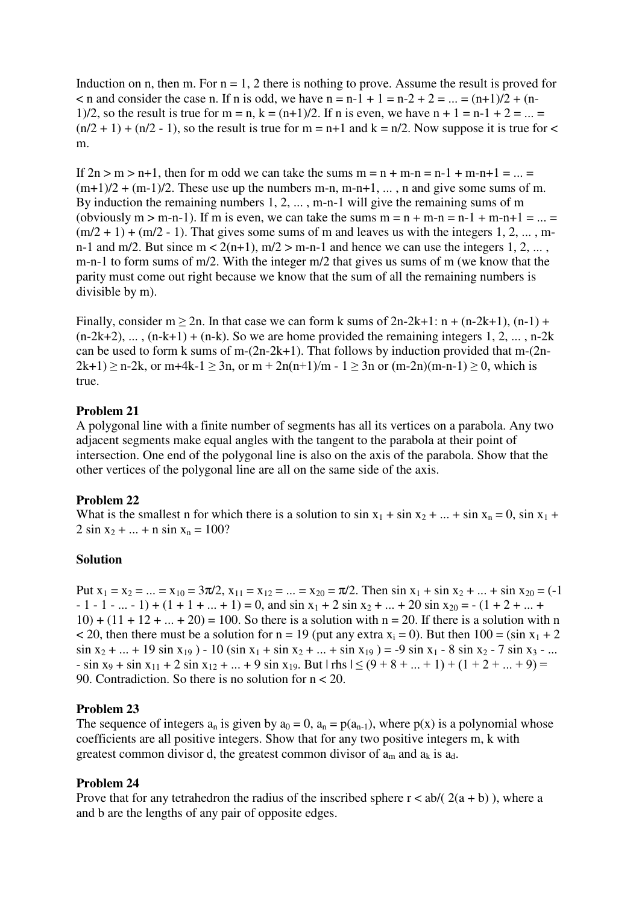Induction on n, then m. For  $n = 1, 2$  there is nothing to prove. Assume the result is proved for  $\leq$  n and consider the case n. If n is odd, we have n = n-1 + 1 = n-2 + 2 = ... = (n+1)/2 + (n-1)/2, so the result is true for m = n, k =  $(n+1)/2$ . If n is even, we have n + 1 = n-1 + 2 = ... =  $(n/2 + 1) + (n/2 - 1)$ , so the result is true for m = n+1 and k = n/2. Now suppose it is true for < m.

If  $2n > m > n+1$ , then for m odd we can take the sums  $m = n + m-n = n-1 + m-n+1 = ... =$  $(m+1)/2 + (m-1)/2$ . These use up the numbers m-n, m-n+1, ..., n and give some sums of m. By induction the remaining numbers 1, 2, ... , m-n-1 will give the remaining sums of m (obviously  $m > m-n-1$ ). If m is even, we can take the sums  $m = n + m-n = n-1 + m-n+1 = ... =$  $(m/2 + 1) + (m/2 - 1)$ . That gives some sums of m and leaves us with the integers 1, 2, ..., mn-1 and m/2. But since  $m < 2(n+1)$ ,  $m/2 > m-n-1$  and hence we can use the integers 1, 2, ..., m-n-1 to form sums of m/2. With the integer m/2 that gives us sums of m (we know that the parity must come out right because we know that the sum of all the remaining numbers is divisible by m).

Finally, consider  $m \ge 2n$ . In that case we can form k sums of  $2n-2k+1$ :  $n + (n-2k+1)$ ,  $(n-1) +$  $(n-2k+2), \ldots, (n-k+1) + (n-k)$ . So we are home provided the remaining integers 1, 2, ..., n-2k can be used to form k sums of m-(2n-2k+1). That follows by induction provided that m-(2n- $2k+1 \ge n-2k$ , or m+4k-1  $\ge 3n$ , or m +  $2n(n+1)/m - 1 \ge 3n$  or  $(m-2n)(m-n-1) \ge 0$ , which is true.

### **Problem 21**

A polygonal line with a finite number of segments has all its vertices on a parabola. Any two adjacent segments make equal angles with the tangent to the parabola at their point of intersection. One end of the polygonal line is also on the axis of the parabola. Show that the other vertices of the polygonal line are all on the same side of the axis.

#### **Problem 22**

What is the smallest n for which there is a solution to  $\sin x_1 + \sin x_2 + ... + \sin x_n = 0$ ,  $\sin x_1 +$  $2 \sin x_2 + ... + n \sin x_n = 100?$ 

### **Solution**

Put  $x_1 = x_2 = ... = x_{10} = 3\pi/2$ ,  $x_{11} = x_{12} = ... = x_{20} = \pi/2$ . Then  $\sin x_1 + \sin x_2 + ... + \sin x_{20} = (-1)^n$  $-1 - 1 - ... - 1$  +  $(1 + 1 + ... + 1) = 0$ , and  $\sin x_1 + 2 \sin x_2 + ... + 20 \sin x_{20} = - (1 + 2 + ... + 1)$  $10) + (11 + 12 + ... + 20) = 100$ . So there is a solution with n = 20. If there is a solution with n < 20, then there must be a solution for  $n = 19$  (put any extra  $x_i = 0$ ). But then  $100 = (\sin x_1 + 2$  $\sin x_2 + ... + 19 \sin x_{19} - 10 \left( \sin x_1 + \sin x_2 + ... + \sin x_{19} \right) = -9 \sin x_1 - 8 \sin x_2 - 7 \sin x_3 - ...$  $-$  sin x<sub>9</sub> + sin x<sub>11</sub> + 2 sin x<sub>12</sub> + ... + 9 sin x<sub>19</sub>. But  $|\text{rhs}| \le (9 + 8 + ... + 1) + (1 + 2 + ... + 9) =$ 90. Contradiction. So there is no solution for n < 20.

#### **Problem 23**

The sequence of integers  $a_n$  is given by  $a_0 = 0$ ,  $a_n = p(a_{n-1})$ , where  $p(x)$  is a polynomial whose coefficients are all positive integers. Show that for any two positive integers m, k with greatest common divisor d, the greatest common divisor of  $a_m$  and  $a_k$  is  $a_d$ .

### **Problem 24**

Prove that for any tetrahedron the radius of the inscribed sphere  $r < ab/(2(a + b))$ , where a and b are the lengths of any pair of opposite edges.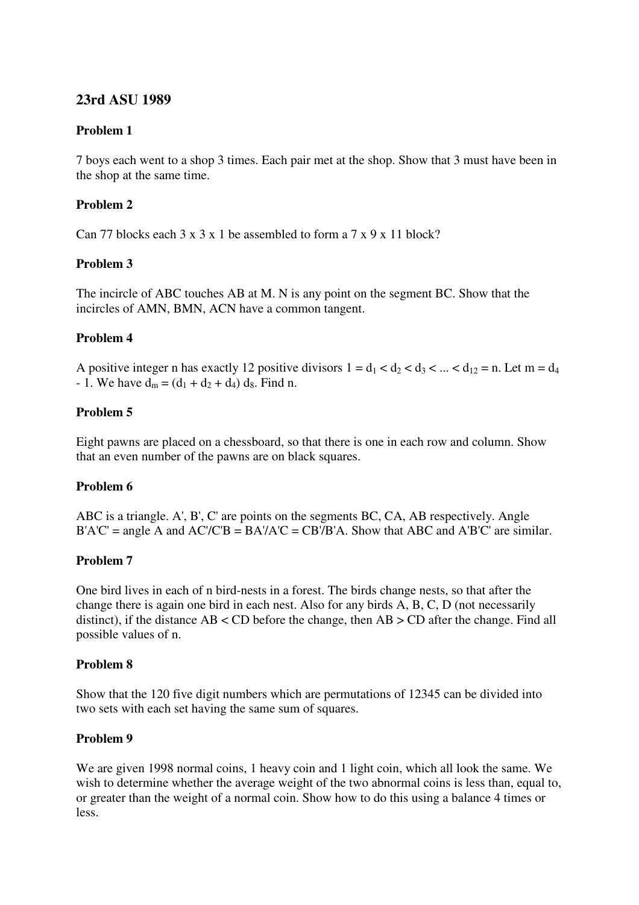# **23rd ASU 1989**

# **Problem 1**

7 boys each went to a shop 3 times. Each pair met at the shop. Show that 3 must have been in the shop at the same time.

# **Problem 2**

Can 77 blocks each  $3 \times 3 \times 1$  be assembled to form a  $7 \times 9 \times 11$  block?

# **Problem 3**

The incircle of ABC touches AB at M. N is any point on the segment BC. Show that the incircles of AMN, BMN, ACN have a common tangent.

# **Problem 4**

A positive integer n has exactly 12 positive divisors  $1 = d_1 < d_2 < d_3 < ... < d_{12} = n$ . Let  $m = d_4$ - 1. We have  $d_m = (d_1 + d_2 + d_4) d_8$ . Find n.

## **Problem 5**

Eight pawns are placed on a chessboard, so that there is one in each row and column. Show that an even number of the pawns are on black squares.

## **Problem 6**

ABC is a triangle. A', B', C' are points on the segments BC, CA, AB respectively. Angle  $B'A'C' = angle A$  and  $AC/C'B = BA'/A'C = CB'/B'A$ . Show that ABC and A'B'C' are similar.

## **Problem 7**

One bird lives in each of n bird-nests in a forest. The birds change nests, so that after the change there is again one bird in each nest. Also for any birds A, B, C, D (not necessarily distinct), if the distance AB < CD before the change, then AB > CD after the change. Find all possible values of n.

## **Problem 8**

Show that the 120 five digit numbers which are permutations of 12345 can be divided into two sets with each set having the same sum of squares.

## **Problem 9**

We are given 1998 normal coins, 1 heavy coin and 1 light coin, which all look the same. We wish to determine whether the average weight of the two abnormal coins is less than, equal to, or greater than the weight of a normal coin. Show how to do this using a balance 4 times or less.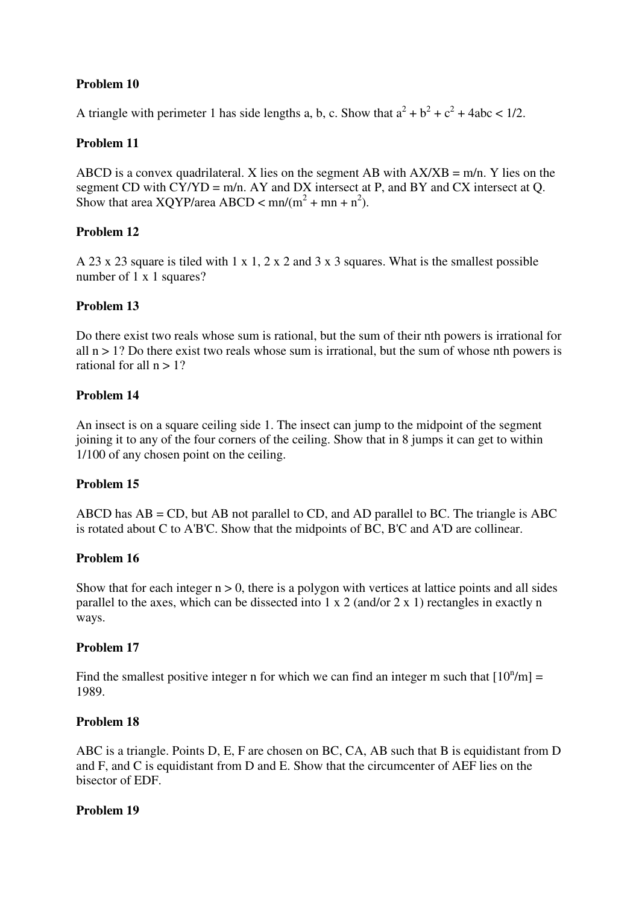# **Problem 10**

A triangle with perimeter 1 has side lengths a, b, c. Show that  $a^2 + b^2 + c^2 + 4abc < 1/2$ .

## **Problem 11**

ABCD is a convex quadrilateral. X lies on the segment AB with  $AX/XB = m/n$ . Y lies on the segment CD with  $CY/YD = m/n$ . AY and DX intersect at P, and BY and CX intersect at Q. Show that area  $XQYP$ /area ABCD < mn/(m<sup>2</sup> + mn + n<sup>2</sup>).

## **Problem 12**

A 23 x 23 square is tiled with 1 x 1, 2 x 2 and 3 x 3 squares. What is the smallest possible number of 1 x 1 squares?

## **Problem 13**

Do there exist two reals whose sum is rational, but the sum of their nth powers is irrational for all  $n > 1$ ? Do there exist two reals whose sum is irrational, but the sum of whose nth powers is rational for all  $n > 1$ ?

## **Problem 14**

An insect is on a square ceiling side 1. The insect can jump to the midpoint of the segment joining it to any of the four corners of the ceiling. Show that in 8 jumps it can get to within 1/100 of any chosen point on the ceiling.

## **Problem 15**

ABCD has  $AB = CD$ , but AB not parallel to CD, and AD parallel to BC. The triangle is ABC is rotated about C to A'B'C. Show that the midpoints of BC, B'C and A'D are collinear.

## **Problem 16**

Show that for each integer  $n > 0$ , there is a polygon with vertices at lattice points and all sides parallel to the axes, which can be dissected into 1 x 2 (and/or 2 x 1) rectangles in exactly n ways.

## **Problem 17**

Find the smallest positive integer n for which we can find an integer m such that  $[10^n/m] =$ 1989.

## **Problem 18**

ABC is a triangle. Points D, E, F are chosen on BC, CA, AB such that B is equidistant from D and F, and C is equidistant from D and E. Show that the circumcenter of AEF lies on the bisector of EDF.

## **Problem 19**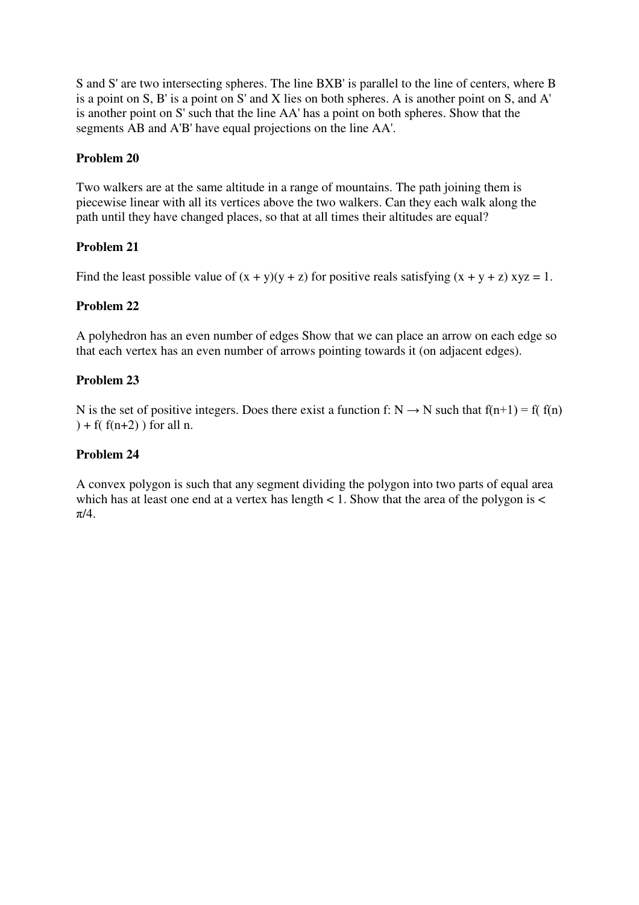S and S' are two intersecting spheres. The line BXB' is parallel to the line of centers, where B is a point on S, B' is a point on S' and X lies on both spheres. A is another point on S, and A' is another point on S' such that the line AA' has a point on both spheres. Show that the segments AB and A'B' have equal projections on the line AA'.

# **Problem 20**

Two walkers are at the same altitude in a range of mountains. The path joining them is piecewise linear with all its vertices above the two walkers. Can they each walk along the path until they have changed places, so that at all times their altitudes are equal?

# **Problem 21**

Find the least possible value of  $(x + y)(y + z)$  for positive reals satisfying  $(x + y + z)$  xyz = 1.

## **Problem 22**

A polyhedron has an even number of edges Show that we can place an arrow on each edge so that each vertex has an even number of arrows pointing towards it (on adjacent edges).

# **Problem 23**

N is the set of positive integers. Does there exist a function f:  $N \rightarrow N$  such that  $f(n+1) = f(f(n))$  $)+ f(f(n+2))$  for all n.

# **Problem 24**

A convex polygon is such that any segment dividing the polygon into two parts of equal area which has at least one end at a vertex has length  $\lt$  1. Show that the area of the polygon is  $\lt$  $\pi/4$ .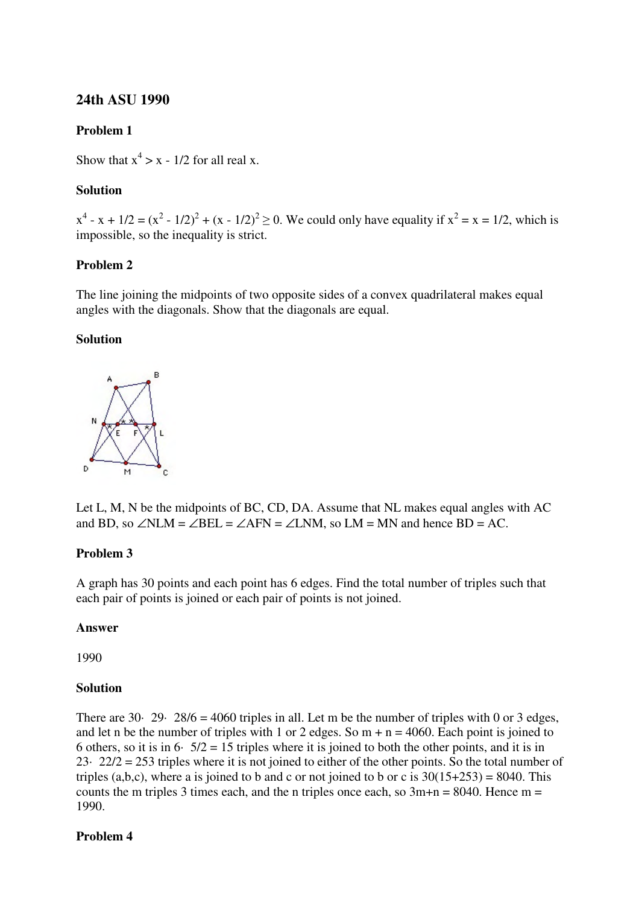# **24th ASU 1990**

## **Problem 1**

Show that  $x^4 > x - 1/2$  for all real x.

## **Solution**

 $x^4 - x + 1/2 = (x^2 - 1/2)^2 + (x - 1/2)^2 \ge 0$ . We could only have equality if  $x^2 = x = 1/2$ , which is impossible, so the inequality is strict.

## **Problem 2**

The line joining the midpoints of two opposite sides of a convex quadrilateral makes equal angles with the diagonals. Show that the diagonals are equal.

### **Solution**



Let L, M, N be the midpoints of BC, CD, DA. Assume that NL makes equal angles with AC and BD, so  $\angle NLM = \angle BEL = \angle AFN = \angle LNM$ , so  $LM = MN$  and hence BD = AC.

### **Problem 3**

A graph has 30 points and each point has 6 edges. Find the total number of triples such that each pair of points is joined or each pair of points is not joined.

### **Answer**

1990

### **Solution**

There are 30· 29· 28/6 = 4060 triples in all. Let m be the number of triples with 0 or 3 edges, and let n be the number of triples with 1 or 2 edges. So  $m + n = 4060$ . Each point is joined to 6 others, so it is in 6·  $5/2 = 15$  triples where it is joined to both the other points, and it is in 23· 22/2 = 253 triples where it is not joined to either of the other points. So the total number of triples (a,b,c), where a is joined to b and c or not joined to b or c is  $30(15+253) = 8040$ . This counts the m triples 3 times each, and the n triples once each, so  $3m+n = 8040$ . Hence m = 1990.

### **Problem 4**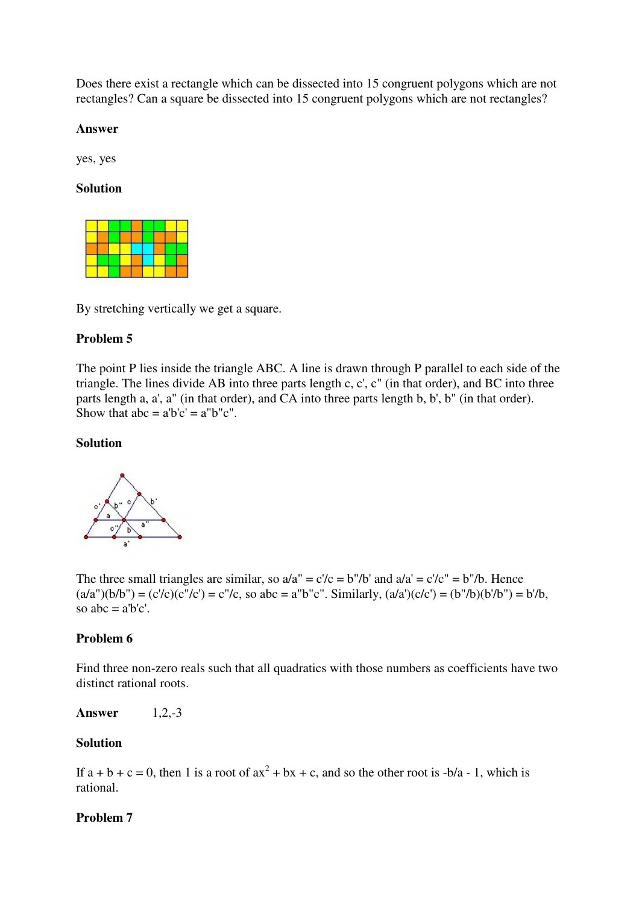Does there exist a rectangle which can be dissected into 15 congruent polygons which are not rectangles? Can a square be dissected into 15 congruent polygons which are not rectangles?

### **Answer**

yes, yes

### **Solution**



By stretching vertically we get a square.

#### **Problem 5**

The point P lies inside the triangle ABC. A line is drawn through P parallel to each side of the triangle. The lines divide AB into three parts length c, c', c" (in that order), and BC into three parts length a, a', a" (in that order), and CA into three parts length b, b', b" (in that order). Show that  $abc = a'b'c' = a''b''c''$ .

### **Solution**



The three small triangles are similar, so  $a/a'' = c'/c = b''/b'$  and  $a/a' = c'/c'' = b''/b$ . Hence  $(a/a'')(b/b'') = (c'/c)(c''/c') = c''/c$ , so abc = a"b"c". Similarly,  $(a/a')(c/c') = (b''/b)(b'/b'') = b'/b$ , so abc  $=$  a'b'c'.

### **Problem 6**

Find three non-zero reals such that all quadratics with those numbers as coefficients have two distinct rational roots.

**Answer** 1,2,-3

#### **Solution**

If  $a + b + c = 0$ , then 1 is a root of  $ax^2 + bx + c$ , and so the other root is  $-b/a - 1$ , which is rational.

#### **Problem 7**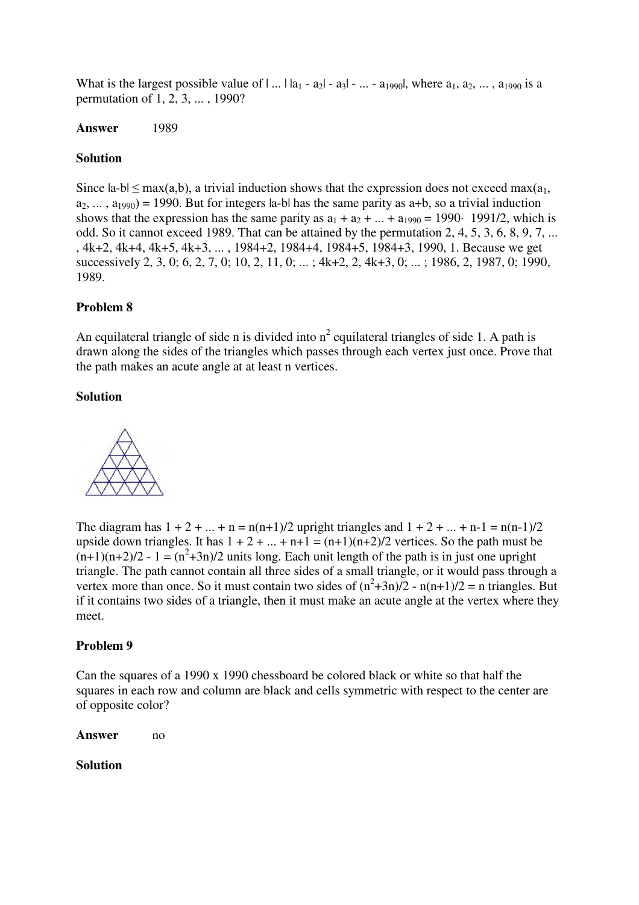What is the largest possible value of  $| \dots | a_1 - a_2 | - a_3 | - \dots - a_{1990} |$ , where  $a_1, a_2, \dots, a_{1990}$  is a permutation of 1, 2, 3, ... , 1990?

## **Answer** 1989

## **Solution**

Since  $|a-b| \leq max(a,b)$ , a trivial induction shows that the expression does not exceed  $max(a_1,$  $a_2, \ldots, a_{1990}$  = 1990. But for integers la-bl has the same parity as a+b, so a trivial induction shows that the expression has the same parity as  $a_1 + a_2 + ... + a_{1990} = 1990$  1991/2, which is odd. So it cannot exceed 1989. That can be attained by the permutation 2, 4, 5, 3, 6, 8, 9, 7, ... , 4k+2, 4k+4, 4k+5, 4k+3, ... , 1984+2, 1984+4, 1984+5, 1984+3, 1990, 1. Because we get successively 2, 3, 0; 6, 2, 7, 0; 10, 2, 11, 0; ... ; 4k+2, 2, 4k+3, 0; ... ; 1986, 2, 1987, 0; 1990, 1989.

## **Problem 8**

An equilateral triangle of side n is divided into  $n^2$  equilateral triangles of side 1. A path is drawn along the sides of the triangles which passes through each vertex just once. Prove that the path makes an acute angle at at least n vertices.

## **Solution**



The diagram has  $1 + 2 + ... + n = n(n+1)/2$  upright triangles and  $1 + 2 + ... + n-1 = n(n-1)/2$ upside down triangles. It has  $1 + 2 + ... + n + 1 = (n+1)(n+2)/2$  vertices. So the path must be  $(n+1)(n+2)/2 - 1 = (n^2+3n)/2$  units long. Each unit length of the path is in just one upright triangle. The path cannot contain all three sides of a small triangle, or it would pass through a vertex more than once. So it must contain two sides of  $(n^2+3n)/2 - n(n+1)/2 = n$  triangles. But if it contains two sides of a triangle, then it must make an acute angle at the vertex where they meet.

### **Problem 9**

Can the squares of a 1990 x 1990 chessboard be colored black or white so that half the squares in each row and column are black and cells symmetric with respect to the center are of opposite color?

**Answer** no

### **Solution**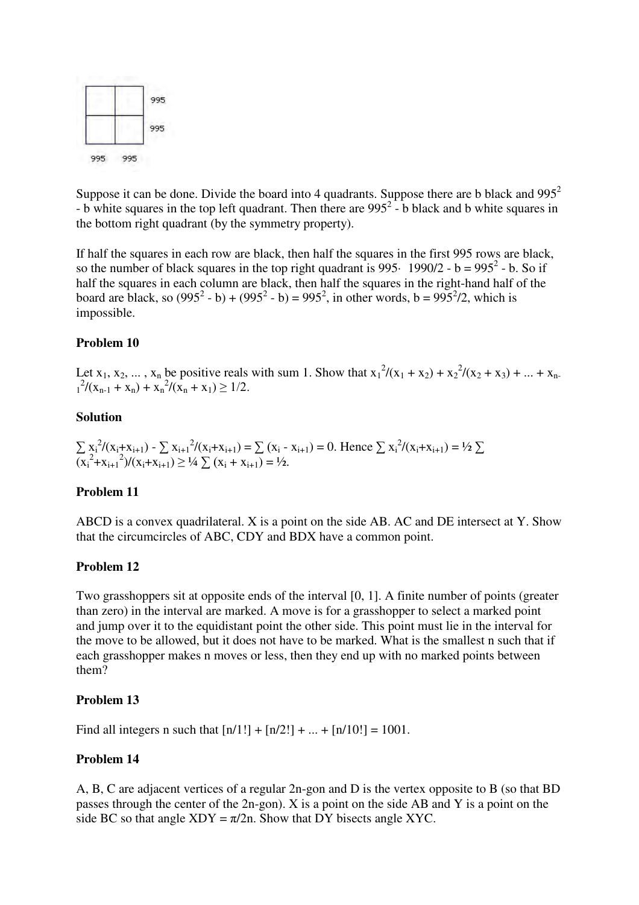

Suppose it can be done. Divide the board into 4 quadrants. Suppose there are b black and  $995<sup>2</sup>$ - b white squares in the top left quadrant. Then there are  $995^2$  - b black and b white squares in the bottom right quadrant (by the symmetry property).

If half the squares in each row are black, then half the squares in the first 995 rows are black, so the number of black squares in the top right quadrant is  $995 \cdot 1990/2 - b = 995^2 - b$ . So if half the squares in each column are black, then half the squares in the right-hand half of the board are black, so  $(995^2 - b) + (995^2 - b) = 995^2$ , in other words, b =  $995^2/2$ , which is impossible.

### **Problem 10**

Let  $x_1, x_2, ..., x_n$  be positive reals with sum 1. Show that  $x_1^2/(x_1 + x_2) + x_2^2/(x_2 + x_3) + ... + x_n$ .  $x_1^2/(x_{n-1} + x_n) + x_n^2/(x_n + x_1) \ge 1/2.$ 

### **Solution**

 $\sum x_i^2/(x_i+x_{i+1}) - \sum x_{i+1}^2/(x_i+x_{i+1}) = \sum (x_i-x_{i+1}) = 0$ . Hence  $\sum x_i^2/(x_i+x_{i+1}) = \frac{1}{2}\sum$  $(\overline{x_i}^2 + x_{i+1}^2)/(\overline{x_i} + x_{i+1}) \ge 1/4 \sum_{i} (x_i + x_{i+1}) = 1/2.$ 

#### **Problem 11**

ABCD is a convex quadrilateral. X is a point on the side AB. AC and DE intersect at Y. Show that the circumcircles of ABC, CDY and BDX have a common point.

#### **Problem 12**

Two grasshoppers sit at opposite ends of the interval [0, 1]. A finite number of points (greater than zero) in the interval are marked. A move is for a grasshopper to select a marked point and jump over it to the equidistant point the other side. This point must lie in the interval for the move to be allowed, but it does not have to be marked. What is the smallest n such that if each grasshopper makes n moves or less, then they end up with no marked points between them?

### **Problem 13**

Find all integers n such that  $[n/1!] + [n/2!] + ... + [n/10!] = 1001$ .

#### **Problem 14**

A, B, C are adjacent vertices of a regular 2n-gon and D is the vertex opposite to B (so that BD passes through the center of the 2n-gon). X is a point on the side AB and Y is a point on the side BC so that angle  $XDY = \pi/2n$ . Show that DY bisects angle XYC.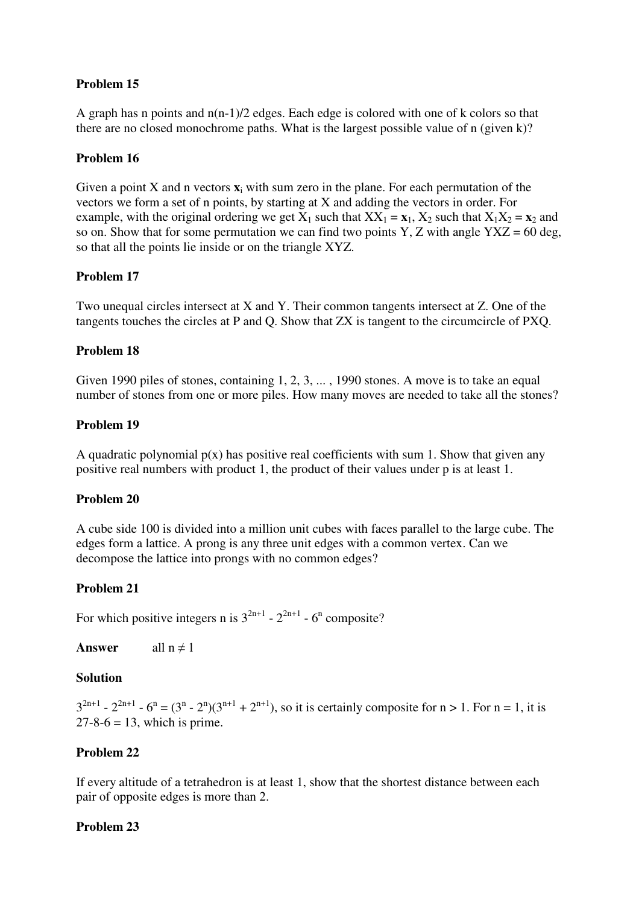# **Problem 15**

A graph has n points and n(n-1)/2 edges. Each edge is colored with one of k colors so that there are no closed monochrome paths. What is the largest possible value of n (given k)?

## **Problem 16**

Given a point X and n vectors  $\mathbf{x}_i$  with sum zero in the plane. For each permutation of the vectors we form a set of n points, by starting at X and adding the vectors in order. For example, with the original ordering we get  $X_1$  such that  $XX_1 = x_1$ ,  $X_2$  such that  $X_1X_2 = x_2$  and so on. Show that for some permutation we can find two points Y, Z with angle  $YXZ = 60$  deg, so that all the points lie inside or on the triangle XYZ.

## **Problem 17**

Two unequal circles intersect at X and Y. Their common tangents intersect at Z. One of the tangents touches the circles at P and Q. Show that ZX is tangent to the circumcircle of PXQ.

## **Problem 18**

Given 1990 piles of stones, containing 1, 2, 3, ... , 1990 stones. A move is to take an equal number of stones from one or more piles. How many moves are needed to take all the stones?

## **Problem 19**

A quadratic polynomial  $p(x)$  has positive real coefficients with sum 1. Show that given any positive real numbers with product 1, the product of their values under p is at least 1.

### **Problem 20**

A cube side 100 is divided into a million unit cubes with faces parallel to the large cube. The edges form a lattice. A prong is any three unit edges with a common vertex. Can we decompose the lattice into prongs with no common edges?

### **Problem 21**

For which positive integers n is  $3^{2n+1}$  -  $2^{2n+1}$  -  $6^n$  composite?

**Answer** all  $n \neq 1$ 

### **Solution**

 $3^{2n+1}$  -  $2^{2n+1}$  -  $6^n = (3^n - 2^n)(3^{n+1} + 2^{n+1})$ , so it is certainly composite for  $n > 1$ . For  $n = 1$ , it is  $27-8-6 = 13$ , which is prime.

### **Problem 22**

If every altitude of a tetrahedron is at least 1, show that the shortest distance between each pair of opposite edges is more than 2.

### **Problem 23**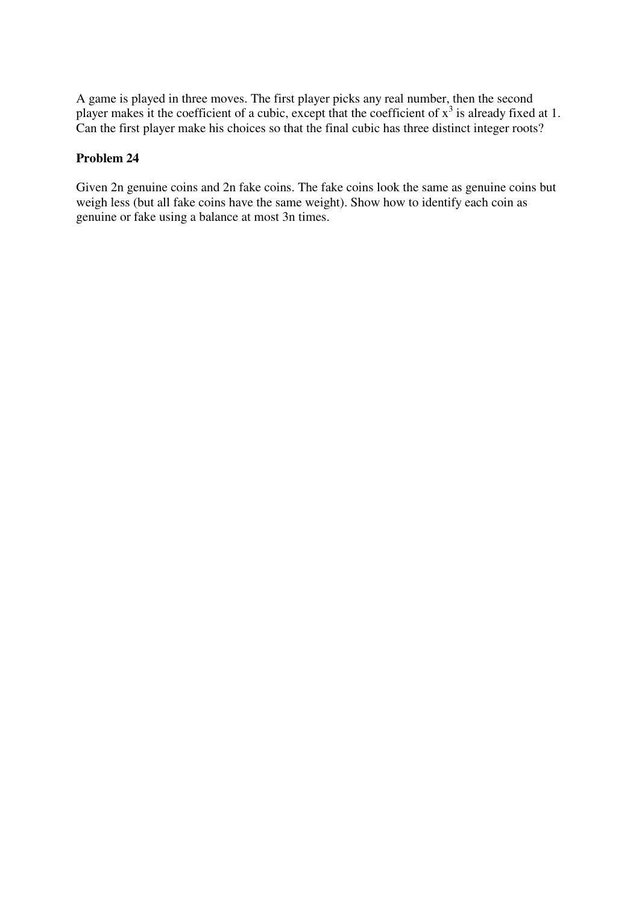A game is played in three moves. The first player picks any real number, then the second player makes it the coefficient of a cubic, except that the coefficient of  $x^3$  is already fixed at 1. Can the first player make his choices so that the final cubic has three distinct integer roots?

# **Problem 24**

Given 2n genuine coins and 2n fake coins. The fake coins look the same as genuine coins but weigh less (but all fake coins have the same weight). Show how to identify each coin as genuine or fake using a balance at most 3n times.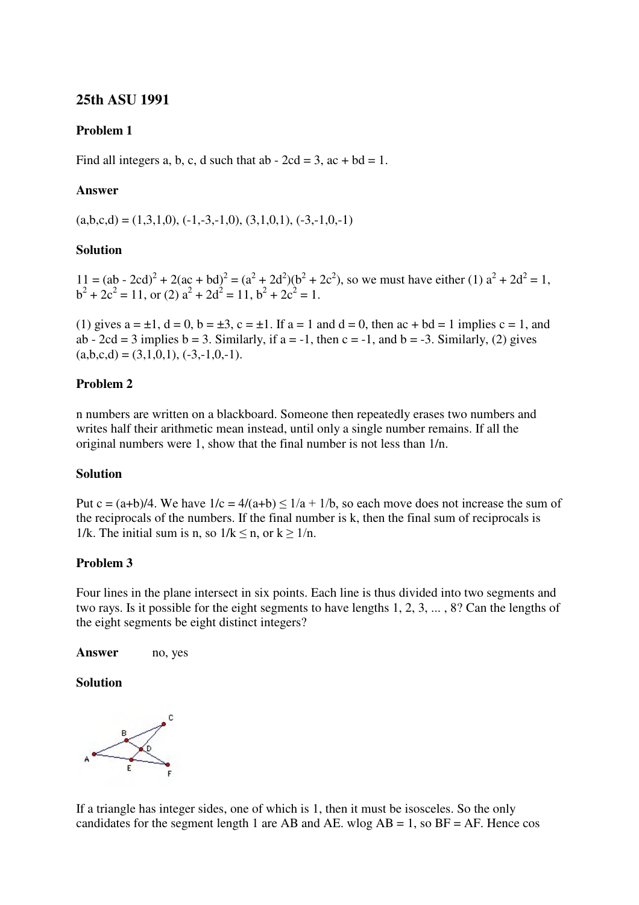# **25th ASU 1991**

## **Problem 1**

Find all integers a, b, c, d such that ab  $-2cd = 3$ , ac  $+ bd = 1$ .

## **Answer**

 $(a,b,c,d) = (1,3,1,0), (-1,-3,-1,0), (3,1,0,1), (-3,-1,0,-1)$ 

### **Solution**

 $11 = (ab - 2cd)^2 + 2(ac + bd)^2 = (a^2 + 2d^2)(b^2 + 2c^2)$ , so we must have either (1)  $a^2 + 2d^2 = 1$ ,  $b^2 + 2c^2 = 11$ , or (2)  $a^2 + 2d^2 = 11$ ,  $b^2 + 2c^2 = 1$ .

(1) gives  $a = \pm 1$ ,  $d = 0$ ,  $b = \pm 3$ ,  $c = \pm 1$ . If  $a = 1$  and  $d = 0$ , then  $ac + bd = 1$  implies  $c = 1$ , and ab - 2cd = 3 implies b = 3. Similarly, if  $a = -1$ , then  $c = -1$ , and  $b = -3$ . Similarly, (2) gives  $(a,b,c,d) = (3,1,0,1), (-3,-1,0,-1).$ 

### **Problem 2**

n numbers are written on a blackboard. Someone then repeatedly erases two numbers and writes half their arithmetic mean instead, until only a single number remains. If all the original numbers were 1, show that the final number is not less than 1/n.

### **Solution**

Put c =  $(a+b)/4$ . We have  $1/c = 4/(a+b) \leq 1/a + 1/b$ , so each move does not increase the sum of the reciprocals of the numbers. If the final number is k, then the final sum of reciprocals is 1/k. The initial sum is n, so  $1/k \le n$ , or  $k \ge 1/n$ .

### **Problem 3**

Four lines in the plane intersect in six points. Each line is thus divided into two segments and two rays. Is it possible for the eight segments to have lengths 1, 2, 3, ... , 8? Can the lengths of the eight segments be eight distinct integers?

Answer no, yes

### **Solution**



If a triangle has integer sides, one of which is 1, then it must be isosceles. So the only candidates for the segment length 1 are AB and AE. wlog  $AB = 1$ , so  $BF = AF$ . Hence cos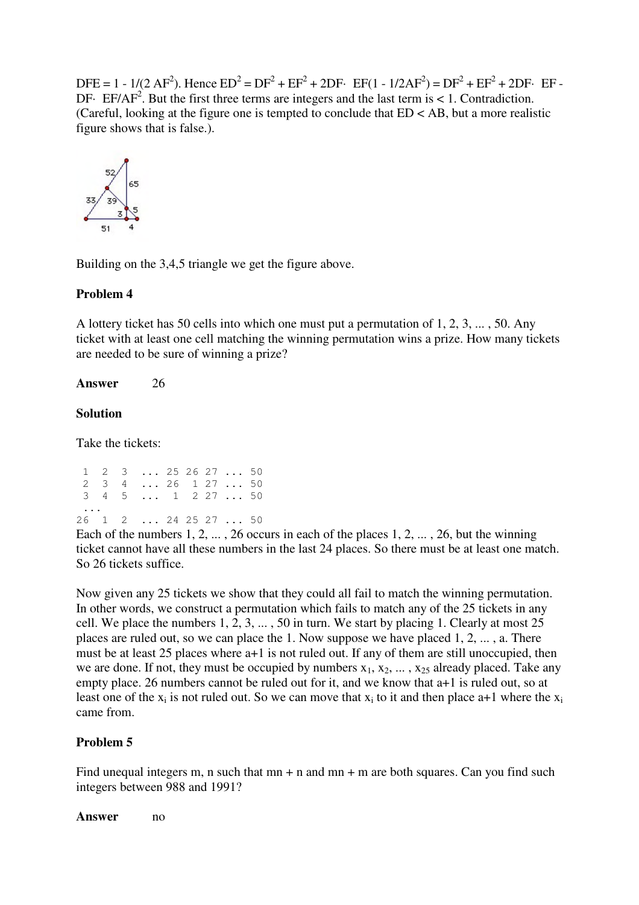DFE = 1 - 1/(2 AF<sup>2</sup>). Hence  $ED^2 = DF^2 + EF^2 + 2DF$  ·  $EF(1 - 1/2AF^2) = DF^2 + EF^2 + 2DF$  ·  $EF$  -DF· EF/AF<sup>2</sup>. But the first three terms are integers and the last term is  $< 1$ . Contradiction. (Careful, looking at the figure one is tempted to conclude that  $ED < AB$ , but a more realistic figure shows that is false.).



Building on the 3,4,5 triangle we get the figure above.

## **Problem 4**

A lottery ticket has 50 cells into which one must put a permutation of 1, 2, 3, ... , 50. Any ticket with at least one cell matching the winning permutation wins a prize. How many tickets are needed to be sure of winning a prize?

### **Answer** 26

### **Solution**

Take the tickets:

|          |  | $1 \quad 2 \quad 3 \quad \ldots \quad 25 \quad 26 \quad 27 \quad \ldots \quad 50$ |  |  |  |
|----------|--|-----------------------------------------------------------------------------------|--|--|--|
|          |  | 2 3 4  26 1 27  50                                                                |  |  |  |
|          |  | 3 4 5  1 2 27  50                                                                 |  |  |  |
| $\cdots$ |  |                                                                                   |  |  |  |
|          |  | 26 1 2  24 25 27  50                                                              |  |  |  |

Each of the numbers  $1, 2, \ldots, 26$  occurs in each of the places  $1, 2, \ldots, 26$ , but the winning ticket cannot have all these numbers in the last 24 places. So there must be at least one match. So 26 tickets suffice.

Now given any 25 tickets we show that they could all fail to match the winning permutation. In other words, we construct a permutation which fails to match any of the 25 tickets in any cell. We place the numbers 1, 2, 3, ... , 50 in turn. We start by placing 1. Clearly at most 25 places are ruled out, so we can place the 1. Now suppose we have placed 1, 2, ... , a. There must be at least 25 places where a+1 is not ruled out. If any of them are still unoccupied, then we are done. If not, they must be occupied by numbers  $x_1, x_2, \ldots, x_{25}$  already placed. Take any empty place. 26 numbers cannot be ruled out for it, and we know that a+1 is ruled out, so at least one of the  $x_i$  is not ruled out. So we can move that  $x_i$  to it and then place a+1 where the  $x_i$ came from.

### **Problem 5**

Find unequal integers m, n such that  $mn + n$  and  $mn + m$  are both squares. Can you find such integers between 988 and 1991?

Answer no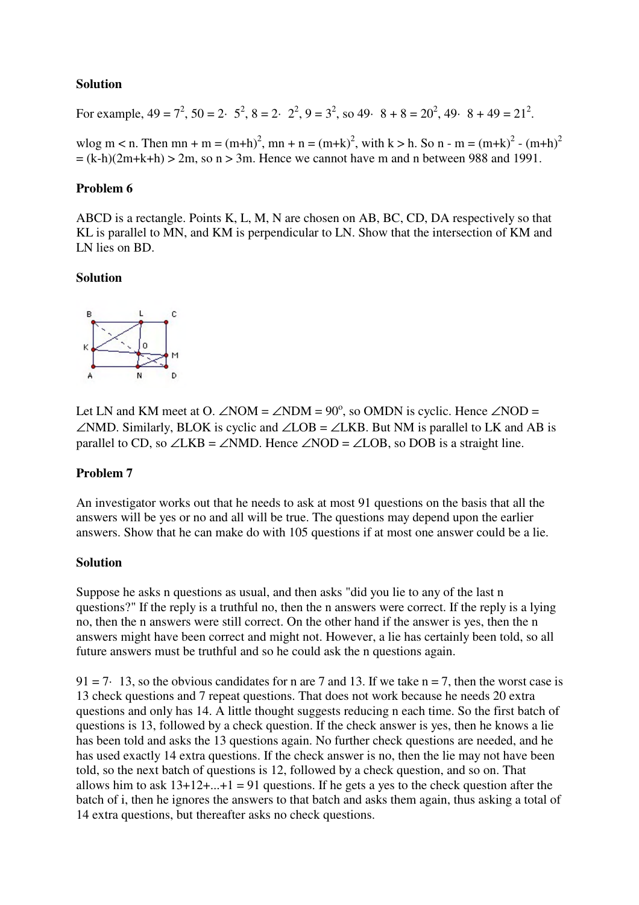## **Solution**

For example,  $49 = 7^2$ ,  $50 = 2 \cdot 5^2$ ,  $8 = 2 \cdot 2^2$ ,  $9 = 3^2$ , so  $49 \cdot 8 + 8 = 20^2$ ,  $49 \cdot 8 + 49 = 21^2$ .

wlog m < n. Then mn + m =  $(m+h)^2$ , mn + n =  $(m+k)^2$ , with k > h. So n - m =  $(m+k)^2$  -  $(m+h)^2$  $=(k-h)(2m+k+h) > 2m$ , so  $n > 3m$ . Hence we cannot have m and n between 988 and 1991.

## **Problem 6**

ABCD is a rectangle. Points K, L, M, N are chosen on AB, BC, CD, DA respectively so that KL is parallel to MN, and KM is perpendicular to LN. Show that the intersection of KM and LN lies on BD.

### **Solution**



Let LN and KM meet at O.  $\angle NOM = \angle NDM = 90^\circ$ , so OMDN is cyclic. Hence  $\angle NOD =$ ∠NMD. Similarly, BLOK is cyclic and ∠LOB = ∠LKB. But NM is parallel to LK and AB is parallel to CD, so ∠LKB = ∠NMD. Hence ∠NOD = ∠LOB, so DOB is a straight line.

## **Problem 7**

An investigator works out that he needs to ask at most 91 questions on the basis that all the answers will be yes or no and all will be true. The questions may depend upon the earlier answers. Show that he can make do with 105 questions if at most one answer could be a lie.

### **Solution**

Suppose he asks n questions as usual, and then asks "did you lie to any of the last n questions?" If the reply is a truthful no, then the n answers were correct. If the reply is a lying no, then the n answers were still correct. On the other hand if the answer is yes, then the n answers might have been correct and might not. However, a lie has certainly been told, so all future answers must be truthful and so he could ask the n questions again.

 $91 = 7$  13, so the obvious candidates for n are 7 and 13. If we take n = 7, then the worst case is 13 check questions and 7 repeat questions. That does not work because he needs 20 extra questions and only has 14. A little thought suggests reducing n each time. So the first batch of questions is 13, followed by a check question. If the check answer is yes, then he knows a lie has been told and asks the 13 questions again. No further check questions are needed, and he has used exactly 14 extra questions. If the check answer is no, then the lie may not have been told, so the next batch of questions is 12, followed by a check question, and so on. That allows him to ask  $13+12+...+1=91$  questions. If he gets a yes to the check question after the batch of i, then he ignores the answers to that batch and asks them again, thus asking a total of 14 extra questions, but thereafter asks no check questions.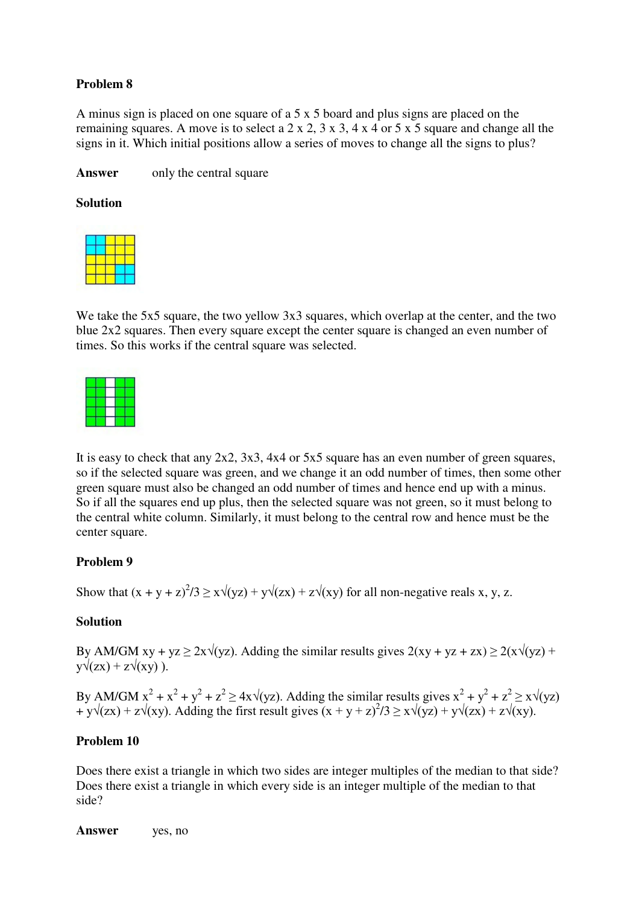# **Problem 8**

A minus sign is placed on one square of a 5 x 5 board and plus signs are placed on the remaining squares. A move is to select a 2 x 2, 3 x 3, 4 x 4 or 5 x 5 square and change all the signs in it. Which initial positions allow a series of moves to change all the signs to plus?

**Answer** only the central square

### **Solution**

We take the 5x5 square, the two yellow 3x3 squares, which overlap at the center, and the two blue 2x2 squares. Then every square except the center square is changed an even number of times. So this works if the central square was selected.



It is easy to check that any 2x2, 3x3, 4x4 or 5x5 square has an even number of green squares, so if the selected square was green, and we change it an odd number of times, then some other green square must also be changed an odd number of times and hence end up with a minus. So if all the squares end up plus, then the selected square was not green, so it must belong to the central white column. Similarly, it must belong to the central row and hence must be the center square.

## **Problem 9**

Show that  $(x + y + z)^2/3 \ge x\sqrt{(yz)} + y\sqrt{(zx)} + z\sqrt{(xy)}$  for all non-negative reals x, y, z.

### **Solution**

By AM/GM xy + yz  $\geq 2x\sqrt{(yz)}$ . Adding the similar results gives  $2(xy + yz + zx) \geq 2(x\sqrt{(yz)} +$  $y\sqrt{z}x$  +  $z\sqrt{x}y$ ).

By AM/GM  $x^2 + x^2 + y^2 + z^2 \ge 4x\sqrt{yz}$ . Adding the similar results gives  $x^2 + y^2 + z^2 \ge x\sqrt{yz}$ +  $y\sqrt{(zx)} + z\sqrt{(xy)}$ . Adding the first result gives  $(x + y + z)^2/3 \ge x\sqrt{(yz)} + y\sqrt{(zx)} + z\sqrt{(xy)}$ .

### **Problem 10**

Does there exist a triangle in which two sides are integer multiples of the median to that side? Does there exist a triangle in which every side is an integer multiple of the median to that side?

**Answer** yes, no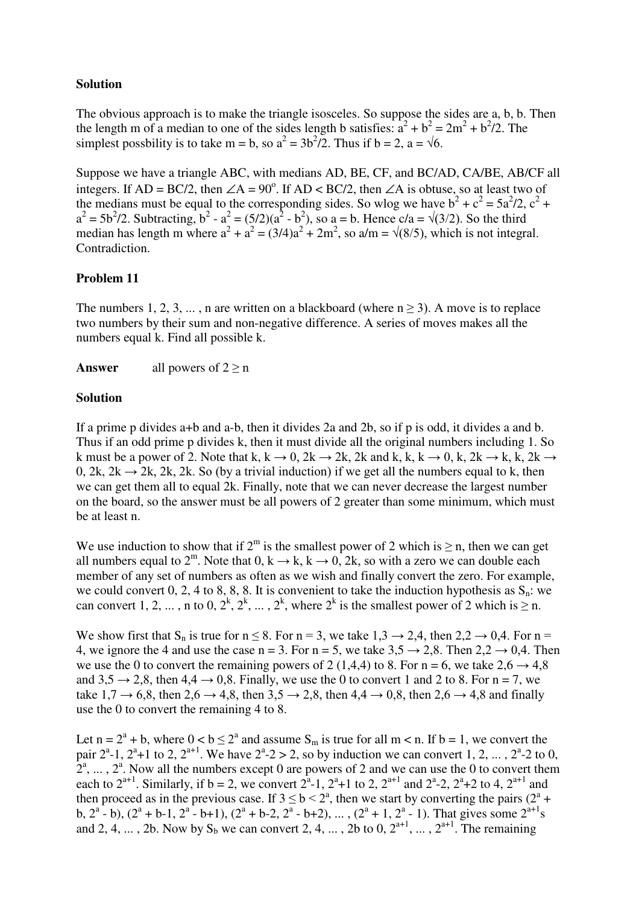# **Solution**

The obvious approach is to make the triangle isosceles. So suppose the sides are a, b, b. Then the length m of a median to one of the sides length b satisfies:  $a^2 + b^2 = 2m^2 + b^2/2$ . The simplest possbility is to take m = b, so  $a^2 = 3b^2/2$ . Thus if b = 2, a =  $\sqrt{6}$ .

Suppose we have a triangle ABC, with medians AD, BE, CF, and BC/AD, CA/BE, AB/CF all integers. If AD = BC/2, then  $\angle A = 90^\circ$ . If AD < BC/2, then  $\angle A$  is obtuse, so at least two of the medians must be equal to the corresponding sides. So wlog we have  $b^2 + c^2 = 5a^2/2$ ,  $c^2 + c^2 = 5a^2/2$  $a^{2} = 5b^{2}/2$ . Subtracting,  $b^{2} - a^{2} = (5/2)(a^{2} - b^{2})$ , so a = b. Hence c/a =  $\sqrt{(3/2)}$ . So the third median has length m where  $a^2 + a^2 = (3/4)a^2 + 2m^2$ , so  $a/m = \sqrt{(8/5)}$ , which is not integral. Contradiction.

## **Problem 11**

The numbers 1, 2, 3, ..., n are written on a blackboard (where  $n \ge 3$ ). A move is to replace two numbers by their sum and non-negative difference. A series of moves makes all the numbers equal k. Find all possible k.

**Answer** all powers of  $2 \ge n$ 

## **Solution**

If a prime p divides a+b and a-b, then it divides 2a and 2b, so if p is odd, it divides a and b. Thus if an odd prime p divides k, then it must divide all the original numbers including 1. So k must be a power of 2. Note that k, k  $\rightarrow$  0, 2k  $\rightarrow$  2k, 2k and k, k, k  $\rightarrow$  0, k, 2k  $\rightarrow$  k, k, 2k  $\rightarrow$ 0, 2k, 2k  $\rightarrow$  2k, 2k, 2k. So (by a trivial induction) if we get all the numbers equal to k, then we can get them all to equal 2k. Finally, note that we can never decrease the largest number on the board, so the answer must be all powers of 2 greater than some minimum, which must be at least n.

We use induction to show that if  $2^m$  is the smallest power of 2 which is  $\geq$  n, then we can get all numbers equal to  $2^m$ . Note that  $0, k \rightarrow k, k \rightarrow 0, 2k$ , so with a zero we can double each member of any set of numbers as often as we wish and finally convert the zero. For example, we could convert 0, 2, 4 to 8, 8, 8. It is convenient to take the induction hypothesis as  $S_n$ : we can convert 1, 2, ..., n to 0,  $2^k$ ,  $2^k$ , ...,  $2^k$ , where  $2^k$  is the smallest power of 2 which is  $\geq$  n.

We show first that  $S_n$  is true for  $n \leq 8$ . For  $n = 3$ , we take  $1,3 \rightarrow 2,4$ , then  $2,2 \rightarrow 0,4$ . For  $n =$ 4, we ignore the 4 and use the case  $n = 3$ . For  $n = 5$ , we take  $3.5 \rightarrow 2.8$ . Then  $2.2 \rightarrow 0.4$ . Then we use the 0 to convert the remaining powers of 2 (1,4,4) to 8. For  $n = 6$ , we take  $2.6 \rightarrow 4.8$ and  $3.5 \rightarrow 2.8$ , then  $4.4 \rightarrow 0.8$ . Finally, we use the 0 to convert 1 and 2 to 8. For n = 7, we take  $1,7 \rightarrow 6,8$ , then  $2,6 \rightarrow 4,8$ , then  $3,5 \rightarrow 2,8$ , then  $4,4 \rightarrow 0,8$ , then  $2,6 \rightarrow 4,8$  and finally use the 0 to convert the remaining 4 to 8.

Let  $n = 2^a + b$ , where  $0 < b \le 2^a$  and assume  $S_m$  is true for all  $m < n$ . If  $b = 1$ , we convert the pair  $2^a$ -1,  $2^a$ +1 to 2,  $2^{a+1}$ . We have  $2^a$ -2 > 2, so by induction we can convert 1, 2, ...,  $2^a$ -2 to 0,  $2^a$ , ...,  $2^a$ . Now all the numbers except 0 are powers of 2 and we can use the 0 to convert them each to  $2^{a+1}$ . Similarly, if  $b = 2$ , we convert  $2^a-1$ ,  $2^a+1$  to 2,  $2^{a+1}$  and  $2^a-2$ ,  $2^a+2$  to 4,  $2^{a+1}$  and then proceed as in the previous case. If  $3 \le b < 2^a$ , then we start by converting the pairs  $(2^a +$ b,  $2^a$  - b),  $(2^a + b - 1, 2^a - b + 1)$ ,  $(2^a + b - 2, 2^a - b + 2)$ , ...,  $(2^a + 1, 2^a - 1)$ . That gives some  $2^{a+1}s$ and 2, 4, ..., 2b. Now by  $S_b$  we can convert 2, 4, ..., 2b to 0,  $2^{a+1}$ , ...,  $2^{a+1}$ . The remaining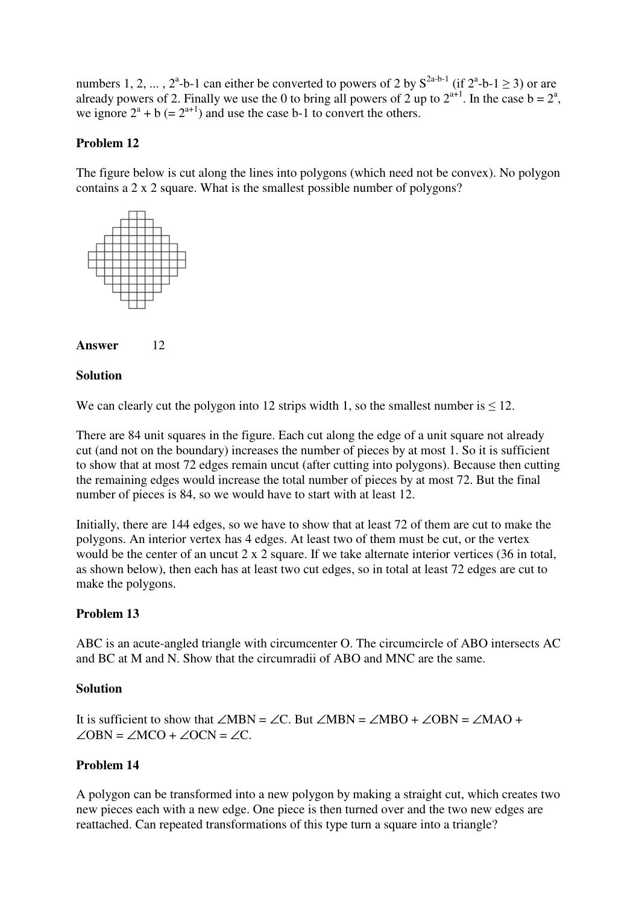numbers 1, 2, ...,  $2^a$ -b-1 can either be converted to powers of 2 by  $S^{2a-b-1}$  (if  $2^a$ -b-1  $\geq$  3) or are already powers of 2. Finally we use the 0 to bring all powers of 2 up to  $2^{a+1}$ . In the case  $b = 2^a$ , we ignore  $2^a + b$  (=  $2^{a+1}$ ) and use the case b-1 to convert the others.

## **Problem 12**

The figure below is cut along the lines into polygons (which need not be convex). No polygon contains a 2 x 2 square. What is the smallest possible number of polygons?





## **Solution**

We can clearly cut the polygon into 12 strips width 1, so the smallest number is  $\leq 12$ .

There are 84 unit squares in the figure. Each cut along the edge of a unit square not already cut (and not on the boundary) increases the number of pieces by at most 1. So it is sufficient to show that at most 72 edges remain uncut (after cutting into polygons). Because then cutting the remaining edges would increase the total number of pieces by at most 72. But the final number of pieces is 84, so we would have to start with at least 12.

Initially, there are 144 edges, so we have to show that at least 72 of them are cut to make the polygons. An interior vertex has 4 edges. At least two of them must be cut, or the vertex would be the center of an uncut 2 x 2 square. If we take alternate interior vertices (36 in total, as shown below), then each has at least two cut edges, so in total at least 72 edges are cut to make the polygons.

## **Problem 13**

ABC is an acute-angled triangle with circumcenter O. The circumcircle of ABO intersects AC and BC at M and N. Show that the circumradii of ABO and MNC are the same.

### **Solution**

It is sufficient to show that  $\angle MBN = \angle C$ . But  $\angle MBN = \angle MBO + \angle OBN = \angle MAO +$  $\angle$ OBN =  $\angle$ MCO +  $\angle$ OCN =  $\angle$ C.

## **Problem 14**

A polygon can be transformed into a new polygon by making a straight cut, which creates two new pieces each with a new edge. One piece is then turned over and the two new edges are reattached. Can repeated transformations of this type turn a square into a triangle?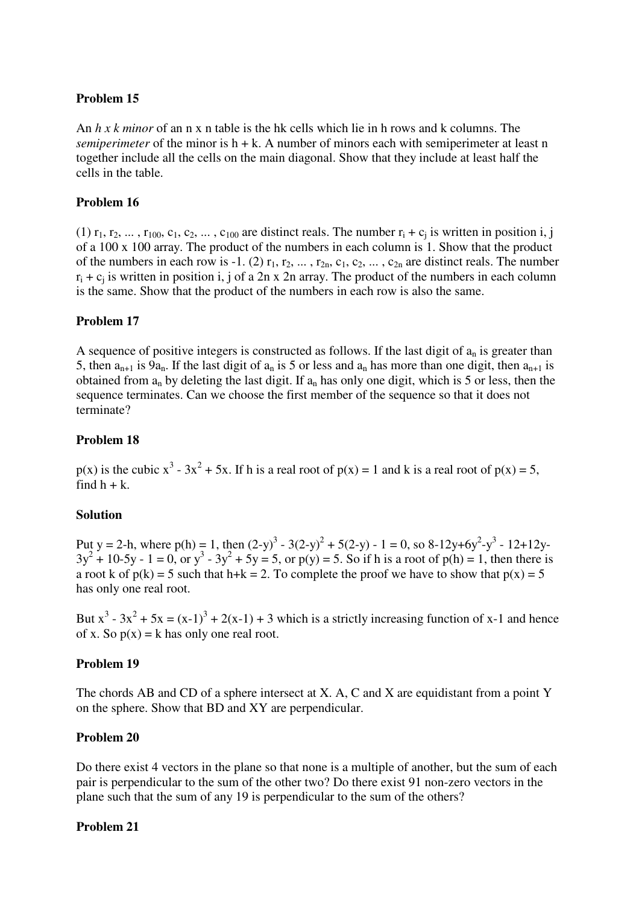## **Problem 15**

An *h x k minor* of an n x n table is the hk cells which lie in h rows and k columns. The *semiperimeter* of the minor is  $h + k$ . A number of minors each with semiperimeter at least n together include all the cells on the main diagonal. Show that they include at least half the cells in the table.

## **Problem 16**

(1)  $r_1, r_2, \ldots, r_{100}, c_1, c_2, \ldots, c_{100}$  are distinct reals. The number  $r_i + c_j$  is written in position i, j of a 100 x 100 array. The product of the numbers in each column is 1. Show that the product of the numbers in each row is -1. (2)  $r_1, r_2, \ldots, r_{2n}, c_1, c_2, \ldots, c_{2n}$  are distinct reals. The number  $r_i + c_i$  is written in position i, j of a 2n x 2n array. The product of the numbers in each column is the same. Show that the product of the numbers in each row is also the same.

## **Problem 17**

A sequence of positive integers is constructed as follows. If the last digit of  $a_n$  is greater than 5, then  $a_{n+1}$  is  $9a_n$ . If the last digit of  $a_n$  is 5 or less and  $a_n$  has more than one digit, then  $a_{n+1}$  is obtained from  $a_n$  by deleting the last digit. If  $a_n$  has only one digit, which is 5 or less, then the sequence terminates. Can we choose the first member of the sequence so that it does not terminate?

## **Problem 18**

 $p(x)$  is the cubic  $x^3 - 3x^2 + 5x$ . If h is a real root of  $p(x) = 1$  and k is a real root of  $p(x) = 5$ , find  $h + k$ .

### **Solution**

Put y = 2-h, where  $p(h) = 1$ , then  $(2-y)^3 - 3(2-y)^2 + 5(2-y) - 1 = 0$ , so 8-12y+6y<sup>2</sup>-y<sup>3</sup> - 12+12y- $3y^2 + 10-5y - 1 = 0$ , or  $y^3 - 3y^2 + 5y = 5$ , or  $p(y) = 5$ . So if h is a root of  $p(h) = 1$ , then there is a root k of  $p(k) = 5$  such that h+k = 2. To complete the proof we have to show that  $p(x) = 5$ has only one real root.

But  $x^3 - 3x^2 + 5x = (x-1)^3 + 2(x-1) + 3$  which is a strictly increasing function of x-1 and hence of x. So  $p(x) = k$  has only one real root.

### **Problem 19**

The chords AB and CD of a sphere intersect at X. A, C and X are equidistant from a point Y on the sphere. Show that BD and XY are perpendicular.

### **Problem 20**

Do there exist 4 vectors in the plane so that none is a multiple of another, but the sum of each pair is perpendicular to the sum of the other two? Do there exist 91 non-zero vectors in the plane such that the sum of any 19 is perpendicular to the sum of the others?

### **Problem 21**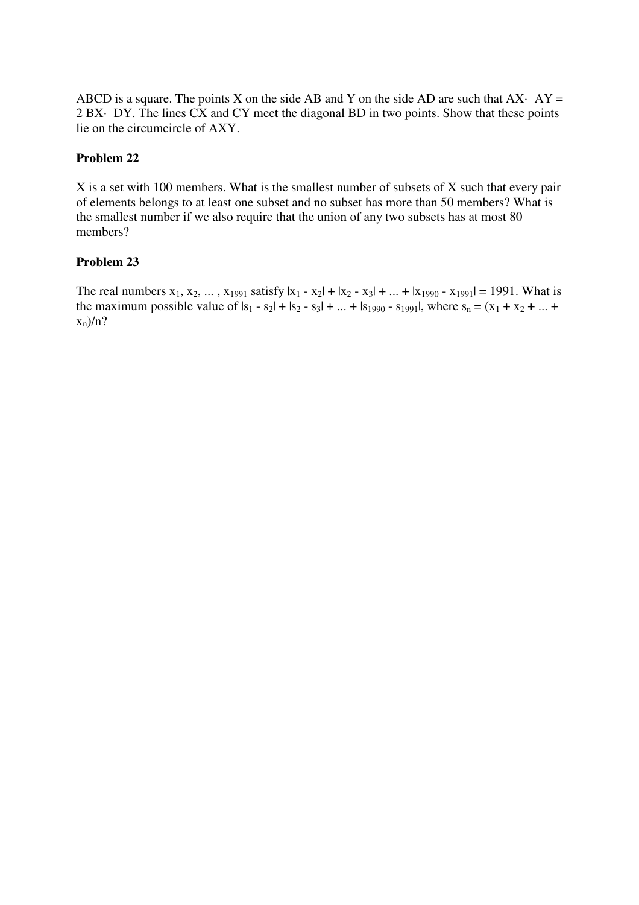ABCD is a square. The points X on the side AB and Y on the side AD are such that  $AX \cdot AY =$ 2 BX· DY. The lines CX and CY meet the diagonal BD in two points. Show that these points lie on the circumcircle of AXY.

## **Problem 22**

X is a set with 100 members. What is the smallest number of subsets of X such that every pair of elements belongs to at least one subset and no subset has more than 50 members? What is the smallest number if we also require that the union of any two subsets has at most 80 members?

## **Problem 23**

The real numbers  $x_1, x_2, ..., x_{1991}$  satisfy  $|x_1 - x_2| + |x_2 - x_3| + ... + |x_{1990} - x_{1991}| = 1991$ . What is the maximum possible value of  $|s_1 - s_2| + |s_2 - s_3| + ... + |s_{1990} - s_{1991}|$ , where  $s_n = (x_1 + x_2 + ... +$  $x_n$ )/n?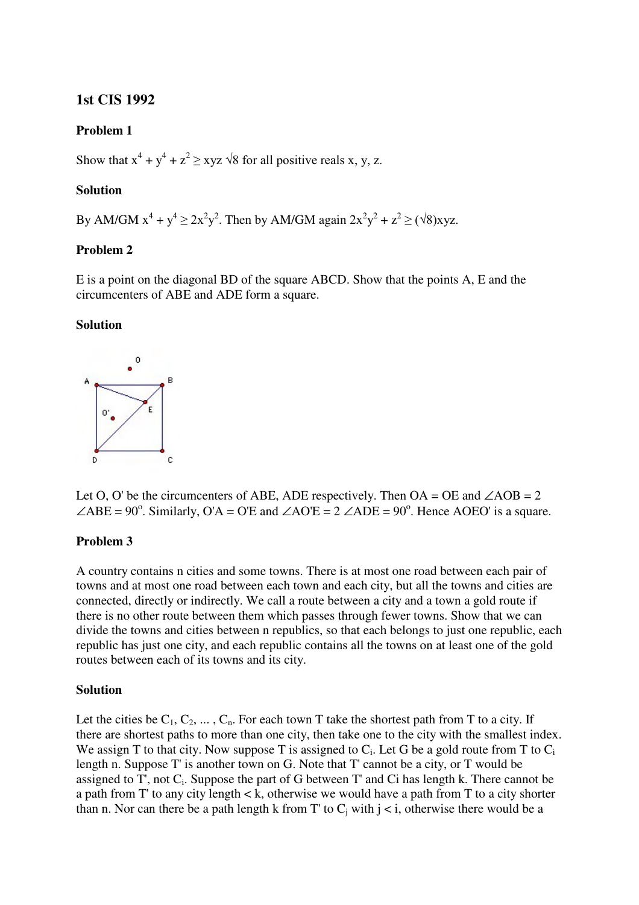# **1st CIS 1992**

## **Problem 1**

Show that  $x^4 + y^4 + z^2 \geq xyz \sqrt{8}$  for all positive reals x, y, z.

## **Solution**

By AM/GM  $x^4 + y^4 \ge 2x^2y^2$ . Then by AM/GM again  $2x^2y^2 + z^2 \ge (\sqrt{8})xyz$ .

### **Problem 2**

E is a point on the diagonal BD of the square ABCD. Show that the points A, E and the circumcenters of ABE and ADE form a square.

### **Solution**



Let O, O' be the circumcenters of ABE, ADE respectively. Then  $OA = OE$  and  $\angle AOB = 2$  $\angle$ ABE = 90°. Similarly, O'A = O'E and  $\angle$ AO'E = 2  $\angle$ ADE = 90°. Hence AOEO' is a square.

### **Problem 3**

A country contains n cities and some towns. There is at most one road between each pair of towns and at most one road between each town and each city, but all the towns and cities are connected, directly or indirectly. We call a route between a city and a town a gold route if there is no other route between them which passes through fewer towns. Show that we can divide the towns and cities between n republics, so that each belongs to just one republic, each republic has just one city, and each republic contains all the towns on at least one of the gold routes between each of its towns and its city.

### **Solution**

Let the cities be  $C_1, C_2, \ldots, C_n$ . For each town T take the shortest path from T to a city. If there are shortest paths to more than one city, then take one to the city with the smallest index. We assign T to that city. Now suppose T is assigned to  $C_i$ . Let G be a gold route from T to  $C_i$ length n. Suppose T' is another town on G. Note that T' cannot be a city, or T would be assigned to  $T'$ , not  $C_i$ . Suppose the part of G between  $T'$  and  $Ci$  has length k. There cannot be a path from T' to any city length < k, otherwise we would have a path from T to a city shorter than n. Nor can there be a path length k from T' to  $C_i$  with  $i < i$ , otherwise there would be a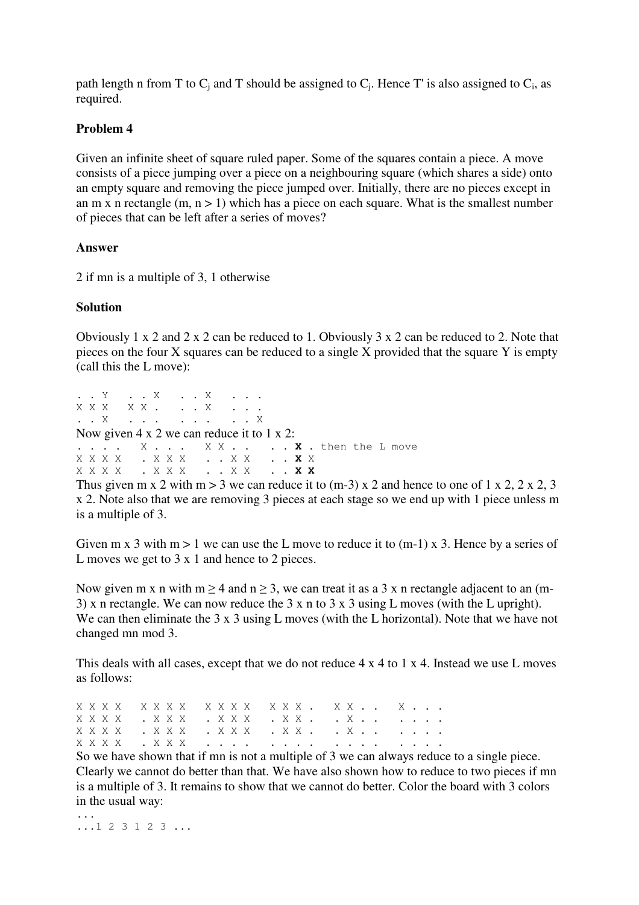path length n from T to  $C_j$  and T should be assigned to  $C_j$ . Hence T' is also assigned to  $C_i$ , as required.

## **Problem 4**

Given an infinite sheet of square ruled paper. Some of the squares contain a piece. A move consists of a piece jumping over a piece on a neighbouring square (which shares a side) onto an empty square and removing the piece jumped over. Initially, there are no pieces except in an m x n rectangle  $(m, n > 1)$  which has a piece on each square. What is the smallest number of pieces that can be left after a series of moves?

### **Answer**

2 if mn is a multiple of 3, 1 otherwise

## **Solution**

Obviously 1 x 2 and 2 x 2 can be reduced to 1. Obviously 3 x 2 can be reduced to 2. Note that pieces on the four X squares can be reduced to a single X provided that the square Y is empty (call this the L move):

. . Y . . X . . X . . . X X X X . . . . X . . . . . X . . . . . . . . . . X Now given 4 x 2 we can reduce it to 1 x 2: . . . . X . . . X X . . . . **X** . then the L move<br>X X X X . X X X . . X X . . **X** X<br>X X X X . X X X . . X X . . **X X**<br>Thus over  $m = 2$ X X X X . X X X . . X X . . **X** X X X X X . X X X . . X X . . **X X**

Thus given m x 2 with m > 3 we can reduce it to  $(m-3)$  x 2 and hence to one of 1 x 2, 2 x 2, 3 x 2. Note also that we are removing 3 pieces at each stage so we end up with 1 piece unless m is a multiple of 3.

Given m x 3 with m > 1 we can use the L move to reduce it to  $(m-1)$  x 3. Hence by a series of L moves we get to 3 x 1 and hence to 2 pieces.

Now given m x n with m  $\geq$  4 and n  $\geq$  3, we can treat it as a 3 x n rectangle adjacent to an (m-3) x n rectangle. We can now reduce the 3 x n to 3 x 3 using L moves (with the L upright). We can then eliminate the 3 x 3 using L moves (with the L horizontal). Note that we have not changed mn mod 3.

This deals with all cases, except that we do not reduce 4 x 4 to 1 x 4. Instead we use L moves as follows:

X X X X X X X X X X X X X X X . X X . . X . . . X X X X  $\ldots$  X X X  $\ldots$  X X X  $\ldots$  X X  $\ldots$   $\ldots$   $\ldots$ X X X X . X X X . X X X . X X . . X . . . . . . X X X X . X X X . . . . . . . . . . . . . . . .

So we have shown that if mn is not a multiple of 3 we can always reduce to a single piece. Clearly we cannot do better than that. We have also shown how to reduce to two pieces if mn is a multiple of 3. It remains to show that we cannot do better. Color the board with 3 colors in the usual way:

... ...1 2 3 1 2 3 ...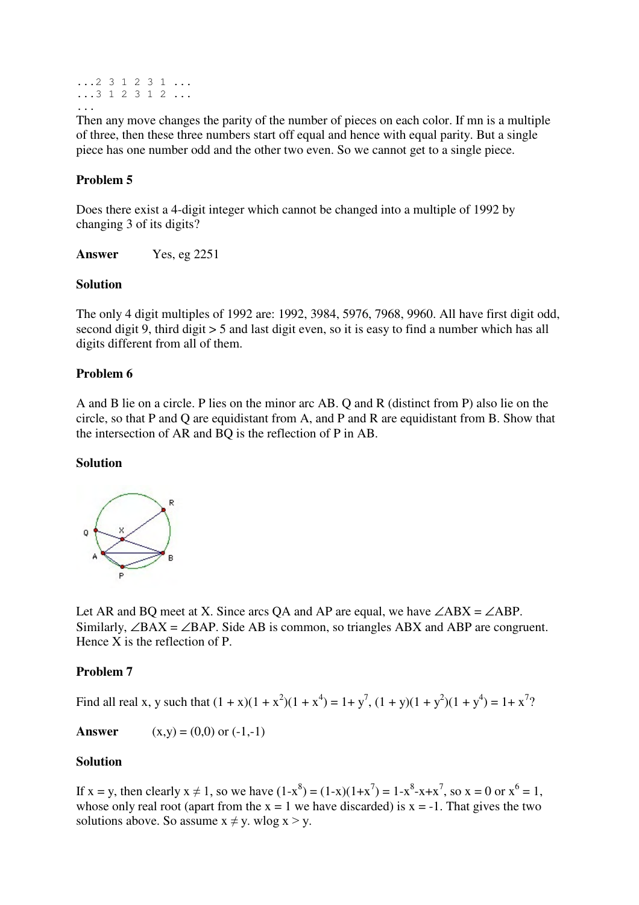```
...2 3 1 2 3 1 ...
...3 1 2 3 1 2 ...
...
```
Then any move changes the parity of the number of pieces on each color. If mn is a multiple of three, then these three numbers start off equal and hence with equal parity. But a single piece has one number odd and the other two even. So we cannot get to a single piece.

# **Problem 5**

Does there exist a 4-digit integer which cannot be changed into a multiple of 1992 by changing 3 of its digits?

**Answer** Yes, eg 2251

## **Solution**

The only 4 digit multiples of 1992 are: 1992, 3984, 5976, 7968, 9960. All have first digit odd, second digit 9, third digit > 5 and last digit even, so it is easy to find a number which has all digits different from all of them.

## **Problem 6**

A and B lie on a circle. P lies on the minor arc AB. Q and R (distinct from P) also lie on the circle, so that P and Q are equidistant from A, and P and R are equidistant from B. Show that the intersection of AR and BQ is the reflection of P in AB.

### **Solution**



Let AR and BQ meet at X. Since arcs QA and AP are equal, we have  $\angle ABX = \angle ABP$ . Similarly,  $\angle BAX = \angle BAP$ . Side AB is common, so triangles ABX and ABP are congruent. Hence X is the reflection of P.

## **Problem 7**

Find all real x, y such that  $(1 + x)(1 + x^2)(1 + x^4) = 1 + y^7$ ,  $(1 + y)(1 + y^2)(1 + y^4) = 1 + x^7$ ?

**Answer**  $(x,y) = (0,0)$  or  $(-1,-1)$ 

## **Solution**

If  $x = y$ , then clearly  $x \neq 1$ , so we have  $(1-x^8) = (1-x)(1+x^7) = 1-x^8-x+x^7$ , so  $x = 0$  or  $x^6 = 1$ , whose only real root (apart from the  $x = 1$  we have discarded) is  $x = -1$ . That gives the two solutions above. So assume  $x \neq y$ . wlog  $x > y$ .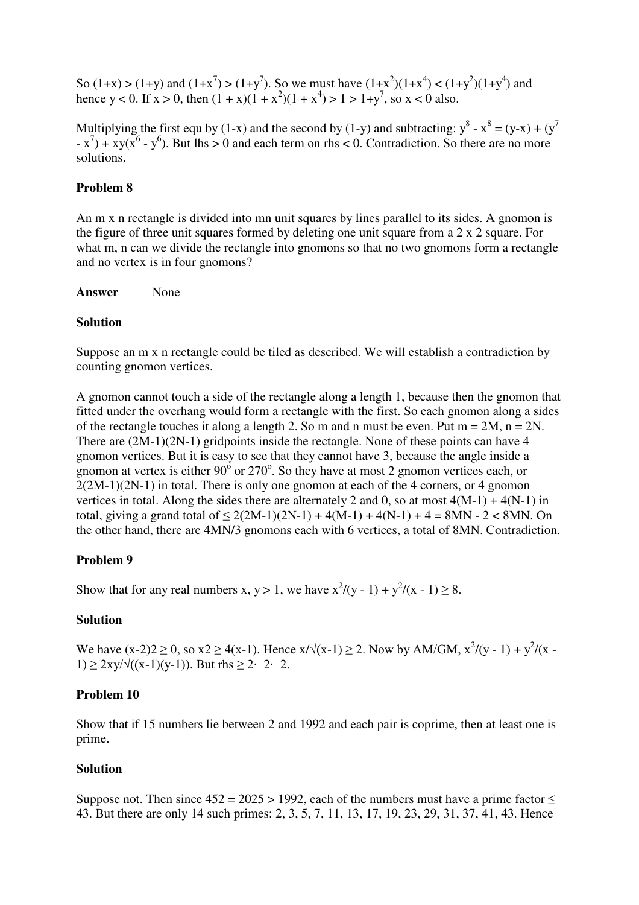So (1+x) > (1+y) and (1+x<sup>7</sup>) > (1+y<sup>7</sup>). So we must have (1+x<sup>2</sup>)(1+x<sup>4</sup>) < (1+y<sup>2</sup>)(1+y<sup>4</sup>) and hence y < 0. If  $x > 0$ , then  $(1 + x)(1 + x^2)(1 + x^4) > 1 > 1+y^7$ , so x < 0 also.

Multiplying the first equ by (1-x) and the second by (1-y) and subtracting:  $y^8 - x^8 = (y-x) + (y^7 - y^7)$  $(x^7) + xy(x^6 - y^6)$ . But lhs > 0 and each term on rhs < 0. Contradiction. So there are no more solutions.

## **Problem 8**

An m x n rectangle is divided into mn unit squares by lines parallel to its sides. A gnomon is the figure of three unit squares formed by deleting one unit square from a  $2 \times 2$  square. For what m, n can we divide the rectangle into gnomons so that no two gnomons form a rectangle and no vertex is in four gnomons?

#### Answer None

### **Solution**

Suppose an m x n rectangle could be tiled as described. We will establish a contradiction by counting gnomon vertices.

A gnomon cannot touch a side of the rectangle along a length 1, because then the gnomon that fitted under the overhang would form a rectangle with the first. So each gnomon along a sides of the rectangle touches it along a length 2. So m and n must be even. Put  $m = 2M$ ,  $n = 2N$ . There are  $(2M-1)(2N-1)$  gridpoints inside the rectangle. None of these points can have 4 gnomon vertices. But it is easy to see that they cannot have 3, because the angle inside a gnomon at vertex is either  $90^{\circ}$  or  $270^{\circ}$ . So they have at most 2 gnomon vertices each, or  $2(2M-1)(2N-1)$  in total. There is only one gnomon at each of the 4 corners, or 4 gnomon vertices in total. Along the sides there are alternately 2 and 0, so at most  $4(M-1) + 4(N-1)$  in total, giving a grand total of  $\leq 2(2M-1)(2N-1) + 4(M-1) + 4(N-1) + 4 = 8MN - 2 < 8MN$ . On the other hand, there are 4MN/3 gnomons each with 6 vertices, a total of 8MN. Contradiction.

## **Problem 9**

Show that for any real numbers x,  $y > 1$ , we have  $x^2/(y - 1) + y^2/(x - 1) \ge 8$ .

### **Solution**

We have  $(x-2)2 \ge 0$ , so  $x2 \ge 4(x-1)$ . Hence  $x/\sqrt{(x-1)} \ge 2$ . Now by AM/GM,  $x^2/(y-1) + y^2/(x-1)$ 1)  $> 2xy/\sqrt{(x-1)(y-1)}$ . But rhs  $> 2 \cdot 2 \cdot 2$ .

### **Problem 10**

Show that if 15 numbers lie between 2 and 1992 and each pair is coprime, then at least one is prime.

### **Solution**

Suppose not. Then since  $452 = 2025 > 1992$ , each of the numbers must have a prime factor  $\le$ 43. But there are only 14 such primes: 2, 3, 5, 7, 11, 13, 17, 19, 23, 29, 31, 37, 41, 43. Hence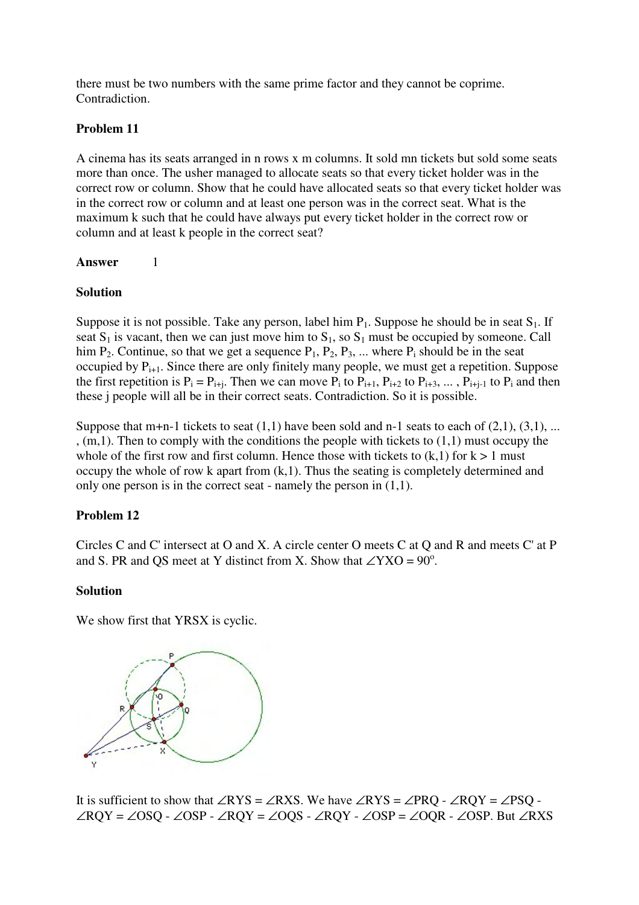there must be two numbers with the same prime factor and they cannot be coprime. Contradiction.

## **Problem 11**

A cinema has its seats arranged in n rows x m columns. It sold mn tickets but sold some seats more than once. The usher managed to allocate seats so that every ticket holder was in the correct row or column. Show that he could have allocated seats so that every ticket holder was in the correct row or column and at least one person was in the correct seat. What is the maximum k such that he could have always put every ticket holder in the correct row or column and at least k people in the correct seat?

### **Answer** 1

### **Solution**

Suppose it is not possible. Take any person, label him  $P_1$ . Suppose he should be in seat  $S_1$ . If seat  $S_1$  is vacant, then we can just move him to  $S_1$ , so  $S_1$  must be occupied by someone. Call him  $P_2$ . Continue, so that we get a sequence  $P_1$ ,  $P_2$ ,  $P_3$ , ... where  $P_i$  should be in the seat occupied by  $P_{i+1}$ . Since there are only finitely many people, we must get a repetition. Suppose the first repetition is  $P_i = P_{i+j}$ . Then we can move  $P_i$  to  $P_{i+1}$ ,  $P_{i+2}$  to  $P_{i+3}$ , ...,  $P_{i+j-1}$  to  $P_i$  and then these j people will all be in their correct seats. Contradiction. So it is possible.

Suppose that m+n-1 tickets to seat  $(1,1)$  have been sold and n-1 seats to each of  $(2,1)$ ,  $(3,1)$ , ... , (m,1). Then to comply with the conditions the people with tickets to (1,1) must occupy the whole of the first row and first column. Hence those with tickets to  $(k,1)$  for  $k > 1$  must occupy the whole of row k apart from  $(k,1)$ . Thus the seating is completely determined and only one person is in the correct seat - namely the person in (1,1).

## **Problem 12**

Circles C and C' intersect at O and X. A circle center O meets C at Q and R and meets C' at P and S. PR and QS meet at Y distinct from X. Show that  $\angle$ YXO = 90<sup>o</sup>.

### **Solution**

We show first that YRSX is cyclic.



It is sufficient to show that ∠RYS = ∠RXS. We have ∠RYS = ∠PRQ - ∠RQY = ∠PSQ -∠RQY = ∠OSQ - ∠OSP - ∠RQY = ∠OQS - ∠RQY - ∠OSP = ∠OQR - ∠OSP. But ∠RXS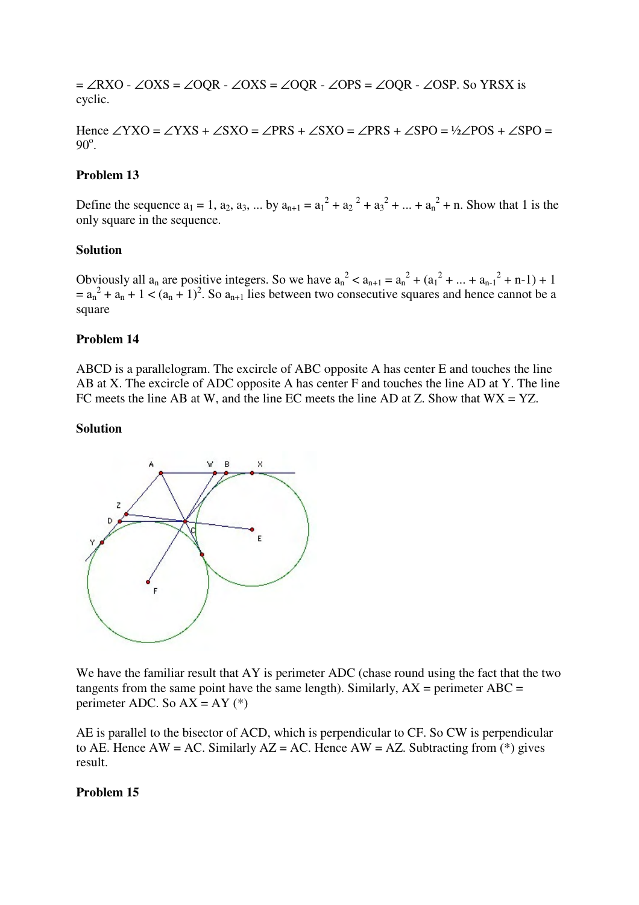$=\angle$ RXO - ∠OXS = ∠OQR - ∠OXS = ∠OQR - ∠OPS = ∠OQR - ∠OSP. So YRSX is cyclic.

Hence ∠YXO = ∠YXS + ∠SXO = ∠PRS + ∠SXO = ∠PRS + ∠SPO = ½∠POS + ∠SPO =  $90^\circ$ .

#### **Problem 13**

Define the sequence  $a_1 = 1$ ,  $a_2$ ,  $a_3$ , ... by  $a_{n+1} = a_1^2 + a_2^2 + a_3^2 + ... + a_n^2 + n$ . Show that 1 is the only square in the sequence.

#### **Solution**

Obviously all  $a_n$  are positive integers. So we have  $a_n^2 < a_{n+1} = a_n^2 + (a_1^2 + ... + a_{n-1}^2 + n-1) + 1$  $= a_n^2 + a_n + 1 < (a_n + 1)^2$ . So  $a_{n+1}$  lies between two consecutive squares and hence cannot be a square

#### **Problem 14**

ABCD is a parallelogram. The excircle of ABC opposite A has center E and touches the line AB at X. The excircle of ADC opposite A has center F and touches the line AD at Y. The line FC meets the line AB at W, and the line EC meets the line AD at Z. Show that  $WX = YZ$ .

#### **Solution**



We have the familiar result that AY is perimeter ADC (chase round using the fact that the two tangents from the same point have the same length). Similarly,  $AX =$  perimeter  $ABC =$ perimeter ADC. So  $AX = AY$  (\*)

AE is parallel to the bisector of ACD, which is perpendicular to CF. So CW is perpendicular to AE. Hence AW = AC. Similarly  $AZ = AC$ . Hence AW = AZ. Subtracting from (\*) gives result.

#### **Problem 15**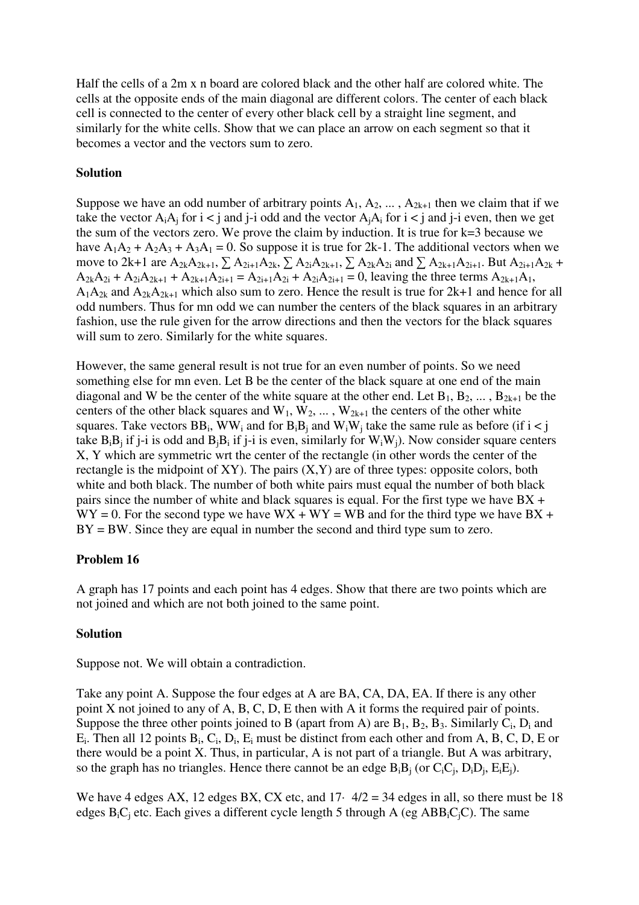Half the cells of a 2m x n board are colored black and the other half are colored white. The cells at the opposite ends of the main diagonal are different colors. The center of each black cell is connected to the center of every other black cell by a straight line segment, and similarly for the white cells. Show that we can place an arrow on each segment so that it becomes a vector and the vectors sum to zero.

## **Solution**

Suppose we have an odd number of arbitrary points  $A_1, A_2, \ldots, A_{2k+1}$  then we claim that if we take the vector  $A_iA_i$  for  $i < j$  and  $j-i$  odd and the vector  $A_iA_i$  for  $i < j$  and  $j-i$  even, then we get the sum of the vectors zero. We prove the claim by induction. It is true for k=3 because we have  $A_1A_2 + A_2A_3 + A_3A_1 = 0$ . So suppose it is true for 2k-1. The additional vectors when we move to 2k+1 are  $A_{2k}A_{2k+1}$ ,  $\sum A_{2i+1}A_{2k}$ ,  $\sum A_{2i}A_{2k+1}$ ,  $\sum A_{2k}A_{2i}$  and  $\sum A_{2k+1}A_{2i+1}$ . But  $A_{2i+1}A_{2k}$  +  $A_{2k}A_{2i} + A_{2i}A_{2k+1} + A_{2k+1}A_{2i+1} = A_{2i+1}A_{2i} + A_{2i}A_{2i+1} = 0$ , leaving the three terms  $A_{2k+1}A_1$ ,  $A_1A_2$  and  $A_2A_2A_{1}$  which also sum to zero. Hence the result is true for  $2k+1$  and hence for all odd numbers. Thus for mn odd we can number the centers of the black squares in an arbitrary fashion, use the rule given for the arrow directions and then the vectors for the black squares will sum to zero. Similarly for the white squares.

However, the same general result is not true for an even number of points. So we need something else for mn even. Let B be the center of the black square at one end of the main diagonal and W be the center of the white square at the other end. Let  $B_1, B_2, \ldots, B_{2k+1}$  be the centers of the other black squares and  $W_1, W_2, \dots, W_{2k+1}$  the centers of the other white squares. Take vectors  $BB_i$ , WW<sub>i</sub> and for  $B_iB_j$  and W<sub>i</sub>W<sub>j</sub> take the same rule as before (if  $i < j$ ) take  $B_iB_i$  if j-i is odd and  $B_iB_i$  if j-i is even, similarly for  $W_iW_i$ ). Now consider square centers X, Y which are symmetric wrt the center of the rectangle (in other words the center of the rectangle is the midpoint of  $XY$ ). The pairs  $(X, Y)$  are of three types: opposite colors, both white and both black. The number of both white pairs must equal the number of both black pairs since the number of white and black squares is equal. For the first type we have  $BX +$  $WY = 0$ . For the second type we have  $WX + WY = WB$  and for the third type we have BX +  $BY = BW$ . Since they are equal in number the second and third type sum to zero.

## **Problem 16**

A graph has 17 points and each point has 4 edges. Show that there are two points which are not joined and which are not both joined to the same point.

## **Solution**

Suppose not. We will obtain a contradiction.

Take any point A. Suppose the four edges at A are BA, CA, DA, EA. If there is any other point X not joined to any of A, B, C, D, E then with A it forms the required pair of points. Suppose the three other points joined to B (apart from A) are  $B_1$ ,  $B_2$ ,  $B_3$ . Similarly  $C_i$ ,  $D_i$  and  $E_i$ . Then all 12 points  $B_i$ ,  $C_i$ ,  $D_i$ ,  $E_i$  must be distinct from each other and from A, B, C, D, E or there would be a point X. Thus, in particular, A is not part of a triangle. But A was arbitrary, so the graph has no triangles. Hence there cannot be an edge  $B_iB_j$  (or  $C_iC_j$ ,  $D_iD_j$ ,  $E_iE_j$ ).

We have 4 edges AX, 12 edges BX, CX etc, and  $17 \cdot 4/2 = 34$  edges in all, so there must be 18 edges  $B_iC_i$  etc. Each gives a different cycle length 5 through A (eg AB $B_iC_iC$ ). The same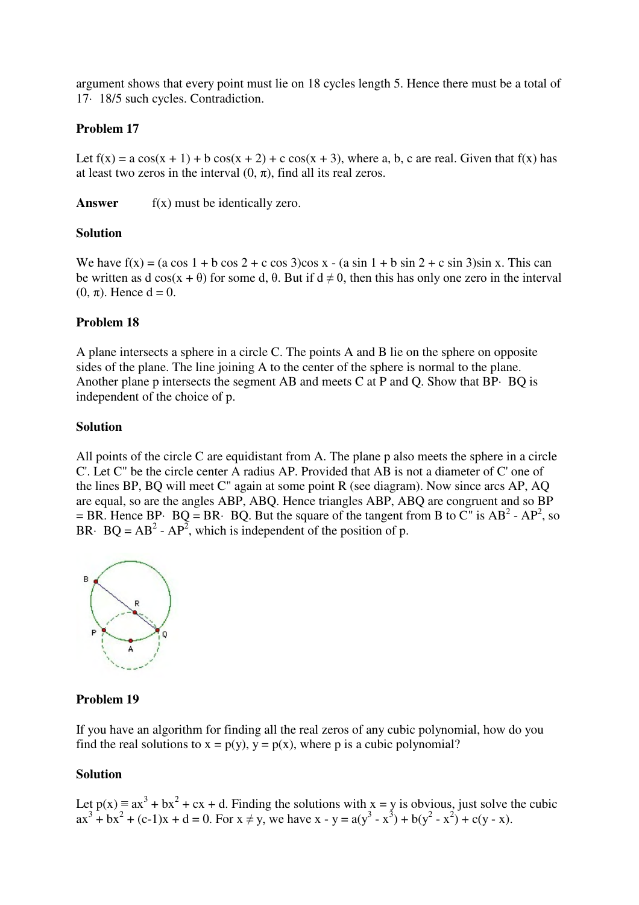argument shows that every point must lie on 18 cycles length 5. Hence there must be a total of 17· 18/5 such cycles. Contradiction.

### **Problem 17**

Let  $f(x) = a \cos(x + 1) + b \cos(x + 2) + c \cos(x + 3)$ , where a, b, c are real. Given that  $f(x)$  has at least two zeros in the interval  $(0, \pi)$ , find all its real zeros.

**Answer** f(x) must be identically zero.

## **Solution**

We have  $f(x) = (a \cos 1 + b \cos 2 + c \cos 3) \cos x - (a \sin 1 + b \sin 2 + c \sin 3) \sin x$ . This can be written as d cos(x +  $\theta$ ) for some d,  $\theta$ . But if  $d \neq 0$ , then this has only one zero in the interval  $(0, \pi)$ . Hence  $d = 0$ .

## **Problem 18**

A plane intersects a sphere in a circle C. The points A and B lie on the sphere on opposite sides of the plane. The line joining A to the center of the sphere is normal to the plane. Another plane p intersects the segment AB and meets C at P and Q. Show that BP· BQ is independent of the choice of p.

### **Solution**

All points of the circle C are equidistant from A. The plane p also meets the sphere in a circle C'. Let C" be the circle center A radius AP. Provided that AB is not a diameter of C' one of the lines BP, BQ will meet C" again at some point R (see diagram). Now since arcs AP, AQ are equal, so are the angles ABP, ABQ. Hence triangles ABP, ABQ are congruent and so BP = BR. Hence BP· BQ = BR· BQ. But the square of the tangent from B to C" is  $AB^2 - AP^2$ , so BR· BQ =  $AB^2$  -  $AP^2$ , which is independent of the position of p.



## **Problem 19**

If you have an algorithm for finding all the real zeros of any cubic polynomial, how do you find the real solutions to  $x = p(y)$ ,  $y = p(x)$ , where p is a cubic polynomial?

### **Solution**

Let  $p(x) = ax^3 + bx^2 + cx + d$ . Finding the solutions with x = y is obvious, just solve the cubic  $ax^{3} + bx^{2} + (c-1)x + d = 0$ . For  $x \neq y$ , we have  $x - y = a(y^{3} - x^{3}) + b(y^{2} - x^{2}) + c(y - x)$ .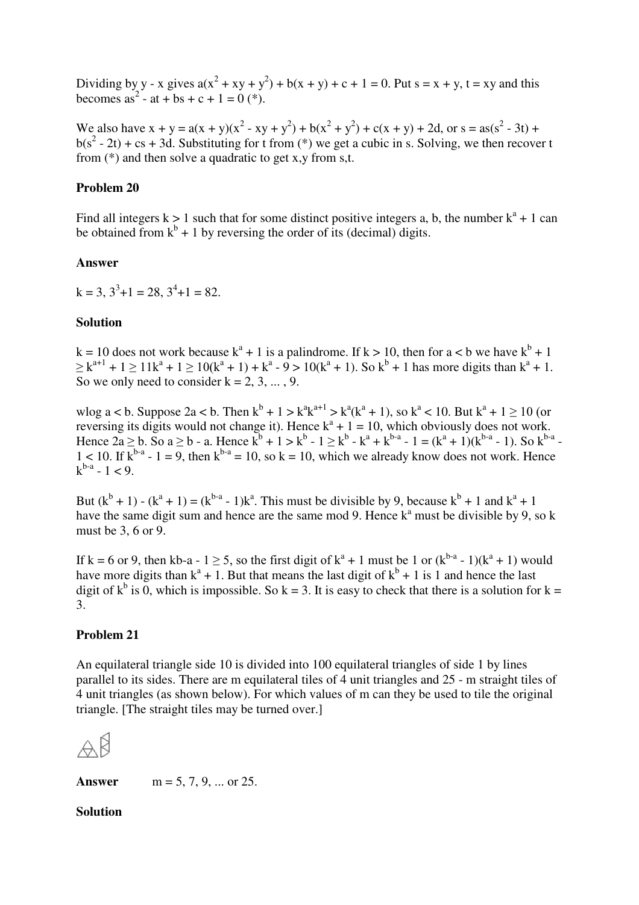Dividing by y - x gives  $a(x^2 + xy + y^2) + b(x + y) + c + 1 = 0$ . Put s = x + y, t = xy and this becomes as<sup>2</sup> - at + bs + c + 1 = 0 (\*).

We also have  $x + y = a(x + y)(x^2 - xy + y^2) + b(x^2 + y^2) + c(x + y) + 2d$ , or  $s = as(s^2 - 3t) +$  $b(s^2 - 2t) + cs + 3d$ . Substituting for t from (\*) we get a cubic in s. Solving, we then recover t from (\*) and then solve a quadratic to get x,y from s,t.

#### **Problem 20**

Find all integers  $k > 1$  such that for some distinct positive integers a, b, the number  $k^a + 1$  can be obtained from  $k^b + 1$  by reversing the order of its (decimal) digits.

#### **Answer**

 $k = 3, 3^3 + 1 = 28, 3^4 + 1 = 82.$ 

#### **Solution**

 $k = 10$  does not work because  $k^a + 1$  is a palindrome. If  $k > 10$ , then for  $a < b$  we have  $k^b + 1$  $\geq k^{a+1} + 1 \geq 11k^a + 1 \geq 10(k^a + 1) + k^a - 9 > 10(k^a + 1)$ . So  $k^b + 1$  has more digits than  $k^a + 1$ . So we only need to consider  $k = 2, 3, \dots, 9$ .

wlog a < b. Suppose 2a < b. Then  $k^b + 1 > k^a k^{a+1} > k^a (k^a + 1)$ , so  $k^a < 10$ . But  $k^a + 1 \ge 10$  (or reversing its digits would not change it). Hence  $k^a + 1 = 10$ , which obviously does not work. Hence  $2a \ge b$ . So  $a \ge b$  - a. Hence  $k^b + 1 > k^b - 1 \ge k^b - k^a + k^{b-a} - 1 = (k^a + 1)(k^{b-a} - 1)$ . So  $k^{b-a}$  $1 < 10$ . If  $k^{b-a} - 1 = 9$ , then  $k^{b-a} = 10$ , so  $k = 10$ , which we already know does not work. Hence  $k^{b-a} - 1 < 9$ .

But  $(k^{b} + 1) - (k^{a} + 1) = (k^{b-a} - 1)k^{a}$ . This must be divisible by 9, because  $k^{b} + 1$  and  $k^{a} + 1$ have the same digit sum and hence are the same mod 9. Hence  $k^a$  must be divisible by 9, so k must be 3, 6 or 9.

If k = 6 or 9, then kb-a - 1  $\geq$  5, so the first digit of k<sup>a</sup> + 1 must be 1 or (k<sup>b-a</sup> - 1)(k<sup>a</sup> + 1) would have more digits than  $k^a + 1$ . But that means the last digit of  $k^b + 1$  is 1 and hence the last digit of  $k^b$  is 0, which is impossible. So  $k = 3$ . It is easy to check that there is a solution for  $k =$ 3.

#### **Problem 21**

An equilateral triangle side 10 is divided into 100 equilateral triangles of side 1 by lines parallel to its sides. There are m equilateral tiles of 4 unit triangles and 25 - m straight tiles of 4 unit triangles (as shown below). For which values of m can they be used to tile the original triangle. [The straight tiles may be turned over.]



**Answer**  $m = 5, 7, 9, ...$  or 25.

#### **Solution**